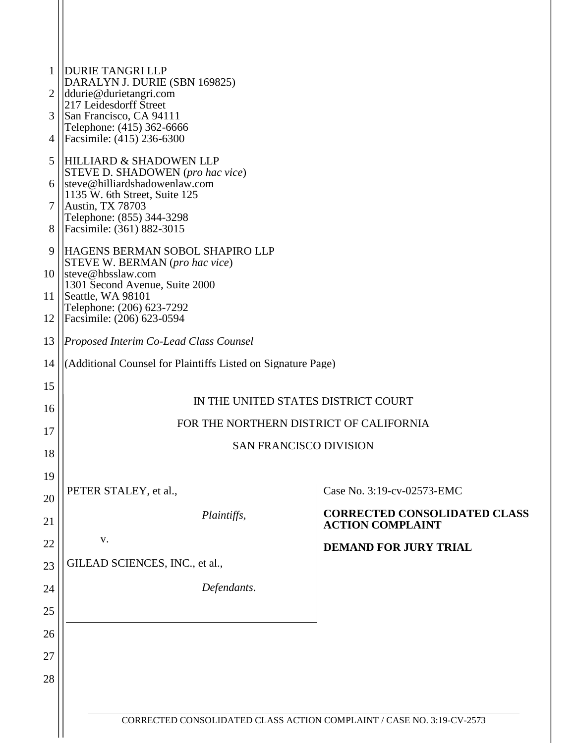| $\mathbf{1}$<br>2 | <b>DURIE TANGRI LLP</b><br>DARALYN J. DURIE (SBN 169825)<br>ddurie@durietangri.com                 |                                                                |
|-------------------|----------------------------------------------------------------------------------------------------|----------------------------------------------------------------|
|                   | 217 Leidesdorff Street                                                                             |                                                                |
| 3<br>4            | San Francisco, CA 94111<br>Telephone: (415) 362-6666<br>Facsimile: (415) 236-6300                  |                                                                |
| 5                 | <b>HILLIARD &amp; SHADOWEN LLP</b>                                                                 |                                                                |
| 6                 | STEVE D. SHADOWEN (pro hac vice)<br>steve@hilliardshadowenlaw.com<br>1135 W. 6th Street, Suite 125 |                                                                |
| 7                 | Austin, TX 78703                                                                                   |                                                                |
| 8                 | Telephone: (855) 344-3298<br>Facsimile: (361) 882-3015                                             |                                                                |
| 9                 | HAGENS BERMAN SOBOL SHAPIRO LLP<br>STEVE W. BERMAN (pro hac vice)                                  |                                                                |
| 10 <sup>1</sup>   | steve@hbsslaw.com<br>1301 Second Avenue, Suite 2000                                                |                                                                |
| 11 <sup>1</sup>   | Seattle, WA 98101<br>Telephone: (206) 623-7292                                                     |                                                                |
| 12                | Facsimile: (206) 623-0594                                                                          |                                                                |
| 13                | Proposed Interim Co-Lead Class Counsel                                                             |                                                                |
| 14                | (Additional Counsel for Plaintiffs Listed on Signature Page)                                       |                                                                |
| 15                |                                                                                                    |                                                                |
| 16                | IN THE UNITED STATES DISTRICT COURT                                                                |                                                                |
| 17                | FOR THE NORTHERN DISTRICT OF CALIFORNIA                                                            |                                                                |
| 18                | <b>SAN FRANCISCO DIVISION</b>                                                                      |                                                                |
| 19                |                                                                                                    |                                                                |
| 20                | PETER STALEY, et al.,                                                                              | Case No. 3:19-cv-02573-EMC                                     |
| 21                | Plaintiffs,                                                                                        | <b>CORRECTED CONSOLIDATED CLASS</b><br><b>ACTION COMPLAINT</b> |
| 22                | V.                                                                                                 | <b>DEMAND FOR JURY TRIAL</b>                                   |
| 23                | GILEAD SCIENCES, INC., et al.,                                                                     |                                                                |
| 24                | Defendants.                                                                                        |                                                                |
| 25                |                                                                                                    |                                                                |
| 26                |                                                                                                    |                                                                |
| 27                |                                                                                                    |                                                                |
| 28                |                                                                                                    |                                                                |
|                   |                                                                                                    |                                                                |
|                   | CORRECTED CONSOLIDATED CLASS ACTION COMPLAINT / CASE NO. 3:19-CV-2573                              |                                                                |
|                   |                                                                                                    |                                                                |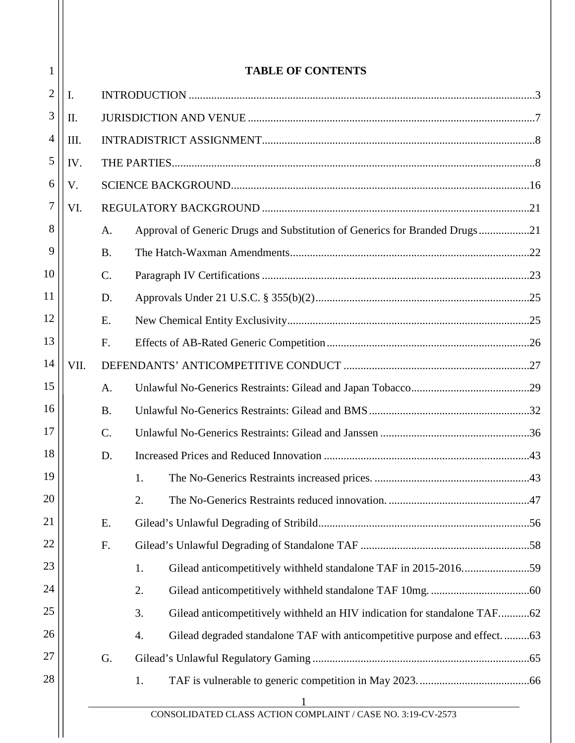| 1              |      |                 | <b>TABLE OF CONTENTS</b>                                                       |  |  |  |  |  |  |
|----------------|------|-----------------|--------------------------------------------------------------------------------|--|--|--|--|--|--|
| $\overline{2}$ | I.   |                 |                                                                                |  |  |  |  |  |  |
| 3              | II.  |                 |                                                                                |  |  |  |  |  |  |
| 4              | III. |                 |                                                                                |  |  |  |  |  |  |
| 5              | IV.  |                 |                                                                                |  |  |  |  |  |  |
| 6              | V.   |                 |                                                                                |  |  |  |  |  |  |
| 7              | VI.  |                 |                                                                                |  |  |  |  |  |  |
| 8              |      | A.              | Approval of Generic Drugs and Substitution of Generics for Branded Drugs21     |  |  |  |  |  |  |
| 9              |      | <b>B.</b>       |                                                                                |  |  |  |  |  |  |
| 10             |      | $\mathcal{C}$ . |                                                                                |  |  |  |  |  |  |
| 11             |      | D.              |                                                                                |  |  |  |  |  |  |
| 12             |      | E.              |                                                                                |  |  |  |  |  |  |
| 13             |      | F.              |                                                                                |  |  |  |  |  |  |
| 14             | VII. |                 |                                                                                |  |  |  |  |  |  |
| 15             |      | A.              |                                                                                |  |  |  |  |  |  |
| 16             |      | <b>B.</b>       |                                                                                |  |  |  |  |  |  |
| 17             |      | $\mathcal{C}$ . |                                                                                |  |  |  |  |  |  |
| 18             |      | D.              |                                                                                |  |  |  |  |  |  |
| 19             |      |                 | 1.                                                                             |  |  |  |  |  |  |
| 20             |      |                 | 2.                                                                             |  |  |  |  |  |  |
| 21             |      | Ε.              |                                                                                |  |  |  |  |  |  |
| 22             |      | F.              |                                                                                |  |  |  |  |  |  |
| 23             |      |                 | Gilead anticompetitively withheld standalone TAF in 2015-201659<br>1.          |  |  |  |  |  |  |
| 24             |      |                 | 2.                                                                             |  |  |  |  |  |  |
| 25             |      |                 | 3.<br>Gilead anticompetitively withheld an HIV indication for standalone TAF62 |  |  |  |  |  |  |
| 26             |      |                 | Gilead degraded standalone TAF with anticompetitive purpose and effect63<br>4. |  |  |  |  |  |  |
| 27             |      | G.              |                                                                                |  |  |  |  |  |  |
| 28             |      |                 | 1.                                                                             |  |  |  |  |  |  |
|                |      |                 |                                                                                |  |  |  |  |  |  |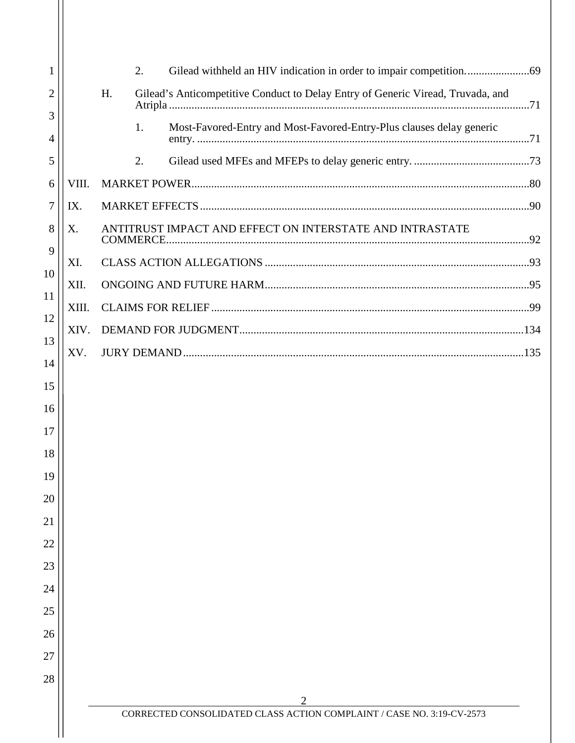| 1  |       | 2.                                                                                    |  |
|----|-------|---------------------------------------------------------------------------------------|--|
| 2  |       | H.<br>Gilead's Anticompetitive Conduct to Delay Entry of Generic Viread, Truvada, and |  |
| 3  |       | Most-Favored-Entry and Most-Favored-Entry-Plus clauses delay generic<br>1.            |  |
| 4  |       |                                                                                       |  |
| 5  |       | 2.                                                                                    |  |
| 6  | VIII. |                                                                                       |  |
| 7  | IX.   |                                                                                       |  |
| 8  | X.    | ANTITRUST IMPACT AND EFFECT ON INTERSTATE AND INTRASTATE                              |  |
| 9  | XI.   |                                                                                       |  |
| 10 | XII.  |                                                                                       |  |
| 11 | XIII. |                                                                                       |  |
| 12 | XIV.  |                                                                                       |  |
| 13 | XV.   |                                                                                       |  |
| 14 |       |                                                                                       |  |
| 15 |       |                                                                                       |  |
| 16 |       |                                                                                       |  |
| 17 |       |                                                                                       |  |
| 18 |       |                                                                                       |  |
| 19 |       |                                                                                       |  |
| 20 |       |                                                                                       |  |
| 21 |       |                                                                                       |  |
| 22 |       |                                                                                       |  |
| 23 |       |                                                                                       |  |
| 24 |       |                                                                                       |  |
| 25 |       |                                                                                       |  |
| 26 |       |                                                                                       |  |
| 27 |       |                                                                                       |  |
| 28 |       |                                                                                       |  |
|    |       | 2<br>CORRECTED CONSOLIDATED CLASS ACTION COMPLAINT / CASE NO. 3:19-CV-2573            |  |
|    |       |                                                                                       |  |

Н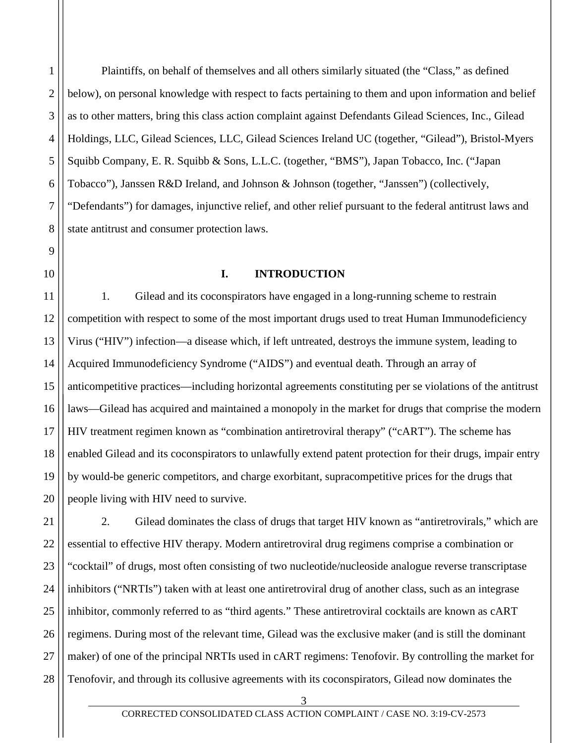2 3 4 5 6 7 8 Plaintiffs, on behalf of themselves and all others similarly situated (the "Class," as defined below), on personal knowledge with respect to facts pertaining to them and upon information and belief as to other matters, bring this class action complaint against Defendants Gilead Sciences, Inc., Gilead Holdings, LLC, Gilead Sciences, LLC, Gilead Sciences Ireland UC (together, "Gilead"), Bristol-Myers Squibb Company, E. R. Squibb & Sons, L.L.C. (together, "BMS"), Japan Tobacco, Inc. ("Japan Tobacco"), Janssen R&D Ireland, and Johnson & Johnson (together, "Janssen") (collectively, "Defendants") for damages, injunctive relief, and other relief pursuant to the federal antitrust laws and state antitrust and consumer protection laws.

<span id="page-3-0"></span>10

9

1

### **I. INTRODUCTION**

11 12 13 14 15 16 17 18 19 20 1. Gilead and its coconspirators have engaged in a long-running scheme to restrain competition with respect to some of the most important drugs used to treat Human Immunodeficiency Virus ("HIV") infection—a disease which, if left untreated, destroys the immune system, leading to Acquired Immunodeficiency Syndrome ("AIDS") and eventual death. Through an array of anticompetitive practices—including horizontal agreements constituting per se violations of the antitrust laws—Gilead has acquired and maintained a monopoly in the market for drugs that comprise the modern HIV treatment regimen known as "combination antiretroviral therapy" ("cART"). The scheme has enabled Gilead and its coconspirators to unlawfully extend patent protection for their drugs, impair entry by would-be generic competitors, and charge exorbitant, supracompetitive prices for the drugs that people living with HIV need to survive.

21 22 23 24 25 26 27 28 2. Gilead dominates the class of drugs that target HIV known as "antiretrovirals," which are essential to effective HIV therapy. Modern antiretroviral drug regimens comprise a combination or "cocktail" of drugs, most often consisting of two nucleotide/nucleoside analogue reverse transcriptase inhibitors ("NRTIs") taken with at least one antiretroviral drug of another class, such as an integrase inhibitor, commonly referred to as "third agents." These antiretroviral cocktails are known as cART regimens. During most of the relevant time, Gilead was the exclusive maker (and is still the dominant maker) of one of the principal NRTIs used in cART regimens: Tenofovir. By controlling the market for Tenofovir, and through its collusive agreements with its coconspirators, Gilead now dominates the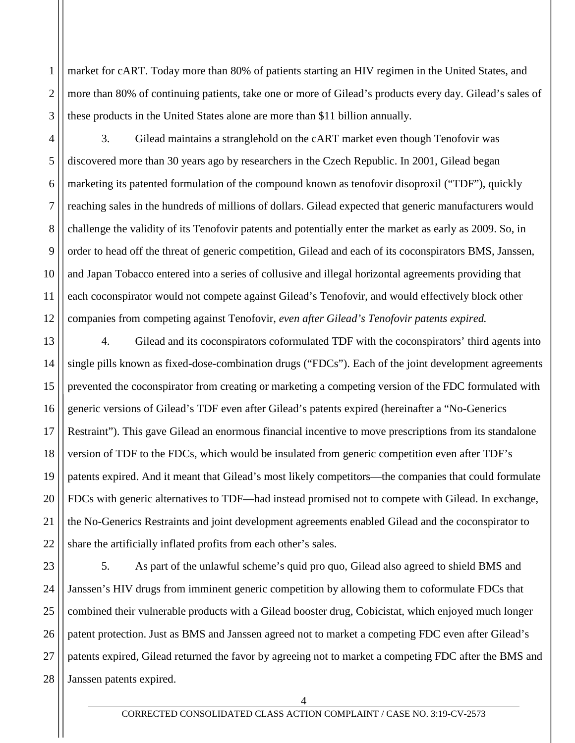2 3 market for cART. Today more than 80% of patients starting an HIV regimen in the United States, and more than 80% of continuing patients, take one or more of Gilead's products every day. Gilead's sales of these products in the United States alone are more than \$11 billion annually.

1

4

5

6

7

11

8 9 10 12 3. Gilead maintains a stranglehold on the cART market even though Tenofovir was discovered more than 30 years ago by researchers in the Czech Republic. In 2001, Gilead began marketing its patented formulation of the compound known as tenofovir disoproxil ("TDF"), quickly reaching sales in the hundreds of millions of dollars. Gilead expected that generic manufacturers would challenge the validity of its Tenofovir patents and potentially enter the market as early as 2009. So, in order to head off the threat of generic competition, Gilead and each of its coconspirators BMS, Janssen, and Japan Tobacco entered into a series of collusive and illegal horizontal agreements providing that each coconspirator would not compete against Gilead's Tenofovir, and would effectively block other companies from competing against Tenofovir, *even after Gilead's Tenofovir patents expired.*

13 14 15 16 17 18 19 20 21 22 4. Gilead and its coconspirators coformulated TDF with the coconspirators' third agents into single pills known as fixed-dose-combination drugs ("FDCs"). Each of the joint development agreements prevented the coconspirator from creating or marketing a competing version of the FDC formulated with generic versions of Gilead's TDF even after Gilead's patents expired (hereinafter a "No-Generics Restraint"). This gave Gilead an enormous financial incentive to move prescriptions from its standalone version of TDF to the FDCs, which would be insulated from generic competition even after TDF's patents expired. And it meant that Gilead's most likely competitors—the companies that could formulate FDCs with generic alternatives to TDF—had instead promised not to compete with Gilead. In exchange, the No-Generics Restraints and joint development agreements enabled Gilead and the coconspirator to share the artificially inflated profits from each other's sales.

23 24 25 26 27 28 5. As part of the unlawful scheme's quid pro quo, Gilead also agreed to shield BMS and Janssen's HIV drugs from imminent generic competition by allowing them to coformulate FDCs that combined their vulnerable products with a Gilead booster drug, Cobicistat, which enjoyed much longer patent protection. Just as BMS and Janssen agreed not to market a competing FDC even after Gilead's patents expired, Gilead returned the favor by agreeing not to market a competing FDC after the BMS and Janssen patents expired.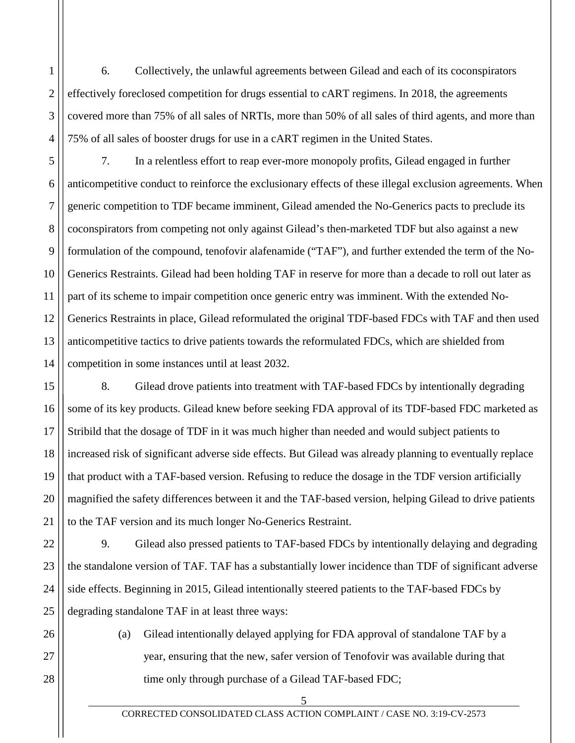4 6. Collectively, the unlawful agreements between Gilead and each of its coconspirators effectively foreclosed competition for drugs essential to cART regimens. In 2018, the agreements covered more than 75% of all sales of NRTIs, more than 50% of all sales of third agents, and more than 75% of all sales of booster drugs for use in a cART regimen in the United States.

1

2

3

5

6

7

8

9

10

11

12

13

14

21

26

27

28

7. In a relentless effort to reap ever-more monopoly profits, Gilead engaged in further anticompetitive conduct to reinforce the exclusionary effects of these illegal exclusion agreements. When generic competition to TDF became imminent, Gilead amended the No-Generics pacts to preclude its coconspirators from competing not only against Gilead's then-marketed TDF but also against a new formulation of the compound, tenofovir alafenamide ("TAF"), and further extended the term of the No-Generics Restraints. Gilead had been holding TAF in reserve for more than a decade to roll out later as part of its scheme to impair competition once generic entry was imminent. With the extended No-Generics Restraints in place, Gilead reformulated the original TDF-based FDCs with TAF and then used anticompetitive tactics to drive patients towards the reformulated FDCs, which are shielded from competition in some instances until at least 2032.

15 16 17 18 19 20 8. Gilead drove patients into treatment with TAF-based FDCs by intentionally degrading some of its key products. Gilead knew before seeking FDA approval of its TDF-based FDC marketed as Stribild that the dosage of TDF in it was much higher than needed and would subject patients to increased risk of significant adverse side effects. But Gilead was already planning to eventually replace that product with a TAF-based version. Refusing to reduce the dosage in the TDF version artificially magnified the safety differences between it and the TAF-based version, helping Gilead to drive patients to the TAF version and its much longer No-Generics Restraint.

22 23 24 25 9. Gilead also pressed patients to TAF-based FDCs by intentionally delaying and degrading the standalone version of TAF. TAF has a substantially lower incidence than TDF of significant adverse side effects. Beginning in 2015, Gilead intentionally steered patients to the TAF-based FDCs by degrading standalone TAF in at least three ways:

> (a) Gilead intentionally delayed applying for FDA approval of standalone TAF by a year, ensuring that the new, safer version of Tenofovir was available during that time only through purchase of a Gilead TAF-based FDC;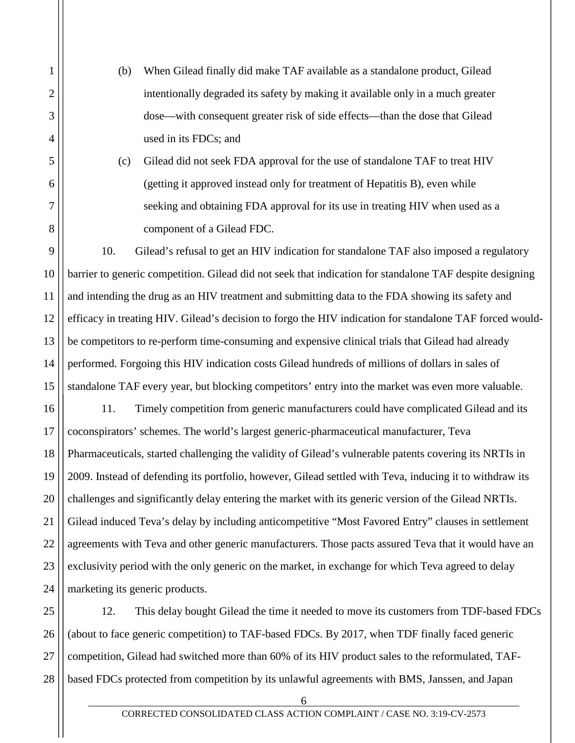(b) When Gilead finally did make TAF available as a standalone product, Gilead intentionally degraded its safety by making it available only in a much greater dose—with consequent greater risk of side effects—than the dose that Gilead used in its FDCs; and

1

2

3

4

5

6

7

8

(c) Gilead did not seek FDA approval for the use of standalone TAF to treat HIV (getting it approved instead only for treatment of Hepatitis B), even while seeking and obtaining FDA approval for its use in treating HIV when used as a component of a Gilead FDC.

9 10 11 12 13 14 15 10. Gilead's refusal to get an HIV indication for standalone TAF also imposed a regulatory barrier to generic competition. Gilead did not seek that indication for standalone TAF despite designing and intending the drug as an HIV treatment and submitting data to the FDA showing its safety and efficacy in treating HIV. Gilead's decision to forgo the HIV indication for standalone TAF forced wouldbe competitors to re-perform time-consuming and expensive clinical trials that Gilead had already performed. Forgoing this HIV indication costs Gilead hundreds of millions of dollars in sales of standalone TAF every year, but blocking competitors' entry into the market was even more valuable.

16 17 18 19 20 21 22 23 24 11. Timely competition from generic manufacturers could have complicated Gilead and its coconspirators' schemes. The world's largest generic-pharmaceutical manufacturer, Teva Pharmaceuticals, started challenging the validity of Gilead's vulnerable patents covering its NRTIs in 2009. Instead of defending its portfolio, however, Gilead settled with Teva, inducing it to withdraw its challenges and significantly delay entering the market with its generic version of the Gilead NRTIs. Gilead induced Teva's delay by including anticompetitive "Most Favored Entry" clauses in settlement agreements with Teva and other generic manufacturers. Those pacts assured Teva that it would have an exclusivity period with the only generic on the market, in exchange for which Teva agreed to delay marketing its generic products.

25 26 27 28 12. This delay bought Gilead the time it needed to move its customers from TDF-based FDCs (about to face generic competition) to TAF-based FDCs. By 2017, when TDF finally faced generic competition, Gilead had switched more than 60% of its HIV product sales to the reformulated, TAFbased FDCs protected from competition by its unlawful agreements with BMS, Janssen, and Japan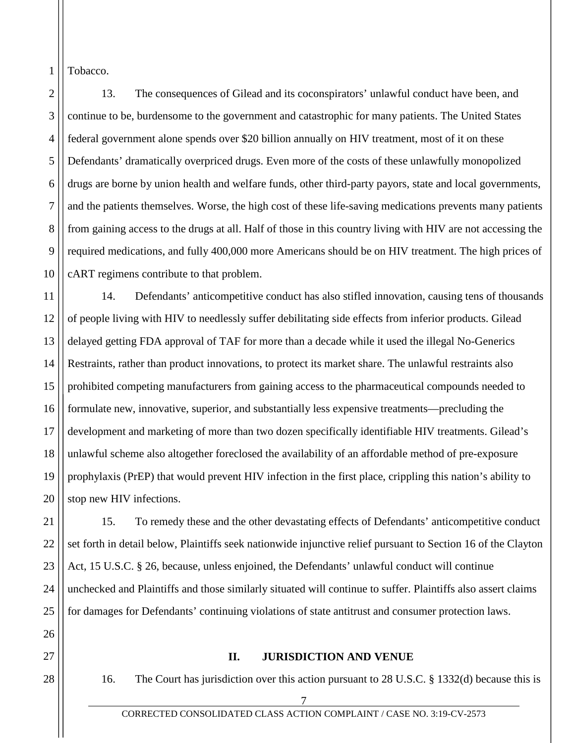Tobacco.

1

2 3 4 5 6 7 8 9 10 13. The consequences of Gilead and its coconspirators' unlawful conduct have been, and continue to be, burdensome to the government and catastrophic for many patients. The United States federal government alone spends over \$20 billion annually on HIV treatment, most of it on these Defendants' dramatically overpriced drugs. Even more of the costs of these unlawfully monopolized drugs are borne by union health and welfare funds, other third-party payors, state and local governments, and the patients themselves. Worse, the high cost of these life-saving medications prevents many patients from gaining access to the drugs at all. Half of those in this country living with HIV are not accessing the required medications, and fully 400,000 more Americans should be on HIV treatment. The high prices of cART regimens contribute to that problem.

11 12 13 14 15 16 17 18 19 20 14. Defendants' anticompetitive conduct has also stifled innovation, causing tens of thousands of people living with HIV to needlessly suffer debilitating side effects from inferior products. Gilead delayed getting FDA approval of TAF for more than a decade while it used the illegal No-Generics Restraints, rather than product innovations, to protect its market share. The unlawful restraints also prohibited competing manufacturers from gaining access to the pharmaceutical compounds needed to formulate new, innovative, superior, and substantially less expensive treatments—precluding the development and marketing of more than two dozen specifically identifiable HIV treatments. Gilead's unlawful scheme also altogether foreclosed the availability of an affordable method of pre-exposure prophylaxis (PrEP) that would prevent HIV infection in the first place, crippling this nation's ability to stop new HIV infections.

21 22 23 24 25 15. To remedy these and the other devastating effects of Defendants' anticompetitive conduct set forth in detail below, Plaintiffs seek nationwide injunctive relief pursuant to Section 16 of the Clayton Act, 15 U.S.C. § 26, because, unless enjoined, the Defendants' unlawful conduct will continue unchecked and Plaintiffs and those similarly situated will continue to suffer. Plaintiffs also assert claims for damages for Defendants' continuing violations of state antitrust and consumer protection laws.

## **II. JURISDICTION AND VENUE**

28

26

<span id="page-7-0"></span>27

16. The Court has jurisdiction over this action pursuant to 28 U.S.C. § 1332(d) because this is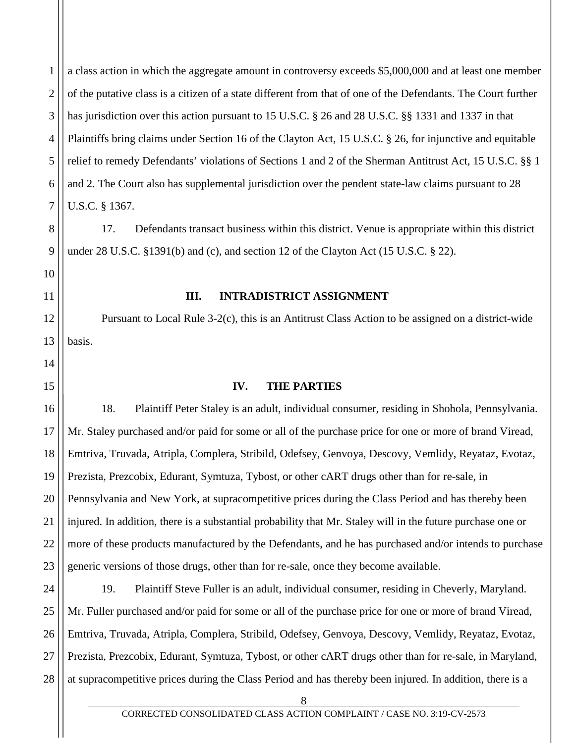1 2 3 4 5 6 7 a class action in which the aggregate amount in controversy exceeds \$5,000,000 and at least one member of the putative class is a citizen of a state different from that of one of the Defendants. The Court further has jurisdiction over this action pursuant to 15 U.S.C. § 26 and 28 U.S.C. §§ 1331 and 1337 in that Plaintiffs bring claims under Section 16 of the Clayton Act, 15 U.S.C. § 26, for injunctive and equitable relief to remedy Defendants' violations of Sections 1 and 2 of the Sherman Antitrust Act, 15 U.S.C. §§ 1 and 2. The Court also has supplemental jurisdiction over the pendent state-law claims pursuant to 28 U.S.C. § 1367.

17. Defendants transact business within this district. Venue is appropriate within this district under 28 U.S.C. §1391(b) and (c), and section 12 of the Clayton Act (15 U.S.C. § 22).

8

9

10

<span id="page-8-0"></span>11

12

13

14

<span id="page-8-1"></span>15

### **III. INTRADISTRICT ASSIGNMENT**

Pursuant to Local Rule 3-2(c), this is an Antitrust Class Action to be assigned on a district-wide basis.

## **IV. THE PARTIES**

16 17 18 19 20 21 22 23 18. Plaintiff Peter Staley is an adult, individual consumer, residing in Shohola, Pennsylvania. Mr. Staley purchased and/or paid for some or all of the purchase price for one or more of brand Viread, Emtriva, Truvada, Atripla, Complera, Stribild, Odefsey, Genvoya, Descovy, Vemlidy, Reyataz, Evotaz, Prezista, Prezcobix, Edurant, Symtuza, Tybost, or other cART drugs other than for re-sale, in Pennsylvania and New York, at supracompetitive prices during the Class Period and has thereby been injured. In addition, there is a substantial probability that Mr. Staley will in the future purchase one or more of these products manufactured by the Defendants, and he has purchased and/or intends to purchase generic versions of those drugs, other than for re-sale, once they become available.

24 25 26 27 28 19. Plaintiff Steve Fuller is an adult, individual consumer, residing in Cheverly, Maryland. Mr. Fuller purchased and/or paid for some or all of the purchase price for one or more of brand Viread, Emtriva, Truvada, Atripla, Complera, Stribild, Odefsey, Genvoya, Descovy, Vemlidy, Reyataz, Evotaz, Prezista, Prezcobix, Edurant, Symtuza, Tybost, or other cART drugs other than for re-sale, in Maryland, at supracompetitive prices during the Class Period and has thereby been injured. In addition, there is a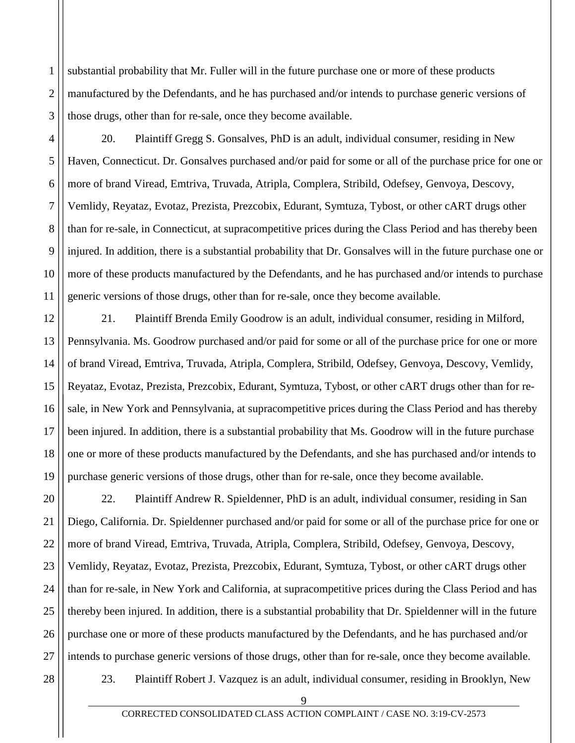2 3 substantial probability that Mr. Fuller will in the future purchase one or more of these products manufactured by the Defendants, and he has purchased and/or intends to purchase generic versions of those drugs, other than for re-sale, once they become available.

20. Plaintiff Gregg S. Gonsalves, PhD is an adult, individual consumer, residing in New Haven, Connecticut. Dr. Gonsalves purchased and/or paid for some or all of the purchase price for one or more of brand Viread, Emtriva, Truvada, Atripla, Complera, Stribild, Odefsey, Genvoya, Descovy, Vemlidy, Reyataz, Evotaz, Prezista, Prezcobix, Edurant, Symtuza, Tybost, or other cART drugs other than for re-sale, in Connecticut, at supracompetitive prices during the Class Period and has thereby been injured. In addition, there is a substantial probability that Dr. Gonsalves will in the future purchase one or more of these products manufactured by the Defendants, and he has purchased and/or intends to purchase generic versions of those drugs, other than for re-sale, once they become available.

12 13 14 15 16 17 18 19 21. Plaintiff Brenda Emily Goodrow is an adult, individual consumer, residing in Milford, Pennsylvania. Ms. Goodrow purchased and/or paid for some or all of the purchase price for one or more of brand Viread, Emtriva, Truvada, Atripla, Complera, Stribild, Odefsey, Genvoya, Descovy, Vemlidy, Reyataz, Evotaz, Prezista, Prezcobix, Edurant, Symtuza, Tybost, or other cART drugs other than for resale, in New York and Pennsylvania, at supracompetitive prices during the Class Period and has thereby been injured. In addition, there is a substantial probability that Ms. Goodrow will in the future purchase one or more of these products manufactured by the Defendants, and she has purchased and/or intends to purchase generic versions of those drugs, other than for re-sale, once they become available.

20 21 22 23 24 25 26 27 22. Plaintiff Andrew R. Spieldenner, PhD is an adult, individual consumer, residing in San Diego, California. Dr. Spieldenner purchased and/or paid for some or all of the purchase price for one or more of brand Viread, Emtriva, Truvada, Atripla, Complera, Stribild, Odefsey, Genvoya, Descovy, Vemlidy, Reyataz, Evotaz, Prezista, Prezcobix, Edurant, Symtuza, Tybost, or other cART drugs other than for re-sale, in New York and California, at supracompetitive prices during the Class Period and has thereby been injured. In addition, there is a substantial probability that Dr. Spieldenner will in the future purchase one or more of these products manufactured by the Defendants, and he has purchased and/or intends to purchase generic versions of those drugs, other than for re-sale, once they become available.

28

1

4

5

6

7

8

9

10

11

23. Plaintiff Robert J. Vazquez is an adult, individual consumer, residing in Brooklyn, New

 $\mathbf Q$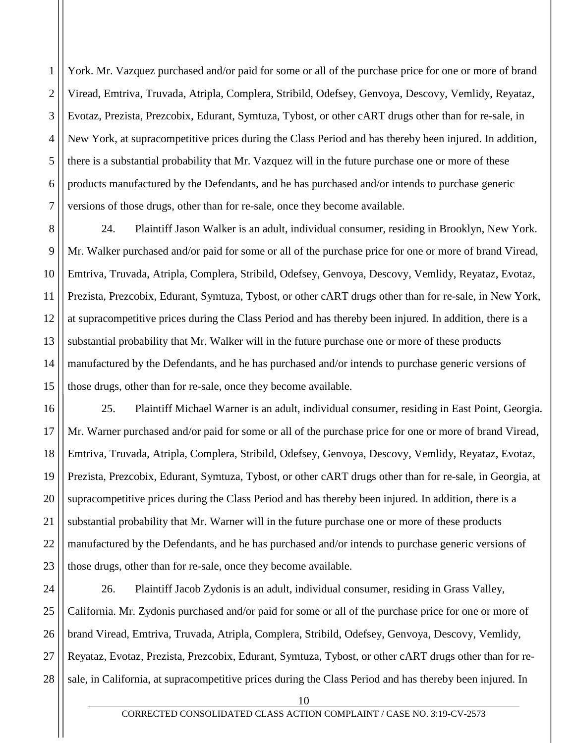1 2 3 4 5 6 7 York. Mr. Vazquez purchased and/or paid for some or all of the purchase price for one or more of brand Viread, Emtriva, Truvada, Atripla, Complera, Stribild, Odefsey, Genvoya, Descovy, Vemlidy, Reyataz, Evotaz, Prezista, Prezcobix, Edurant, Symtuza, Tybost, or other cART drugs other than for re-sale, in New York, at supracompetitive prices during the Class Period and has thereby been injured. In addition, there is a substantial probability that Mr. Vazquez will in the future purchase one or more of these products manufactured by the Defendants, and he has purchased and/or intends to purchase generic versions of those drugs, other than for re-sale, once they become available.

8 9 10 11 12 13 14 15 24. Plaintiff Jason Walker is an adult, individual consumer, residing in Brooklyn, New York. Mr. Walker purchased and/or paid for some or all of the purchase price for one or more of brand Viread, Emtriva, Truvada, Atripla, Complera, Stribild, Odefsey, Genvoya, Descovy, Vemlidy, Reyataz, Evotaz, Prezista, Prezcobix, Edurant, Symtuza, Tybost, or other cART drugs other than for re-sale, in New York, at supracompetitive prices during the Class Period and has thereby been injured. In addition, there is a substantial probability that Mr. Walker will in the future purchase one or more of these products manufactured by the Defendants, and he has purchased and/or intends to purchase generic versions of those drugs, other than for re-sale, once they become available.

16 17 18 19 20 21 22 23 25. Plaintiff Michael Warner is an adult, individual consumer, residing in East Point, Georgia. Mr. Warner purchased and/or paid for some or all of the purchase price for one or more of brand Viread, Emtriva, Truvada, Atripla, Complera, Stribild, Odefsey, Genvoya, Descovy, Vemlidy, Reyataz, Evotaz, Prezista, Prezcobix, Edurant, Symtuza, Tybost, or other cART drugs other than for re-sale, in Georgia, at supracompetitive prices during the Class Period and has thereby been injured. In addition, there is a substantial probability that Mr. Warner will in the future purchase one or more of these products manufactured by the Defendants, and he has purchased and/or intends to purchase generic versions of those drugs, other than for re-sale, once they become available.

24 25 26 27 28 26. Plaintiff Jacob Zydonis is an adult, individual consumer, residing in Grass Valley, California. Mr. Zydonis purchased and/or paid for some or all of the purchase price for one or more of brand Viread, Emtriva, Truvada, Atripla, Complera, Stribild, Odefsey, Genvoya, Descovy, Vemlidy, Reyataz, Evotaz, Prezista, Prezcobix, Edurant, Symtuza, Tybost, or other cART drugs other than for resale, in California, at supracompetitive prices during the Class Period and has thereby been injured. In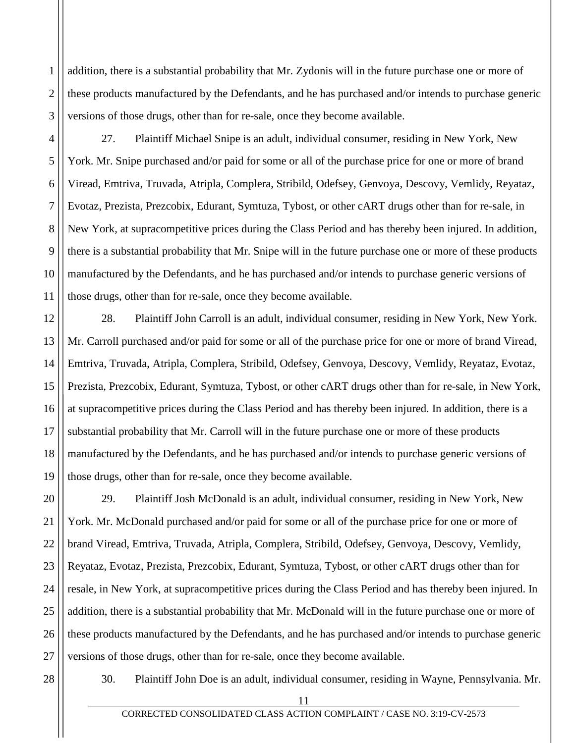addition, there is a substantial probability that Mr. Zydonis will in the future purchase one or more of these products manufactured by the Defendants, and he has purchased and/or intends to purchase generic versions of those drugs, other than for re-sale, once they become available.

27. Plaintiff Michael Snipe is an adult, individual consumer, residing in New York, New York. Mr. Snipe purchased and/or paid for some or all of the purchase price for one or more of brand Viread, Emtriva, Truvada, Atripla, Complera, Stribild, Odefsey, Genvoya, Descovy, Vemlidy, Reyataz, Evotaz, Prezista, Prezcobix, Edurant, Symtuza, Tybost, or other cART drugs other than for re-sale, in New York, at supracompetitive prices during the Class Period and has thereby been injured. In addition, there is a substantial probability that Mr. Snipe will in the future purchase one or more of these products manufactured by the Defendants, and he has purchased and/or intends to purchase generic versions of those drugs, other than for re-sale, once they become available.

12 13 14 15 16 17 18 19 28. Plaintiff John Carroll is an adult, individual consumer, residing in New York, New York. Mr. Carroll purchased and/or paid for some or all of the purchase price for one or more of brand Viread, Emtriva, Truvada, Atripla, Complera, Stribild, Odefsey, Genvoya, Descovy, Vemlidy, Reyataz, Evotaz, Prezista, Prezcobix, Edurant, Symtuza, Tybost, or other cART drugs other than for re-sale, in New York, at supracompetitive prices during the Class Period and has thereby been injured. In addition, there is a substantial probability that Mr. Carroll will in the future purchase one or more of these products manufactured by the Defendants, and he has purchased and/or intends to purchase generic versions of those drugs, other than for re-sale, once they become available.

20 21 22 23 24 25 26 27 29. Plaintiff Josh McDonald is an adult, individual consumer, residing in New York, New York. Mr. McDonald purchased and/or paid for some or all of the purchase price for one or more of brand Viread, Emtriva, Truvada, Atripla, Complera, Stribild, Odefsey, Genvoya, Descovy, Vemlidy, Reyataz, Evotaz, Prezista, Prezcobix, Edurant, Symtuza, Tybost, or other cART drugs other than for resale, in New York, at supracompetitive prices during the Class Period and has thereby been injured. In addition, there is a substantial probability that Mr. McDonald will in the future purchase one or more of these products manufactured by the Defendants, and he has purchased and/or intends to purchase generic versions of those drugs, other than for re-sale, once they become available.

28

1

2

3

4

5

6

7

8

9

10

11

30. Plaintiff John Doe is an adult, individual consumer, residing in Wayne, Pennsylvania. Mr.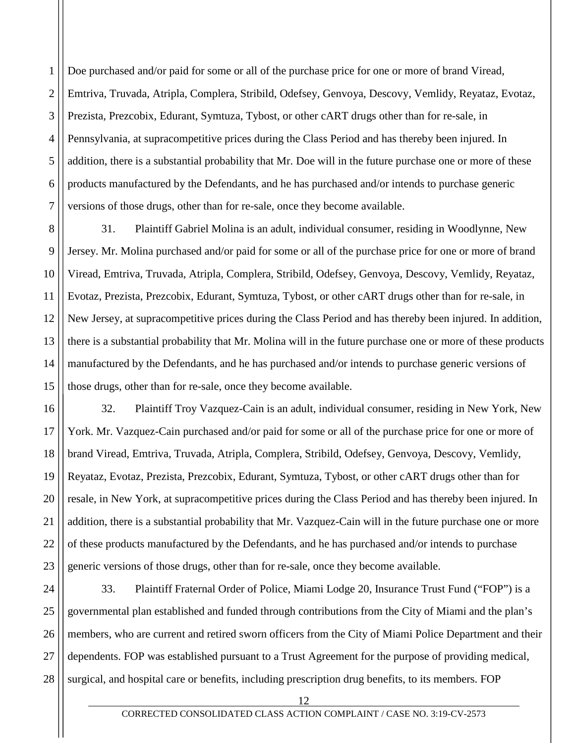1 2 3 4 5 6 7 Doe purchased and/or paid for some or all of the purchase price for one or more of brand Viread, Emtriva, Truvada, Atripla, Complera, Stribild, Odefsey, Genvoya, Descovy, Vemlidy, Reyataz, Evotaz, Prezista, Prezcobix, Edurant, Symtuza, Tybost, or other cART drugs other than for re-sale, in Pennsylvania, at supracompetitive prices during the Class Period and has thereby been injured. In addition, there is a substantial probability that Mr. Doe will in the future purchase one or more of these products manufactured by the Defendants, and he has purchased and/or intends to purchase generic versions of those drugs, other than for re-sale, once they become available.

8 9 10 11 12 13 14 15 31. Plaintiff Gabriel Molina is an adult, individual consumer, residing in Woodlynne, New Jersey. Mr. Molina purchased and/or paid for some or all of the purchase price for one or more of brand Viread, Emtriva, Truvada, Atripla, Complera, Stribild, Odefsey, Genvoya, Descovy, Vemlidy, Reyataz, Evotaz, Prezista, Prezcobix, Edurant, Symtuza, Tybost, or other cART drugs other than for re-sale, in New Jersey, at supracompetitive prices during the Class Period and has thereby been injured. In addition, there is a substantial probability that Mr. Molina will in the future purchase one or more of these products manufactured by the Defendants, and he has purchased and/or intends to purchase generic versions of those drugs, other than for re-sale, once they become available.

16 17 18 19 20 21 22 23 32. Plaintiff Troy Vazquez-Cain is an adult, individual consumer, residing in New York, New York. Mr. Vazquez-Cain purchased and/or paid for some or all of the purchase price for one or more of brand Viread, Emtriva, Truvada, Atripla, Complera, Stribild, Odefsey, Genvoya, Descovy, Vemlidy, Reyataz, Evotaz, Prezista, Prezcobix, Edurant, Symtuza, Tybost, or other cART drugs other than for resale, in New York, at supracompetitive prices during the Class Period and has thereby been injured. In addition, there is a substantial probability that Mr. Vazquez-Cain will in the future purchase one or more of these products manufactured by the Defendants, and he has purchased and/or intends to purchase generic versions of those drugs, other than for re-sale, once they become available.

24 25 26 27 28 33. Plaintiff Fraternal Order of Police, Miami Lodge 20, Insurance Trust Fund ("FOP") is a governmental plan established and funded through contributions from the City of Miami and the plan's members, who are current and retired sworn officers from the City of Miami Police Department and their dependents. FOP was established pursuant to a Trust Agreement for the purpose of providing medical, surgical, and hospital care or benefits, including prescription drug benefits, to its members. FOP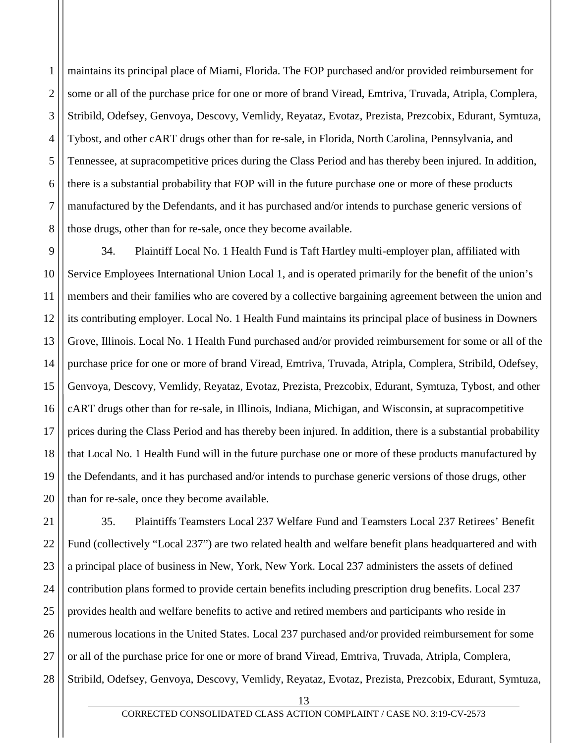1 2 3 4 5 6 7 8 maintains its principal place of Miami, Florida. The FOP purchased and/or provided reimbursement for some or all of the purchase price for one or more of brand Viread, Emtriva, Truvada, Atripla, Complera, Stribild, Odefsey, Genvoya, Descovy, Vemlidy, Reyataz, Evotaz, Prezista, Prezcobix, Edurant, Symtuza, Tybost, and other cART drugs other than for re-sale, in Florida, North Carolina, Pennsylvania, and Tennessee, at supracompetitive prices during the Class Period and has thereby been injured. In addition, there is a substantial probability that FOP will in the future purchase one or more of these products manufactured by the Defendants, and it has purchased and/or intends to purchase generic versions of those drugs, other than for re-sale, once they become available.

9 10 11 12 13 14 15 16 17 18 19 20 34. Plaintiff Local No. 1 Health Fund is Taft Hartley multi-employer plan, affiliated with Service Employees International Union Local 1, and is operated primarily for the benefit of the union's members and their families who are covered by a collective bargaining agreement between the union and its contributing employer. Local No. 1 Health Fund maintains its principal place of business in Downers Grove, Illinois. Local No. 1 Health Fund purchased and/or provided reimbursement for some or all of the purchase price for one or more of brand Viread, Emtriva, Truvada, Atripla, Complera, Stribild, Odefsey, Genvoya, Descovy, Vemlidy, Reyataz, Evotaz, Prezista, Prezcobix, Edurant, Symtuza, Tybost, and other cART drugs other than for re-sale, in Illinois, Indiana, Michigan, and Wisconsin, at supracompetitive prices during the Class Period and has thereby been injured. In addition, there is a substantial probability that Local No. 1 Health Fund will in the future purchase one or more of these products manufactured by the Defendants, and it has purchased and/or intends to purchase generic versions of those drugs, other than for re-sale, once they become available.

21 22 23 24 25 26 27 28 35. Plaintiffs Teamsters Local 237 Welfare Fund and Teamsters Local 237 Retirees' Benefit Fund (collectively "Local 237") are two related health and welfare benefit plans headquartered and with a principal place of business in New, York, New York. Local 237 administers the assets of defined contribution plans formed to provide certain benefits including prescription drug benefits. Local 237 provides health and welfare benefits to active and retired members and participants who reside in numerous locations in the United States. Local 237 purchased and/or provided reimbursement for some or all of the purchase price for one or more of brand Viread, Emtriva, Truvada, Atripla, Complera, Stribild, Odefsey, Genvoya, Descovy, Vemlidy, Reyataz, Evotaz, Prezista, Prezcobix, Edurant, Symtuza,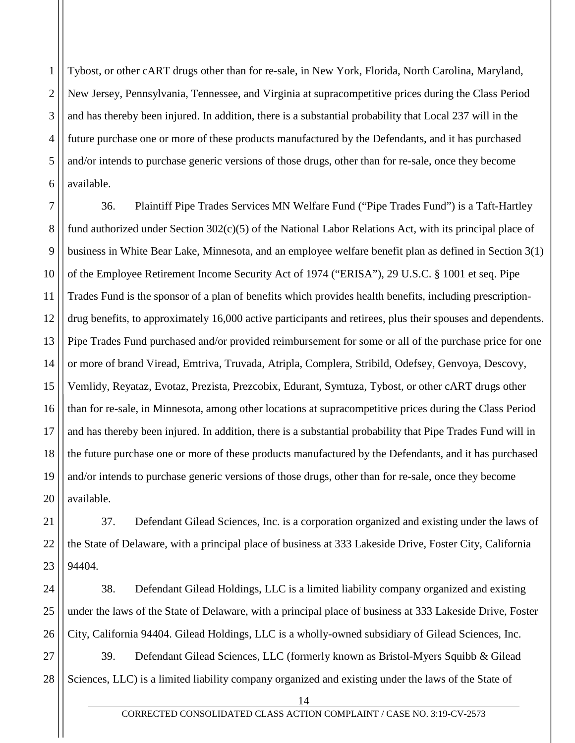1 2 3 4 5 6 Tybost, or other cART drugs other than for re-sale, in New York, Florida, North Carolina, Maryland, New Jersey, Pennsylvania, Tennessee, and Virginia at supracompetitive prices during the Class Period and has thereby been injured. In addition, there is a substantial probability that Local 237 will in the future purchase one or more of these products manufactured by the Defendants, and it has purchased and/or intends to purchase generic versions of those drugs, other than for re-sale, once they become available.

7 8 9 10 11 12 13 14 15 16 17 18 19 20 36. Plaintiff Pipe Trades Services MN Welfare Fund ("Pipe Trades Fund") is a Taft-Hartley fund authorized under Section 302(c)(5) of the National Labor Relations Act, with its principal place of business in White Bear Lake, Minnesota, and an employee welfare benefit plan as defined in Section 3(1) of the Employee Retirement Income Security Act of 1974 ("ERISA"), 29 U.S.C. § 1001 et seq. Pipe Trades Fund is the sponsor of a plan of benefits which provides health benefits, including prescriptiondrug benefits, to approximately 16,000 active participants and retirees, plus their spouses and dependents. Pipe Trades Fund purchased and/or provided reimbursement for some or all of the purchase price for one or more of brand Viread, Emtriva, Truvada, Atripla, Complera, Stribild, Odefsey, Genvoya, Descovy, Vemlidy, Reyataz, Evotaz, Prezista, Prezcobix, Edurant, Symtuza, Tybost, or other cART drugs other than for re-sale, in Minnesota, among other locations at supracompetitive prices during the Class Period and has thereby been injured. In addition, there is a substantial probability that Pipe Trades Fund will in the future purchase one or more of these products manufactured by the Defendants, and it has purchased and/or intends to purchase generic versions of those drugs, other than for re-sale, once they become available.

21 22 23 37. Defendant Gilead Sciences, Inc. is a corporation organized and existing under the laws of the State of Delaware, with a principal place of business at 333 Lakeside Drive, Foster City, California 94404.

24 25 26 38. Defendant Gilead Holdings, LLC is a limited liability company organized and existing under the laws of the State of Delaware, with a principal place of business at 333 Lakeside Drive, Foster City, California 94404. Gilead Holdings, LLC is a wholly-owned subsidiary of Gilead Sciences, Inc.

27 28 39. Defendant Gilead Sciences, LLC (formerly known as Bristol-Myers Squibb & Gilead Sciences, LLC) is a limited liability company organized and existing under the laws of the State of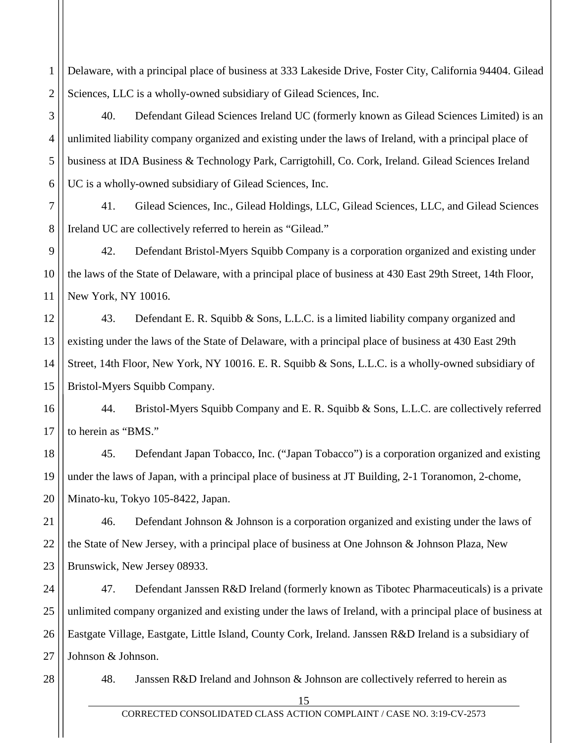1 2 Delaware, with a principal place of business at 333 Lakeside Drive, Foster City, California 94404. Gilead Sciences, LLC is a wholly-owned subsidiary of Gilead Sciences, Inc.

40. Defendant Gilead Sciences Ireland UC (formerly known as Gilead Sciences Limited) is an unlimited liability company organized and existing under the laws of Ireland, with a principal place of business at IDA Business & Technology Park, Carrigtohill, Co. Cork, Ireland. Gilead Sciences Ireland UC is a wholly-owned subsidiary of Gilead Sciences, Inc.

7 8 41. Gilead Sciences, Inc., Gilead Holdings, LLC, Gilead Sciences, LLC, and Gilead Sciences Ireland UC are collectively referred to herein as "Gilead."

9 10 11 42. Defendant Bristol-Myers Squibb Company is a corporation organized and existing under the laws of the State of Delaware, with a principal place of business at 430 East 29th Street, 14th Floor, New York, NY 10016.

12 13 14 15 43. Defendant E. R. Squibb & Sons, L.L.C. is a limited liability company organized and existing under the laws of the State of Delaware, with a principal place of business at 430 East 29th Street, 14th Floor, New York, NY 10016. E. R. Squibb & Sons, L.L.C. is a wholly-owned subsidiary of Bristol-Myers Squibb Company.

16 17 44. Bristol-Myers Squibb Company and E. R. Squibb & Sons, L.L.C. are collectively referred to herein as "BMS."

18 19 20 45. Defendant Japan Tobacco, Inc. ("Japan Tobacco") is a corporation organized and existing under the laws of Japan, with a principal place of business at JT Building, 2-1 Toranomon, 2-chome, Minato-ku, Tokyo 105-8422, Japan.

21 22 23 46. Defendant Johnson & Johnson is a corporation organized and existing under the laws of the State of New Jersey, with a principal place of business at One Johnson & Johnson Plaza, New Brunswick, New Jersey 08933.

24 25 26 27 47. Defendant Janssen R&D Ireland (formerly known as Tibotec Pharmaceuticals) is a private unlimited company organized and existing under the laws of Ireland, with a principal place of business at Eastgate Village, Eastgate, Little Island, County Cork, Ireland. Janssen R&D Ireland is a subsidiary of Johnson & Johnson.

28

3

4

5

6

48. Janssen R&D Ireland and Johnson & Johnson are collectively referred to herein as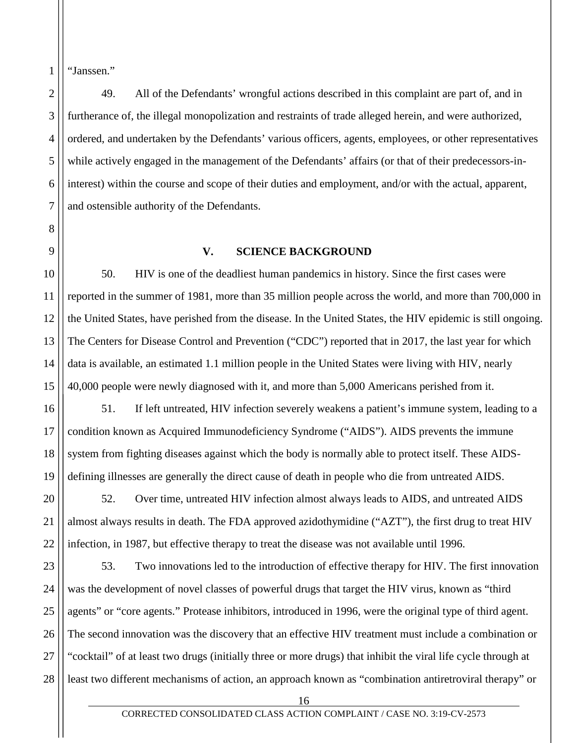"Janssen."

1

2

3

4

5

6

7

8

<span id="page-16-0"></span>9

10

11

12

13

14

15

16

17

18

19

21

49. All of the Defendants' wrongful actions described in this complaint are part of, and in furtherance of, the illegal monopolization and restraints of trade alleged herein, and were authorized, ordered, and undertaken by the Defendants' various officers, agents, employees, or other representatives while actively engaged in the management of the Defendants' affairs (or that of their predecessors-ininterest) within the course and scope of their duties and employment, and/or with the actual, apparent, and ostensible authority of the Defendants.

## **V. SCIENCE BACKGROUND**

50. HIV is one of the deadliest human pandemics in history. Since the first cases were reported in the summer of 1981, more than 35 million people across the world, and more than 700,000 in the United States, have perished from the disease. In the United States, the HIV epidemic is still ongoing. The Centers for Disease Control and Prevention ("CDC") reported that in 2017, the last year for which data is available, an estimated 1.1 million people in the United States were living with HIV, nearly 40,000 people were newly diagnosed with it, and more than 5,000 Americans perished from it.

51. If left untreated, HIV infection severely weakens a patient's immune system, leading to a condition known as Acquired Immunodeficiency Syndrome ("AIDS"). AIDS prevents the immune system from fighting diseases against which the body is normally able to protect itself. These AIDSdefining illnesses are generally the direct cause of death in people who die from untreated AIDS.

20 22 52. Over time, untreated HIV infection almost always leads to AIDS, and untreated AIDS almost always results in death. The FDA approved azidothymidine ("AZT"), the first drug to treat HIV infection, in 1987, but effective therapy to treat the disease was not available until 1996.

23 24 25 26 27 28 53. Two innovations led to the introduction of effective therapy for HIV. The first innovation was the development of novel classes of powerful drugs that target the HIV virus, known as "third agents" or "core agents." Protease inhibitors, introduced in 1996, were the original type of third agent. The second innovation was the discovery that an effective HIV treatment must include a combination or "cocktail" of at least two drugs (initially three or more drugs) that inhibit the viral life cycle through at least two different mechanisms of action, an approach known as "combination antiretroviral therapy" or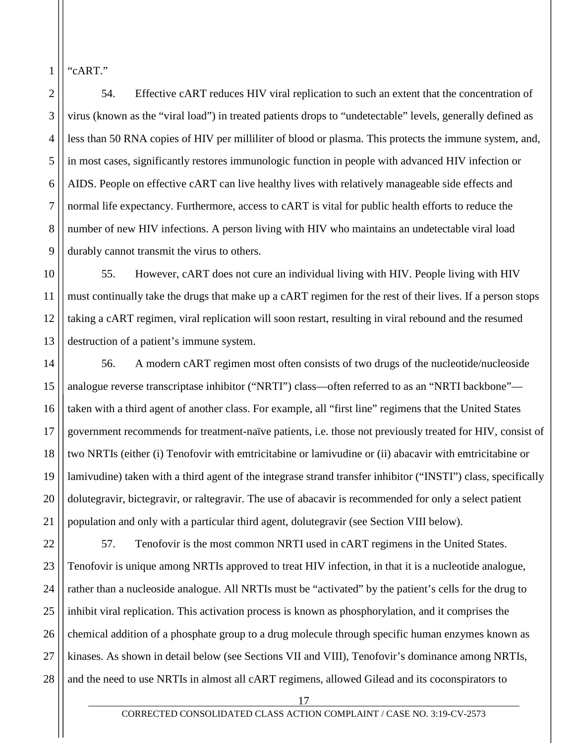"cART."

1

2

3

4

5

6

7

8

9

54. Effective cART reduces HIV viral replication to such an extent that the concentration of virus (known as the "viral load") in treated patients drops to "undetectable" levels, generally defined as less than 50 RNA copies of HIV per milliliter of blood or plasma. This protects the immune system, and, in most cases, significantly restores immunologic function in people with advanced HIV infection or AIDS. People on effective cART can live healthy lives with relatively manageable side effects and normal life expectancy. Furthermore, access to cART is vital for public health efforts to reduce the number of new HIV infections. A person living with HIV who maintains an undetectable viral load durably cannot transmit the virus to others.

10 11 12 13 55. However, cART does not cure an individual living with HIV. People living with HIV must continually take the drugs that make up a cART regimen for the rest of their lives. If a person stops taking a cART regimen, viral replication will soon restart, resulting in viral rebound and the resumed destruction of a patient's immune system.

14 15 16 17 18 19 20 21 56. A modern cART regimen most often consists of two drugs of the nucleotide/nucleoside analogue reverse transcriptase inhibitor ("NRTI") class—often referred to as an "NRTI backbone" taken with a third agent of another class. For example, all "first line" regimens that the United States government recommends for treatment-naïve patients, i.e. those not previously treated for HIV, consist of two NRTIs (either (i) Tenofovir with emtricitabine or lamivudine or (ii) abacavir with emtricitabine or lamivudine) taken with a third agent of the integrase strand transfer inhibitor ("INSTI") class, specifically dolutegravir, bictegravir, or raltegravir. The use of abacavir is recommended for only a select patient population and only with a particular third agent, dolutegravir (see Section VIII below).

22 23 24 25 26 27 28 57. Tenofovir is the most common NRTI used in cART regimens in the United States. Tenofovir is unique among NRTIs approved to treat HIV infection, in that it is a nucleotide analogue, rather than a nucleoside analogue. All NRTIs must be "activated" by the patient's cells for the drug to inhibit viral replication. This activation process is known as phosphorylation, and it comprises the chemical addition of a phosphate group to a drug molecule through specific human enzymes known as kinases. As shown in detail below (see Sections VII and VIII), Tenofovir's dominance among NRTIs, and the need to use NRTIs in almost all cART regimens, allowed Gilead and its coconspirators to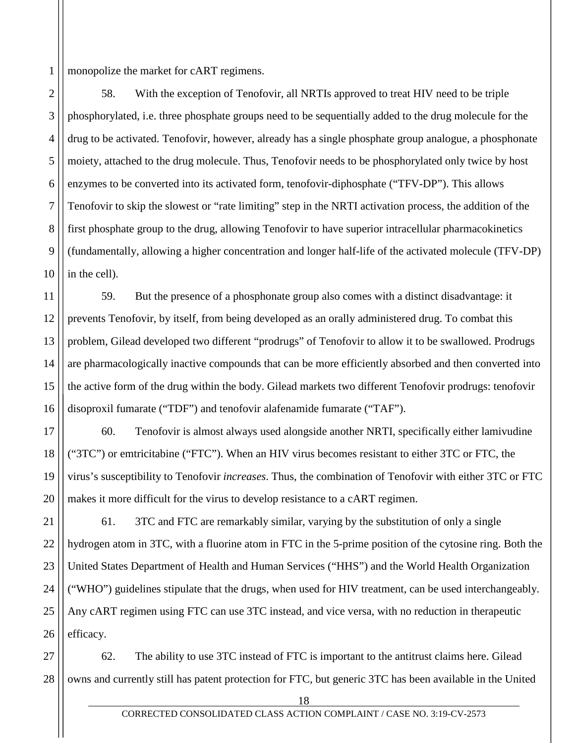1 monopolize the market for cART regimens.

2

3

4

5

6

7

8

9 10 58. With the exception of Tenofovir, all NRTIs approved to treat HIV need to be triple phosphorylated, i.e. three phosphate groups need to be sequentially added to the drug molecule for the drug to be activated. Tenofovir, however, already has a single phosphate group analogue, a phosphonate moiety, attached to the drug molecule. Thus, Tenofovir needs to be phosphorylated only twice by host enzymes to be converted into its activated form, tenofovir-diphosphate ("TFV-DP"). This allows Tenofovir to skip the slowest or "rate limiting" step in the NRTI activation process, the addition of the first phosphate group to the drug, allowing Tenofovir to have superior intracellular pharmacokinetics (fundamentally, allowing a higher concentration and longer half-life of the activated molecule (TFV-DP) in the cell).

11 12 13 14 15 16 59. But the presence of a phosphonate group also comes with a distinct disadvantage: it prevents Tenofovir, by itself, from being developed as an orally administered drug. To combat this problem, Gilead developed two different "prodrugs" of Tenofovir to allow it to be swallowed. Prodrugs are pharmacologically inactive compounds that can be more efficiently absorbed and then converted into the active form of the drug within the body. Gilead markets two different Tenofovir prodrugs: tenofovir disoproxil fumarate ("TDF") and tenofovir alafenamide fumarate ("TAF").

17 18 19 20 60. Tenofovir is almost always used alongside another NRTI, specifically either lamivudine ("3TC") or emtricitabine ("FTC"). When an HIV virus becomes resistant to either 3TC or FTC, the virus's susceptibility to Tenofovir *increases*. Thus, the combination of Tenofovir with either 3TC or FTC makes it more difficult for the virus to develop resistance to a cART regimen.

21 22 23 24 25 26 61. 3TC and FTC are remarkably similar, varying by the substitution of only a single hydrogen atom in 3TC, with a fluorine atom in FTC in the 5-prime position of the cytosine ring. Both the United States Department of Health and Human Services ("HHS") and the World Health Organization ("WHO") guidelines stipulate that the drugs, when used for HIV treatment, can be used interchangeably. Any cART regimen using FTC can use 3TC instead, and vice versa, with no reduction in therapeutic efficacy.

27 28 62. The ability to use 3TC instead of FTC is important to the antitrust claims here. Gilead owns and currently still has patent protection for FTC, but generic 3TC has been available in the United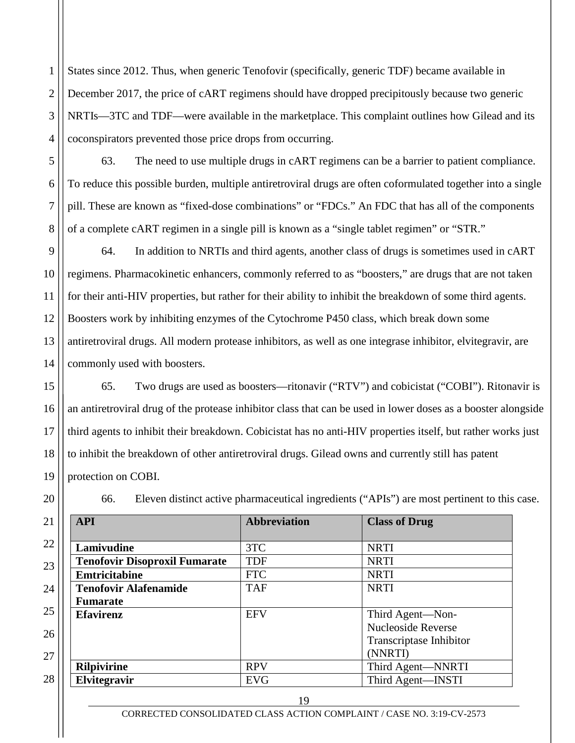1 2 3 4 States since 2012. Thus, when generic Tenofovir (specifically, generic TDF) became available in December 2017, the price of cART regimens should have dropped precipitously because two generic NRTIs—3TC and TDF—were available in the marketplace. This complaint outlines how Gilead and its coconspirators prevented those price drops from occurring.

5

6

7

8

17

20

21

22

23

24

25

26

27

28

63. The need to use multiple drugs in cART regimens can be a barrier to patient compliance. To reduce this possible burden, multiple antiretroviral drugs are often coformulated together into a single pill. These are known as "fixed-dose combinations" or "FDCs." An FDC that has all of the components of a complete cART regimen in a single pill is known as a "single tablet regimen" or "STR."

9 10 11 12 13 14 64. In addition to NRTIs and third agents, another class of drugs is sometimes used in cART regimens. Pharmacokinetic enhancers, commonly referred to as "boosters," are drugs that are not taken for their anti-HIV properties, but rather for their ability to inhibit the breakdown of some third agents. Boosters work by inhibiting enzymes of the Cytochrome P450 class, which break down some antiretroviral drugs. All modern protease inhibitors, as well as one integrase inhibitor, elvitegravir, are commonly used with boosters.

15 16 18 19 65. Two drugs are used as boosters—ritonavir ("RTV") and cobicistat ("COBI"). Ritonavir is an antiretroviral drug of the protease inhibitor class that can be used in lower doses as a booster alongside third agents to inhibit their breakdown. Cobicistat has no anti-HIV properties itself, but rather works just to inhibit the breakdown of other antiretroviral drugs. Gilead owns and currently still has patent protection on COBI.

66. Eleven distinct active pharmaceutical ingredients ("APIs") are most pertinent to this case.

| <b>API</b>                           | <b>Abbreviation</b> | <b>Class of Drug</b>      |
|--------------------------------------|---------------------|---------------------------|
| Lamivudine                           | 3TC                 | <b>NRTI</b>               |
| <b>Tenofovir Disoproxil Fumarate</b> | <b>TDF</b>          | <b>NRTI</b>               |
| <b>Emtricitabine</b>                 | <b>FTC</b>          | <b>NRTI</b>               |
| <b>Tenofovir Alafenamide</b>         | <b>TAF</b>          | <b>NRTI</b>               |
| <b>Fumarate</b>                      |                     |                           |
| <b>Efavirenz</b>                     | <b>EFV</b>          | Third Agent—Non-          |
|                                      |                     | <b>Nucleoside Reverse</b> |
|                                      |                     | Transcriptase Inhibitor   |
|                                      |                     | (NNRTI)                   |
| <b>Rilpivirine</b>                   | <b>RPV</b>          | Third Agent-NNRTI         |
| Elvitegravir                         | <b>EVG</b>          | Third Agent-INSTI         |

19

CORRECTED CONSOLIDATED CLASS ACTION COMPLAINT / CASE NO. 3:19-CV-2573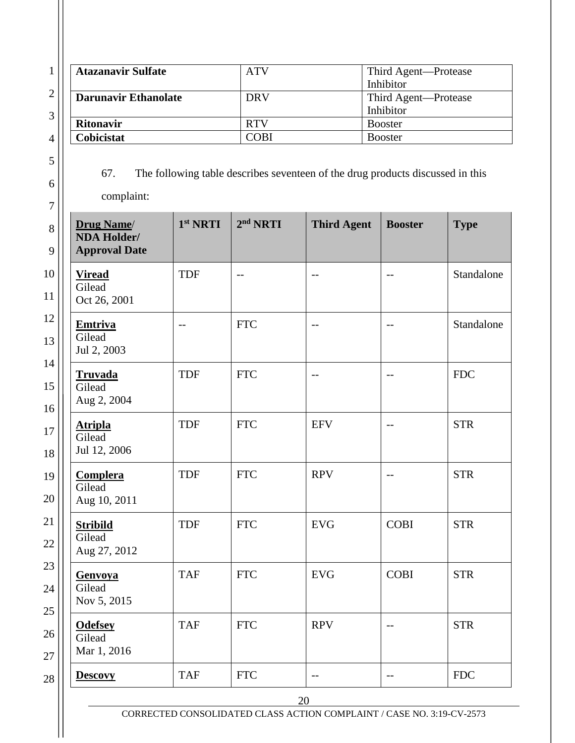| <b>Atazanavir Sulfate</b><br><b>Darunavir Ethanolate</b><br><b>Ritonavir</b><br>Cobicistat |                      | <b>ATV</b><br><b>DRV</b> |                                                                                                      | Third Agent-Protease<br>Inhibitor<br>Third Agent-Protease |                |
|--------------------------------------------------------------------------------------------|----------------------|--------------------------|------------------------------------------------------------------------------------------------------|-----------------------------------------------------------|----------------|
|                                                                                            |                      |                          | Inhibitor<br><b>RTV</b>                                                                              |                                                           |                |
|                                                                                            |                      |                          |                                                                                                      |                                                           | <b>Booster</b> |
|                                                                                            |                      | <b>COBI</b>              |                                                                                                      | <b>Booster</b>                                            |                |
| 67.<br>complaint:<br><b>Drug Name</b><br><b>NDA Holder/</b>                                | 1 <sup>st</sup> NRTI | 2 <sup>nd</sup> NRTI     | The following table describes seventeen of the drug products discussed in this<br><b>Third Agent</b> | <b>Booster</b>                                            | <b>Type</b>    |
| <b>Approval Date</b><br><b>Viread</b><br>Gilead<br>Oct 26, 2001                            | <b>TDF</b>           | $-$                      |                                                                                                      |                                                           | Standalone     |
| <b>Emtriva</b><br>Gilead<br>Jul 2, 2003                                                    |                      | <b>FTC</b>               |                                                                                                      |                                                           | Standalone     |
| <b>Truvada</b><br>Gilead<br>Aug 2, 2004                                                    | <b>TDF</b>           | <b>FTC</b>               |                                                                                                      |                                                           | <b>FDC</b>     |
| <b>Atripla</b><br>Gilead<br>Jul 12, 2006                                                   | <b>TDF</b>           | <b>FTC</b>               | <b>EFV</b>                                                                                           | $-$                                                       | <b>STR</b>     |
| <b>Complera</b><br>Gilead<br>Aug 10, 2011                                                  | <b>TDF</b>           | <b>FTC</b>               | <b>RPV</b>                                                                                           | $-$                                                       | <b>STR</b>     |
| <b>Stribild</b><br>Gilead<br>Aug 27, 2012                                                  | <b>TDF</b>           | <b>FTC</b>               | <b>EVG</b>                                                                                           | <b>COBI</b>                                               | <b>STR</b>     |
| <b>Genvoya</b><br>Gilead<br>Nov 5, 2015                                                    | <b>TAF</b>           | <b>FTC</b>               | <b>EVG</b>                                                                                           | <b>COBI</b>                                               | <b>STR</b>     |
| <b>Odefsey</b><br>Gilead<br>Mar 1, 2016                                                    | <b>TAF</b>           | <b>FTC</b>               | <b>RPV</b>                                                                                           | $-$                                                       | <b>STR</b>     |
|                                                                                            |                      |                          |                                                                                                      |                                                           |                |

23

CORRECTED CONSOLIDATED CLASS ACTION COMPLAINT / CASE NO. 3:19-CV-2573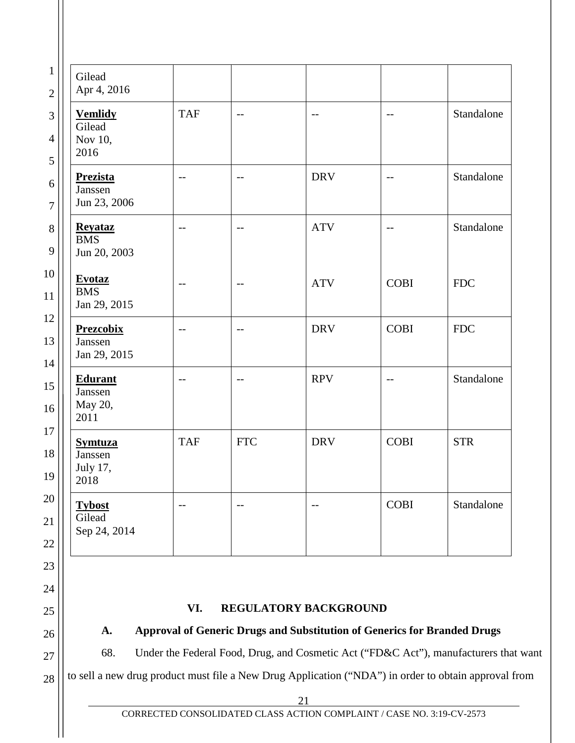| Gilead<br>Apr 4, 2016                         |                   |            |                       |             |             |
|-----------------------------------------------|-------------------|------------|-----------------------|-------------|-------------|
| <b>Vemlidy</b><br>Gilead<br>Nov 10,<br>2016   | <b>TAF</b>        | $-$        | $-$                   | $-$         | Standalone  |
| <b>Prezista</b><br>Janssen<br>Jun 23, 2006    | $-$               | $-$        | <b>DRV</b>            |             | Standalone  |
| <b>Revataz</b><br><b>BMS</b><br>Jun 20, 2003  | $\qquad \qquad -$ | $-$        | <b>ATV</b>            | $-$         | Standalone  |
| <b>Evotaz</b><br><b>BMS</b><br>Jan 29, 2015   | $-$               | --         | <b>ATV</b>            | <b>COBI</b> | <b>FDC</b>  |
| <b>Prezcobix</b><br>Janssen<br>Jan 29, 2015   | $- -$             | --         | <b>DRV</b>            | <b>COBI</b> | ${\rm FDC}$ |
| <b>Edurant</b><br>Janssen<br>May 20,<br>2011  | $- -$             | $-$        | <b>RPV</b>            | $-$         | Standalone  |
| <b>Symtuza</b><br>Janssen<br>July 17,<br>2018 | <b>TAF</b>        | <b>FTC</b> | <b>DRV</b>            | <b>COBI</b> | <b>STR</b>  |
| <b>Tybost</b><br>Gilead<br>Sep 24, 2014       | $- -$             | --         | $ -$                  | <b>COBI</b> | Standalone  |
|                                               |                   |            |                       |             |             |
|                                               |                   |            |                       |             |             |
|                                               | VI.               |            | REGULATORY BACKGROUND |             |             |

68. Under the Federal Food, Drug, and Cosmetic Act ("FD&C Act"), manufacturers that want

to sell a new drug product must file a New Drug Application ("NDA") in order to obtain approval from

<span id="page-21-1"></span><span id="page-21-0"></span>27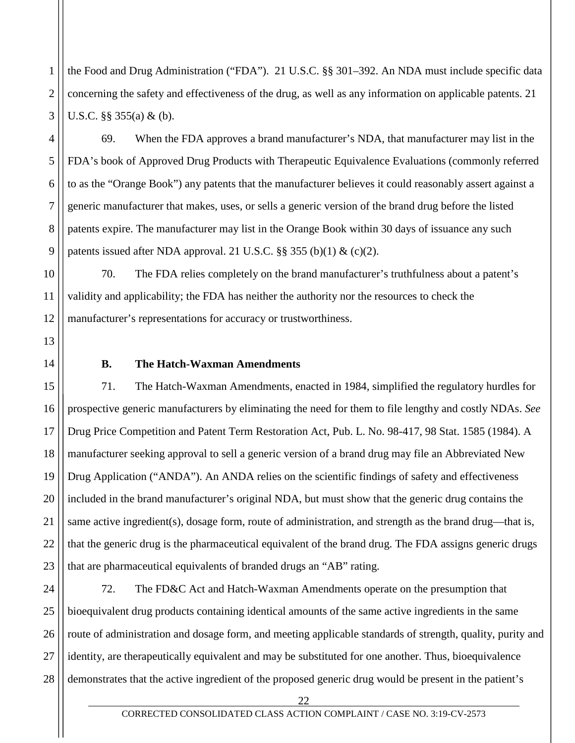the Food and Drug Administration ("FDA"). 21 U.S.C. §§ 301–392. An NDA must include specific data concerning the safety and effectiveness of the drug, as well as any information on applicable patents. 21 U.S.C. §§ 355(a) & (b).

69. When the FDA approves a brand manufacturer's NDA, that manufacturer may list in the FDA's book of Approved Drug Products with Therapeutic Equivalence Evaluations (commonly referred to as the "Orange Book") any patents that the manufacturer believes it could reasonably assert against a generic manufacturer that makes, uses, or sells a generic version of the brand drug before the listed patents expire. The manufacturer may list in the Orange Book within 30 days of issuance any such patents issued after NDA approval. 21 U.S.C.  $\S\S 355$  (b)(1) & (c)(2).

70. The FDA relies completely on the brand manufacturer's truthfulness about a patent's validity and applicability; the FDA has neither the authority nor the resources to check the manufacturer's representations for accuracy or trustworthiness.

<span id="page-22-0"></span>

1

2

3

4

5

6

7

8

9

10

11

12

13

14

## **B. The Hatch-Waxman Amendments**

15 16 17 18 19 20 21 22 23 71. The Hatch-Waxman Amendments, enacted in 1984, simplified the regulatory hurdles for prospective generic manufacturers by eliminating the need for them to file lengthy and costly NDAs. *See* Drug Price Competition and Patent Term Restoration Act, Pub. L. No. 98-417, 98 Stat. 1585 (1984). A manufacturer seeking approval to sell a generic version of a brand drug may file an Abbreviated New Drug Application ("ANDA"). An ANDA relies on the scientific findings of safety and effectiveness included in the brand manufacturer's original NDA, but must show that the generic drug contains the same active ingredient(s), dosage form, route of administration, and strength as the brand drug—that is, that the generic drug is the pharmaceutical equivalent of the brand drug. The FDA assigns generic drugs that are pharmaceutical equivalents of branded drugs an "AB" rating.

24 25 26 27 28 72. The FD&C Act and Hatch-Waxman Amendments operate on the presumption that bioequivalent drug products containing identical amounts of the same active ingredients in the same route of administration and dosage form, and meeting applicable standards of strength, quality, purity and identity, are therapeutically equivalent and may be substituted for one another. Thus, bioequivalence demonstrates that the active ingredient of the proposed generic drug would be present in the patient's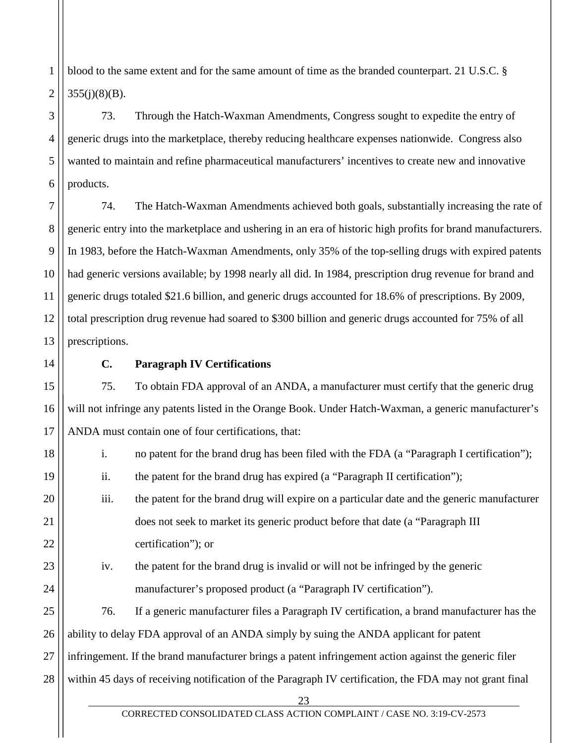1 2 blood to the same extent and for the same amount of time as the branded counterpart. 21 U.S.C. §  $355(i)(8)(B)$ .

#### 3 4 6 73. Through the Hatch-Waxman Amendments, Congress sought to expedite the entry of generic drugs into the marketplace, thereby reducing healthcare expenses nationwide. Congress also wanted to maintain and refine pharmaceutical manufacturers' incentives to create new and innovative products.

7 8 9 10 11 12 13 74. The Hatch-Waxman Amendments achieved both goals, substantially increasing the rate of generic entry into the marketplace and ushering in an era of historic high profits for brand manufacturers. In 1983, before the Hatch-Waxman Amendments, only 35% of the top-selling drugs with expired patents had generic versions available; by 1998 nearly all did. In 1984, prescription drug revenue for brand and generic drugs totaled \$21.6 billion, and generic drugs accounted for 18.6% of prescriptions. By 2009, total prescription drug revenue had soared to \$300 billion and generic drugs accounted for 75% of all prescriptions.

<span id="page-23-0"></span>

14

15

16

17

18

19

20

21

22

23

24

5

## **C. Paragraph IV Certifications**

75. To obtain FDA approval of an ANDA, a manufacturer must certify that the generic drug will not infringe any patents listed in the Orange Book. Under Hatch-Waxman, a generic manufacturer's ANDA must contain one of four certifications, that:

- i. no patent for the brand drug has been filed with the FDA (a "Paragraph I certification");
- ii. the patent for the brand drug has expired (a "Paragraph II certification");
- iii. the patent for the brand drug will expire on a particular date and the generic manufacturer does not seek to market its generic product before that date (a "Paragraph III certification"); or
- iv. the patent for the brand drug is invalid or will not be infringed by the generic manufacturer's proposed product (a "Paragraph IV certification").

25 26 27 28 76. If a generic manufacturer files a Paragraph IV certification, a brand manufacturer has the ability to delay FDA approval of an ANDA simply by suing the ANDA applicant for patent infringement. If the brand manufacturer brings a patent infringement action against the generic filer within 45 days of receiving notification of the Paragraph IV certification, the FDA may not grant final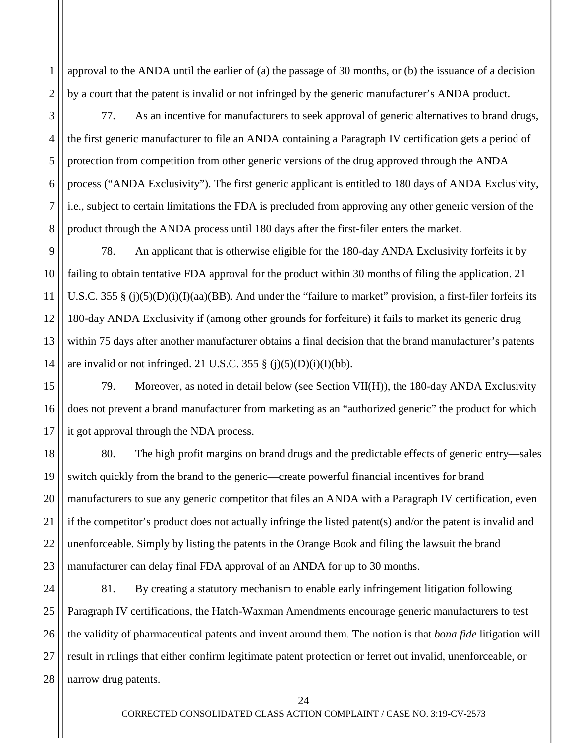1 2 approval to the ANDA until the earlier of (a) the passage of 30 months, or (b) the issuance of a decision by a court that the patent is invalid or not infringed by the generic manufacturer's ANDA product.

3

4

5

6

7

8

9

10

11

12

13

14

77. As an incentive for manufacturers to seek approval of generic alternatives to brand drugs, the first generic manufacturer to file an ANDA containing a Paragraph IV certification gets a period of protection from competition from other generic versions of the drug approved through the ANDA process ("ANDA Exclusivity"). The first generic applicant is entitled to 180 days of ANDA Exclusivity, i.e., subject to certain limitations the FDA is precluded from approving any other generic version of the product through the ANDA process until 180 days after the first-filer enters the market.

78. An applicant that is otherwise eligible for the 180-day ANDA Exclusivity forfeits it by failing to obtain tentative FDA approval for the product within 30 months of filing the application. 21 U.S.C. 355 § (j)(5)(D)(i)(I)(aa)(BB). And under the "failure to market" provision, a first-filer forfeits its 180-day ANDA Exclusivity if (among other grounds for forfeiture) it fails to market its generic drug within 75 days after another manufacturer obtains a final decision that the brand manufacturer's patents are invalid or not infringed. 21 U.S.C. 355  $\S$  (j)(5)(D)(i)(I)(bb).

15 16 17 79. Moreover, as noted in detail below (see Section VII(H)), the 180-day ANDA Exclusivity does not prevent a brand manufacturer from marketing as an "authorized generic" the product for which it got approval through the NDA process.

18 19 20 21 22 23 80. The high profit margins on brand drugs and the predictable effects of generic entry—sales switch quickly from the brand to the generic—create powerful financial incentives for brand manufacturers to sue any generic competitor that files an ANDA with a Paragraph IV certification, even if the competitor's product does not actually infringe the listed patent(s) and/or the patent is invalid and unenforceable. Simply by listing the patents in the Orange Book and filing the lawsuit the brand manufacturer can delay final FDA approval of an ANDA for up to 30 months.

24 25 26 27 28 81. By creating a statutory mechanism to enable early infringement litigation following Paragraph IV certifications, the Hatch-Waxman Amendments encourage generic manufacturers to test the validity of pharmaceutical patents and invent around them. The notion is that *bona fide* litigation will result in rulings that either confirm legitimate patent protection or ferret out invalid, unenforceable, or narrow drug patents.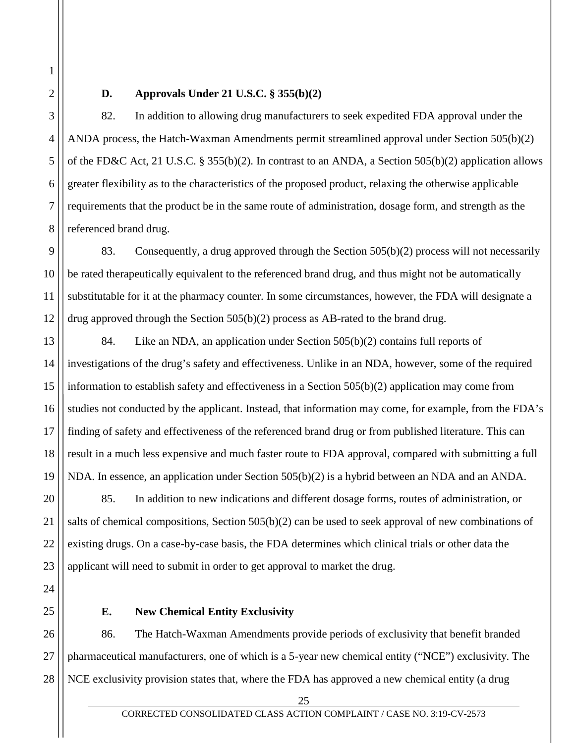1

<span id="page-25-0"></span>2

3

4

5

6

7

8

## **D. Approvals Under 21 U.S.C. § 355(b)(2)**

82. In addition to allowing drug manufacturers to seek expedited FDA approval under the ANDA process, the Hatch-Waxman Amendments permit streamlined approval under Section 505(b)(2) of the FD&C Act, 21 U.S.C. § 355(b)(2). In contrast to an ANDA, a Section 505(b)(2) application allows greater flexibility as to the characteristics of the proposed product, relaxing the otherwise applicable requirements that the product be in the same route of administration, dosage form, and strength as the referenced brand drug.

9 10 11 12 83. Consequently, a drug approved through the Section 505(b)(2) process will not necessarily be rated therapeutically equivalent to the referenced brand drug, and thus might not be automatically substitutable for it at the pharmacy counter. In some circumstances, however, the FDA will designate a drug approved through the Section 505(b)(2) process as AB-rated to the brand drug.

13 14 15 16 17 18 19 84. Like an NDA, an application under Section 505(b)(2) contains full reports of investigations of the drug's safety and effectiveness. Unlike in an NDA, however, some of the required information to establish safety and effectiveness in a Section 505(b)(2) application may come from studies not conducted by the applicant. Instead, that information may come, for example, from the FDA's finding of safety and effectiveness of the referenced brand drug or from published literature. This can result in a much less expensive and much faster route to FDA approval, compared with submitting a full NDA. In essence, an application under Section 505(b)(2) is a hybrid between an NDA and an ANDA.

85. In addition to new indications and different dosage forms, routes of administration, or salts of chemical compositions, Section 505(b)(2) can be used to seek approval of new combinations of existing drugs. On a case-by-case basis, the FDA determines which clinical trials or other data the applicant will need to submit in order to get approval to market the drug.

<span id="page-25-1"></span>

20

21

22

23

24

25

# **E. New Chemical Entity Exclusivity**

26 27 28 86. The Hatch-Waxman Amendments provide periods of exclusivity that benefit branded pharmaceutical manufacturers, one of which is a 5-year new chemical entity ("NCE") exclusivity. The NCE exclusivity provision states that, where the FDA has approved a new chemical entity (a drug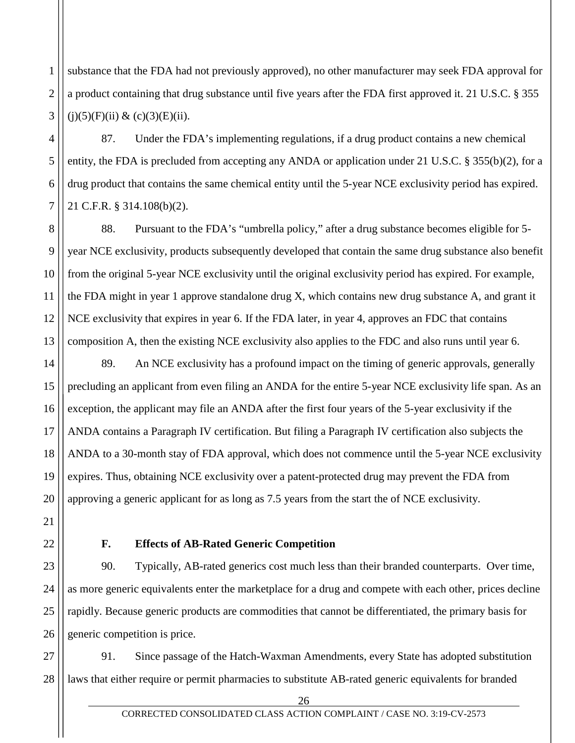1 2 3 substance that the FDA had not previously approved), no other manufacturer may seek FDA approval for a product containing that drug substance until five years after the FDA first approved it. 21 U.S.C. § 355  $(i)(5)(F)(ii) & (c)(3)(E)(ii).$ 

87. Under the FDA's implementing regulations, if a drug product contains a new chemical entity, the FDA is precluded from accepting any ANDA or application under 21 U.S.C. § 355(b)(2), for a drug product that contains the same chemical entity until the 5-year NCE exclusivity period has expired. 21 C.F.R. § 314.108(b)(2).

8 9 10 12 13 88. Pursuant to the FDA's "umbrella policy," after a drug substance becomes eligible for 5 year NCE exclusivity, products subsequently developed that contain the same drug substance also benefit from the original 5-year NCE exclusivity until the original exclusivity period has expired. For example, the FDA might in year 1 approve standalone drug X, which contains new drug substance A, and grant it NCE exclusivity that expires in year 6. If the FDA later, in year 4, approves an FDC that contains composition A, then the existing NCE exclusivity also applies to the FDC and also runs until year 6.

14 15 16 17 18 19 20 89. An NCE exclusivity has a profound impact on the timing of generic approvals, generally precluding an applicant from even filing an ANDA for the entire 5-year NCE exclusivity life span. As an exception, the applicant may file an ANDA after the first four years of the 5-year exclusivity if the ANDA contains a Paragraph IV certification. But filing a Paragraph IV certification also subjects the ANDA to a 30-month stay of FDA approval, which does not commence until the 5-year NCE exclusivity expires. Thus, obtaining NCE exclusivity over a patent-protected drug may prevent the FDA from approving a generic applicant for as long as 7.5 years from the start the of NCE exclusivity.

<span id="page-26-0"></span>

21

22

4

5

6

7

11

# **F. Effects of AB-Rated Generic Competition**

23 24 25 26 90. Typically, AB-rated generics cost much less than their branded counterparts. Over time, as more generic equivalents enter the marketplace for a drug and compete with each other, prices decline rapidly. Because generic products are commodities that cannot be differentiated, the primary basis for generic competition is price.

27 28 91. Since passage of the Hatch-Waxman Amendments, every State has adopted substitution laws that either require or permit pharmacies to substitute AB-rated generic equivalents for branded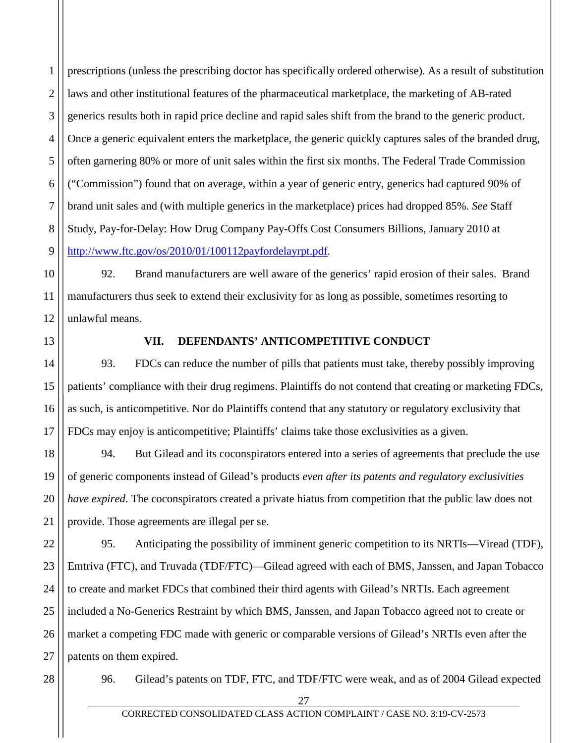1 2 3 4 5 6 7 8 9 prescriptions (unless the prescribing doctor has specifically ordered otherwise). As a result of substitution laws and other institutional features of the pharmaceutical marketplace, the marketing of AB-rated generics results both in rapid price decline and rapid sales shift from the brand to the generic product. Once a generic equivalent enters the marketplace, the generic quickly captures sales of the branded drug, often garnering 80% or more of unit sales within the first six months. The Federal Trade Commission ("Commission") found that on average, within a year of generic entry, generics had captured 90% of brand unit sales and (with multiple generics in the marketplace) prices had dropped 85%. *See* Staff Study, Pay-for-Delay: How Drug Company Pay-Offs Cost Consumers Billions, January 2010 at [http://www.ftc.gov/os/2010/01/100112payfordelayrpt.pdf.](http://www.ftc.gov/os/2010/01/100112payfordelayrpt.pdf)

10 92. Brand manufacturers are well aware of the generics' rapid erosion of their sales. Brand manufacturers thus seek to extend their exclusivity for as long as possible, sometimes resorting to unlawful means.

<span id="page-27-0"></span>13

14

15

17

11

12

# **VII. DEFENDANTS' ANTICOMPETITIVE CONDUCT**

16 93. FDCs can reduce the number of pills that patients must take, thereby possibly improving patients' compliance with their drug regimens. Plaintiffs do not contend that creating or marketing FDCs, as such, is anticompetitive. Nor do Plaintiffs contend that any statutory or regulatory exclusivity that FDCs may enjoy is anticompetitive; Plaintiffs' claims take those exclusivities as a given.

18 19 20 21 94. But Gilead and its coconspirators entered into a series of agreements that preclude the use of generic components instead of Gilead's products *even after its patents and regulatory exclusivities have expired*. The coconspirators created a private hiatus from competition that the public law does not provide. Those agreements are illegal per se.

22 23 24 25 26 27 95. Anticipating the possibility of imminent generic competition to its NRTIs—Viread (TDF), Emtriva (FTC), and Truvada (TDF/FTC)—Gilead agreed with each of BMS, Janssen, and Japan Tobacco to create and market FDCs that combined their third agents with Gilead's NRTIs. Each agreement included a No-Generics Restraint by which BMS, Janssen, and Japan Tobacco agreed not to create or market a competing FDC made with generic or comparable versions of Gilead's NRTIs even after the patents on them expired.

28

96. Gilead's patents on TDF, FTC, and TDF/FTC were weak, and as of 2004 Gilead expected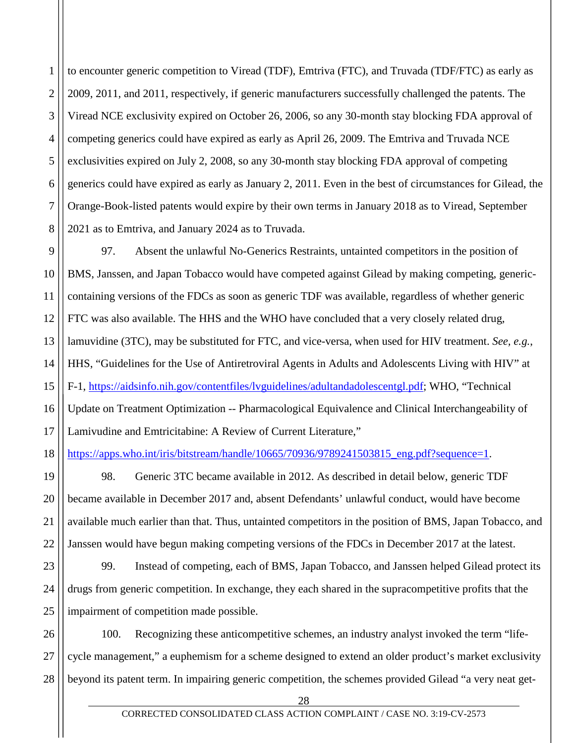1 2 3 4 5 6 7 8 to encounter generic competition to Viread (TDF), Emtriva (FTC), and Truvada (TDF/FTC) as early as 2009, 2011, and 2011, respectively, if generic manufacturers successfully challenged the patents. The Viread NCE exclusivity expired on October 26, 2006, so any 30-month stay blocking FDA approval of competing generics could have expired as early as April 26, 2009. The Emtriva and Truvada NCE exclusivities expired on July 2, 2008, so any 30-month stay blocking FDA approval of competing generics could have expired as early as January 2, 2011. Even in the best of circumstances for Gilead, the Orange-Book-listed patents would expire by their own terms in January 2018 as to Viread, September 2021 as to Emtriva, and January 2024 as to Truvada.

9 10 11 12 13 14 15 16 17 97. Absent the unlawful No-Generics Restraints, untainted competitors in the position of BMS, Janssen, and Japan Tobacco would have competed against Gilead by making competing, genericcontaining versions of the FDCs as soon as generic TDF was available, regardless of whether generic FTC was also available. The HHS and the WHO have concluded that a very closely related drug, lamuvidine (3TC), may be substituted for FTC, and vice-versa, when used for HIV treatment. *See, e.g.*, HHS, "Guidelines for the Use of Antiretroviral Agents in Adults and Adolescents Living with HIV" at F-1, [https://aidsinfo.nih.gov/contentfiles/lvguidelines/adultandadolescentgl.pdf;](https://aidsinfo.nih.gov/contentfiles/lvguidelines/adultandadolescentgl.pdf) WHO, "Technical Update on Treatment Optimization -- Pharmacological Equivalence and Clinical Interchangeability of Lamivudine and Emtricitabine: A Review of Current Literature,"

18 [https://apps.who.int/iris/bitstream/handle/10665/70936/9789241503815\\_eng.pdf?sequence=1.](https://apps.who.int/iris/bitstream/handle/10665/70936/9789241503815_eng.pdf?sequence=1)

21

19 20 22 98. Generic 3TC became available in 2012. As described in detail below, generic TDF became available in December 2017 and, absent Defendants' unlawful conduct, would have become available much earlier than that. Thus, untainted competitors in the position of BMS, Japan Tobacco, and Janssen would have begun making competing versions of the FDCs in December 2017 at the latest.

23 24 25 99. Instead of competing, each of BMS, Japan Tobacco, and Janssen helped Gilead protect its drugs from generic competition. In exchange, they each shared in the supracompetitive profits that the impairment of competition made possible.

26 27 28 100. Recognizing these anticompetitive schemes, an industry analyst invoked the term "lifecycle management," a euphemism for a scheme designed to extend an older product's market exclusivity beyond its patent term. In impairing generic competition, the schemes provided Gilead "a very neat get-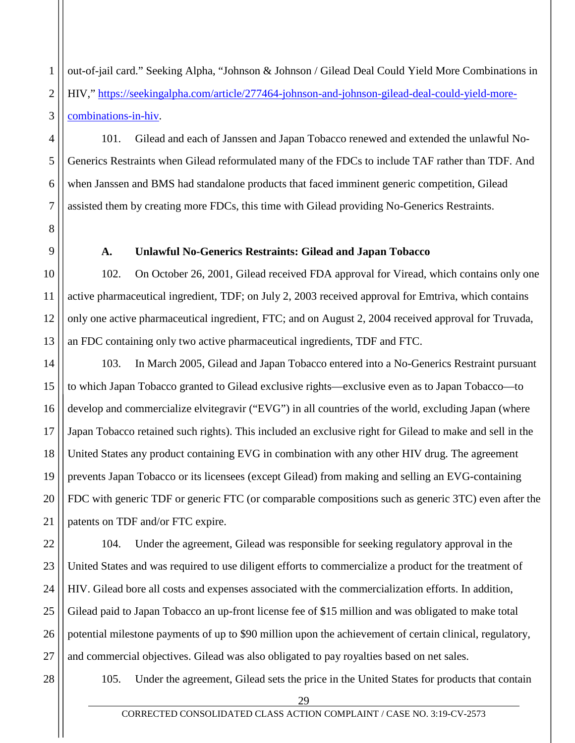1 2 3 out-of-jail card." Seeking Alpha, "Johnson & Johnson / Gilead Deal Could Yield More Combinations in HIV," [https://seekingalpha.com/article/277464-johnson-and-johnson-gilead-deal-could-yield-more](https://seekingalpha.com/article/277464-johnson-and-johnson-gilead-deal-could-yield-more-combinations-in-hiv)[combinations-in-hiv.](https://seekingalpha.com/article/277464-johnson-and-johnson-gilead-deal-could-yield-more-combinations-in-hiv)

101. Gilead and each of Janssen and Japan Tobacco renewed and extended the unlawful No-Generics Restraints when Gilead reformulated many of the FDCs to include TAF rather than TDF. And when Janssen and BMS had standalone products that faced imminent generic competition, Gilead assisted them by creating more FDCs, this time with Gilead providing No-Generics Restraints.

<span id="page-29-0"></span>

4

5

6

7

8

9

10

11

12

13

# **A. Unlawful No-Generics Restraints: Gilead and Japan Tobacco**

102. On October 26, 2001, Gilead received FDA approval for Viread, which contains only one active pharmaceutical ingredient, TDF; on July 2, 2003 received approval for Emtriva, which contains only one active pharmaceutical ingredient, FTC; and on August 2, 2004 received approval for Truvada, an FDC containing only two active pharmaceutical ingredients, TDF and FTC.

14 15 16 17 18 19 20 21 103. In March 2005, Gilead and Japan Tobacco entered into a No-Generics Restraint pursuant to which Japan Tobacco granted to Gilead exclusive rights—exclusive even as to Japan Tobacco—to develop and commercialize elvitegravir ("EVG") in all countries of the world, excluding Japan (where Japan Tobacco retained such rights). This included an exclusive right for Gilead to make and sell in the United States any product containing EVG in combination with any other HIV drug. The agreement prevents Japan Tobacco or its licensees (except Gilead) from making and selling an EVG-containing FDC with generic TDF or generic FTC (or comparable compositions such as generic 3TC) even after the patents on TDF and/or FTC expire.

22 23 24 25 26 27 104. Under the agreement, Gilead was responsible for seeking regulatory approval in the United States and was required to use diligent efforts to commercialize a product for the treatment of HIV. Gilead bore all costs and expenses associated with the commercialization efforts. In addition, Gilead paid to Japan Tobacco an up-front license fee of \$15 million and was obligated to make total potential milestone payments of up to \$90 million upon the achievement of certain clinical, regulatory, and commercial objectives. Gilead was also obligated to pay royalties based on net sales.

28

105. Under the agreement, Gilead sets the price in the United States for products that contain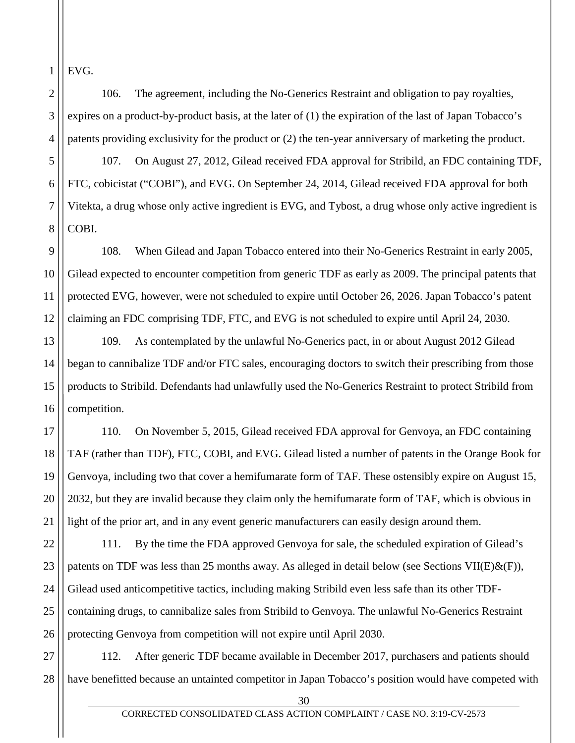EVG.

1

2

3

4

5

6

7

8

10

11

106. The agreement, including the No-Generics Restraint and obligation to pay royalties, expires on a product-by-product basis, at the later of (1) the expiration of the last of Japan Tobacco's patents providing exclusivity for the product or (2) the ten-year anniversary of marketing the product.

107. On August 27, 2012, Gilead received FDA approval for Stribild, an FDC containing TDF, FTC, cobicistat ("COBI"), and EVG. On September 24, 2014, Gilead received FDA approval for both Vitekta, a drug whose only active ingredient is EVG, and Tybost, a drug whose only active ingredient is COBI.

9 12 108. When Gilead and Japan Tobacco entered into their No-Generics Restraint in early 2005, Gilead expected to encounter competition from generic TDF as early as 2009. The principal patents that protected EVG, however, were not scheduled to expire until October 26, 2026. Japan Tobacco's patent claiming an FDC comprising TDF, FTC, and EVG is not scheduled to expire until April 24, 2030.

13 14 15 16 109. As contemplated by the unlawful No-Generics pact, in or about August 2012 Gilead began to cannibalize TDF and/or FTC sales, encouraging doctors to switch their prescribing from those products to Stribild. Defendants had unlawfully used the No-Generics Restraint to protect Stribild from competition.

17 18 19 20 21 110. On November 5, 2015, Gilead received FDA approval for Genvoya, an FDC containing TAF (rather than TDF), FTC, COBI, and EVG. Gilead listed a number of patents in the Orange Book for Genvoya, including two that cover a hemifumarate form of TAF. These ostensibly expire on August 15, 2032, but they are invalid because they claim only the hemifumarate form of TAF, which is obvious in light of the prior art, and in any event generic manufacturers can easily design around them.

22 23 24 25 26 111. By the time the FDA approved Genvoya for sale, the scheduled expiration of Gilead's patents on TDF was less than 25 months away. As alleged in detail below (see Sections VII(E) $\&$ (F)), Gilead used anticompetitive tactics, including making Stribild even less safe than its other TDFcontaining drugs, to cannibalize sales from Stribild to Genvoya. The unlawful No-Generics Restraint protecting Genvoya from competition will not expire until April 2030.

27 28 112. After generic TDF became available in December 2017, purchasers and patients should have benefitted because an untainted competitor in Japan Tobacco's position would have competed with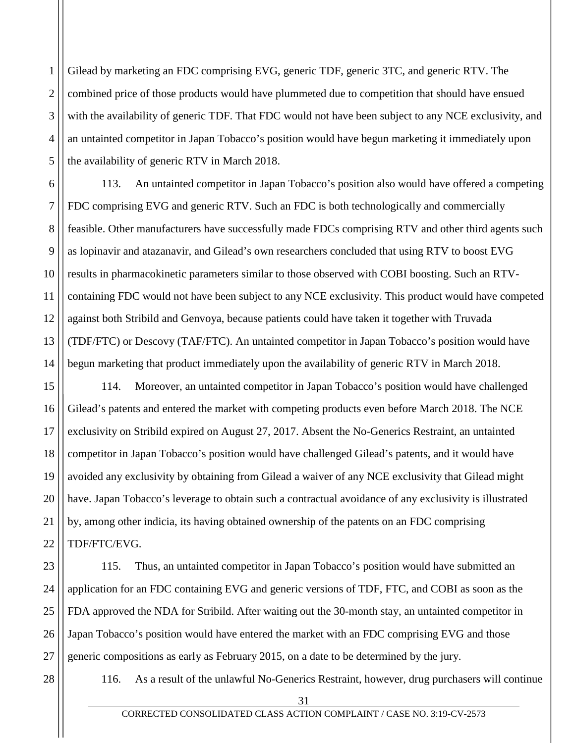1 2 3 4 5 Gilead by marketing an FDC comprising EVG, generic TDF, generic 3TC, and generic RTV. The combined price of those products would have plummeted due to competition that should have ensued with the availability of generic TDF. That FDC would not have been subject to any NCE exclusivity, and an untainted competitor in Japan Tobacco's position would have begun marketing it immediately upon the availability of generic RTV in March 2018.

6 7 8 9 10 11 12 13 14 113. An untainted competitor in Japan Tobacco's position also would have offered a competing FDC comprising EVG and generic RTV. Such an FDC is both technologically and commercially feasible. Other manufacturers have successfully made FDCs comprising RTV and other third agents such as lopinavir and atazanavir, and Gilead's own researchers concluded that using RTV to boost EVG results in pharmacokinetic parameters similar to those observed with COBI boosting. Such an RTVcontaining FDC would not have been subject to any NCE exclusivity. This product would have competed against both Stribild and Genvoya, because patients could have taken it together with Truvada (TDF/FTC) or Descovy (TAF/FTC). An untainted competitor in Japan Tobacco's position would have begun marketing that product immediately upon the availability of generic RTV in March 2018.

15 16 17 18 19 20 21 22 114. Moreover, an untainted competitor in Japan Tobacco's position would have challenged Gilead's patents and entered the market with competing products even before March 2018. The NCE exclusivity on Stribild expired on August 27, 2017. Absent the No-Generics Restraint, an untainted competitor in Japan Tobacco's position would have challenged Gilead's patents, and it would have avoided any exclusivity by obtaining from Gilead a waiver of any NCE exclusivity that Gilead might have. Japan Tobacco's leverage to obtain such a contractual avoidance of any exclusivity is illustrated by, among other indicia, its having obtained ownership of the patents on an FDC comprising TDF/FTC/EVG.

23 24 25 26 27 115. Thus, an untainted competitor in Japan Tobacco's position would have submitted an application for an FDC containing EVG and generic versions of TDF, FTC, and COBI as soon as the FDA approved the NDA for Stribild. After waiting out the 30-month stay, an untainted competitor in Japan Tobacco's position would have entered the market with an FDC comprising EVG and those generic compositions as early as February 2015, on a date to be determined by the jury.

28

116. As a result of the unlawful No-Generics Restraint, however, drug purchasers will continue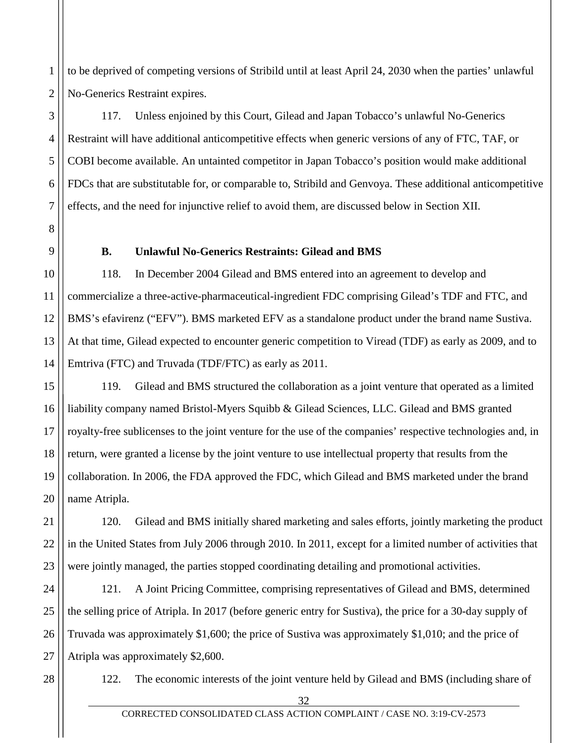to be deprived of competing versions of Stribild until at least April 24, 2030 when the parties' unlawful No-Generics Restraint expires.

117. Unless enjoined by this Court, Gilead and Japan Tobacco's unlawful No-Generics Restraint will have additional anticompetitive effects when generic versions of any of FTC, TAF, or COBI become available. An untainted competitor in Japan Tobacco's position would make additional FDCs that are substitutable for, or comparable to, Stribild and Genvoya. These additional anticompetitive effects, and the need for injunctive relief to avoid them, are discussed below in Section XII.

<span id="page-32-0"></span>

1

2

3

4

5

6

7

8

9

10

11

14

## **B. Unlawful No-Generics Restraints: Gilead and BMS**

12 13 118. In December 2004 Gilead and BMS entered into an agreement to develop and commercialize a three-active-pharmaceutical-ingredient FDC comprising Gilead's TDF and FTC, and BMS's efavirenz ("EFV"). BMS marketed EFV as a standalone product under the brand name Sustiva. At that time, Gilead expected to encounter generic competition to Viread (TDF) as early as 2009, and to Emtriva (FTC) and Truvada (TDF/FTC) as early as 2011.

15 16 17 18 19 20 119. Gilead and BMS structured the collaboration as a joint venture that operated as a limited liability company named Bristol-Myers Squibb & Gilead Sciences, LLC. Gilead and BMS granted royalty-free sublicenses to the joint venture for the use of the companies' respective technologies and, in return, were granted a license by the joint venture to use intellectual property that results from the collaboration. In 2006, the FDA approved the FDC, which Gilead and BMS marketed under the brand name Atripla.

21 22 23 120. Gilead and BMS initially shared marketing and sales efforts, jointly marketing the product in the United States from July 2006 through 2010. In 2011, except for a limited number of activities that were jointly managed, the parties stopped coordinating detailing and promotional activities.

24 25 26 27 121. A Joint Pricing Committee, comprising representatives of Gilead and BMS, determined the selling price of Atripla. In 2017 (before generic entry for Sustiva), the price for a 30-day supply of Truvada was approximately \$1,600; the price of Sustiva was approximately \$1,010; and the price of Atripla was approximately \$2,600.

28

122. The economic interests of the joint venture held by Gilead and BMS (including share of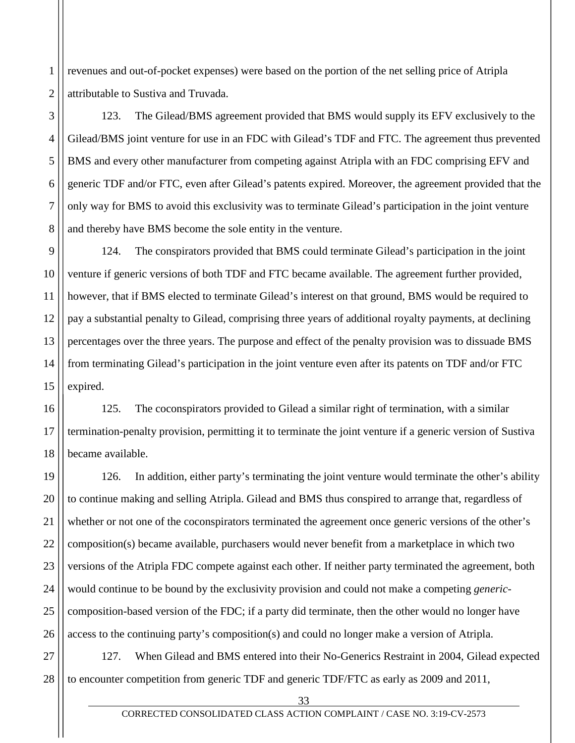1 2 revenues and out-of-pocket expenses) were based on the portion of the net selling price of Atripla attributable to Sustiva and Truvada.

3

4

5

6

7

8

123. The Gilead/BMS agreement provided that BMS would supply its EFV exclusively to the Gilead/BMS joint venture for use in an FDC with Gilead's TDF and FTC. The agreement thus prevented BMS and every other manufacturer from competing against Atripla with an FDC comprising EFV and generic TDF and/or FTC, even after Gilead's patents expired. Moreover, the agreement provided that the only way for BMS to avoid this exclusivity was to terminate Gilead's participation in the joint venture and thereby have BMS become the sole entity in the venture.

9 10 11 12 13 14 15 124. The conspirators provided that BMS could terminate Gilead's participation in the joint venture if generic versions of both TDF and FTC became available. The agreement further provided, however, that if BMS elected to terminate Gilead's interest on that ground, BMS would be required to pay a substantial penalty to Gilead, comprising three years of additional royalty payments, at declining percentages over the three years. The purpose and effect of the penalty provision was to dissuade BMS from terminating Gilead's participation in the joint venture even after its patents on TDF and/or FTC expired.

16 17 18 125. The coconspirators provided to Gilead a similar right of termination, with a similar termination-penalty provision, permitting it to terminate the joint venture if a generic version of Sustiva became available.

19 20 21 22 23 24 25 26 126. In addition, either party's terminating the joint venture would terminate the other's ability to continue making and selling Atripla. Gilead and BMS thus conspired to arrange that, regardless of whether or not one of the coconspirators terminated the agreement once generic versions of the other's composition(s) became available, purchasers would never benefit from a marketplace in which two versions of the Atripla FDC compete against each other. If neither party terminated the agreement, both would continue to be bound by the exclusivity provision and could not make a competing *generic*composition-based version of the FDC; if a party did terminate, then the other would no longer have access to the continuing party's composition(s) and could no longer make a version of Atripla.

27 28 127. When Gilead and BMS entered into their No-Generics Restraint in 2004, Gilead expected to encounter competition from generic TDF and generic TDF/FTC as early as 2009 and 2011,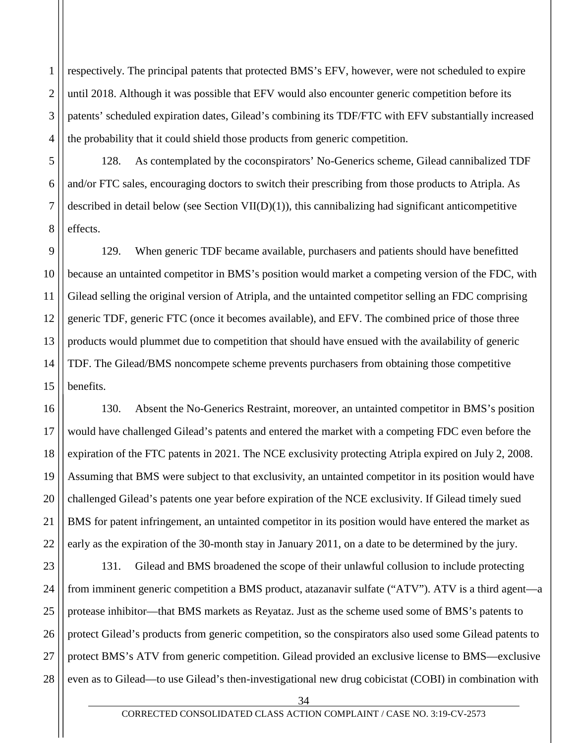2 3 4 respectively. The principal patents that protected BMS's EFV, however, were not scheduled to expire until 2018. Although it was possible that EFV would also encounter generic competition before its patents' scheduled expiration dates, Gilead's combining its TDF/FTC with EFV substantially increased the probability that it could shield those products from generic competition.

1

5

6

7

8

128. As contemplated by the coconspirators' No-Generics scheme, Gilead cannibalized TDF and/or FTC sales, encouraging doctors to switch their prescribing from those products to Atripla. As described in detail below (see Section VII(D)(1)), this cannibalizing had significant anticompetitive effects.

9 10 11 12 13 14 15 129. When generic TDF became available, purchasers and patients should have benefitted because an untainted competitor in BMS's position would market a competing version of the FDC, with Gilead selling the original version of Atripla, and the untainted competitor selling an FDC comprising generic TDF, generic FTC (once it becomes available), and EFV. The combined price of those three products would plummet due to competition that should have ensued with the availability of generic TDF. The Gilead/BMS noncompete scheme prevents purchasers from obtaining those competitive benefits.

16 17 18 19 20 21 22 130. Absent the No-Generics Restraint, moreover, an untainted competitor in BMS's position would have challenged Gilead's patents and entered the market with a competing FDC even before the expiration of the FTC patents in 2021. The NCE exclusivity protecting Atripla expired on July 2, 2008. Assuming that BMS were subject to that exclusivity, an untainted competitor in its position would have challenged Gilead's patents one year before expiration of the NCE exclusivity. If Gilead timely sued BMS for patent infringement, an untainted competitor in its position would have entered the market as early as the expiration of the 30-month stay in January 2011, on a date to be determined by the jury.

23 24 25 26 27 28 131. Gilead and BMS broadened the scope of their unlawful collusion to include protecting from imminent generic competition a BMS product, atazanavir sulfate ("ATV"). ATV is a third agent—a protease inhibitor—that BMS markets as Reyataz. Just as the scheme used some of BMS's patents to protect Gilead's products from generic competition, so the conspirators also used some Gilead patents to protect BMS's ATV from generic competition. Gilead provided an exclusive license to BMS—exclusive even as to Gilead—to use Gilead's then-investigational new drug cobicistat (COBI) in combination with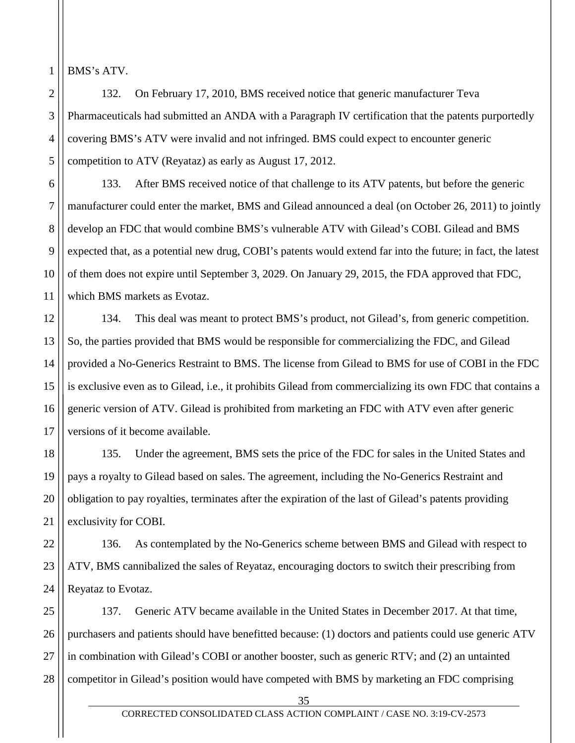BMS's ATV.

1

2 3 4 5 132. On February 17, 2010, BMS received notice that generic manufacturer Teva Pharmaceuticals had submitted an ANDA with a Paragraph IV certification that the patents purportedly covering BMS's ATV were invalid and not infringed. BMS could expect to encounter generic competition to ATV (Reyataz) as early as August 17, 2012.

6 7 8 9 10 11 133. After BMS received notice of that challenge to its ATV patents, but before the generic manufacturer could enter the market, BMS and Gilead announced a deal (on October 26, 2011) to jointly develop an FDC that would combine BMS's vulnerable ATV with Gilead's COBI. Gilead and BMS expected that, as a potential new drug, COBI's patents would extend far into the future; in fact, the latest of them does not expire until September 3, 2029. On January 29, 2015, the FDA approved that FDC, which BMS markets as Evotaz.

12 13 14 15 16 17 134. This deal was meant to protect BMS's product, not Gilead's, from generic competition. So, the parties provided that BMS would be responsible for commercializing the FDC, and Gilead provided a No-Generics Restraint to BMS. The license from Gilead to BMS for use of COBI in the FDC is exclusive even as to Gilead, i.e., it prohibits Gilead from commercializing its own FDC that contains a generic version of ATV. Gilead is prohibited from marketing an FDC with ATV even after generic versions of it become available.

18 19 20 21 135. Under the agreement, BMS sets the price of the FDC for sales in the United States and pays a royalty to Gilead based on sales. The agreement, including the No-Generics Restraint and obligation to pay royalties, terminates after the expiration of the last of Gilead's patents providing exclusivity for COBI.

22 23 24 136. As contemplated by the No-Generics scheme between BMS and Gilead with respect to ATV, BMS cannibalized the sales of Reyataz, encouraging doctors to switch their prescribing from Reyataz to Evotaz.

25 26 27 28 137. Generic ATV became available in the United States in December 2017. At that time, purchasers and patients should have benefitted because: (1) doctors and patients could use generic ATV in combination with Gilead's COBI or another booster, such as generic RTV; and (2) an untainted competitor in Gilead's position would have competed with BMS by marketing an FDC comprising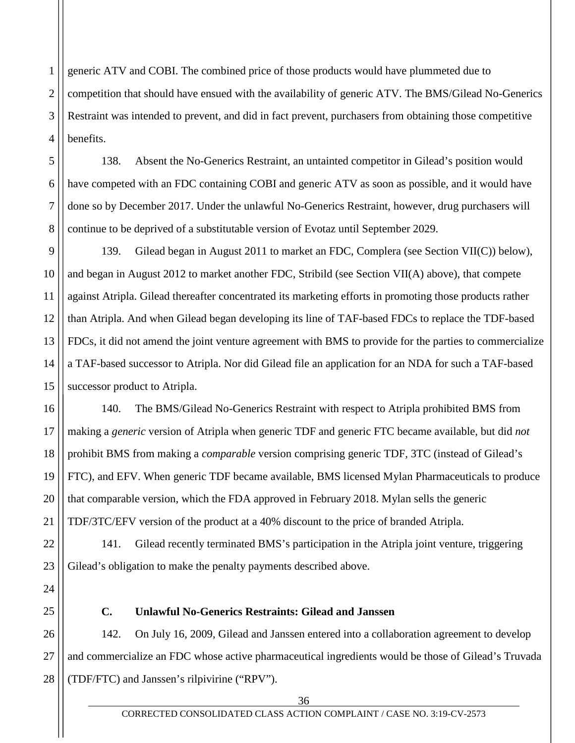1 2 3 4 generic ATV and COBI. The combined price of those products would have plummeted due to competition that should have ensued with the availability of generic ATV. The BMS/Gilead No-Generics Restraint was intended to prevent, and did in fact prevent, purchasers from obtaining those competitive benefits.

138. Absent the No-Generics Restraint, an untainted competitor in Gilead's position would have competed with an FDC containing COBI and generic ATV as soon as possible, and it would have done so by December 2017. Under the unlawful No-Generics Restraint, however, drug purchasers will continue to be deprived of a substitutable version of Evotaz until September 2029.

139. Gilead began in August 2011 to market an FDC, Complera (see Section VII(C)) below), and began in August 2012 to market another FDC, Stribild (see Section VII(A) above), that compete against Atripla. Gilead thereafter concentrated its marketing efforts in promoting those products rather than Atripla. And when Gilead began developing its line of TAF-based FDCs to replace the TDF-based FDCs, it did not amend the joint venture agreement with BMS to provide for the parties to commercialize a TAF-based successor to Atripla. Nor did Gilead file an application for an NDA for such a TAF-based successor product to Atripla.

140. The BMS/Gilead No-Generics Restraint with respect to Atripla prohibited BMS from making a *generic* version of Atripla when generic TDF and generic FTC became available, but did *not*  prohibit BMS from making a *comparable* version comprising generic TDF, 3TC (instead of Gilead's FTC), and EFV. When generic TDF became available, BMS licensed Mylan Pharmaceuticals to produce that comparable version, which the FDA approved in February 2018. Mylan sells the generic TDF/3TC/EFV version of the product at a 40% discount to the price of branded Atripla.

141. Gilead recently terminated BMS's participation in the Atripla joint venture, triggering Gilead's obligation to make the penalty payments described above.

5

6

7

8

9

10

11

12

13

14

15

16

17

18

19

20

21

22

23

24

25

## **C. Unlawful No-Generics Restraints: Gilead and Janssen**

26 27 28 142. On July 16, 2009, Gilead and Janssen entered into a collaboration agreement to develop and commercialize an FDC whose active pharmaceutical ingredients would be those of Gilead's Truvada (TDF/FTC) and Janssen's rilpivirine ("RPV").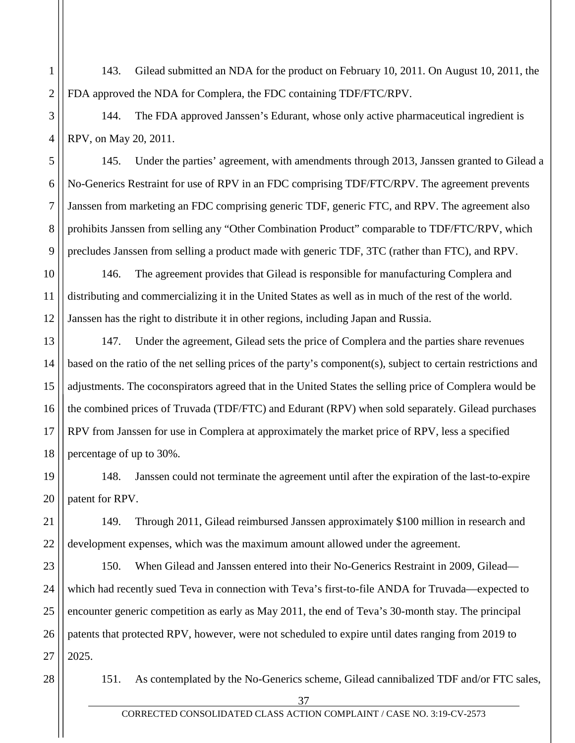1 2 143. Gilead submitted an NDA for the product on February 10, 2011. On August 10, 2011, the FDA approved the NDA for Complera, the FDC containing TDF/FTC/RPV.

3 4 144. The FDA approved Janssen's Edurant, whose only active pharmaceutical ingredient is RPV, on May 20, 2011.

145. Under the parties' agreement, with amendments through 2013, Janssen granted to Gilead a No-Generics Restraint for use of RPV in an FDC comprising TDF/FTC/RPV. The agreement prevents Janssen from marketing an FDC comprising generic TDF, generic FTC, and RPV. The agreement also prohibits Janssen from selling any "Other Combination Product" comparable to TDF/FTC/RPV, which precludes Janssen from selling a product made with generic TDF, 3TC (rather than FTC), and RPV.

10 11 12 146. The agreement provides that Gilead is responsible for manufacturing Complera and distributing and commercializing it in the United States as well as in much of the rest of the world. Janssen has the right to distribute it in other regions, including Japan and Russia.

13 14 15 16 17 18 147. Under the agreement, Gilead sets the price of Complera and the parties share revenues based on the ratio of the net selling prices of the party's component(s), subject to certain restrictions and adjustments. The coconspirators agreed that in the United States the selling price of Complera would be the combined prices of Truvada (TDF/FTC) and Edurant (RPV) when sold separately. Gilead purchases RPV from Janssen for use in Complera at approximately the market price of RPV, less a specified percentage of up to 30%.

19 20 148. Janssen could not terminate the agreement until after the expiration of the last-to-expire patent for RPV.

22 149. Through 2011, Gilead reimbursed Janssen approximately \$100 million in research and development expenses, which was the maximum amount allowed under the agreement.

23 24 25 26 27 150. When Gilead and Janssen entered into their No-Generics Restraint in 2009, Gilead which had recently sued Teva in connection with Teva's first-to-file ANDA for Truvada—expected to encounter generic competition as early as May 2011, the end of Teva's 30-month stay. The principal patents that protected RPV, however, were not scheduled to expire until dates ranging from 2019 to 2025.

28

21

5

6

7

8

9

151. As contemplated by the No-Generics scheme, Gilead cannibalized TDF and/or FTC sales,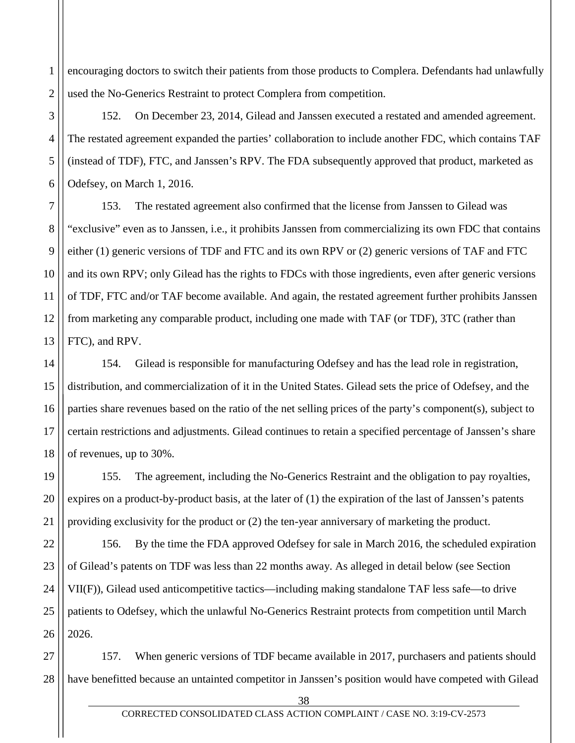1 2 encouraging doctors to switch their patients from those products to Complera. Defendants had unlawfully used the No-Generics Restraint to protect Complera from competition.

3

4

5

6

19

20

21

152. On December 23, 2014, Gilead and Janssen executed a restated and amended agreement. The restated agreement expanded the parties' collaboration to include another FDC, which contains TAF (instead of TDF), FTC, and Janssen's RPV. The FDA subsequently approved that product, marketed as Odefsey, on March 1, 2016.

7 8 9 10 11 12 13 153. The restated agreement also confirmed that the license from Janssen to Gilead was "exclusive" even as to Janssen, i.e., it prohibits Janssen from commercializing its own FDC that contains either (1) generic versions of TDF and FTC and its own RPV or (2) generic versions of TAF and FTC and its own RPV; only Gilead has the rights to FDCs with those ingredients, even after generic versions of TDF, FTC and/or TAF become available. And again, the restated agreement further prohibits Janssen from marketing any comparable product, including one made with TAF (or TDF), 3TC (rather than FTC), and RPV.

14 15 16 17 18 154. Gilead is responsible for manufacturing Odefsey and has the lead role in registration, distribution, and commercialization of it in the United States. Gilead sets the price of Odefsey, and the parties share revenues based on the ratio of the net selling prices of the party's component(s), subject to certain restrictions and adjustments. Gilead continues to retain a specified percentage of Janssen's share of revenues, up to 30%.

155. The agreement, including the No-Generics Restraint and the obligation to pay royalties, expires on a product-by-product basis, at the later of (1) the expiration of the last of Janssen's patents providing exclusivity for the product or (2) the ten-year anniversary of marketing the product.

22 23 24 25 26 156. By the time the FDA approved Odefsey for sale in March 2016, the scheduled expiration of Gilead's patents on TDF was less than 22 months away. As alleged in detail below (see Section VII(F)), Gilead used anticompetitive tactics—including making standalone TAF less safe—to drive patients to Odefsey, which the unlawful No-Generics Restraint protects from competition until March 2026.

27 28 157. When generic versions of TDF became available in 2017, purchasers and patients should have benefitted because an untainted competitor in Janssen's position would have competed with Gilead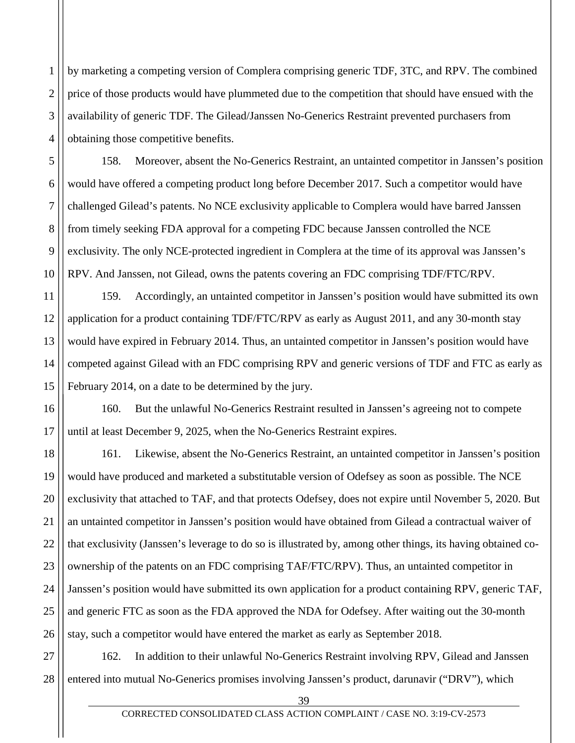2 3 4 by marketing a competing version of Complera comprising generic TDF, 3TC, and RPV. The combined price of those products would have plummeted due to the competition that should have ensued with the availability of generic TDF. The Gilead/Janssen No-Generics Restraint prevented purchasers from obtaining those competitive benefits.

1

5

6

7

8

9

10

11

158. Moreover, absent the No-Generics Restraint, an untainted competitor in Janssen's position would have offered a competing product long before December 2017. Such a competitor would have challenged Gilead's patents. No NCE exclusivity applicable to Complera would have barred Janssen from timely seeking FDA approval for a competing FDC because Janssen controlled the NCE exclusivity. The only NCE-protected ingredient in Complera at the time of its approval was Janssen's RPV. And Janssen, not Gilead, owns the patents covering an FDC comprising TDF/FTC/RPV.

12 13 14 15 159. Accordingly, an untainted competitor in Janssen's position would have submitted its own application for a product containing TDF/FTC/RPV as early as August 2011, and any 30-month stay would have expired in February 2014. Thus, an untainted competitor in Janssen's position would have competed against Gilead with an FDC comprising RPV and generic versions of TDF and FTC as early as February 2014, on a date to be determined by the jury.

16 17 160. But the unlawful No-Generics Restraint resulted in Janssen's agreeing not to compete until at least December 9, 2025, when the No-Generics Restraint expires.

18 19 20 21 22 23 24 25 26 161. Likewise, absent the No-Generics Restraint, an untainted competitor in Janssen's position would have produced and marketed a substitutable version of Odefsey as soon as possible. The NCE exclusivity that attached to TAF, and that protects Odefsey, does not expire until November 5, 2020. But an untainted competitor in Janssen's position would have obtained from Gilead a contractual waiver of that exclusivity (Janssen's leverage to do so is illustrated by, among other things, its having obtained coownership of the patents on an FDC comprising TAF/FTC/RPV). Thus, an untainted competitor in Janssen's position would have submitted its own application for a product containing RPV, generic TAF, and generic FTC as soon as the FDA approved the NDA for Odefsey. After waiting out the 30-month stay, such a competitor would have entered the market as early as September 2018.

27 28 162. In addition to their unlawful No-Generics Restraint involving RPV, Gilead and Janssen entered into mutual No-Generics promises involving Janssen's product, darunavir ("DRV"), which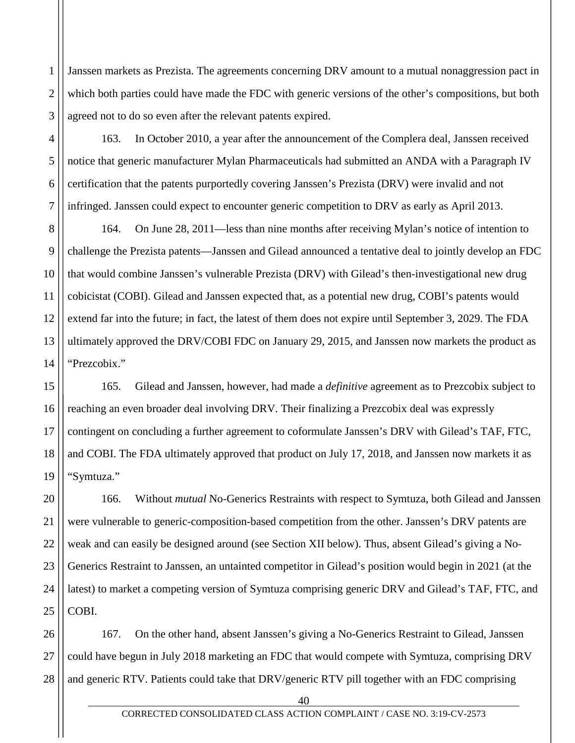2 3 Janssen markets as Prezista. The agreements concerning DRV amount to a mutual nonaggression pact in which both parties could have made the FDC with generic versions of the other's compositions, but both agreed not to do so even after the relevant patents expired.

1

4

5

6

7

163. In October 2010, a year after the announcement of the Complera deal, Janssen received notice that generic manufacturer Mylan Pharmaceuticals had submitted an ANDA with a Paragraph IV certification that the patents purportedly covering Janssen's Prezista (DRV) were invalid and not infringed. Janssen could expect to encounter generic competition to DRV as early as April 2013.

8 9 10 11 12 13 14 164. On June 28, 2011—less than nine months after receiving Mylan's notice of intention to challenge the Prezista patents—Janssen and Gilead announced a tentative deal to jointly develop an FDC that would combine Janssen's vulnerable Prezista (DRV) with Gilead's then-investigational new drug cobicistat (COBI). Gilead and Janssen expected that, as a potential new drug, COBI's patents would extend far into the future; in fact, the latest of them does not expire until September 3, 2029. The FDA ultimately approved the DRV/COBI FDC on January 29, 2015, and Janssen now markets the product as "Prezcobix."

15 16 17 18 19 165. Gilead and Janssen, however, had made a *definitive* agreement as to Prezcobix subject to reaching an even broader deal involving DRV. Their finalizing a Prezcobix deal was expressly contingent on concluding a further agreement to coformulate Janssen's DRV with Gilead's TAF, FTC, and COBI. The FDA ultimately approved that product on July 17, 2018, and Janssen now markets it as "Symtuza."

20 21 22 23 24 25 166. Without *mutual* No-Generics Restraints with respect to Symtuza, both Gilead and Janssen were vulnerable to generic-composition-based competition from the other. Janssen's DRV patents are weak and can easily be designed around (see Section XII below). Thus, absent Gilead's giving a No-Generics Restraint to Janssen, an untainted competitor in Gilead's position would begin in 2021 (at the latest) to market a competing version of Symtuza comprising generic DRV and Gilead's TAF, FTC, and COBI.

26 27 28 167. On the other hand, absent Janssen's giving a No-Generics Restraint to Gilead, Janssen could have begun in July 2018 marketing an FDC that would compete with Symtuza, comprising DRV and generic RTV. Patients could take that DRV/generic RTV pill together with an FDC comprising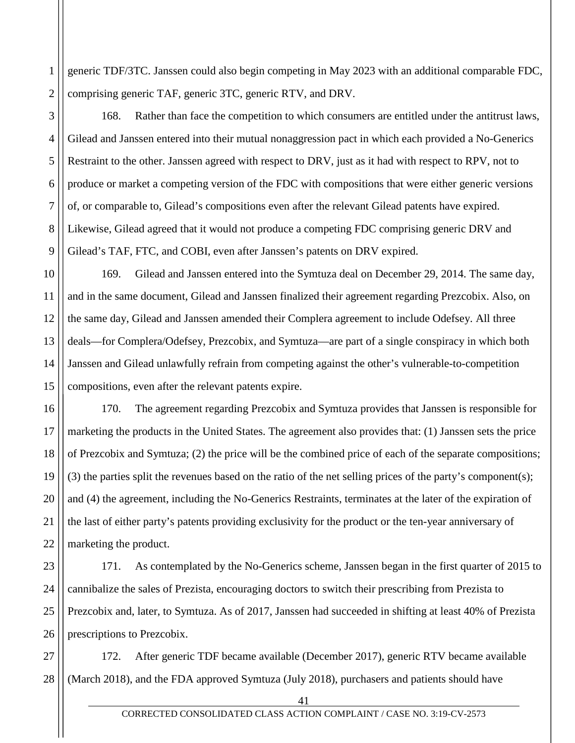1 2 generic TDF/3TC. Janssen could also begin competing in May 2023 with an additional comparable FDC, comprising generic TAF, generic 3TC, generic RTV, and DRV.

3

4

5

6

7

8

9

168. Rather than face the competition to which consumers are entitled under the antitrust laws, Gilead and Janssen entered into their mutual nonaggression pact in which each provided a No-Generics Restraint to the other. Janssen agreed with respect to DRV, just as it had with respect to RPV, not to produce or market a competing version of the FDC with compositions that were either generic versions of, or comparable to, Gilead's compositions even after the relevant Gilead patents have expired. Likewise, Gilead agreed that it would not produce a competing FDC comprising generic DRV and Gilead's TAF, FTC, and COBI, even after Janssen's patents on DRV expired.

10 11 12 13 14 15 169. Gilead and Janssen entered into the Symtuza deal on December 29, 2014. The same day, and in the same document, Gilead and Janssen finalized their agreement regarding Prezcobix. Also, on the same day, Gilead and Janssen amended their Complera agreement to include Odefsey. All three deals—for Complera/Odefsey, Prezcobix, and Symtuza—are part of a single conspiracy in which both Janssen and Gilead unlawfully refrain from competing against the other's vulnerable-to-competition compositions, even after the relevant patents expire.

16 17 18 19 20 21 22 170. The agreement regarding Prezcobix and Symtuza provides that Janssen is responsible for marketing the products in the United States. The agreement also provides that: (1) Janssen sets the price of Prezcobix and Symtuza; (2) the price will be the combined price of each of the separate compositions; (3) the parties split the revenues based on the ratio of the net selling prices of the party's component(s); and (4) the agreement, including the No-Generics Restraints, terminates at the later of the expiration of the last of either party's patents providing exclusivity for the product or the ten-year anniversary of marketing the product.

23 24 25 26 171. As contemplated by the No-Generics scheme, Janssen began in the first quarter of 2015 to cannibalize the sales of Prezista, encouraging doctors to switch their prescribing from Prezista to Prezcobix and, later, to Symtuza. As of 2017, Janssen had succeeded in shifting at least 40% of Prezista prescriptions to Prezcobix.

27 28 172. After generic TDF became available (December 2017), generic RTV became available (March 2018), and the FDA approved Symtuza (July 2018), purchasers and patients should have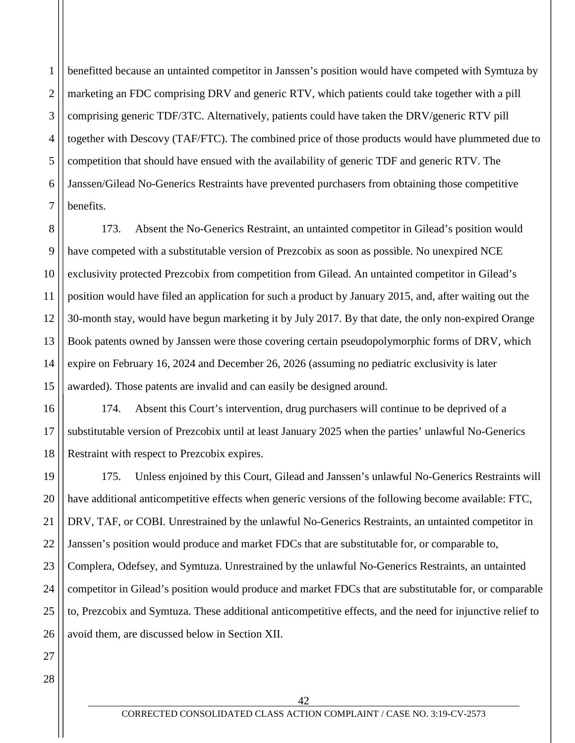1 2 3 4 5 6 7 benefitted because an untainted competitor in Janssen's position would have competed with Symtuza by marketing an FDC comprising DRV and generic RTV, which patients could take together with a pill comprising generic TDF/3TC. Alternatively, patients could have taken the DRV/generic RTV pill together with Descovy (TAF/FTC). The combined price of those products would have plummeted due to competition that should have ensued with the availability of generic TDF and generic RTV. The Janssen/Gilead No-Generics Restraints have prevented purchasers from obtaining those competitive benefits.

8 9 10 11 12 13 14 15 173. Absent the No-Generics Restraint, an untainted competitor in Gilead's position would have competed with a substitutable version of Prezcobix as soon as possible. No unexpired NCE exclusivity protected Prezcobix from competition from Gilead. An untainted competitor in Gilead's position would have filed an application for such a product by January 2015, and, after waiting out the 30-month stay, would have begun marketing it by July 2017. By that date, the only non-expired Orange Book patents owned by Janssen were those covering certain pseudopolymorphic forms of DRV, which expire on February 16, 2024 and December 26, 2026 (assuming no pediatric exclusivity is later awarded). Those patents are invalid and can easily be designed around.

16 17 18 174. Absent this Court's intervention, drug purchasers will continue to be deprived of a substitutable version of Prezcobix until at least January 2025 when the parties' unlawful No-Generics Restraint with respect to Prezcobix expires.

19 20 21 22 23 24 25 26 175. Unless enjoined by this Court, Gilead and Janssen's unlawful No-Generics Restraints will have additional anticompetitive effects when generic versions of the following become available: FTC, DRV, TAF, or COBI. Unrestrained by the unlawful No-Generics Restraints, an untainted competitor in Janssen's position would produce and market FDCs that are substitutable for, or comparable to, Complera, Odefsey, and Symtuza. Unrestrained by the unlawful No-Generics Restraints, an untainted competitor in Gilead's position would produce and market FDCs that are substitutable for, or comparable to, Prezcobix and Symtuza. These additional anticompetitive effects, and the need for injunctive relief to avoid them, are discussed below in Section XII.

28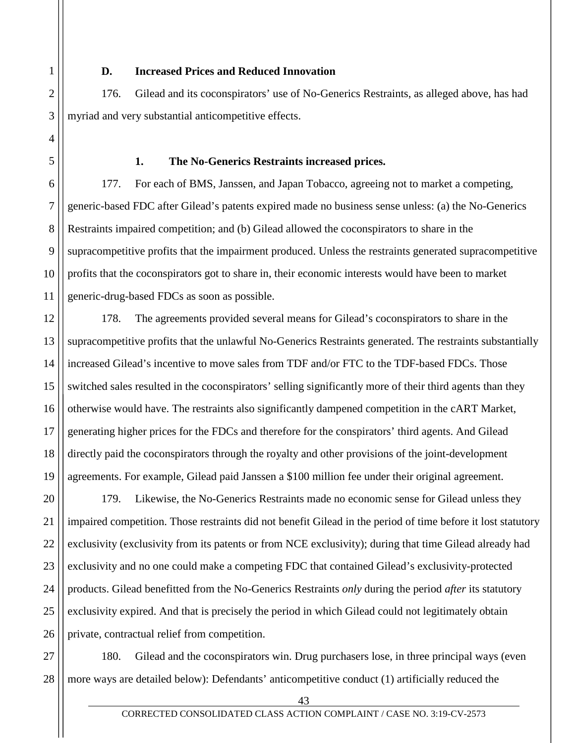#### **D. Increased Prices and Reduced Innovation**

176. Gilead and its coconspirators' use of No-Generics Restraints, as alleged above, has had myriad and very substantial anticompetitive effects.

#### **1. The No-Generics Restraints increased prices.**

177. For each of BMS, Janssen, and Japan Tobacco, agreeing not to market a competing, generic-based FDC after Gilead's patents expired made no business sense unless: (a) the No-Generics Restraints impaired competition; and (b) Gilead allowed the coconspirators to share in the supracompetitive profits that the impairment produced. Unless the restraints generated supracompetitive profits that the coconspirators got to share in, their economic interests would have been to market generic-drug-based FDCs as soon as possible.

178. The agreements provided several means for Gilead's coconspirators to share in the supracompetitive profits that the unlawful No-Generics Restraints generated. The restraints substantially increased Gilead's incentive to move sales from TDF and/or FTC to the TDF-based FDCs. Those switched sales resulted in the coconspirators' selling significantly more of their third agents than they otherwise would have. The restraints also significantly dampened competition in the cART Market, generating higher prices for the FDCs and therefore for the conspirators' third agents. And Gilead directly paid the coconspirators through the royalty and other provisions of the joint-development agreements. For example, Gilead paid Janssen a \$100 million fee under their original agreement.

179. Likewise, the No-Generics Restraints made no economic sense for Gilead unless they impaired competition. Those restraints did not benefit Gilead in the period of time before it lost statutory exclusivity (exclusivity from its patents or from NCE exclusivity); during that time Gilead already had exclusivity and no one could make a competing FDC that contained Gilead's exclusivity-protected products. Gilead benefitted from the No-Generics Restraints *only* during the period *after* its statutory exclusivity expired. And that is precisely the period in which Gilead could not legitimately obtain private, contractual relief from competition.

28 180. Gilead and the coconspirators win. Drug purchasers lose, in three principal ways (even more ways are detailed below): Defendants' anticompetitive conduct (1) artificially reduced the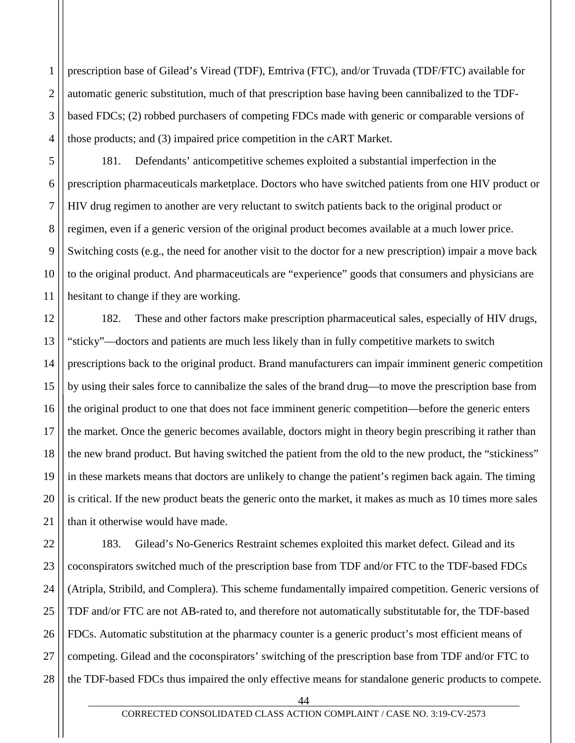prescription base of Gilead's Viread (TDF), Emtriva (FTC), and/or Truvada (TDF/FTC) available for automatic generic substitution, much of that prescription base having been cannibalized to the TDFbased FDCs; (2) robbed purchasers of competing FDCs made with generic or comparable versions of those products; and (3) impaired price competition in the cART Market.

181. Defendants' anticompetitive schemes exploited a substantial imperfection in the prescription pharmaceuticals marketplace. Doctors who have switched patients from one HIV product or HIV drug regimen to another are very reluctant to switch patients back to the original product or regimen, even if a generic version of the original product becomes available at a much lower price. Switching costs (e.g., the need for another visit to the doctor for a new prescription) impair a move back to the original product. And pharmaceuticals are "experience" goods that consumers and physicians are hesitant to change if they are working.

182. These and other factors make prescription pharmaceutical sales, especially of HIV drugs, "sticky"—doctors and patients are much less likely than in fully competitive markets to switch prescriptions back to the original product. Brand manufacturers can impair imminent generic competition by using their sales force to cannibalize the sales of the brand drug—to move the prescription base from the original product to one that does not face imminent generic competition—before the generic enters the market. Once the generic becomes available, doctors might in theory begin prescribing it rather than the new brand product. But having switched the patient from the old to the new product, the "stickiness" in these markets means that doctors are unlikely to change the patient's regimen back again. The timing is critical. If the new product beats the generic onto the market, it makes as much as 10 times more sales than it otherwise would have made.

183. Gilead's No-Generics Restraint schemes exploited this market defect. Gilead and its coconspirators switched much of the prescription base from TDF and/or FTC to the TDF-based FDCs (Atripla, Stribild, and Complera). This scheme fundamentally impaired competition. Generic versions of TDF and/or FTC are not AB-rated to, and therefore not automatically substitutable for, the TDF-based FDCs. Automatic substitution at the pharmacy counter is a generic product's most efficient means of competing. Gilead and the coconspirators' switching of the prescription base from TDF and/or FTC to the TDF-based FDCs thus impaired the only effective means for standalone generic products to compete.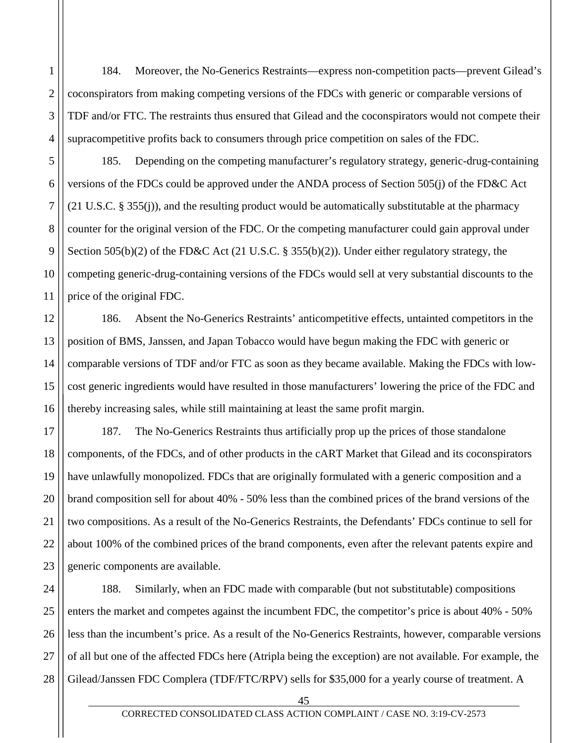184. Moreover, the No-Generics Restraints—express non-competition pacts—prevent Gilead's coconspirators from making competing versions of the FDCs with generic or comparable versions of TDF and/or FTC. The restraints thus ensured that Gilead and the coconspirators would not compete their supracompetitive profits back to consumers through price competition on sales of the FDC.

1

2

3

4

5

6

7

8

9

10

11

12

13

14

15

185. Depending on the competing manufacturer's regulatory strategy, generic-drug-containing versions of the FDCs could be approved under the ANDA process of Section 505(j) of the FD&C Act (21 U.S.C. § 355(j)), and the resulting product would be automatically substitutable at the pharmacy counter for the original version of the FDC. Or the competing manufacturer could gain approval under Section 505(b)(2) of the FD&C Act (21 U.S.C. § 355(b)(2)). Under either regulatory strategy, the competing generic-drug-containing versions of the FDCs would sell at very substantial discounts to the price of the original FDC.

16 186. Absent the No-Generics Restraints' anticompetitive effects, untainted competitors in the position of BMS, Janssen, and Japan Tobacco would have begun making the FDC with generic or comparable versions of TDF and/or FTC as soon as they became available. Making the FDCs with lowcost generic ingredients would have resulted in those manufacturers' lowering the price of the FDC and thereby increasing sales, while still maintaining at least the same profit margin.

17 18 19 20 21 22 23 187. The No-Generics Restraints thus artificially prop up the prices of those standalone components, of the FDCs, and of other products in the cART Market that Gilead and its coconspirators have unlawfully monopolized. FDCs that are originally formulated with a generic composition and a brand composition sell for about 40% - 50% less than the combined prices of the brand versions of the two compositions. As a result of the No-Generics Restraints, the Defendants' FDCs continue to sell for about 100% of the combined prices of the brand components, even after the relevant patents expire and generic components are available.

24 25 26 27 28 188. Similarly, when an FDC made with comparable (but not substitutable) compositions enters the market and competes against the incumbent FDC, the competitor's price is about 40% - 50% less than the incumbent's price. As a result of the No-Generics Restraints, however, comparable versions of all but one of the affected FDCs here (Atripla being the exception) are not available. For example, the Gilead/Janssen FDC Complera (TDF/FTC/RPV) sells for \$35,000 for a yearly course of treatment. A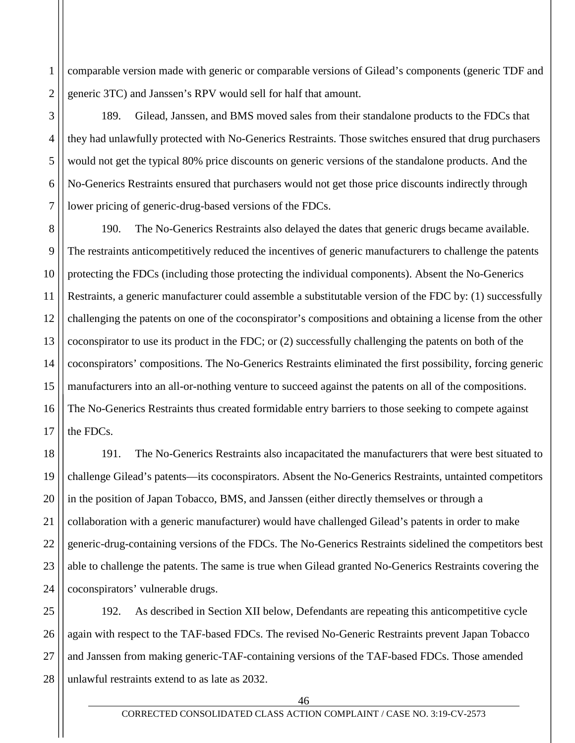1 2 comparable version made with generic or comparable versions of Gilead's components (generic TDF and generic 3TC) and Janssen's RPV would sell for half that amount.

3

4

5

6

7

189. Gilead, Janssen, and BMS moved sales from their standalone products to the FDCs that they had unlawfully protected with No-Generics Restraints. Those switches ensured that drug purchasers would not get the typical 80% price discounts on generic versions of the standalone products. And the No-Generics Restraints ensured that purchasers would not get those price discounts indirectly through lower pricing of generic-drug-based versions of the FDCs.

8 9 10 11 12 13 14 15 16 17 190. The No-Generics Restraints also delayed the dates that generic drugs became available. The restraints anticompetitively reduced the incentives of generic manufacturers to challenge the patents protecting the FDCs (including those protecting the individual components). Absent the No-Generics Restraints, a generic manufacturer could assemble a substitutable version of the FDC by: (1) successfully challenging the patents on one of the coconspirator's compositions and obtaining a license from the other coconspirator to use its product in the FDC; or (2) successfully challenging the patents on both of the coconspirators' compositions. The No-Generics Restraints eliminated the first possibility, forcing generic manufacturers into an all-or-nothing venture to succeed against the patents on all of the compositions. The No-Generics Restraints thus created formidable entry barriers to those seeking to compete against the FDCs.

18 19 20 21 22 23 24 191. The No-Generics Restraints also incapacitated the manufacturers that were best situated to challenge Gilead's patents—its coconspirators. Absent the No-Generics Restraints, untainted competitors in the position of Japan Tobacco, BMS, and Janssen (either directly themselves or through a collaboration with a generic manufacturer) would have challenged Gilead's patents in order to make generic-drug-containing versions of the FDCs. The No-Generics Restraints sidelined the competitors best able to challenge the patents. The same is true when Gilead granted No-Generics Restraints covering the coconspirators' vulnerable drugs.

25 26 27 28 192. As described in Section XII below, Defendants are repeating this anticompetitive cycle again with respect to the TAF-based FDCs. The revised No-Generic Restraints prevent Japan Tobacco and Janssen from making generic-TAF-containing versions of the TAF-based FDCs. Those amended unlawful restraints extend to as late as 2032.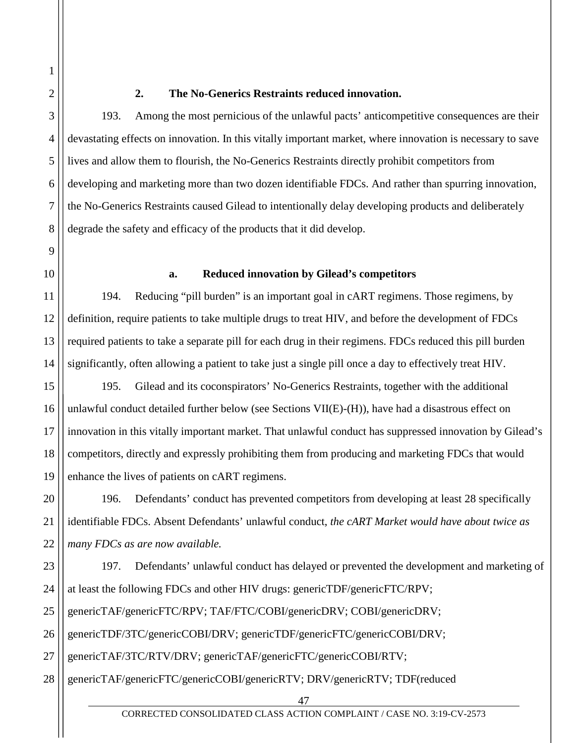1

2

3

4

5

6

7

8

9

11

12

13

14

### **2. The No-Generics Restraints reduced innovation.**

193. Among the most pernicious of the unlawful pacts' anticompetitive consequences are their devastating effects on innovation. In this vitally important market, where innovation is necessary to save lives and allow them to flourish, the No-Generics Restraints directly prohibit competitors from developing and marketing more than two dozen identifiable FDCs. And rather than spurring innovation, the No-Generics Restraints caused Gilead to intentionally delay developing products and deliberately degrade the safety and efficacy of the products that it did develop.

10

#### **a. Reduced innovation by Gilead's competitors**

194. Reducing "pill burden" is an important goal in cART regimens. Those regimens, by definition, require patients to take multiple drugs to treat HIV, and before the development of FDCs required patients to take a separate pill for each drug in their regimens. FDCs reduced this pill burden significantly, often allowing a patient to take just a single pill once a day to effectively treat HIV.

15 16 17 18 19 195. Gilead and its coconspirators' No-Generics Restraints, together with the additional unlawful conduct detailed further below (see Sections  $VII(E)-(H)$ ), have had a disastrous effect on innovation in this vitally important market. That unlawful conduct has suppressed innovation by Gilead's competitors, directly and expressly prohibiting them from producing and marketing FDCs that would enhance the lives of patients on cART regimens.

20 21 22 196. Defendants' conduct has prevented competitors from developing at least 28 specifically identifiable FDCs. Absent Defendants' unlawful conduct, *the cART Market would have about twice as many FDCs as are now available.* 

23 24 25 26 27 197. Defendants' unlawful conduct has delayed or prevented the development and marketing of at least the following FDCs and other HIV drugs: genericTDF/genericFTC/RPV; genericTAF/genericFTC/RPV; TAF/FTC/COBI/genericDRV; COBI/genericDRV; genericTDF/3TC/genericCOBI/DRV; genericTDF/genericFTC/genericCOBI/DRV; genericTAF/3TC/RTV/DRV; genericTAF/genericFTC/genericCOBI/RTV;

28 genericTAF/genericFTC/genericCOBI/genericRTV; DRV/genericRTV; TDF(reduced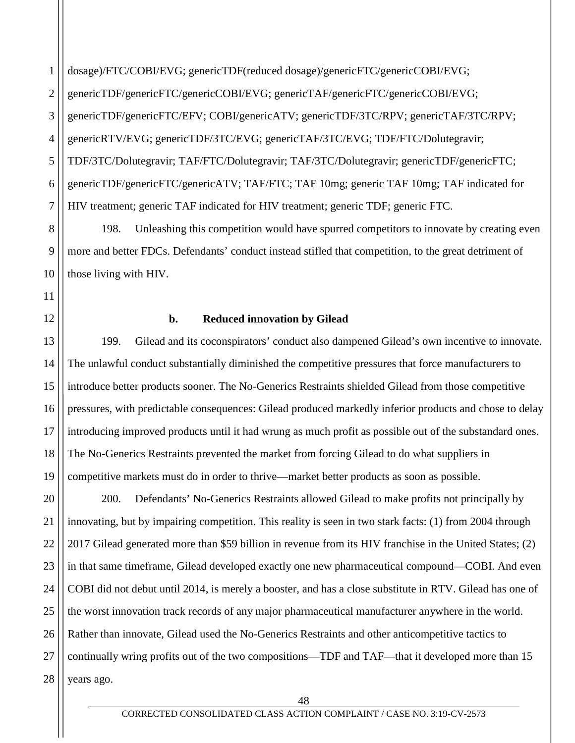1 2 3 4 5 6 7 dosage)/FTC/COBI/EVG; genericTDF(reduced dosage)/genericFTC/genericCOBI/EVG; genericTDF/genericFTC/genericCOBI/EVG; genericTAF/genericFTC/genericCOBI/EVG; genericTDF/genericFTC/EFV; COBI/genericATV; genericTDF/3TC/RPV; genericTAF/3TC/RPV; genericRTV/EVG; genericTDF/3TC/EVG; genericTAF/3TC/EVG; TDF/FTC/Dolutegravir; TDF/3TC/Dolutegravir; TAF/FTC/Dolutegravir; TAF/3TC/Dolutegravir; genericTDF/genericFTC; genericTDF/genericFTC/genericATV; TAF/FTC; TAF 10mg; generic TAF 10mg; TAF indicated for HIV treatment; generic TAF indicated for HIV treatment; generic TDF; generic FTC.

198. Unleashing this competition would have spurred competitors to innovate by creating even more and better FDCs. Defendants' conduct instead stifled that competition, to the great detriment of those living with HIV.

#### **b. Reduced innovation by Gilead**

8

9

10

11

12

13 14 15 16 17 18 19 199. Gilead and its coconspirators' conduct also dampened Gilead's own incentive to innovate. The unlawful conduct substantially diminished the competitive pressures that force manufacturers to introduce better products sooner. The No-Generics Restraints shielded Gilead from those competitive pressures, with predictable consequences: Gilead produced markedly inferior products and chose to delay introducing improved products until it had wrung as much profit as possible out of the substandard ones. The No-Generics Restraints prevented the market from forcing Gilead to do what suppliers in competitive markets must do in order to thrive—market better products as soon as possible.

20 21 22 23 24 25 26 27 28 200. Defendants' No-Generics Restraints allowed Gilead to make profits not principally by innovating, but by impairing competition. This reality is seen in two stark facts: (1) from 2004 through 2017 Gilead generated more than \$59 billion in revenue from its HIV franchise in the United States; (2) in that same timeframe, Gilead developed exactly one new pharmaceutical compound—COBI. And even COBI did not debut until 2014, is merely a booster, and has a close substitute in RTV. Gilead has one of the worst innovation track records of any major pharmaceutical manufacturer anywhere in the world. Rather than innovate, Gilead used the No-Generics Restraints and other anticompetitive tactics to continually wring profits out of the two compositions—TDF and TAF—that it developed more than 15 years ago.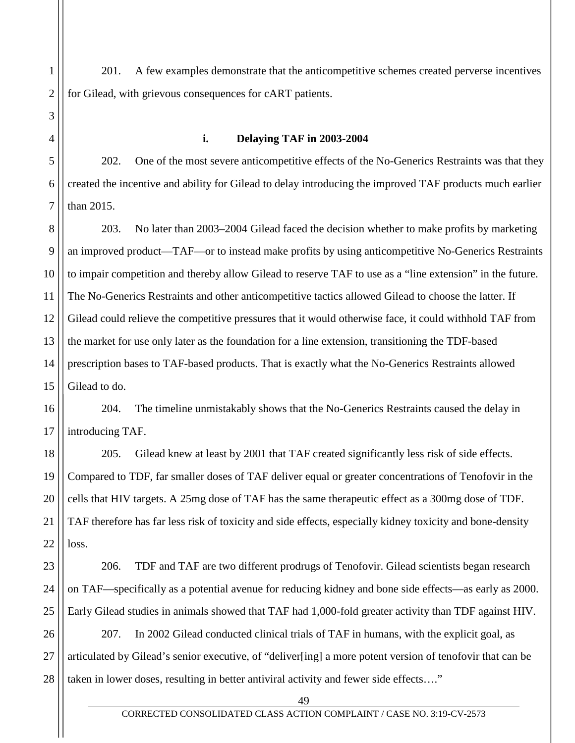1 2 201. A few examples demonstrate that the anticompetitive schemes created perverse incentives for Gilead, with grievous consequences for cART patients.

**i. Delaying TAF in 2003-2004**

3

4

5

6

7

202. One of the most severe anticompetitive effects of the No-Generics Restraints was that they created the incentive and ability for Gilead to delay introducing the improved TAF products much earlier than 2015.

8 9 10 11 12 13 14 15 203. No later than 2003–2004 Gilead faced the decision whether to make profits by marketing an improved product—TAF—or to instead make profits by using anticompetitive No-Generics Restraints to impair competition and thereby allow Gilead to reserve TAF to use as a "line extension" in the future. The No-Generics Restraints and other anticompetitive tactics allowed Gilead to choose the latter. If Gilead could relieve the competitive pressures that it would otherwise face, it could withhold TAF from the market for use only later as the foundation for a line extension, transitioning the TDF-based prescription bases to TAF-based products. That is exactly what the No-Generics Restraints allowed Gilead to do.

16 17 204. The timeline unmistakably shows that the No-Generics Restraints caused the delay in introducing TAF.

18 19 20 21 22 205. Gilead knew at least by 2001 that TAF created significantly less risk of side effects. Compared to TDF, far smaller doses of TAF deliver equal or greater concentrations of Tenofovir in the cells that HIV targets. A 25mg dose of TAF has the same therapeutic effect as a 300mg dose of TDF. TAF therefore has far less risk of toxicity and side effects, especially kidney toxicity and bone-density loss.

23 24 25 206. TDF and TAF are two different prodrugs of Tenofovir. Gilead scientists began research on TAF—specifically as a potential avenue for reducing kidney and bone side effects—as early as 2000. Early Gilead studies in animals showed that TAF had 1,000-fold greater activity than TDF against HIV.

26 27 28 207. In 2002 Gilead conducted clinical trials of TAF in humans, with the explicit goal, as articulated by Gilead's senior executive, of "deliver[ing] a more potent version of tenofovir that can be taken in lower doses, resulting in better antiviral activity and fewer side effects…."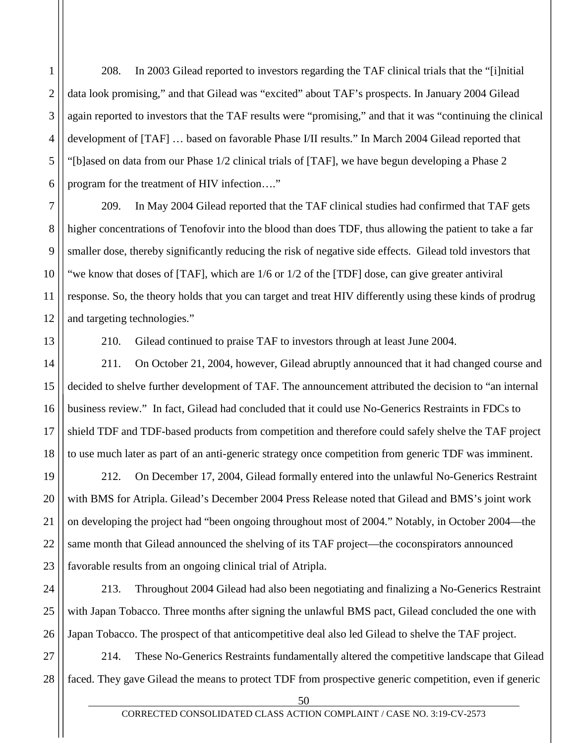1 2 3 4 5 6 208. In 2003 Gilead reported to investors regarding the TAF clinical trials that the "[i]nitial data look promising," and that Gilead was "excited" about TAF's prospects. In January 2004 Gilead again reported to investors that the TAF results were "promising," and that it was "continuing the clinical development of [TAF] … based on favorable Phase I/II results." In March 2004 Gilead reported that "[b]ased on data from our Phase 1/2 clinical trials of [TAF], we have begun developing a Phase 2 program for the treatment of HIV infection…."

209. In May 2004 Gilead reported that the TAF clinical studies had confirmed that TAF gets higher concentrations of Tenofovir into the blood than does TDF, thus allowing the patient to take a far smaller dose, thereby significantly reducing the risk of negative side effects. Gilead told investors that "we know that doses of [TAF], which are 1/6 or 1/2 of the [TDF] dose, can give greater antiviral response. So, the theory holds that you can target and treat HIV differently using these kinds of prodrug and targeting technologies."

7

8

9

10

11

12

13

14

17

210. Gilead continued to praise TAF to investors through at least June 2004.

15 16 18 211. On October 21, 2004, however, Gilead abruptly announced that it had changed course and decided to shelve further development of TAF. The announcement attributed the decision to "an internal business review." In fact, Gilead had concluded that it could use No-Generics Restraints in FDCs to shield TDF and TDF-based products from competition and therefore could safely shelve the TAF project to use much later as part of an anti-generic strategy once competition from generic TDF was imminent.

19 20 21 22 23 212. On December 17, 2004, Gilead formally entered into the unlawful No-Generics Restraint with BMS for Atripla. Gilead's December 2004 Press Release noted that Gilead and BMS's joint work on developing the project had "been ongoing throughout most of 2004." Notably, in October 2004—the same month that Gilead announced the shelving of its TAF project—the coconspirators announced favorable results from an ongoing clinical trial of Atripla.

24 25 26 213. Throughout 2004 Gilead had also been negotiating and finalizing a No-Generics Restraint with Japan Tobacco. Three months after signing the unlawful BMS pact, Gilead concluded the one with Japan Tobacco. The prospect of that anticompetitive deal also led Gilead to shelve the TAF project.

27 28 214. These No-Generics Restraints fundamentally altered the competitive landscape that Gilead faced. They gave Gilead the means to protect TDF from prospective generic competition, even if generic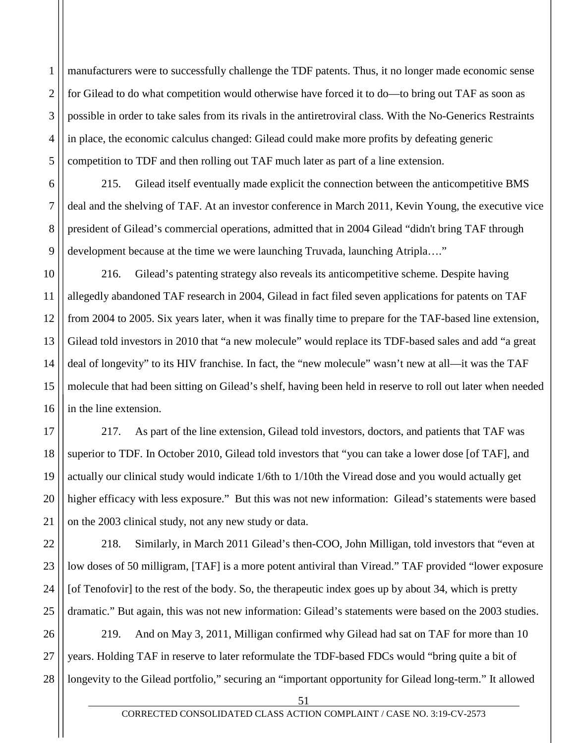1 2 3 4 5 manufacturers were to successfully challenge the TDF patents. Thus, it no longer made economic sense for Gilead to do what competition would otherwise have forced it to do—to bring out TAF as soon as possible in order to take sales from its rivals in the antiretroviral class. With the No-Generics Restraints in place, the economic calculus changed: Gilead could make more profits by defeating generic competition to TDF and then rolling out TAF much later as part of a line extension.

215. Gilead itself eventually made explicit the connection between the anticompetitive BMS deal and the shelving of TAF. At an investor conference in March 2011, Kevin Young, the executive vice president of Gilead's commercial operations, admitted that in 2004 Gilead "didn't bring TAF through development because at the time we were launching Truvada, launching Atripla…."

6

7

8

9

10 11 12 13 14 15 16 216. Gilead's patenting strategy also reveals its anticompetitive scheme. Despite having allegedly abandoned TAF research in 2004, Gilead in fact filed seven applications for patents on TAF from 2004 to 2005. Six years later, when it was finally time to prepare for the TAF-based line extension, Gilead told investors in 2010 that "a new molecule" would replace its TDF-based sales and add "a great deal of longevity" to its HIV franchise. In fact, the "new molecule" wasn't new at all—it was the TAF molecule that had been sitting on Gilead's shelf, having been held in reserve to roll out later when needed in the line extension.

17 18 19 20 21 217. As part of the line extension, Gilead told investors, doctors, and patients that TAF was superior to TDF. In October 2010, Gilead told investors that "you can take a lower dose [of TAF], and actually our clinical study would indicate 1/6th to 1/10th the Viread dose and you would actually get higher efficacy with less exposure." But this was not new information: Gilead's statements were based on the 2003 clinical study, not any new study or data.

22 23 24 25 218. Similarly, in March 2011 Gilead's then-COO, John Milligan, told investors that "even at low doses of 50 milligram, [TAF] is a more potent antiviral than Viread." TAF provided "lower exposure [of Tenofovir] to the rest of the body. So, the therapeutic index goes up by about 34, which is pretty dramatic." But again, this was not new information: Gilead's statements were based on the 2003 studies.

26 27 28 219. And on May 3, 2011, Milligan confirmed why Gilead had sat on TAF for more than 10 years. Holding TAF in reserve to later reformulate the TDF-based FDCs would "bring quite a bit of longevity to the Gilead portfolio," securing an "important opportunity for Gilead long-term." It allowed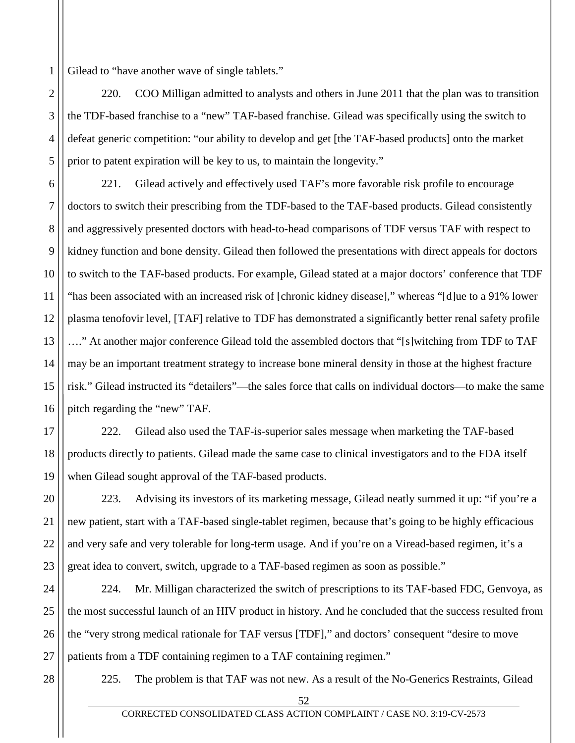1 Gilead to "have another wave of single tablets."

220. COO Milligan admitted to analysts and others in June 2011 that the plan was to transition the TDF-based franchise to a "new" TAF-based franchise. Gilead was specifically using the switch to defeat generic competition: "our ability to develop and get [the TAF-based products] onto the market prior to patent expiration will be key to us, to maintain the longevity."

6 7 8 9 10 11 12 13 14 15 16 221. Gilead actively and effectively used TAF's more favorable risk profile to encourage doctors to switch their prescribing from the TDF-based to the TAF-based products. Gilead consistently and aggressively presented doctors with head-to-head comparisons of TDF versus TAF with respect to kidney function and bone density. Gilead then followed the presentations with direct appeals for doctors to switch to the TAF-based products. For example, Gilead stated at a major doctors' conference that TDF "has been associated with an increased risk of [chronic kidney disease]," whereas "[d]ue to a 91% lower plasma tenofovir level, [TAF] relative to TDF has demonstrated a significantly better renal safety profile …." At another major conference Gilead told the assembled doctors that "[s]witching from TDF to TAF may be an important treatment strategy to increase bone mineral density in those at the highest fracture risk." Gilead instructed its "detailers"—the sales force that calls on individual doctors—to make the same pitch regarding the "new" TAF.

17 18 19 222. Gilead also used the TAF-is-superior sales message when marketing the TAF-based products directly to patients. Gilead made the same case to clinical investigators and to the FDA itself when Gilead sought approval of the TAF-based products.

20 21 22 23 223. Advising its investors of its marketing message, Gilead neatly summed it up: "if you're a new patient, start with a TAF-based single-tablet regimen, because that's going to be highly efficacious and very safe and very tolerable for long-term usage. And if you're on a Viread-based regimen, it's a great idea to convert, switch, upgrade to a TAF-based regimen as soon as possible."

24 25 26 27 224. Mr. Milligan characterized the switch of prescriptions to its TAF-based FDC, Genvoya, as the most successful launch of an HIV product in history. And he concluded that the success resulted from the "very strong medical rationale for TAF versus [TDF]," and doctors' consequent "desire to move patients from a TDF containing regimen to a TAF containing regimen."

28

2

3

4

5

225. The problem is that TAF was not new. As a result of the No-Generics Restraints, Gilead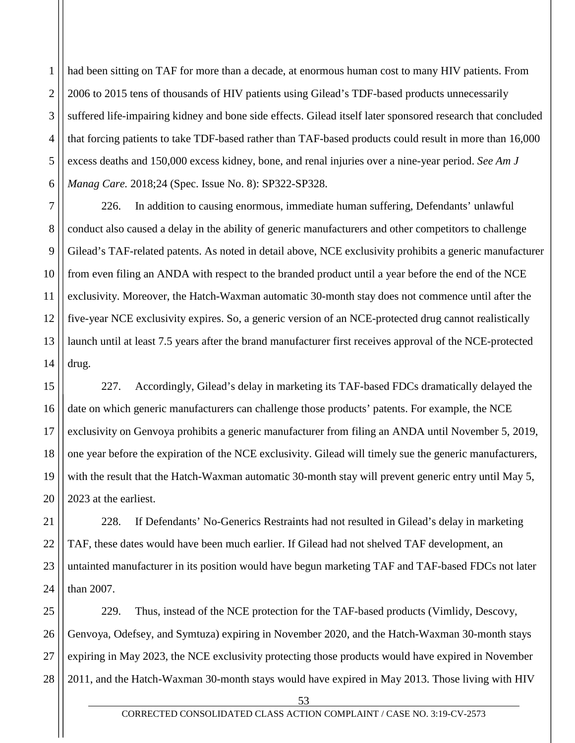1 2 3 4 5 6 had been sitting on TAF for more than a decade, at enormous human cost to many HIV patients. From 2006 to 2015 tens of thousands of HIV patients using Gilead's TDF-based products unnecessarily suffered life-impairing kidney and bone side effects. Gilead itself later sponsored research that concluded that forcing patients to take TDF-based rather than TAF-based products could result in more than 16,000 excess deaths and 150,000 excess kidney, bone, and renal injuries over a nine-year period. *See Am J Manag Care.* 2018;24 (Spec. Issue No. 8): SP322-SP328.

7 8 9 10 11 12 13 14 226. In addition to causing enormous, immediate human suffering, Defendants' unlawful conduct also caused a delay in the ability of generic manufacturers and other competitors to challenge Gilead's TAF-related patents. As noted in detail above, NCE exclusivity prohibits a generic manufacturer from even filing an ANDA with respect to the branded product until a year before the end of the NCE exclusivity. Moreover, the Hatch-Waxman automatic 30-month stay does not commence until after the five-year NCE exclusivity expires. So, a generic version of an NCE-protected drug cannot realistically launch until at least 7.5 years after the brand manufacturer first receives approval of the NCE-protected drug.

15 16 17 18 19 20 227. Accordingly, Gilead's delay in marketing its TAF-based FDCs dramatically delayed the date on which generic manufacturers can challenge those products' patents. For example, the NCE exclusivity on Genvoya prohibits a generic manufacturer from filing an ANDA until November 5, 2019, one year before the expiration of the NCE exclusivity. Gilead will timely sue the generic manufacturers, with the result that the Hatch-Waxman automatic 30-month stay will prevent generic entry until May 5, 2023 at the earliest.

21 22 23 24 228. If Defendants' No-Generics Restraints had not resulted in Gilead's delay in marketing TAF, these dates would have been much earlier. If Gilead had not shelved TAF development, an untainted manufacturer in its position would have begun marketing TAF and TAF-based FDCs not later than 2007.

25 26 27 28 229. Thus, instead of the NCE protection for the TAF-based products (Vimlidy, Descovy, Genvoya, Odefsey, and Symtuza) expiring in November 2020, and the Hatch-Waxman 30-month stays expiring in May 2023, the NCE exclusivity protecting those products would have expired in November 2011, and the Hatch-Waxman 30-month stays would have expired in May 2013. Those living with HIV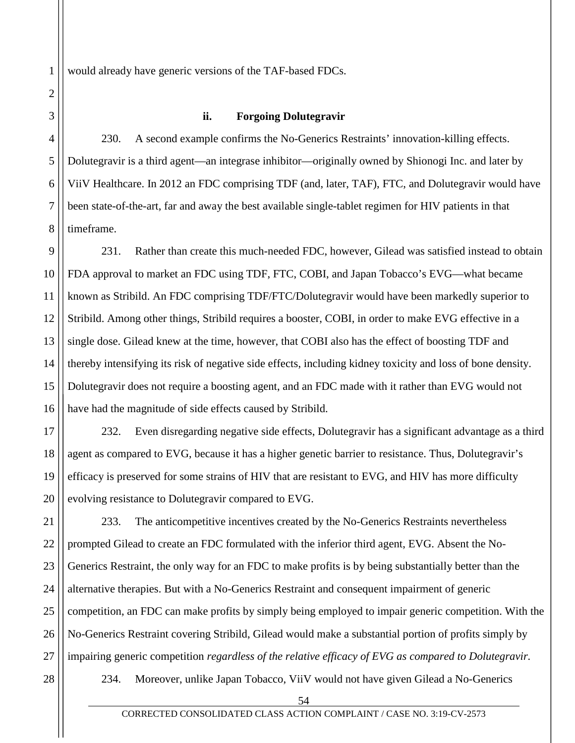would already have generic versions of the TAF-based FDCs.

#### **ii. Forgoing Dolutegravir**

4 5 6 7 8 230. A second example confirms the No-Generics Restraints' innovation-killing effects. Dolutegravir is a third agent—an integrase inhibitor—originally owned by Shionogi Inc. and later by ViiV Healthcare. In 2012 an FDC comprising TDF (and, later, TAF), FTC, and Dolutegravir would have been state-of-the-art, far and away the best available single-tablet regimen for HIV patients in that timeframe.

9 10 11 12 13 14 15 16 231. Rather than create this much-needed FDC, however, Gilead was satisfied instead to obtain FDA approval to market an FDC using TDF, FTC, COBI, and Japan Tobacco's EVG—what became known as Stribild. An FDC comprising TDF/FTC/Dolutegravir would have been markedly superior to Stribild. Among other things, Stribild requires a booster, COBI, in order to make EVG effective in a single dose. Gilead knew at the time, however, that COBI also has the effect of boosting TDF and thereby intensifying its risk of negative side effects, including kidney toxicity and loss of bone density. Dolutegravir does not require a boosting agent, and an FDC made with it rather than EVG would not have had the magnitude of side effects caused by Stribild.

17 18 19 20 232. Even disregarding negative side effects, Dolutegravir has a significant advantage as a third agent as compared to EVG, because it has a higher genetic barrier to resistance. Thus, Dolutegravir's efficacy is preserved for some strains of HIV that are resistant to EVG, and HIV has more difficulty evolving resistance to Dolutegravir compared to EVG.

21 22 23 24 25 26 27 233. The anticompetitive incentives created by the No-Generics Restraints nevertheless prompted Gilead to create an FDC formulated with the inferior third agent, EVG. Absent the No-Generics Restraint, the only way for an FDC to make profits is by being substantially better than the alternative therapies. But with a No-Generics Restraint and consequent impairment of generic competition, an FDC can make profits by simply being employed to impair generic competition. With the No-Generics Restraint covering Stribild, Gilead would make a substantial portion of profits simply by impairing generic competition *regardless of the relative efficacy of EVG as compared to Dolutegravir.*

28

1

2

3

234. Moreover, unlike Japan Tobacco, ViiV would not have given Gilead a No-Generics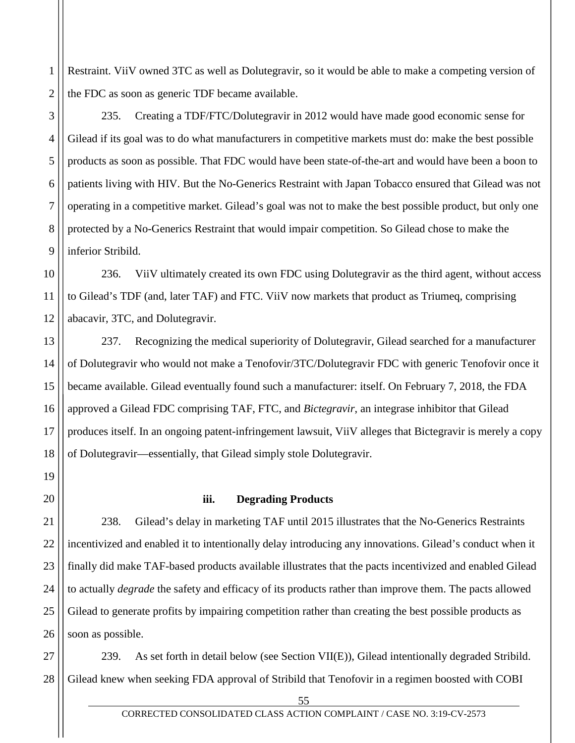1 2 Restraint. ViiV owned 3TC as well as Dolutegravir, so it would be able to make a competing version of the FDC as soon as generic TDF became available.

235. Creating a TDF/FTC/Dolutegravir in 2012 would have made good economic sense for Gilead if its goal was to do what manufacturers in competitive markets must do: make the best possible products as soon as possible. That FDC would have been state-of-the-art and would have been a boon to patients living with HIV. But the No-Generics Restraint with Japan Tobacco ensured that Gilead was not operating in a competitive market. Gilead's goal was not to make the best possible product, but only one protected by a No-Generics Restraint that would impair competition. So Gilead chose to make the inferior Stribild.

10 11 12 236. ViiV ultimately created its own FDC using Dolutegravir as the third agent, without access to Gilead's TDF (and, later TAF) and FTC. ViiV now markets that product as Triumeq, comprising abacavir, 3TC, and Dolutegravir.

13 14 15 16 17 18 237. Recognizing the medical superiority of Dolutegravir, Gilead searched for a manufacturer of Dolutegravir who would not make a Tenofovir/3TC/Dolutegravir FDC with generic Tenofovir once it became available. Gilead eventually found such a manufacturer: itself. On February 7, 2018, the FDA approved a Gilead FDC comprising TAF, FTC, and *Bictegravir*, an integrase inhibitor that Gilead produces itself. In an ongoing patent-infringement lawsuit, ViiV alleges that Bictegravir is merely a copy of Dolutegravir—essentially, that Gilead simply stole Dolutegravir.

20

19

3

4

5

6

7

8

9

# **iii. Degrading Products**

21 22 23 24 25 26 238. Gilead's delay in marketing TAF until 2015 illustrates that the No-Generics Restraints incentivized and enabled it to intentionally delay introducing any innovations. Gilead's conduct when it finally did make TAF-based products available illustrates that the pacts incentivized and enabled Gilead to actually *degrade* the safety and efficacy of its products rather than improve them. The pacts allowed Gilead to generate profits by impairing competition rather than creating the best possible products as soon as possible.

27 28 239. As set forth in detail below (see Section VII(E)), Gilead intentionally degraded Stribild. Gilead knew when seeking FDA approval of Stribild that Tenofovir in a regimen boosted with COBI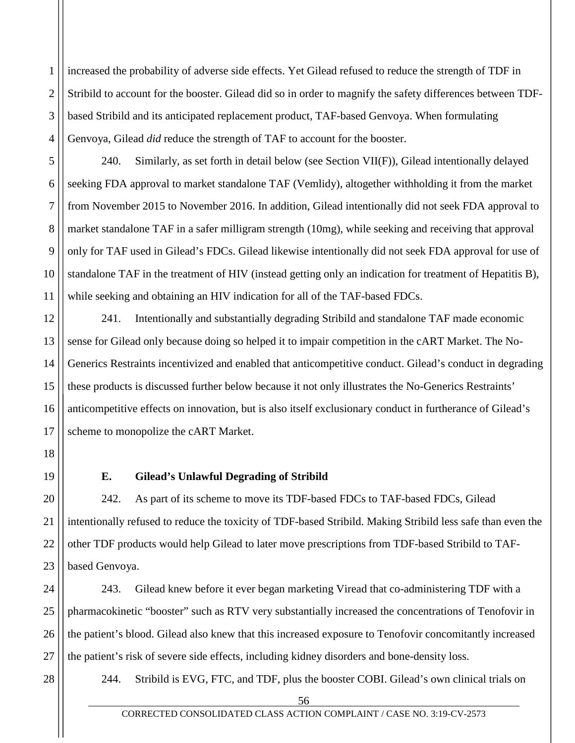1 2 3 4 increased the probability of adverse side effects. Yet Gilead refused to reduce the strength of TDF in Stribild to account for the booster. Gilead did so in order to magnify the safety differences between TDFbased Stribild and its anticipated replacement product, TAF-based Genvoya. When formulating Genvoya, Gilead *did* reduce the strength of TAF to account for the booster.

240. Similarly, as set forth in detail below (see Section VII(F)), Gilead intentionally delayed seeking FDA approval to market standalone TAF (Vemlidy), altogether withholding it from the market from November 2015 to November 2016. In addition, Gilead intentionally did not seek FDA approval to market standalone TAF in a safer milligram strength (10mg), while seeking and receiving that approval only for TAF used in Gilead's FDCs. Gilead likewise intentionally did not seek FDA approval for use of standalone TAF in the treatment of HIV (instead getting only an indication for treatment of Hepatitis B), while seeking and obtaining an HIV indication for all of the TAF-based FDCs.

12 13 14 15 16 17 241. Intentionally and substantially degrading Stribild and standalone TAF made economic sense for Gilead only because doing so helped it to impair competition in the cART Market. The No-Generics Restraints incentivized and enabled that anticompetitive conduct. Gilead's conduct in degrading these products is discussed further below because it not only illustrates the No-Generics Restraints' anticompetitive effects on innovation, but is also itself exclusionary conduct in furtherance of Gilead's scheme to monopolize the cART Market.

18

19

5

6

7

8

9

10

11

## **E. Gilead's Unlawful Degrading of Stribild**

20 21 22 23 242. As part of its scheme to move its TDF-based FDCs to TAF-based FDCs, Gilead intentionally refused to reduce the toxicity of TDF-based Stribild. Making Stribild less safe than even the other TDF products would help Gilead to later move prescriptions from TDF-based Stribild to TAFbased Genvoya.

24 25 26 27 243. Gilead knew before it ever began marketing Viread that co-administering TDF with a pharmacokinetic "booster" such as RTV very substantially increased the concentrations of Tenofovir in the patient's blood. Gilead also knew that this increased exposure to Tenofovir concomitantly increased the patient's risk of severe side effects, including kidney disorders and bone-density loss.

28

244. Stribild is EVG, FTC, and TDF, plus the booster COBI. Gilead's own clinical trials on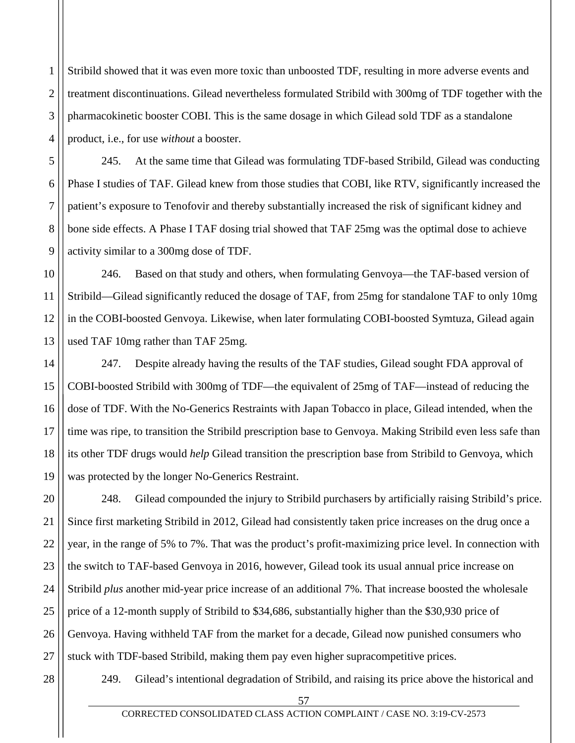1 2 3 4 Stribild showed that it was even more toxic than unboosted TDF, resulting in more adverse events and treatment discontinuations. Gilead nevertheless formulated Stribild with 300mg of TDF together with the pharmacokinetic booster COBI. This is the same dosage in which Gilead sold TDF as a standalone product, i.e., for use *without* a booster.

245. At the same time that Gilead was formulating TDF-based Stribild, Gilead was conducting Phase I studies of TAF. Gilead knew from those studies that COBI, like RTV, significantly increased the patient's exposure to Tenofovir and thereby substantially increased the risk of significant kidney and bone side effects. A Phase I TAF dosing trial showed that TAF 25mg was the optimal dose to achieve activity similar to a 300mg dose of TDF.

10 11 12 13 246. Based on that study and others, when formulating Genvoya—the TAF-based version of Stribild—Gilead significantly reduced the dosage of TAF, from 25mg for standalone TAF to only 10mg in the COBI-boosted Genvoya. Likewise, when later formulating COBI-boosted Symtuza, Gilead again used TAF 10mg rather than TAF 25mg.

14 15 16 17 18 19 247. Despite already having the results of the TAF studies, Gilead sought FDA approval of COBI-boosted Stribild with 300mg of TDF—the equivalent of 25mg of TAF—instead of reducing the dose of TDF. With the No-Generics Restraints with Japan Tobacco in place, Gilead intended, when the time was ripe, to transition the Stribild prescription base to Genvoya. Making Stribild even less safe than its other TDF drugs would *help* Gilead transition the prescription base from Stribild to Genvoya, which was protected by the longer No-Generics Restraint.

20 21 22 23 24 25 26 27 248. Gilead compounded the injury to Stribild purchasers by artificially raising Stribild's price. Since first marketing Stribild in 2012, Gilead had consistently taken price increases on the drug once a year, in the range of 5% to 7%. That was the product's profit-maximizing price level. In connection with the switch to TAF-based Genvoya in 2016, however, Gilead took its usual annual price increase on Stribild *plus* another mid-year price increase of an additional 7%. That increase boosted the wholesale price of a 12-month supply of Stribild to \$34,686, substantially higher than the \$30,930 price of Genvoya. Having withheld TAF from the market for a decade, Gilead now punished consumers who stuck with TDF-based Stribild, making them pay even higher supracompetitive prices.

28

5

6

7

8

9

249. Gilead's intentional degradation of Stribild, and raising its price above the historical and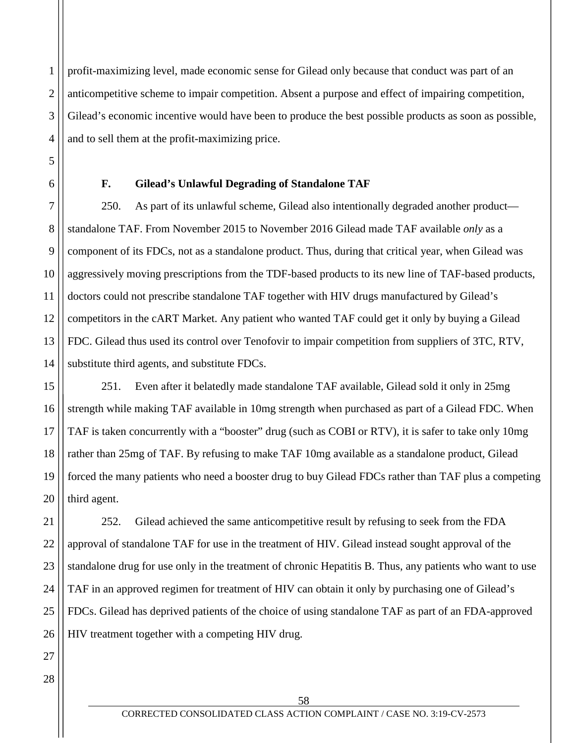1 2 3 4 profit-maximizing level, made economic sense for Gilead only because that conduct was part of an anticompetitive scheme to impair competition. Absent a purpose and effect of impairing competition, Gilead's economic incentive would have been to produce the best possible products as soon as possible, and to sell them at the profit-maximizing price.

5

6

#### **F. Gilead's Unlawful Degrading of Standalone TAF**

7 8 9 10 11 12 13 14 250. As part of its unlawful scheme, Gilead also intentionally degraded another product standalone TAF. From November 2015 to November 2016 Gilead made TAF available *only* as a component of its FDCs, not as a standalone product. Thus, during that critical year, when Gilead was aggressively moving prescriptions from the TDF-based products to its new line of TAF-based products, doctors could not prescribe standalone TAF together with HIV drugs manufactured by Gilead's competitors in the cART Market. Any patient who wanted TAF could get it only by buying a Gilead FDC. Gilead thus used its control over Tenofovir to impair competition from suppliers of 3TC, RTV, substitute third agents, and substitute FDCs.

15 16 17 18 19 20 251. Even after it belatedly made standalone TAF available, Gilead sold it only in 25mg strength while making TAF available in 10mg strength when purchased as part of a Gilead FDC. When TAF is taken concurrently with a "booster" drug (such as COBI or RTV), it is safer to take only 10mg rather than 25mg of TAF. By refusing to make TAF 10mg available as a standalone product, Gilead forced the many patients who need a booster drug to buy Gilead FDCs rather than TAF plus a competing third agent.

21 22 23 24 25 26 252. Gilead achieved the same anticompetitive result by refusing to seek from the FDA approval of standalone TAF for use in the treatment of HIV. Gilead instead sought approval of the standalone drug for use only in the treatment of chronic Hepatitis B. Thus, any patients who want to use TAF in an approved regimen for treatment of HIV can obtain it only by purchasing one of Gilead's FDCs. Gilead has deprived patients of the choice of using standalone TAF as part of an FDA-approved HIV treatment together with a competing HIV drug.

28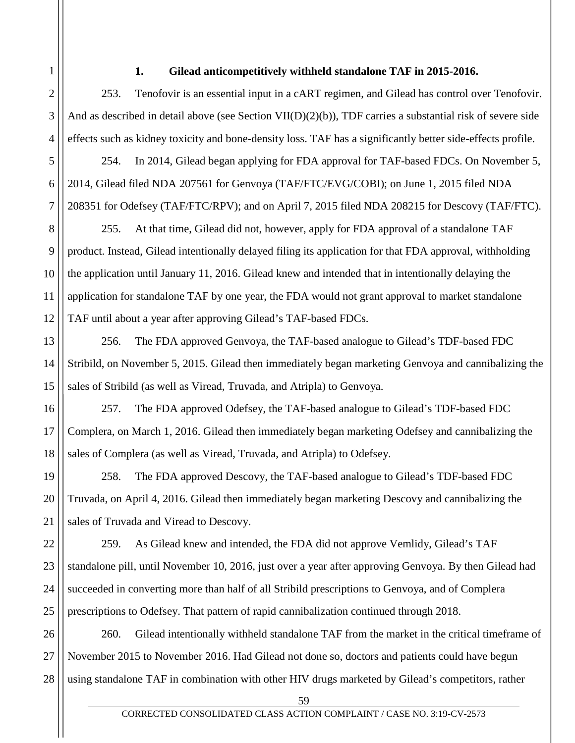### **1. Gilead anticompetitively withheld standalone TAF in 2015-2016.**

253. Tenofovir is an essential input in a cART regimen, and Gilead has control over Tenofovir. And as described in detail above (see Section VII(D)(2)(b)), TDF carries a substantial risk of severe side effects such as kidney toxicity and bone-density loss. TAF has a significantly better side-effects profile.

254. In 2014, Gilead began applying for FDA approval for TAF-based FDCs. On November 5, 2014, Gilead filed NDA 207561 for Genvoya (TAF/FTC/EVG/COBI); on June 1, 2015 filed NDA 208351 for Odefsey (TAF/FTC/RPV); and on April 7, 2015 filed NDA 208215 for Descovy (TAF/FTC).

255. At that time, Gilead did not, however, apply for FDA approval of a standalone TAF product. Instead, Gilead intentionally delayed filing its application for that FDA approval, withholding the application until January 11, 2016. Gilead knew and intended that in intentionally delaying the application for standalone TAF by one year, the FDA would not grant approval to market standalone TAF until about a year after approving Gilead's TAF-based FDCs.

256. The FDA approved Genvoya, the TAF-based analogue to Gilead's TDF-based FDC Stribild, on November 5, 2015. Gilead then immediately began marketing Genvoya and cannibalizing the sales of Stribild (as well as Viread, Truvada, and Atripla) to Genvoya.

257. The FDA approved Odefsey, the TAF-based analogue to Gilead's TDF-based FDC Complera, on March 1, 2016. Gilead then immediately began marketing Odefsey and cannibalizing the sales of Complera (as well as Viread, Truvada, and Atripla) to Odefsey.

258. The FDA approved Descovy, the TAF-based analogue to Gilead's TDF-based FDC Truvada, on April 4, 2016. Gilead then immediately began marketing Descovy and cannibalizing the sales of Truvada and Viread to Descovy.

259. As Gilead knew and intended, the FDA did not approve Vemlidy, Gilead's TAF standalone pill, until November 10, 2016, just over a year after approving Genvoya. By then Gilead had succeeded in converting more than half of all Stribild prescriptions to Genvoya, and of Complera prescriptions to Odefsey. That pattern of rapid cannibalization continued through 2018.

28 260. Gilead intentionally withheld standalone TAF from the market in the critical timeframe of November 2015 to November 2016. Had Gilead not done so, doctors and patients could have begun using standalone TAF in combination with other HIV drugs marketed by Gilead's competitors, rather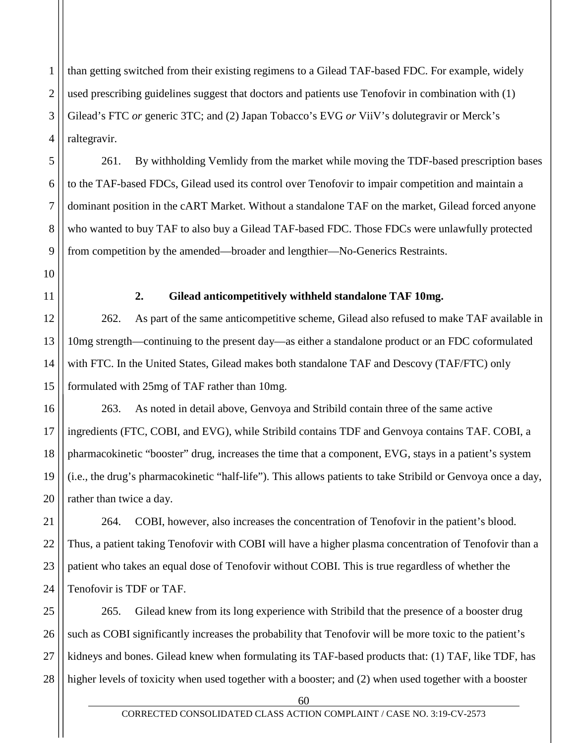1 2 3 4 than getting switched from their existing regimens to a Gilead TAF-based FDC. For example, widely used prescribing guidelines suggest that doctors and patients use Tenofovir in combination with (1) Gilead's FTC *or* generic 3TC; and (2) Japan Tobacco's EVG *or* ViiV's dolutegravir or Merck's raltegravir.

261. By withholding Vemlidy from the market while moving the TDF-based prescription bases to the TAF-based FDCs, Gilead used its control over Tenofovir to impair competition and maintain a dominant position in the cART Market. Without a standalone TAF on the market, Gilead forced anyone who wanted to buy TAF to also buy a Gilead TAF-based FDC. Those FDCs were unlawfully protected from competition by the amended—broader and lengthier—No-Generics Restraints.

5

6

7

8

9

10

11

12

13

14

15

### **2. Gilead anticompetitively withheld standalone TAF 10mg.**

262. As part of the same anticompetitive scheme, Gilead also refused to make TAF available in 10mg strength—continuing to the present day—as either a standalone product or an FDC coformulated with FTC. In the United States, Gilead makes both standalone TAF and Descovy (TAF/FTC) only formulated with 25mg of TAF rather than 10mg.

16 17 18 19 20 263. As noted in detail above, Genvoya and Stribild contain three of the same active ingredients (FTC, COBI, and EVG), while Stribild contains TDF and Genvoya contains TAF. COBI, a pharmacokinetic "booster" drug, increases the time that a component, EVG, stays in a patient's system (i.e., the drug's pharmacokinetic "half-life"). This allows patients to take Stribild or Genvoya once a day, rather than twice a day.

21 22 23 24 264. COBI, however, also increases the concentration of Tenofovir in the patient's blood. Thus, a patient taking Tenofovir with COBI will have a higher plasma concentration of Tenofovir than a patient who takes an equal dose of Tenofovir without COBI. This is true regardless of whether the Tenofovir is TDF or TAF.

25 26 27 28 265. Gilead knew from its long experience with Stribild that the presence of a booster drug such as COBI significantly increases the probability that Tenofovir will be more toxic to the patient's kidneys and bones. Gilead knew when formulating its TAF-based products that: (1) TAF, like TDF, has higher levels of toxicity when used together with a booster; and (2) when used together with a booster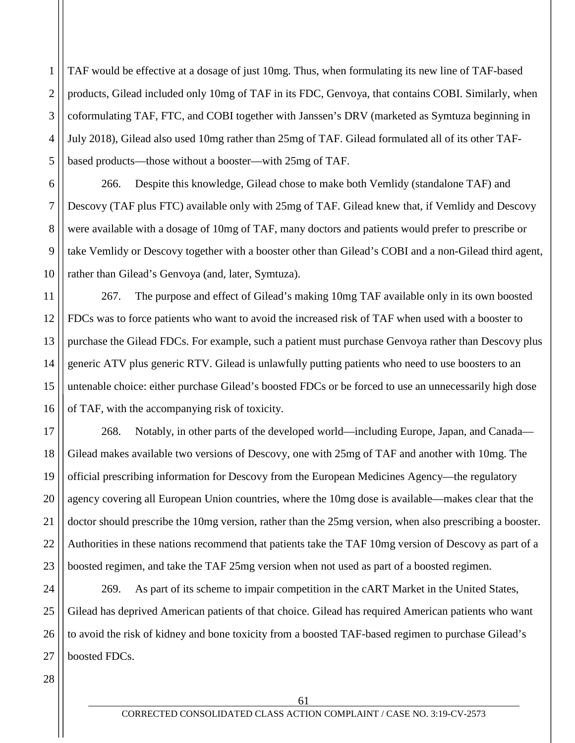1 2 3 4 5 TAF would be effective at a dosage of just 10mg. Thus, when formulating its new line of TAF-based products, Gilead included only 10mg of TAF in its FDC, Genvoya, that contains COBI. Similarly, when coformulating TAF, FTC, and COBI together with Janssen's DRV (marketed as Symtuza beginning in July 2018), Gilead also used 10mg rather than 25mg of TAF. Gilead formulated all of its other TAFbased products—those without a booster—with 25mg of TAF.

6 9 10 266. Despite this knowledge, Gilead chose to make both Vemlidy (standalone TAF) and Descovy (TAF plus FTC) available only with 25mg of TAF. Gilead knew that, if Vemlidy and Descovy were available with a dosage of 10mg of TAF, many doctors and patients would prefer to prescribe or take Vemlidy or Descovy together with a booster other than Gilead's COBI and a non-Gilead third agent, rather than Gilead's Genvoya (and, later, Symtuza).

11 12 13 14 15 16 267. The purpose and effect of Gilead's making 10mg TAF available only in its own boosted FDCs was to force patients who want to avoid the increased risk of TAF when used with a booster to purchase the Gilead FDCs. For example, such a patient must purchase Genvoya rather than Descovy plus generic ATV plus generic RTV. Gilead is unlawfully putting patients who need to use boosters to an untenable choice: either purchase Gilead's boosted FDCs or be forced to use an unnecessarily high dose of TAF, with the accompanying risk of toxicity.

17 18 19 20 21 22 23 268. Notably, in other parts of the developed world—including Europe, Japan, and Canada— Gilead makes available two versions of Descovy, one with 25mg of TAF and another with 10mg. The official prescribing information for Descovy from the European Medicines Agency—the regulatory agency covering all European Union countries, where the 10mg dose is available—makes clear that the doctor should prescribe the 10mg version, rather than the 25mg version, when also prescribing a booster. Authorities in these nations recommend that patients take the TAF 10mg version of Descovy as part of a boosted regimen, and take the TAF 25mg version when not used as part of a boosted regimen.

24 25 26 27 269. As part of its scheme to impair competition in the cART Market in the United States, Gilead has deprived American patients of that choice. Gilead has required American patients who want to avoid the risk of kidney and bone toxicity from a boosted TAF-based regimen to purchase Gilead's boosted FDCs.

28

7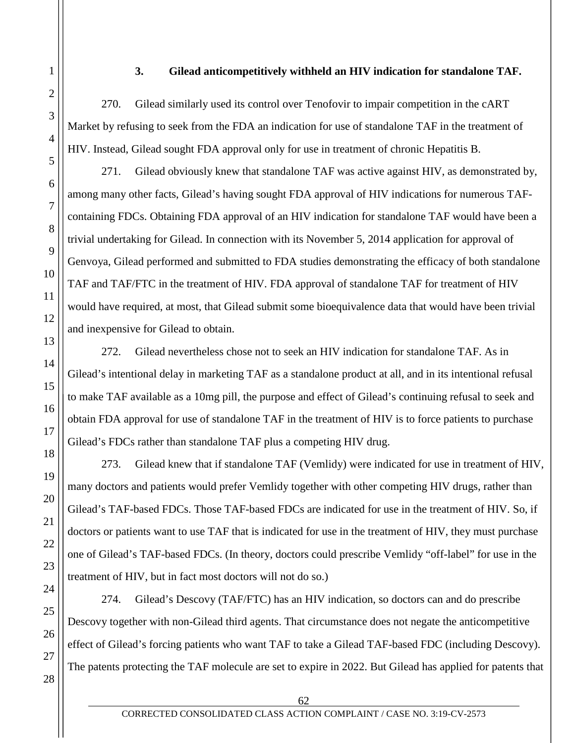#### **3. Gilead anticompetitively withheld an HIV indication for standalone TAF.**

270. Gilead similarly used its control over Tenofovir to impair competition in the cART Market by refusing to seek from the FDA an indication for use of standalone TAF in the treatment of HIV. Instead, Gilead sought FDA approval only for use in treatment of chronic Hepatitis B.

271. Gilead obviously knew that standalone TAF was active against HIV, as demonstrated by, among many other facts, Gilead's having sought FDA approval of HIV indications for numerous TAFcontaining FDCs. Obtaining FDA approval of an HIV indication for standalone TAF would have been a trivial undertaking for Gilead. In connection with its November 5, 2014 application for approval of Genvoya, Gilead performed and submitted to FDA studies demonstrating the efficacy of both standalone TAF and TAF/FTC in the treatment of HIV. FDA approval of standalone TAF for treatment of HIV would have required, at most, that Gilead submit some bioequivalence data that would have been trivial and inexpensive for Gilead to obtain.

272. Gilead nevertheless chose not to seek an HIV indication for standalone TAF. As in Gilead's intentional delay in marketing TAF as a standalone product at all, and in its intentional refusal to make TAF available as a 10mg pill, the purpose and effect of Gilead's continuing refusal to seek and obtain FDA approval for use of standalone TAF in the treatment of HIV is to force patients to purchase Gilead's FDCs rather than standalone TAF plus a competing HIV drug.

273. Gilead knew that if standalone TAF (Vemlidy) were indicated for use in treatment of HIV, many doctors and patients would prefer Vemlidy together with other competing HIV drugs, rather than Gilead's TAF-based FDCs. Those TAF-based FDCs are indicated for use in the treatment of HIV. So, if doctors or patients want to use TAF that is indicated for use in the treatment of HIV, they must purchase one of Gilead's TAF-based FDCs. (In theory, doctors could prescribe Vemlidy "off-label" for use in the treatment of HIV, but in fact most doctors will not do so.)

274. Gilead's Descovy (TAF/FTC) has an HIV indication, so doctors can and do prescribe Descovy together with non-Gilead third agents. That circumstance does not negate the anticompetitive effect of Gilead's forcing patients who want TAF to take a Gilead TAF-based FDC (including Descovy). The patents protecting the TAF molecule are set to expire in 2022. But Gilead has applied for patents that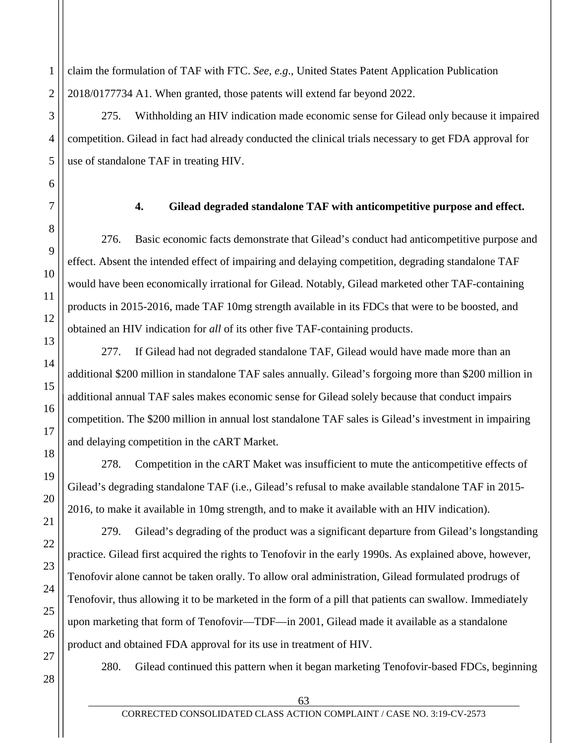claim the formulation of TAF with FTC. *See, e.g*., United States Patent Application Publication 2018/0177734 A1. When granted, those patents will extend far beyond 2022.

275. Withholding an HIV indication made economic sense for Gilead only because it impaired competition. Gilead in fact had already conducted the clinical trials necessary to get FDA approval for use of standalone TAF in treating HIV.

**4. Gilead degraded standalone TAF with anticompetitive purpose and effect.**

276. Basic economic facts demonstrate that Gilead's conduct had anticompetitive purpose and effect. Absent the intended effect of impairing and delaying competition, degrading standalone TAF would have been economically irrational for Gilead. Notably, Gilead marketed other TAF-containing products in 2015-2016, made TAF 10mg strength available in its FDCs that were to be boosted, and obtained an HIV indication for *all* of its other five TAF-containing products.

277. If Gilead had not degraded standalone TAF, Gilead would have made more than an additional \$200 million in standalone TAF sales annually. Gilead's forgoing more than \$200 million in additional annual TAF sales makes economic sense for Gilead solely because that conduct impairs competition. The \$200 million in annual lost standalone TAF sales is Gilead's investment in impairing and delaying competition in the cART Market.

278. Competition in the cART Maket was insufficient to mute the anticompetitive effects of Gilead's degrading standalone TAF (i.e., Gilead's refusal to make available standalone TAF in 2015- 2016, to make it available in 10mg strength, and to make it available with an HIV indication).

279. Gilead's degrading of the product was a significant departure from Gilead's longstanding practice. Gilead first acquired the rights to Tenofovir in the early 1990s. As explained above, however, Tenofovir alone cannot be taken orally. To allow oral administration, Gilead formulated prodrugs of Tenofovir, thus allowing it to be marketed in the form of a pill that patients can swallow. Immediately upon marketing that form of Tenofovir—TDF—in 2001, Gilead made it available as a standalone product and obtained FDA approval for its use in treatment of HIV.

280. Gilead continued this pattern when it began marketing Tenofovir-based FDCs, beginning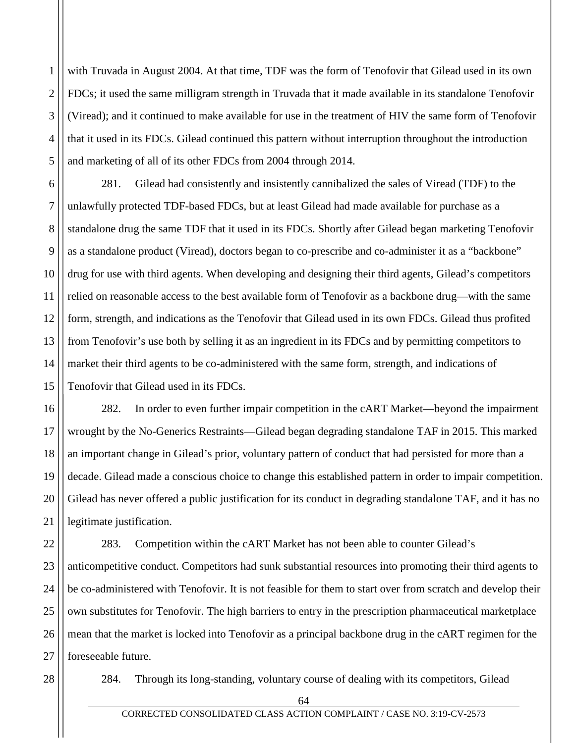1 2 3 4 5 with Truvada in August 2004. At that time, TDF was the form of Tenofovir that Gilead used in its own FDCs; it used the same milligram strength in Truvada that it made available in its standalone Tenofovir (Viread); and it continued to make available for use in the treatment of HIV the same form of Tenofovir that it used in its FDCs. Gilead continued this pattern without interruption throughout the introduction and marketing of all of its other FDCs from 2004 through 2014.

6 7 8 9 10 11 12 13 14 15 281. Gilead had consistently and insistently cannibalized the sales of Viread (TDF) to the unlawfully protected TDF-based FDCs, but at least Gilead had made available for purchase as a standalone drug the same TDF that it used in its FDCs. Shortly after Gilead began marketing Tenofovir as a standalone product (Viread), doctors began to co-prescribe and co-administer it as a "backbone" drug for use with third agents. When developing and designing their third agents, Gilead's competitors relied on reasonable access to the best available form of Tenofovir as a backbone drug—with the same form, strength, and indications as the Tenofovir that Gilead used in its own FDCs. Gilead thus profited from Tenofovir's use both by selling it as an ingredient in its FDCs and by permitting competitors to market their third agents to be co-administered with the same form, strength, and indications of Tenofovir that Gilead used in its FDCs.

16 17 18 19 20 21 282. In order to even further impair competition in the cART Market—beyond the impairment wrought by the No-Generics Restraints—Gilead began degrading standalone TAF in 2015. This marked an important change in Gilead's prior, voluntary pattern of conduct that had persisted for more than a decade. Gilead made a conscious choice to change this established pattern in order to impair competition. Gilead has never offered a public justification for its conduct in degrading standalone TAF, and it has no legitimate justification.

22 23 24 25 26 27 283. Competition within the cART Market has not been able to counter Gilead's anticompetitive conduct. Competitors had sunk substantial resources into promoting their third agents to be co-administered with Tenofovir. It is not feasible for them to start over from scratch and develop their own substitutes for Tenofovir. The high barriers to entry in the prescription pharmaceutical marketplace mean that the market is locked into Tenofovir as a principal backbone drug in the cART regimen for the foreseeable future.

28

284. Through its long-standing, voluntary course of dealing with its competitors, Gilead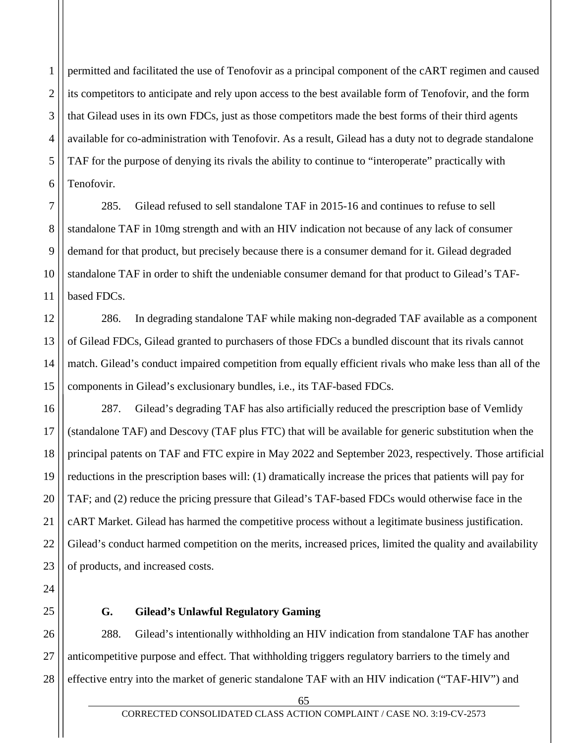1 2 3 4 5 6 permitted and facilitated the use of Tenofovir as a principal component of the cART regimen and caused its competitors to anticipate and rely upon access to the best available form of Tenofovir, and the form that Gilead uses in its own FDCs, just as those competitors made the best forms of their third agents available for co-administration with Tenofovir. As a result, Gilead has a duty not to degrade standalone TAF for the purpose of denying its rivals the ability to continue to "interoperate" practically with Tenofovir.

7 8 9 10 11 285. Gilead refused to sell standalone TAF in 2015-16 and continues to refuse to sell standalone TAF in 10mg strength and with an HIV indication not because of any lack of consumer demand for that product, but precisely because there is a consumer demand for it. Gilead degraded standalone TAF in order to shift the undeniable consumer demand for that product to Gilead's TAFbased FDCs.

12 13 14 15 286. In degrading standalone TAF while making non-degraded TAF available as a component of Gilead FDCs, Gilead granted to purchasers of those FDCs a bundled discount that its rivals cannot match. Gilead's conduct impaired competition from equally efficient rivals who make less than all of the components in Gilead's exclusionary bundles, i.e., its TAF-based FDCs.

16 17 18 19 20 21 22 23 287. Gilead's degrading TAF has also artificially reduced the prescription base of Vemlidy (standalone TAF) and Descovy (TAF plus FTC) that will be available for generic substitution when the principal patents on TAF and FTC expire in May 2022 and September 2023, respectively. Those artificial reductions in the prescription bases will: (1) dramatically increase the prices that patients will pay for TAF; and (2) reduce the pricing pressure that Gilead's TAF-based FDCs would otherwise face in the cART Market. Gilead has harmed the competitive process without a legitimate business justification. Gilead's conduct harmed competition on the merits, increased prices, limited the quality and availability of products, and increased costs.

25

24

# **G. Gilead's Unlawful Regulatory Gaming**

26 27 28 288. Gilead's intentionally withholding an HIV indication from standalone TAF has another anticompetitive purpose and effect. That withholding triggers regulatory barriers to the timely and effective entry into the market of generic standalone TAF with an HIV indication ("TAF-HIV") and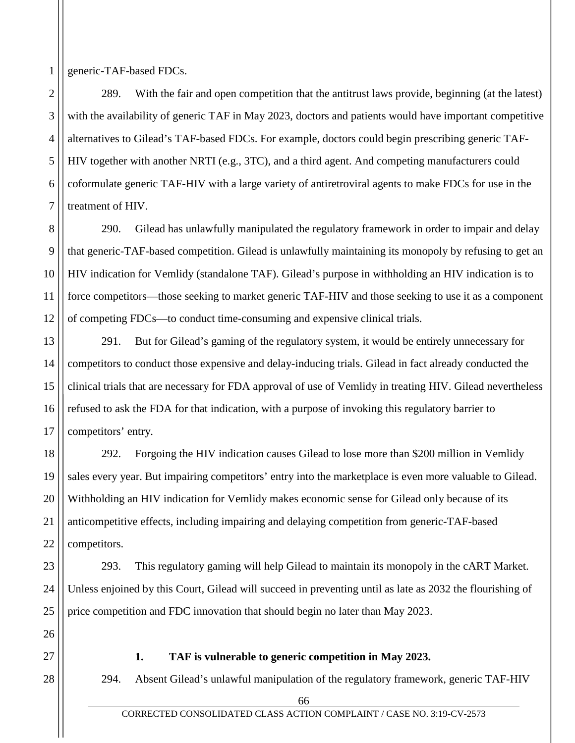generic-TAF-based FDCs.

1

2

3

4

5

6

7

23

24

25

26

27

28

289. With the fair and open competition that the antitrust laws provide, beginning (at the latest) with the availability of generic TAF in May 2023, doctors and patients would have important competitive alternatives to Gilead's TAF-based FDCs. For example, doctors could begin prescribing generic TAF-HIV together with another NRTI (e.g., 3TC), and a third agent. And competing manufacturers could coformulate generic TAF-HIV with a large variety of antiretroviral agents to make FDCs for use in the treatment of HIV.

8 9 10 11 12 290. Gilead has unlawfully manipulated the regulatory framework in order to impair and delay that generic-TAF-based competition. Gilead is unlawfully maintaining its monopoly by refusing to get an HIV indication for Vemlidy (standalone TAF). Gilead's purpose in withholding an HIV indication is to force competitors—those seeking to market generic TAF-HIV and those seeking to use it as a component of competing FDCs—to conduct time-consuming and expensive clinical trials.

13 14 15 16 17 291. But for Gilead's gaming of the regulatory system, it would be entirely unnecessary for competitors to conduct those expensive and delay-inducing trials. Gilead in fact already conducted the clinical trials that are necessary for FDA approval of use of Vemlidy in treating HIV. Gilead nevertheless refused to ask the FDA for that indication, with a purpose of invoking this regulatory barrier to competitors' entry.

18 19 20 21 22 292. Forgoing the HIV indication causes Gilead to lose more than \$200 million in Vemlidy sales every year. But impairing competitors' entry into the marketplace is even more valuable to Gilead. Withholding an HIV indication for Vemlidy makes economic sense for Gilead only because of its anticompetitive effects, including impairing and delaying competition from generic-TAF-based competitors.

293. This regulatory gaming will help Gilead to maintain its monopoly in the cART Market. Unless enjoined by this Court, Gilead will succeed in preventing until as late as 2032 the flourishing of price competition and FDC innovation that should begin no later than May 2023.

## **1. TAF is vulnerable to generic competition in May 2023.**

294. Absent Gilead's unlawful manipulation of the regulatory framework, generic TAF-HIV

<sup>66</sup>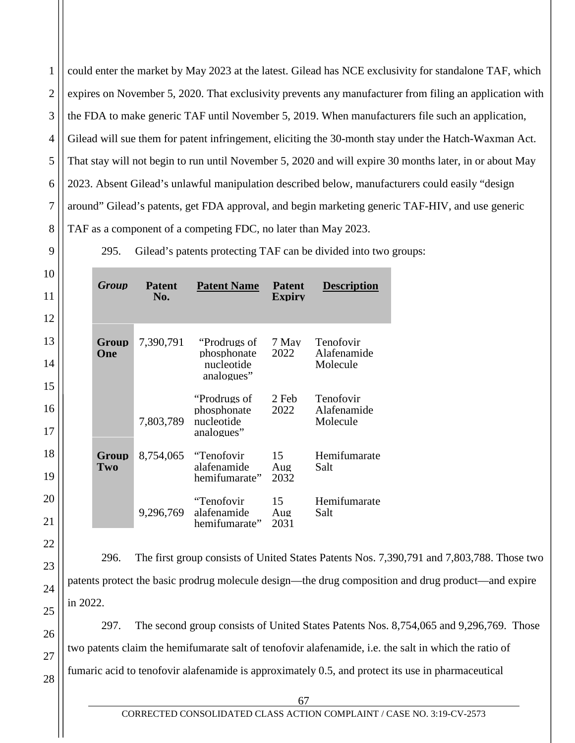2 3 4 5 6 7 8 could enter the market by May 2023 at the latest. Gilead has NCE exclusivity for standalone TAF, which expires on November 5, 2020. That exclusivity prevents any manufacturer from filing an application with the FDA to make generic TAF until November 5, 2019. When manufacturers file such an application, Gilead will sue them for patent infringement, eliciting the 30-month stay under the Hatch-Waxman Act. That stay will not begin to run until November 5, 2020 and will expire 30 months later, in or about May 2023. Absent Gilead's unlawful manipulation described below, manufacturers could easily "design around" Gilead's patents, get FDA approval, and begin marketing generic TAF-HIV, and use generic TAF as a component of a competing FDC, no later than May 2023.

295. Gilead's patents protecting TAF can be divided into two groups:

| Group        | <b>Patent</b><br>No. | <b>Patent Name</b>                                             | <b>Patent</b><br><b>Expiry</b> | <b>Description</b>                   |
|--------------|----------------------|----------------------------------------------------------------|--------------------------------|--------------------------------------|
| Group<br>One | 7,390,791            | "Prodrugs of 7 May"<br>phosphonate<br>nucleotide<br>analogues" | 2022                           | Tenofovir<br>Alafenamide<br>Molecule |
|              | 7,803,789            | "Prodrugs of<br>phosphonate<br>nucleotide<br>analogues"        | 2 Feb<br>2022                  | Tenofovir<br>Alafenamide<br>Molecule |
| Group<br>Two | 8,754,065            | "Tenofovir"<br>alafenamide<br>hemifumarate"                    | 15<br>Aug<br>2032              | Hemifumarate<br>Salt                 |
|              | 9,296,769            | "Tenofovir<br>alafenamide<br>hemifumarate"                     | 15<br>Aug<br>2031              | Hemifumarate<br>Salt                 |

296. The first group consists of United States Patents Nos. 7,390,791 and 7,803,788. Those two patents protect the basic prodrug molecule design—the drug composition and drug product—and expire in 2022.

297. The second group consists of United States Patents Nos. 8,754,065 and 9,296,769. Those two patents claim the hemifumarate salt of tenofovir alafenamide, i.e. the salt in which the ratio of fumaric acid to tenofovir alafenamide is approximately 0.5, and protect its use in pharmaceutical

26 27 28

1

9

10

11

12

13

14

15

16

17

18

19

20

21

22

23

24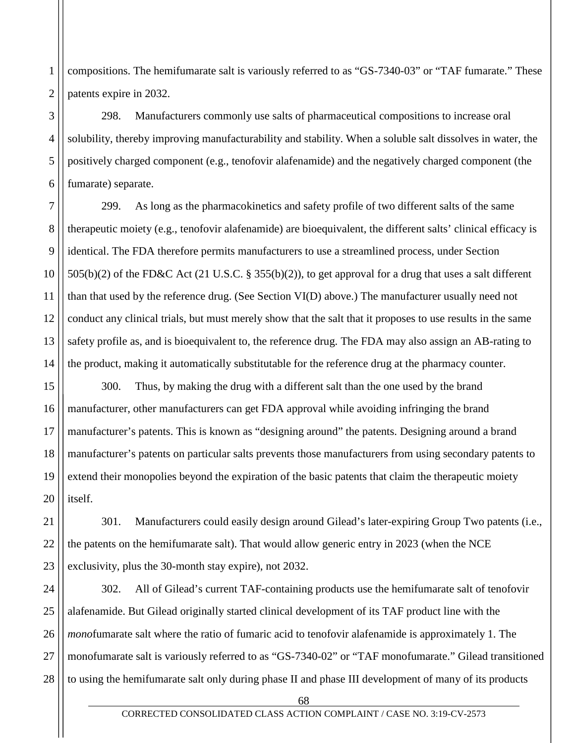compositions. The hemifumarate salt is variously referred to as "GS-7340-03" or "TAF fumarate." These patents expire in 2032.

298. Manufacturers commonly use salts of pharmaceutical compositions to increase oral solubility, thereby improving manufacturability and stability. When a soluble salt dissolves in water, the positively charged component (e.g., tenofovir alafenamide) and the negatively charged component (the fumarate) separate.

299. As long as the pharmacokinetics and safety profile of two different salts of the same therapeutic moiety (e.g., tenofovir alafenamide) are bioequivalent, the different salts' clinical efficacy is identical. The FDA therefore permits manufacturers to use a streamlined process, under Section 505(b)(2) of the FD&C Act (21 U.S.C. § 355(b)(2)), to get approval for a drug that uses a salt different than that used by the reference drug. (See Section VI(D) above.) The manufacturer usually need not conduct any clinical trials, but must merely show that the salt that it proposes to use results in the same safety profile as, and is bioequivalent to, the reference drug. The FDA may also assign an AB-rating to the product, making it automatically substitutable for the reference drug at the pharmacy counter.

300. Thus, by making the drug with a different salt than the one used by the brand manufacturer, other manufacturers can get FDA approval while avoiding infringing the brand manufacturer's patents. This is known as "designing around" the patents. Designing around a brand manufacturer's patents on particular salts prevents those manufacturers from using secondary patents to extend their monopolies beyond the expiration of the basic patents that claim the therapeutic moiety itself.

301. Manufacturers could easily design around Gilead's later-expiring Group Two patents (i.e., the patents on the hemifumarate salt). That would allow generic entry in 2023 (when the NCE exclusivity, plus the 30-month stay expire), not 2032.

302. All of Gilead's current TAF-containing products use the hemifumarate salt of tenofovir alafenamide. But Gilead originally started clinical development of its TAF product line with the *mono*fumarate salt where the ratio of fumaric acid to tenofovir alafenamide is approximately 1. The monofumarate salt is variously referred to as "GS-7340-02" or "TAF monofumarate." Gilead transitioned to using the hemifumarate salt only during phase II and phase III development of many of its products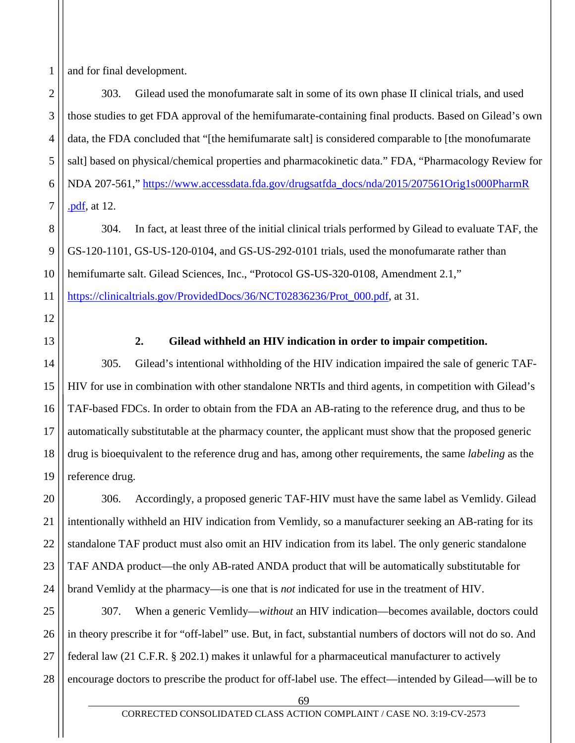1 and for final development.

2 3 4 5 6 7 303. Gilead used the monofumarate salt in some of its own phase II clinical trials, and used those studies to get FDA approval of the hemifumarate-containing final products. Based on Gilead's own data, the FDA concluded that "[the hemifumarate salt] is considered comparable to [the monofumarate salt] based on physical/chemical properties and pharmacokinetic data." FDA, "Pharmacology Review for NDA 207-561," [https://www.accessdata.fda.gov/drugsatfda\\_docs/nda/2015/207561Orig1s000PharmR](https://www.accessdata.fda.gov/drugsatfda_docs/nda/2015/207561Orig1s000PharmR%20.pdf) [.pdf,](https://www.accessdata.fda.gov/drugsatfda_docs/nda/2015/207561Orig1s000PharmR%20.pdf) at 12.

8 9 10 11 304. In fact, at least three of the initial clinical trials performed by Gilead to evaluate TAF, the GS-120-1101, GS-US-120-0104, and GS-US-292-0101 trials, used the monofumarate rather than hemifumarte salt. Gilead Sciences, Inc., "Protocol GS-US-320-0108, Amendment 2.1," [https://clinicaltrials.gov/ProvidedDocs/36/NCT02836236/Prot\\_000.pdf,](https://clinicaltrials.gov/ProvidedDocs/36/NCT02836236/Prot_000.pdf) at 31.

12 13

14

17

19

# **2. Gilead withheld an HIV indication in order to impair competition.**

15 16 18 305. Gilead's intentional withholding of the HIV indication impaired the sale of generic TAF-HIV for use in combination with other standalone NRTIs and third agents, in competition with Gilead's TAF-based FDCs. In order to obtain from the FDA an AB-rating to the reference drug, and thus to be automatically substitutable at the pharmacy counter, the applicant must show that the proposed generic drug is bioequivalent to the reference drug and has, among other requirements, the same *labeling* as the reference drug.

20 21 22 23 24 306. Accordingly, a proposed generic TAF-HIV must have the same label as Vemlidy. Gilead intentionally withheld an HIV indication from Vemlidy, so a manufacturer seeking an AB-rating for its standalone TAF product must also omit an HIV indication from its label. The only generic standalone TAF ANDA product—the only AB-rated ANDA product that will be automatically substitutable for brand Vemlidy at the pharmacy—is one that is *not* indicated for use in the treatment of HIV.

25 26 27 28 307. When a generic Vemlidy—*without* an HIV indication—becomes available, doctors could in theory prescribe it for "off-label" use. But, in fact, substantial numbers of doctors will not do so. And federal law (21 C.F.R. § 202.1) makes it unlawful for a pharmaceutical manufacturer to actively encourage doctors to prescribe the product for off-label use. The effect—intended by Gilead—will be to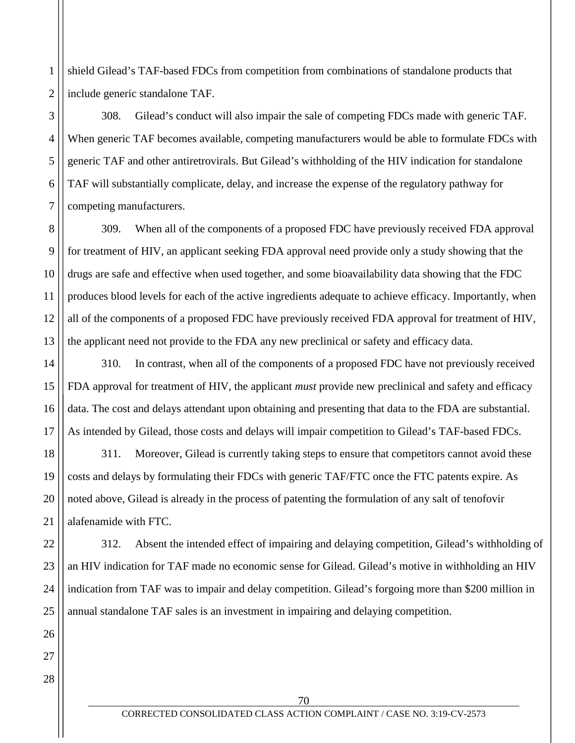1 2 shield Gilead's TAF-based FDCs from competition from combinations of standalone products that include generic standalone TAF.

308. Gilead's conduct will also impair the sale of competing FDCs made with generic TAF. When generic TAF becomes available, competing manufacturers would be able to formulate FDCs with generic TAF and other antiretrovirals. But Gilead's withholding of the HIV indication for standalone TAF will substantially complicate, delay, and increase the expense of the regulatory pathway for competing manufacturers.

8 9 10 11 12 13 309. When all of the components of a proposed FDC have previously received FDA approval for treatment of HIV, an applicant seeking FDA approval need provide only a study showing that the drugs are safe and effective when used together, and some bioavailability data showing that the FDC produces blood levels for each of the active ingredients adequate to achieve efficacy. Importantly, when all of the components of a proposed FDC have previously received FDA approval for treatment of HIV, the applicant need not provide to the FDA any new preclinical or safety and efficacy data.

14 15 16 17 310. In contrast, when all of the components of a proposed FDC have not previously received FDA approval for treatment of HIV, the applicant *must* provide new preclinical and safety and efficacy data. The cost and delays attendant upon obtaining and presenting that data to the FDA are substantial. As intended by Gilead, those costs and delays will impair competition to Gilead's TAF-based FDCs.

311. Moreover, Gilead is currently taking steps to ensure that competitors cannot avoid these costs and delays by formulating their FDCs with generic TAF/FTC once the FTC patents expire. As noted above, Gilead is already in the process of patenting the formulation of any salt of tenofovir alafenamide with FTC.

23 24 312. Absent the intended effect of impairing and delaying competition, Gilead's withholding of an HIV indication for TAF made no economic sense for Gilead. Gilead's motive in withholding an HIV indication from TAF was to impair and delay competition. Gilead's forgoing more than \$200 million in annual standalone TAF sales is an investment in impairing and delaying competition.

18

19

20

21

22

25

26

27

3

4

5

6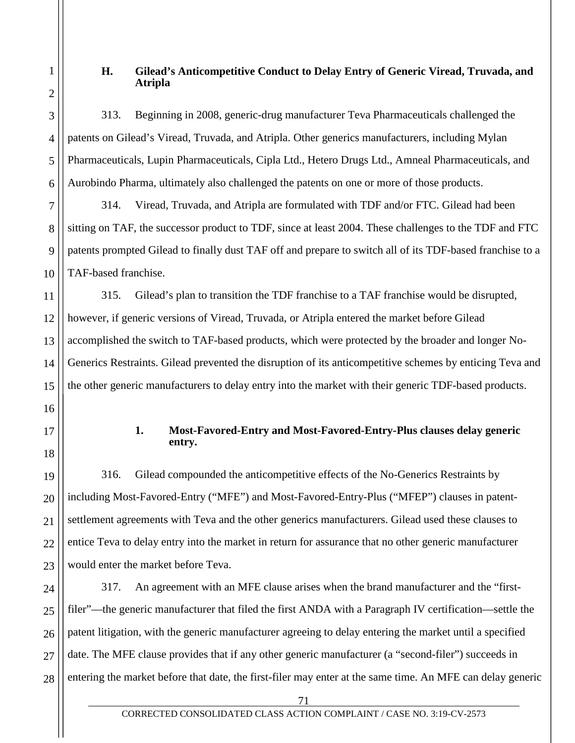## **H. Gilead's Anticompetitive Conduct to Delay Entry of Generic Viread, Truvada, and Atripla**

313. Beginning in 2008, generic-drug manufacturer Teva Pharmaceuticals challenged the patents on Gilead's Viread, Truvada, and Atripla. Other generics manufacturers, including Mylan Pharmaceuticals, Lupin Pharmaceuticals, Cipla Ltd., Hetero Drugs Ltd., Amneal Pharmaceuticals, and Aurobindo Pharma, ultimately also challenged the patents on one or more of those products.

314. Viread, Truvada, and Atripla are formulated with TDF and/or FTC. Gilead had been sitting on TAF, the successor product to TDF, since at least 2004. These challenges to the TDF and FTC patents prompted Gilead to finally dust TAF off and prepare to switch all of its TDF-based franchise to a TAF-based franchise.

315. Gilead's plan to transition the TDF franchise to a TAF franchise would be disrupted, however, if generic versions of Viread, Truvada, or Atripla entered the market before Gilead accomplished the switch to TAF-based products, which were protected by the broader and longer No-Generics Restraints. Gilead prevented the disruption of its anticompetitive schemes by enticing Teva and the other generic manufacturers to delay entry into the market with their generic TDF-based products.

## **1. Most-Favored-Entry and Most-Favored-Entry-Plus clauses delay generic entry.**

19 20 22 23 316. Gilead compounded the anticompetitive effects of the No-Generics Restraints by including Most-Favored-Entry ("MFE") and Most-Favored-Entry-Plus ("MFEP") clauses in patentsettlement agreements with Teva and the other generics manufacturers. Gilead used these clauses to entice Teva to delay entry into the market in return for assurance that no other generic manufacturer would enter the market before Teva.

24 25 26 27 28 317. An agreement with an MFE clause arises when the brand manufacturer and the "firstfiler"—the generic manufacturer that filed the first ANDA with a Paragraph IV certification—settle the patent litigation, with the generic manufacturer agreeing to delay entering the market until a specified date. The MFE clause provides that if any other generic manufacturer (a "second-filer") succeeds in entering the market before that date, the first-filer may enter at the same time. An MFE can delay generic

17

18

21

1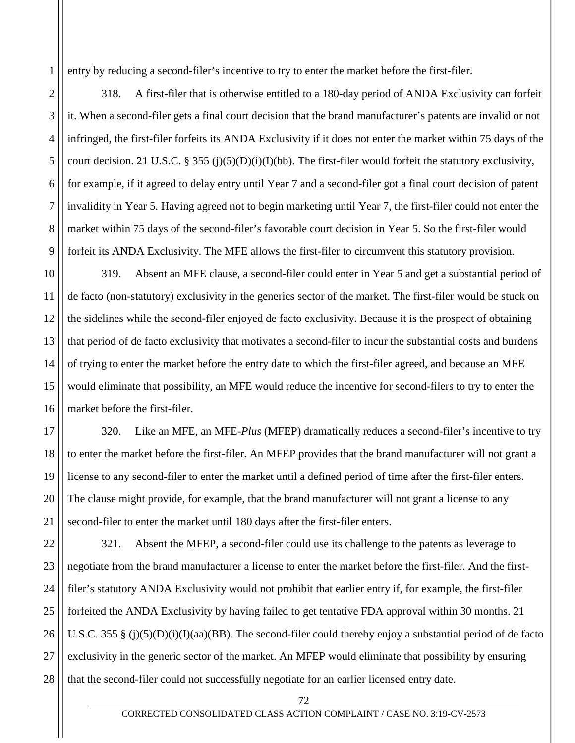entry by reducing a second-filer's incentive to try to enter the market before the first-filer.

1

2

3

4

5

6

7

8

9

318. A first-filer that is otherwise entitled to a 180-day period of ANDA Exclusivity can forfeit it. When a second-filer gets a final court decision that the brand manufacturer's patents are invalid or not infringed, the first-filer forfeits its ANDA Exclusivity if it does not enter the market within 75 days of the court decision. 21 U.S.C. § 355 (j)(5)(D)(i)(I)(bb). The first-filer would forfeit the statutory exclusivity, for example, if it agreed to delay entry until Year 7 and a second-filer got a final court decision of patent invalidity in Year 5. Having agreed not to begin marketing until Year 7, the first-filer could not enter the market within 75 days of the second-filer's favorable court decision in Year 5. So the first-filer would forfeit its ANDA Exclusivity. The MFE allows the first-filer to circumvent this statutory provision.

10 11 12 13 14 15 16 319. Absent an MFE clause, a second-filer could enter in Year 5 and get a substantial period of de facto (non-statutory) exclusivity in the generics sector of the market. The first-filer would be stuck on the sidelines while the second-filer enjoyed de facto exclusivity. Because it is the prospect of obtaining that period of de facto exclusivity that motivates a second-filer to incur the substantial costs and burdens of trying to enter the market before the entry date to which the first-filer agreed, and because an MFE would eliminate that possibility, an MFE would reduce the incentive for second-filers to try to enter the market before the first-filer.

17 18 19 20 21 320. Like an MFE, an MFE-*Plus* (MFEP) dramatically reduces a second-filer's incentive to try to enter the market before the first-filer. An MFEP provides that the brand manufacturer will not grant a license to any second-filer to enter the market until a defined period of time after the first-filer enters. The clause might provide, for example, that the brand manufacturer will not grant a license to any second-filer to enter the market until 180 days after the first-filer enters.

22 23 24 25 26 27 28 321. Absent the MFEP, a second-filer could use its challenge to the patents as leverage to negotiate from the brand manufacturer a license to enter the market before the first-filer. And the firstfiler's statutory ANDA Exclusivity would not prohibit that earlier entry if, for example, the first-filer forfeited the ANDA Exclusivity by having failed to get tentative FDA approval within 30 months. 21 U.S.C. 355 § (j)(5)(D)(i)(I)(aa)(BB). The second-filer could thereby enjoy a substantial period of de facto exclusivity in the generic sector of the market. An MFEP would eliminate that possibility by ensuring that the second-filer could not successfully negotiate for an earlier licensed entry date.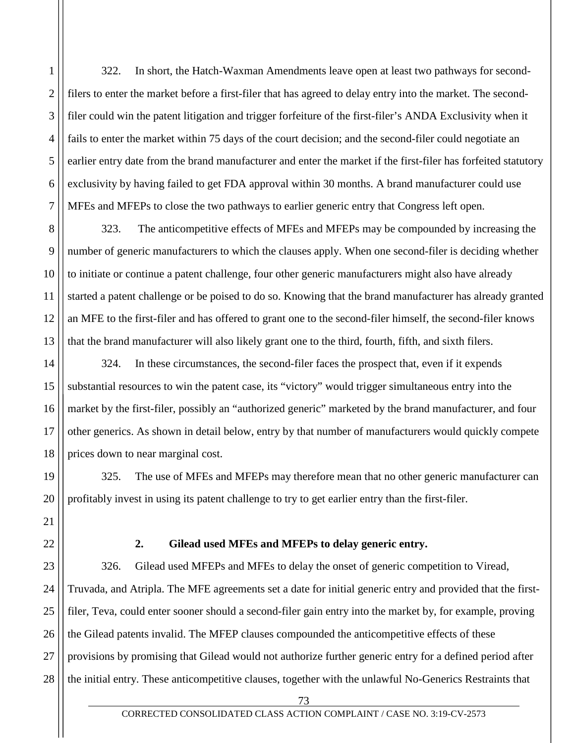322. In short, the Hatch-Waxman Amendments leave open at least two pathways for secondfilers to enter the market before a first-filer that has agreed to delay entry into the market. The secondfiler could win the patent litigation and trigger forfeiture of the first-filer's ANDA Exclusivity when it fails to enter the market within 75 days of the court decision; and the second-filer could negotiate an earlier entry date from the brand manufacturer and enter the market if the first-filer has forfeited statutory exclusivity by having failed to get FDA approval within 30 months. A brand manufacturer could use MFEs and MFEPs to close the two pathways to earlier generic entry that Congress left open.

8 9 10 11 12 13 323. The anticompetitive effects of MFEs and MFEPs may be compounded by increasing the number of generic manufacturers to which the clauses apply. When one second-filer is deciding whether to initiate or continue a patent challenge, four other generic manufacturers might also have already started a patent challenge or be poised to do so. Knowing that the brand manufacturer has already granted an MFE to the first-filer and has offered to grant one to the second-filer himself, the second-filer knows that the brand manufacturer will also likely grant one to the third, fourth, fifth, and sixth filers.

14 15 16 17 18 324. In these circumstances, the second-filer faces the prospect that, even if it expends substantial resources to win the patent case, its "victory" would trigger simultaneous entry into the market by the first-filer, possibly an "authorized generic" marketed by the brand manufacturer, and four other generics. As shown in detail below, entry by that number of manufacturers would quickly compete prices down to near marginal cost.

325. The use of MFEs and MFEPs may therefore mean that no other generic manufacturer can profitably invest in using its patent challenge to try to get earlier entry than the first-filer.

19

20

21

22

1

2

3

4

5

6

7

# **2. Gilead used MFEs and MFEPs to delay generic entry.**

23 24 25 26 27 28 326. Gilead used MFEPs and MFEs to delay the onset of generic competition to Viread, Truvada, and Atripla. The MFE agreements set a date for initial generic entry and provided that the firstfiler, Teva, could enter sooner should a second-filer gain entry into the market by, for example, proving the Gilead patents invalid. The MFEP clauses compounded the anticompetitive effects of these provisions by promising that Gilead would not authorize further generic entry for a defined period after the initial entry. These anticompetitive clauses, together with the unlawful No-Generics Restraints that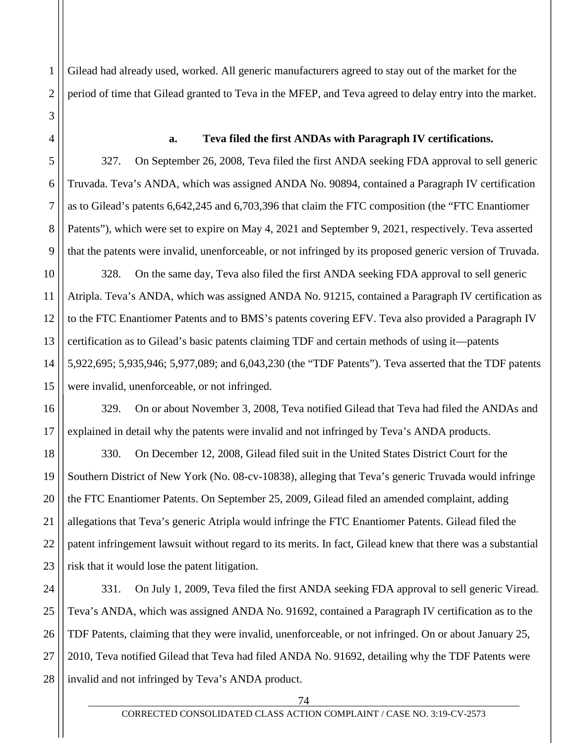Gilead had already used, worked. All generic manufacturers agreed to stay out of the market for the period of time that Gilead granted to Teva in the MFEP, and Teva agreed to delay entry into the market.

1

2

3

4

5

6

7

8

9

#### **a. Teva filed the first ANDAs with Paragraph IV certifications.**

327. On September 26, 2008, Teva filed the first ANDA seeking FDA approval to sell generic Truvada. Teva's ANDA, which was assigned ANDA No. 90894, contained a Paragraph IV certification as to Gilead's patents 6,642,245 and 6,703,396 that claim the FTC composition (the "FTC Enantiomer Patents"), which were set to expire on May 4, 2021 and September 9, 2021, respectively. Teva asserted that the patents were invalid, unenforceable, or not infringed by its proposed generic version of Truvada.

10 11 12 13 14 15 328. On the same day, Teva also filed the first ANDA seeking FDA approval to sell generic Atripla. Teva's ANDA, which was assigned ANDA No. 91215, contained a Paragraph IV certification as to the FTC Enantiomer Patents and to BMS's patents covering EFV. Teva also provided a Paragraph IV certification as to Gilead's basic patents claiming TDF and certain methods of using it—patents 5,922,695; 5,935,946; 5,977,089; and 6,043,230 (the "TDF Patents"). Teva asserted that the TDF patents were invalid, unenforceable, or not infringed.

16 17 329. On or about November 3, 2008, Teva notified Gilead that Teva had filed the ANDAs and explained in detail why the patents were invalid and not infringed by Teva's ANDA products.

18 19 20 21 22 23 330. On December 12, 2008, Gilead filed suit in the United States District Court for the Southern District of New York (No. 08-cv-10838), alleging that Teva's generic Truvada would infringe the FTC Enantiomer Patents. On September 25, 2009, Gilead filed an amended complaint, adding allegations that Teva's generic Atripla would infringe the FTC Enantiomer Patents. Gilead filed the patent infringement lawsuit without regard to its merits. In fact, Gilead knew that there was a substantial risk that it would lose the patent litigation.

24 25 26 27 28 331. On July 1, 2009, Teva filed the first ANDA seeking FDA approval to sell generic Viread. Teva's ANDA, which was assigned ANDA No. 91692, contained a Paragraph IV certification as to the TDF Patents, claiming that they were invalid, unenforceable, or not infringed. On or about January 25, 2010, Teva notified Gilead that Teva had filed ANDA No. 91692, detailing why the TDF Patents were invalid and not infringed by Teva's ANDA product.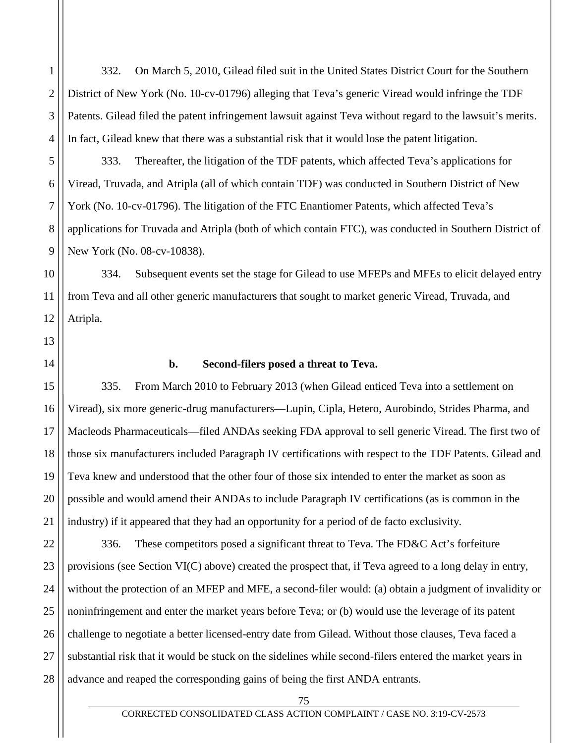332. On March 5, 2010, Gilead filed suit in the United States District Court for the Southern District of New York (No. 10-cv-01796) alleging that Teva's generic Viread would infringe the TDF Patents. Gilead filed the patent infringement lawsuit against Teva without regard to the lawsuit's merits. In fact, Gilead knew that there was a substantial risk that it would lose the patent litigation.

333. Thereafter, the litigation of the TDF patents, which affected Teva's applications for Viread, Truvada, and Atripla (all of which contain TDF) was conducted in Southern District of New York (No. 10-cv-01796). The litigation of the FTC Enantiomer Patents, which affected Teva's applications for Truvada and Atripla (both of which contain FTC), was conducted in Southern District of New York (No. 08-cv-10838).

10 11 12 334. Subsequent events set the stage for Gilead to use MFEPs and MFEs to elicit delayed entry from Teva and all other generic manufacturers that sought to market generic Viread, Truvada, and Atripla.

13 14

15

17

18

19

20

21

1

2

3

4

5

6

7

8

9

#### **b. Second-filers posed a threat to Teva.**

16 335. From March 2010 to February 2013 (when Gilead enticed Teva into a settlement on Viread), six more generic-drug manufacturers—Lupin, Cipla, Hetero, Aurobindo, Strides Pharma, and Macleods Pharmaceuticals—filed ANDAs seeking FDA approval to sell generic Viread. The first two of those six manufacturers included Paragraph IV certifications with respect to the TDF Patents. Gilead and Teva knew and understood that the other four of those six intended to enter the market as soon as possible and would amend their ANDAs to include Paragraph IV certifications (as is common in the industry) if it appeared that they had an opportunity for a period of de facto exclusivity.

22 23 24 25 26 27 28 336. These competitors posed a significant threat to Teva. The FD&C Act's forfeiture provisions (see Section VI(C) above) created the prospect that, if Teva agreed to a long delay in entry, without the protection of an MFEP and MFE, a second-filer would: (a) obtain a judgment of invalidity or noninfringement and enter the market years before Teva; or (b) would use the leverage of its patent challenge to negotiate a better licensed-entry date from Gilead. Without those clauses, Teva faced a substantial risk that it would be stuck on the sidelines while second-filers entered the market years in advance and reaped the corresponding gains of being the first ANDA entrants.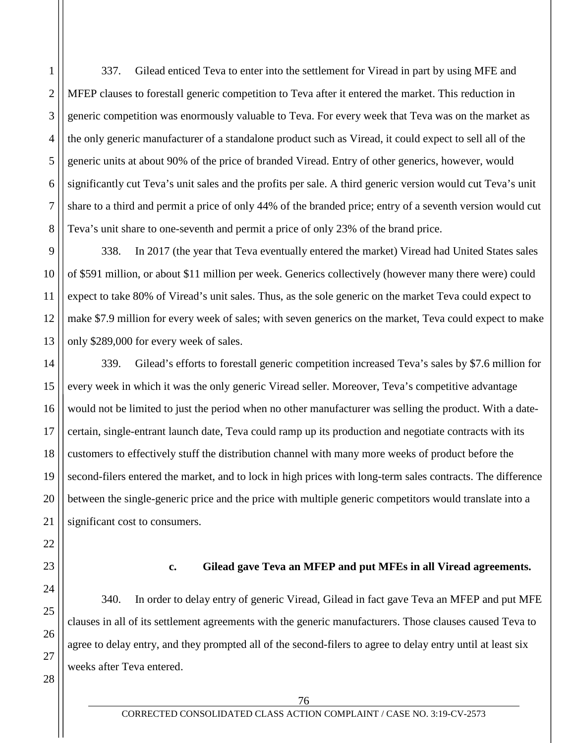1 2 3 4 5 6 337. Gilead enticed Teva to enter into the settlement for Viread in part by using MFE and MFEP clauses to forestall generic competition to Teva after it entered the market. This reduction in generic competition was enormously valuable to Teva. For every week that Teva was on the market as the only generic manufacturer of a standalone product such as Viread, it could expect to sell all of the generic units at about 90% of the price of branded Viread. Entry of other generics, however, would significantly cut Teva's unit sales and the profits per sale. A third generic version would cut Teva's unit share to a third and permit a price of only 44% of the branded price; entry of a seventh version would cut Teva's unit share to one-seventh and permit a price of only 23% of the brand price.

338. In 2017 (the year that Teva eventually entered the market) Viread had United States sales of \$591 million, or about \$11 million per week. Generics collectively (however many there were) could expect to take 80% of Viread's unit sales. Thus, as the sole generic on the market Teva could expect to make \$7.9 million for every week of sales; with seven generics on the market, Teva could expect to make only \$289,000 for every week of sales.

339. Gilead's efforts to forestall generic competition increased Teva's sales by \$7.6 million for every week in which it was the only generic Viread seller. Moreover, Teva's competitive advantage would not be limited to just the period when no other manufacturer was selling the product. With a datecertain, single-entrant launch date, Teva could ramp up its production and negotiate contracts with its customers to effectively stuff the distribution channel with many more weeks of product before the second-filers entered the market, and to lock in high prices with long-term sales contracts. The difference between the single-generic price and the price with multiple generic competitors would translate into a significant cost to consumers.

# **c. Gilead gave Teva an MFEP and put MFEs in all Viread agreements.**

340. In order to delay entry of generic Viread, Gilead in fact gave Teva an MFEP and put MFE clauses in all of its settlement agreements with the generic manufacturers. Those clauses caused Teva to agree to delay entry, and they prompted all of the second-filers to agree to delay entry until at least six weeks after Teva entered.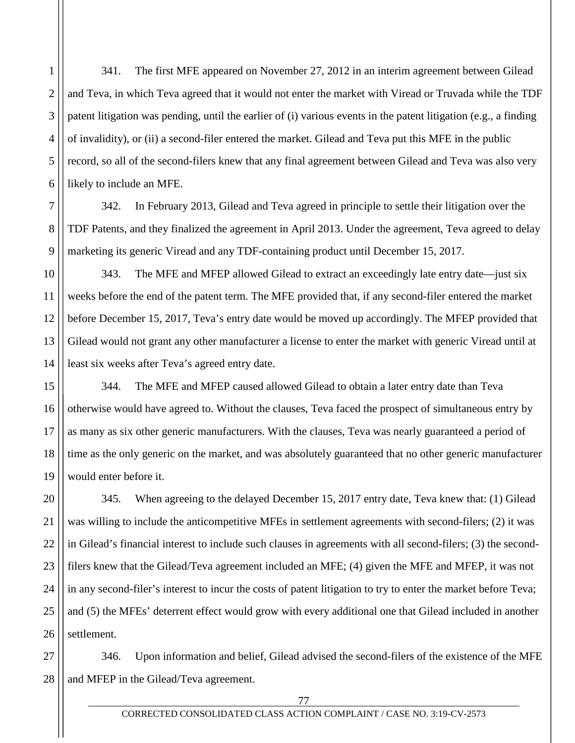341. The first MFE appeared on November 27, 2012 in an interim agreement between Gilead and Teva, in which Teva agreed that it would not enter the market with Viread or Truvada while the TDF patent litigation was pending, until the earlier of (i) various events in the patent litigation (e.g., a finding of invalidity), or (ii) a second-filer entered the market. Gilead and Teva put this MFE in the public record, so all of the second-filers knew that any final agreement between Gilead and Teva was also very likely to include an MFE.

342. In February 2013, Gilead and Teva agreed in principle to settle their litigation over the TDF Patents, and they finalized the agreement in April 2013. Under the agreement, Teva agreed to delay marketing its generic Viread and any TDF-containing product until December 15, 2017.

343. The MFE and MFEP allowed Gilead to extract an exceedingly late entry date—just six weeks before the end of the patent term. The MFE provided that, if any second-filer entered the market before December 15, 2017, Teva's entry date would be moved up accordingly. The MFEP provided that Gilead would not grant any other manufacturer a license to enter the market with generic Viread until at least six weeks after Teva's agreed entry date.

344. The MFE and MFEP caused allowed Gilead to obtain a later entry date than Teva otherwise would have agreed to. Without the clauses, Teva faced the prospect of simultaneous entry by as many as six other generic manufacturers. With the clauses, Teva was nearly guaranteed a period of time as the only generic on the market, and was absolutely guaranteed that no other generic manufacturer would enter before it.

345. When agreeing to the delayed December 15, 2017 entry date, Teva knew that: (1) Gilead was willing to include the anticompetitive MFEs in settlement agreements with second-filers; (2) it was in Gilead's financial interest to include such clauses in agreements with all second-filers; (3) the secondfilers knew that the Gilead/Teva agreement included an MFE; (4) given the MFE and MFEP, it was not in any second-filer's interest to incur the costs of patent litigation to try to enter the market before Teva; and (5) the MFEs' deterrent effect would grow with every additional one that Gilead included in another settlement.

28 346. Upon information and belief, Gilead advised the second-filers of the existence of the MFE and MFEP in the Gilead/Teva agreement.

1

2

3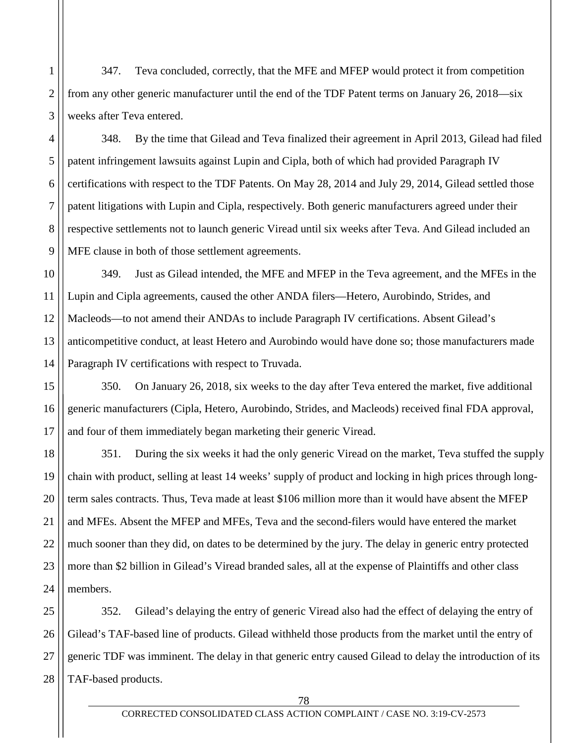347. Teva concluded, correctly, that the MFE and MFEP would protect it from competition from any other generic manufacturer until the end of the TDF Patent terms on January 26, 2018—six weeks after Teva entered.

1

2

3

4

5

6

7

8

9

15

17

348. By the time that Gilead and Teva finalized their agreement in April 2013, Gilead had filed patent infringement lawsuits against Lupin and Cipla, both of which had provided Paragraph IV certifications with respect to the TDF Patents. On May 28, 2014 and July 29, 2014, Gilead settled those patent litigations with Lupin and Cipla, respectively. Both generic manufacturers agreed under their respective settlements not to launch generic Viread until six weeks after Teva. And Gilead included an MFE clause in both of those settlement agreements.

10 11 12 13 14 349. Just as Gilead intended, the MFE and MFEP in the Teva agreement, and the MFEs in the Lupin and Cipla agreements, caused the other ANDA filers—Hetero, Aurobindo, Strides, and Macleods—to not amend their ANDAs to include Paragraph IV certifications. Absent Gilead's anticompetitive conduct, at least Hetero and Aurobindo would have done so; those manufacturers made Paragraph IV certifications with respect to Truvada.

16 350. On January 26, 2018, six weeks to the day after Teva entered the market, five additional generic manufacturers (Cipla, Hetero, Aurobindo, Strides, and Macleods) received final FDA approval, and four of them immediately began marketing their generic Viread.

18 19 20 21 22 23 24 351. During the six weeks it had the only generic Viread on the market, Teva stuffed the supply chain with product, selling at least 14 weeks' supply of product and locking in high prices through longterm sales contracts. Thus, Teva made at least \$106 million more than it would have absent the MFEP and MFEs. Absent the MFEP and MFEs, Teva and the second-filers would have entered the market much sooner than they did, on dates to be determined by the jury. The delay in generic entry protected more than \$2 billion in Gilead's Viread branded sales, all at the expense of Plaintiffs and other class members.

25 26 27 28 352. Gilead's delaying the entry of generic Viread also had the effect of delaying the entry of Gilead's TAF-based line of products. Gilead withheld those products from the market until the entry of generic TDF was imminent. The delay in that generic entry caused Gilead to delay the introduction of its TAF-based products.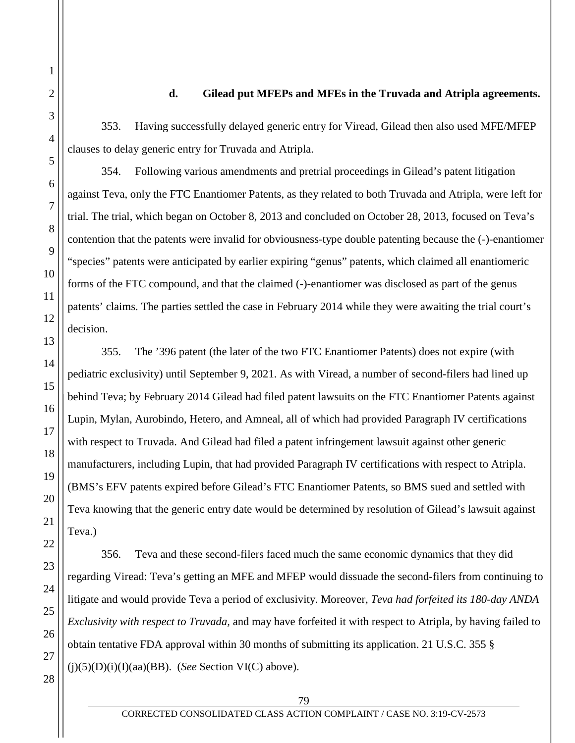### **d. Gilead put MFEPs and MFEs in the Truvada and Atripla agreements.**

353. Having successfully delayed generic entry for Viread, Gilead then also used MFE/MFEP clauses to delay generic entry for Truvada and Atripla.

354. Following various amendments and pretrial proceedings in Gilead's patent litigation against Teva, only the FTC Enantiomer Patents, as they related to both Truvada and Atripla, were left for trial. The trial, which began on October 8, 2013 and concluded on October 28, 2013, focused on Teva's contention that the patents were invalid for obviousness-type double patenting because the (-)-enantiomer "species" patents were anticipated by earlier expiring "genus" patents, which claimed all enantiomeric forms of the FTC compound, and that the claimed (-)-enantiomer was disclosed as part of the genus patents' claims. The parties settled the case in February 2014 while they were awaiting the trial court's decision.

355. The '396 patent (the later of the two FTC Enantiomer Patents) does not expire (with pediatric exclusivity) until September 9, 2021. As with Viread, a number of second-filers had lined up behind Teva; by February 2014 Gilead had filed patent lawsuits on the FTC Enantiomer Patents against Lupin, Mylan, Aurobindo, Hetero, and Amneal, all of which had provided Paragraph IV certifications with respect to Truvada. And Gilead had filed a patent infringement lawsuit against other generic manufacturers, including Lupin, that had provided Paragraph IV certifications with respect to Atripla. (BMS's EFV patents expired before Gilead's FTC Enantiomer Patents, so BMS sued and settled with Teva knowing that the generic entry date would be determined by resolution of Gilead's lawsuit against Teva.)

356. Teva and these second-filers faced much the same economic dynamics that they did regarding Viread: Teva's getting an MFE and MFEP would dissuade the second-filers from continuing to litigate and would provide Teva a period of exclusivity. Moreover, *Teva had forfeited its 180-day ANDA Exclusivity with respect to Truvada,* and may have forfeited it with respect to Atripla, by having failed to obtain tentative FDA approval within 30 months of submitting its application. 21 U.S.C. 355 §  $(j)(5)(D)(i)(I)(aa)(BB)$ . (*See* Section VI(C) above).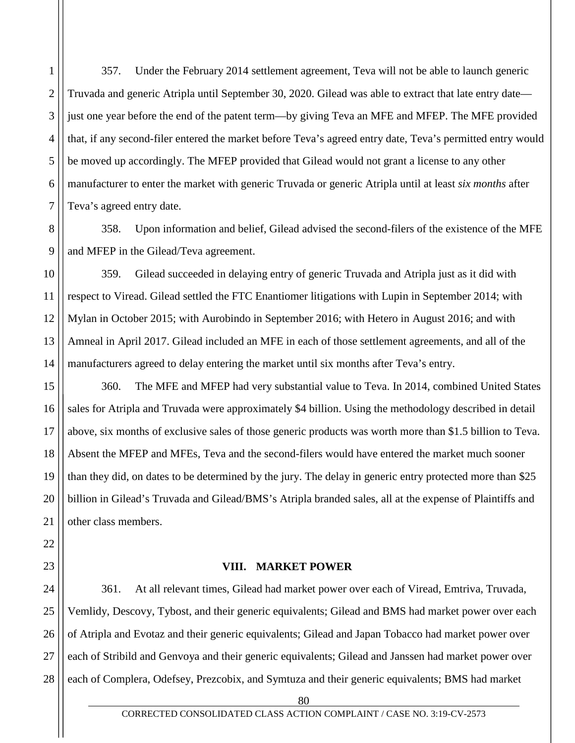357. Under the February 2014 settlement agreement, Teva will not be able to launch generic Truvada and generic Atripla until September 30, 2020. Gilead was able to extract that late entry date just one year before the end of the patent term—by giving Teva an MFE and MFEP. The MFE provided that, if any second-filer entered the market before Teva's agreed entry date, Teva's permitted entry would be moved up accordingly. The MFEP provided that Gilead would not grant a license to any other manufacturer to enter the market with generic Truvada or generic Atripla until at least *six months* after Teva's agreed entry date.

358. Upon information and belief, Gilead advised the second-filers of the existence of the MFE and MFEP in the Gilead/Teva agreement.

359. Gilead succeeded in delaying entry of generic Truvada and Atripla just as it did with respect to Viread. Gilead settled the FTC Enantiomer litigations with Lupin in September 2014; with Mylan in October 2015; with Aurobindo in September 2016; with Hetero in August 2016; and with Amneal in April 2017. Gilead included an MFE in each of those settlement agreements, and all of the manufacturers agreed to delay entering the market until six months after Teva's entry.

360. The MFE and MFEP had very substantial value to Teva. In 2014, combined United States sales for Atripla and Truvada were approximately \$4 billion. Using the methodology described in detail above, six months of exclusive sales of those generic products was worth more than \$1.5 billion to Teva. Absent the MFEP and MFEs, Teva and the second-filers would have entered the market much sooner than they did, on dates to be determined by the jury. The delay in generic entry protected more than \$25 billion in Gilead's Truvada and Gilead/BMS's Atripla branded sales, all at the expense of Plaintiffs and other class members.

#### **VIII. MARKET POWER**

361. At all relevant times, Gilead had market power over each of Viread, Emtriva, Truvada, Vemlidy, Descovy, Tybost, and their generic equivalents; Gilead and BMS had market power over each of Atripla and Evotaz and their generic equivalents; Gilead and Japan Tobacco had market power over each of Stribild and Genvoya and their generic equivalents; Gilead and Janssen had market power over each of Complera, Odefsey, Prezcobix, and Symtuza and their generic equivalents; BMS had market

80

1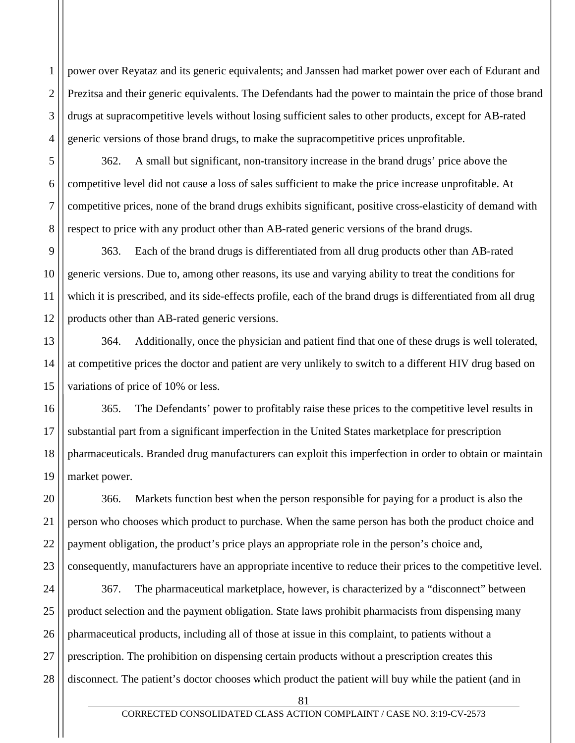2 3 4 power over Reyataz and its generic equivalents; and Janssen had market power over each of Edurant and Prezitsa and their generic equivalents. The Defendants had the power to maintain the price of those brand drugs at supracompetitive levels without losing sufficient sales to other products, except for AB-rated generic versions of those brand drugs, to make the supracompetitive prices unprofitable.

1

5

6

7

8

14

362. A small but significant, non-transitory increase in the brand drugs' price above the competitive level did not cause a loss of sales sufficient to make the price increase unprofitable. At competitive prices, none of the brand drugs exhibits significant, positive cross-elasticity of demand with respect to price with any product other than AB-rated generic versions of the brand drugs.

9 10 11 12 363. Each of the brand drugs is differentiated from all drug products other than AB-rated generic versions. Due to, among other reasons, its use and varying ability to treat the conditions for which it is prescribed, and its side-effects profile, each of the brand drugs is differentiated from all drug products other than AB-rated generic versions.

13 15 364. Additionally, once the physician and patient find that one of these drugs is well tolerated, at competitive prices the doctor and patient are very unlikely to switch to a different HIV drug based on variations of price of 10% or less.

16 17 18 19 365. The Defendants' power to profitably raise these prices to the competitive level results in substantial part from a significant imperfection in the United States marketplace for prescription pharmaceuticals. Branded drug manufacturers can exploit this imperfection in order to obtain or maintain market power.

20 21 22 23 366. Markets function best when the person responsible for paying for a product is also the person who chooses which product to purchase. When the same person has both the product choice and payment obligation, the product's price plays an appropriate role in the person's choice and, consequently, manufacturers have an appropriate incentive to reduce their prices to the competitive level.

24 25 26 27 28 367. The pharmaceutical marketplace, however, is characterized by a "disconnect" between product selection and the payment obligation. State laws prohibit pharmacists from dispensing many pharmaceutical products, including all of those at issue in this complaint, to patients without a prescription. The prohibition on dispensing certain products without a prescription creates this disconnect. The patient's doctor chooses which product the patient will buy while the patient (and in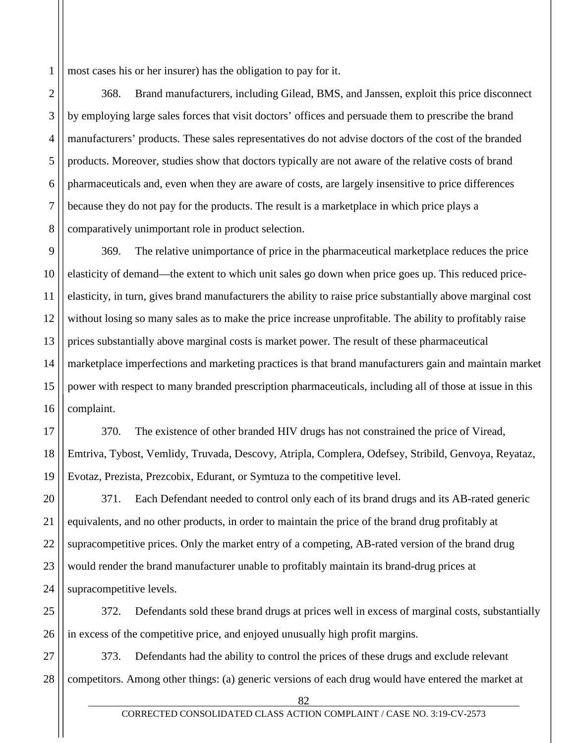1 most cases his or her insurer) has the obligation to pay for it.

2 3 4 5 6 7 8 368. Brand manufacturers, including Gilead, BMS, and Janssen, exploit this price disconnect by employing large sales forces that visit doctors' offices and persuade them to prescribe the brand manufacturers' products. These sales representatives do not advise doctors of the cost of the branded products. Moreover, studies show that doctors typically are not aware of the relative costs of brand pharmaceuticals and, even when they are aware of costs, are largely insensitive to price differences because they do not pay for the products. The result is a marketplace in which price plays a comparatively unimportant role in product selection.

9 10 11 12 13 14 15 16 369. The relative unimportance of price in the pharmaceutical marketplace reduces the price elasticity of demand—the extent to which unit sales go down when price goes up. This reduced priceelasticity, in turn, gives brand manufacturers the ability to raise price substantially above marginal cost without losing so many sales as to make the price increase unprofitable. The ability to profitably raise prices substantially above marginal costs is market power. The result of these pharmaceutical marketplace imperfections and marketing practices is that brand manufacturers gain and maintain market power with respect to many branded prescription pharmaceuticals, including all of those at issue in this complaint.

17 18 19 370. The existence of other branded HIV drugs has not constrained the price of Viread, Emtriva, Tybost, Vemlidy, Truvada, Descovy, Atripla, Complera, Odefsey, Stribild, Genvoya, Reyataz, Evotaz, Prezista, Prezcobix, Edurant, or Symtuza to the competitive level.

20 21 22 23 24 371. Each Defendant needed to control only each of its brand drugs and its AB-rated generic equivalents, and no other products, in order to maintain the price of the brand drug profitably at supracompetitive prices. Only the market entry of a competing, AB-rated version of the brand drug would render the brand manufacturer unable to profitably maintain its brand-drug prices at supracompetitive levels.

25 26 372. Defendants sold these brand drugs at prices well in excess of marginal costs, substantially in excess of the competitive price, and enjoyed unusually high profit margins.

27 28 373. Defendants had the ability to control the prices of these drugs and exclude relevant competitors. Among other things: (a) generic versions of each drug would have entered the market at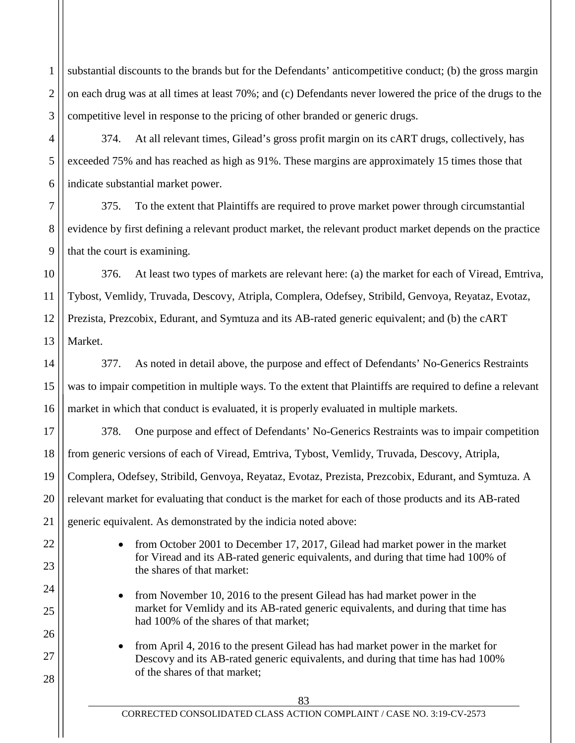1 2 3 substantial discounts to the brands but for the Defendants' anticompetitive conduct; (b) the gross margin on each drug was at all times at least 70%; and (c) Defendants never lowered the price of the drugs to the competitive level in response to the pricing of other branded or generic drugs.

374. At all relevant times, Gilead's gross profit margin on its cART drugs, collectively, has exceeded 75% and has reached as high as 91%. These margins are approximately 15 times those that indicate substantial market power.

4

5

6

7

8

9

22

23

24

25

26

27

28

375. To the extent that Plaintiffs are required to prove market power through circumstantial evidence by first defining a relevant product market, the relevant product market depends on the practice that the court is examining.

10 11 12 13 376. At least two types of markets are relevant here: (a) the market for each of Viread, Emtriva, Tybost, Vemlidy, Truvada, Descovy, Atripla, Complera, Odefsey, Stribild, Genvoya, Reyataz, Evotaz, Prezista, Prezcobix, Edurant, and Symtuza and its AB-rated generic equivalent; and (b) the cART Market.

14 15 16 377. As noted in detail above, the purpose and effect of Defendants' No-Generics Restraints was to impair competition in multiple ways. To the extent that Plaintiffs are required to define a relevant market in which that conduct is evaluated, it is properly evaluated in multiple markets.

17 18 19 20 21 378. One purpose and effect of Defendants' No-Generics Restraints was to impair competition from generic versions of each of Viread, Emtriva, Tybost, Vemlidy, Truvada, Descovy, Atripla, Complera, Odefsey, Stribild, Genvoya, Reyataz, Evotaz, Prezista, Prezcobix, Edurant, and Symtuza. A relevant market for evaluating that conduct is the market for each of those products and its AB-rated generic equivalent. As demonstrated by the indicia noted above:

- from October 2001 to December 17, 2017, Gilead had market power in the market for Viread and its AB-rated generic equivalents, and during that time had 100% of the shares of that market:
- from November 10, 2016 to the present Gilead has had market power in the market for Vemlidy and its AB-rated generic equivalents, and during that time has had 100% of the shares of that market;
- from April 4, 2016 to the present Gilead has had market power in the market for Descovy and its AB-rated generic equivalents, and during that time has had 100% of the shares of that market;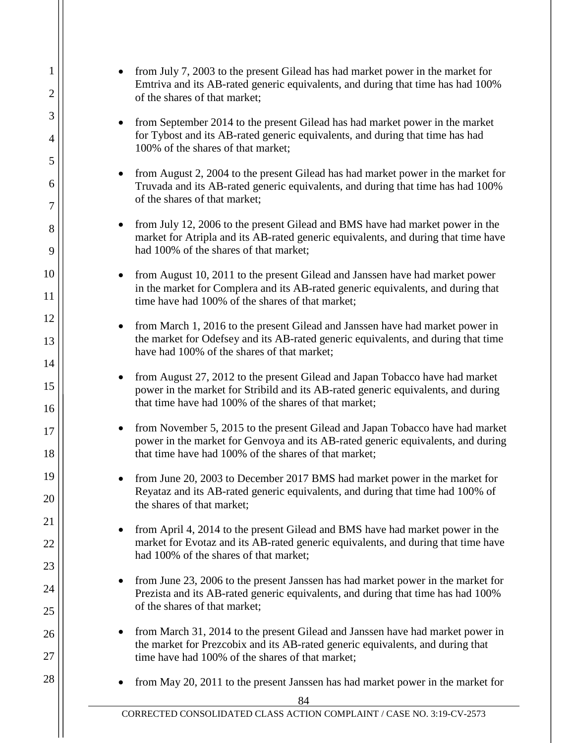| $\mathbf{1}$<br>2   | from July 7, 2003 to the present Gilead has had market power in the market for<br>Emtriva and its AB-rated generic equivalents, and during that time has had 100%<br>of the shares of that market;                                      |
|---------------------|-----------------------------------------------------------------------------------------------------------------------------------------------------------------------------------------------------------------------------------------|
| 3                   | from September 2014 to the present Gilead has had market power in the market<br>$\bullet$<br>for Tybost and its AB-rated generic equivalents, and during that time has had                                                              |
| $\overline{4}$<br>5 | 100% of the shares of that market;                                                                                                                                                                                                      |
| 6<br>7              | from August 2, 2004 to the present Gilead has had market power in the market for<br>$\bullet$<br>Truvada and its AB-rated generic equivalents, and during that time has had 100%<br>of the shares of that market;                       |
| 8<br>9              | from July 12, 2006 to the present Gilead and BMS have had market power in the<br>market for Atripla and its AB-rated generic equivalents, and during that time have<br>had 100% of the shares of that market;                           |
| 10<br>11            | from August 10, 2011 to the present Gilead and Janssen have had market power<br>in the market for Complera and its AB-rated generic equivalents, and during that<br>time have had 100% of the shares of that market;                    |
| 12<br>13            | from March 1, 2016 to the present Gilead and Janssen have had market power in<br>the market for Odefsey and its AB-rated generic equivalents, and during that time<br>have had 100% of the shares of that market;                       |
| 14<br>15<br>16      | from August 27, 2012 to the present Gilead and Japan Tobacco have had market<br>$\bullet$<br>power in the market for Stribild and its AB-rated generic equivalents, and during<br>that time have had 100% of the shares of that market; |
| 17<br>18            | from November 5, 2015 to the present Gilead and Japan Tobacco have had market<br>power in the market for Genvoya and its AB-rated generic equivalents, and during<br>that time have had 100% of the shares of that market;              |
| 19<br>20            | from June 20, 2003 to December 2017 BMS had market power in the market for<br>Reyataz and its AB-rated generic equivalents, and during that time had 100% of<br>the shares of that market;                                              |
| 21<br>22            | from April 4, 2014 to the present Gilead and BMS have had market power in the<br>market for Evotaz and its AB-rated generic equivalents, and during that time have<br>had 100% of the shares of that market;                            |
| 23<br>24            | from June 23, 2006 to the present Janssen has had market power in the market for<br>Prezista and its AB-rated generic equivalents, and during that time has had 100%<br>of the shares of that market;                                   |
| 25<br>26<br>27      | from March 31, 2014 to the present Gilead and Janssen have had market power in<br>the market for Prezcobix and its AB-rated generic equivalents, and during that<br>time have had 100% of the shares of that market;                    |
| 28                  | from May 20, 2011 to the present Janssen has had market power in the market for<br>84                                                                                                                                                   |
|                     | CORRECTED CONSOLIDATED CLASS ACTION COMPLAINT / CASE NO. 3:19-CV-2573                                                                                                                                                                   |
|                     |                                                                                                                                                                                                                                         |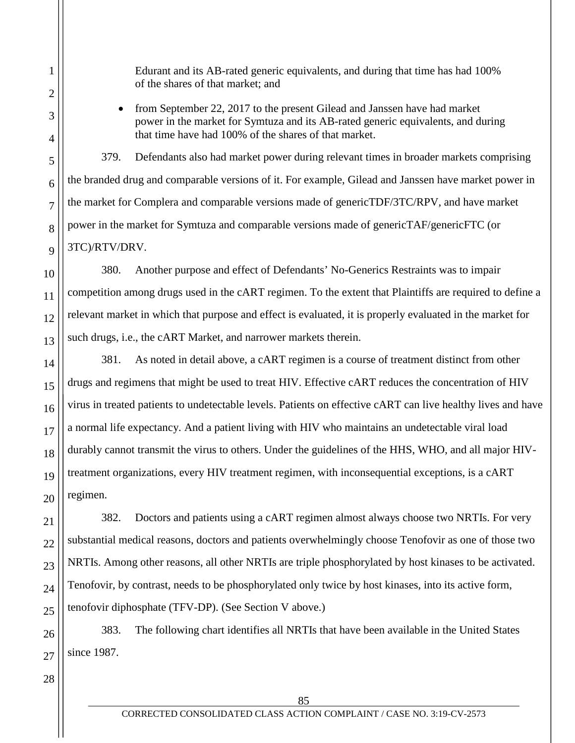Edurant and its AB-rated generic equivalents, and during that time has had 100% of the shares of that market; and

• from September 22, 2017 to the present Gilead and Janssen have had market power in the market for Symtuza and its AB-rated generic equivalents, and during that time have had 100% of the shares of that market.

379. Defendants also had market power during relevant times in broader markets comprising the branded drug and comparable versions of it. For example, Gilead and Janssen have market power in the market for Complera and comparable versions made of genericTDF/3TC/RPV, and have market power in the market for Symtuza and comparable versions made of genericTAF/genericFTC (or 3TC)/RTV/DRV.

380. Another purpose and effect of Defendants' No-Generics Restraints was to impair competition among drugs used in the cART regimen. To the extent that Plaintiffs are required to define a relevant market in which that purpose and effect is evaluated, it is properly evaluated in the market for such drugs, i.e., the cART Market, and narrower markets therein.

381. As noted in detail above, a cART regimen is a course of treatment distinct from other drugs and regimens that might be used to treat HIV. Effective cART reduces the concentration of HIV virus in treated patients to undetectable levels. Patients on effective cART can live healthy lives and have a normal life expectancy. And a patient living with HIV who maintains an undetectable viral load durably cannot transmit the virus to others. Under the guidelines of the HHS, WHO, and all major HIVtreatment organizations, every HIV treatment regimen, with inconsequential exceptions, is a cART regimen.

382. Doctors and patients using a cART regimen almost always choose two NRTIs. For very substantial medical reasons, doctors and patients overwhelmingly choose Tenofovir as one of those two NRTIs. Among other reasons, all other NRTIs are triple phosphorylated by host kinases to be activated. Tenofovir, by contrast, needs to be phosphorylated only twice by host kinases, into its active form, tenofovir diphosphate (TFV-DP). (See Section V above.)

383. The following chart identifies all NRTIs that have been available in the United States since 1987.

1

2

3

4

5

6

7

8

9

10

11

12

13

14

15

16

17

18

19

20

21

22

23

24

25

26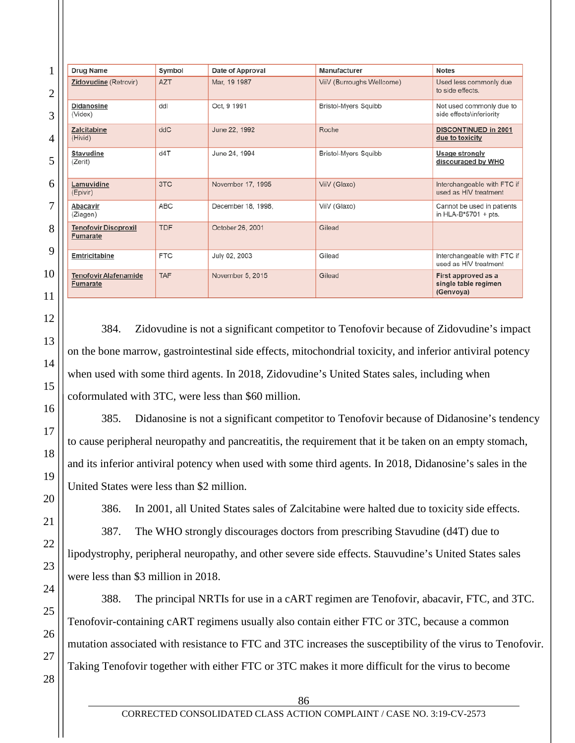| $\mathbf{1}$   | <b>Drug Name</b>                                | Symbol     | Date of Approval   | Manufacturer                | <b>Notes</b>                                             |
|----------------|-------------------------------------------------|------------|--------------------|-----------------------------|----------------------------------------------------------|
| $\overline{c}$ | <b>Zidovudine (Retrovir)</b>                    | <b>AZT</b> | Mar, 19 1987       | ViiV (Burroughs Wellcome)   | Used less commonly due<br>to side effects.               |
| 3              | <b>Didanosine</b><br>(Videx)                    | ddl        | Oct, 9 1991        | <b>Bristol-Myers Squibb</b> | Not used commonly due to<br>side effects\inferiority     |
| 4              | Zalcitabine<br>(Hivid)                          | ddC        | June 22, 1992      | Roche                       | <b>DISCONTINUED in 2001</b><br>due to toxicity           |
| 5              | <b>Stavudine</b><br>(Zerit)                     | d4T        | June 24, 1994      | <b>Bristol-Myers Squibb</b> | <b>Usage strongly</b><br>discouraged by WHO              |
| 6              | Lamuvidine<br>(Epivir)                          | 3TC        | November 17, 1995  | ViiV (Glaxo)                | Interchangeable with FTC if<br>used as HIV treatment     |
| 7              | Abacavir<br>(Ziagen)                            | ABC        | December 18, 1998, | ViiV (Glaxo)                | Cannot be used in patients<br>in HLA-B*5701 + pts.       |
| 8              | <b>Tenofovir Disoproxil</b><br><b>Fumarate</b>  | <b>TDF</b> | October 26, 2001   | Gilead                      |                                                          |
| 9              | Emtricitabine                                   | <b>FTC</b> | July 02, 2003      | Gilead                      | Interchangeable with FTC if<br>used as HIV treatment     |
| $\overline{0}$ | <b>Tenofovir Alafenamide</b><br><b>Fumarate</b> | <b>TAF</b> | November 5, 2015   | Gilead                      | First approved as a<br>single table regimen<br>(Genvoya) |

384. Zidovudine is not a significant competitor to Tenofovir because of Zidovudine's impact on the bone marrow, gastrointestinal side effects, mitochondrial toxicity, and inferior antiviral potency when used with some third agents. In 2018, Zidovudine's United States sales, including when coformulated with 3TC, were less than \$60 million.

385. Didanosine is not a significant competitor to Tenofovir because of Didanosine's tendency to cause peripheral neuropathy and pancreatitis, the requirement that it be taken on an empty stomach, and its inferior antiviral potency when used with some third agents. In 2018, Didanosine's sales in the United States were less than \$2 million.

386. In 2001, all United States sales of Zalcitabine were halted due to toxicity side effects.

387. The WHO strongly discourages doctors from prescribing Stavudine (d4T) due to lipodystrophy, peripheral neuropathy, and other severe side effects. Stauvudine's United States sales were less than \$3 million in 2018.

388. The principal NRTIs for use in a cART regimen are Tenofovir, abacavir, FTC, and 3TC. Tenofovir-containing cART regimens usually also contain either FTC or 3TC, because a common mutation associated with resistance to FTC and 3TC increases the susceptibility of the virus to Tenofovir. Taking Tenofovir together with either FTC or 3TC makes it more difficult for the virus to become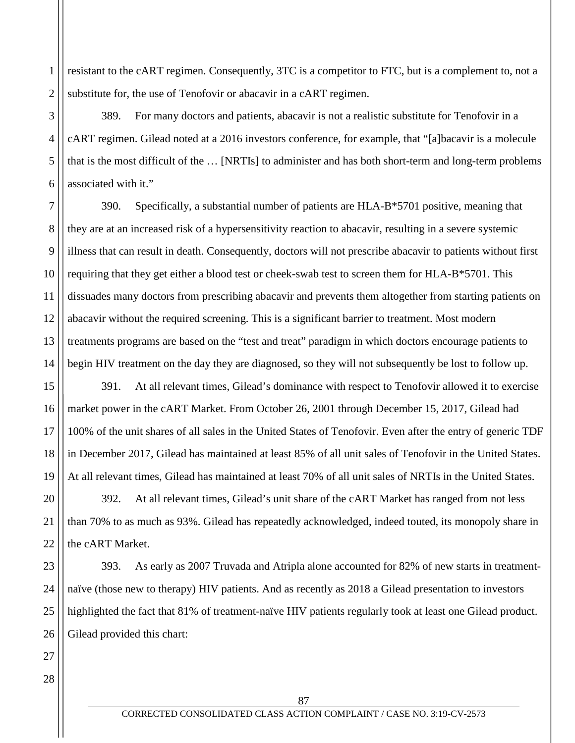1 2 resistant to the cART regimen. Consequently, 3TC is a competitor to FTC, but is a complement to, not a substitute for, the use of Tenofovir or abacavir in a cART regimen.

389. For many doctors and patients, abacavir is not a realistic substitute for Tenofovir in a cART regimen. Gilead noted at a 2016 investors conference, for example, that "[a]bacavir is a molecule that is the most difficult of the … [NRTIs] to administer and has both short-term and long-term problems associated with it."

390. Specifically, a substantial number of patients are HLA-B\*5701 positive, meaning that they are at an increased risk of a hypersensitivity reaction to abacavir, resulting in a severe systemic illness that can result in death. Consequently, doctors will not prescribe abacavir to patients without first requiring that they get either a blood test or cheek-swab test to screen them for HLA-B\*5701. This dissuades many doctors from prescribing abacavir and prevents them altogether from starting patients on abacavir without the required screening. This is a significant barrier to treatment. Most modern treatments programs are based on the "test and treat" paradigm in which doctors encourage patients to begin HIV treatment on the day they are diagnosed, so they will not subsequently be lost to follow up.

391. At all relevant times, Gilead's dominance with respect to Tenofovir allowed it to exercise market power in the cART Market. From October 26, 2001 through December 15, 2017, Gilead had 100% of the unit shares of all sales in the United States of Tenofovir. Even after the entry of generic TDF in December 2017, Gilead has maintained at least 85% of all unit sales of Tenofovir in the United States. At all relevant times, Gilead has maintained at least 70% of all unit sales of NRTIs in the United States.

392. At all relevant times, Gilead's unit share of the cART Market has ranged from not less than 70% to as much as 93%. Gilead has repeatedly acknowledged, indeed touted, its monopoly share in the cART Market.

393. As early as 2007 Truvada and Atripla alone accounted for 82% of new starts in treatmentnaïve (those new to therapy) HIV patients. And as recently as 2018 a Gilead presentation to investors highlighted the fact that 81% of treatment-naïve HIV patients regularly took at least one Gilead product. Gilead provided this chart:

3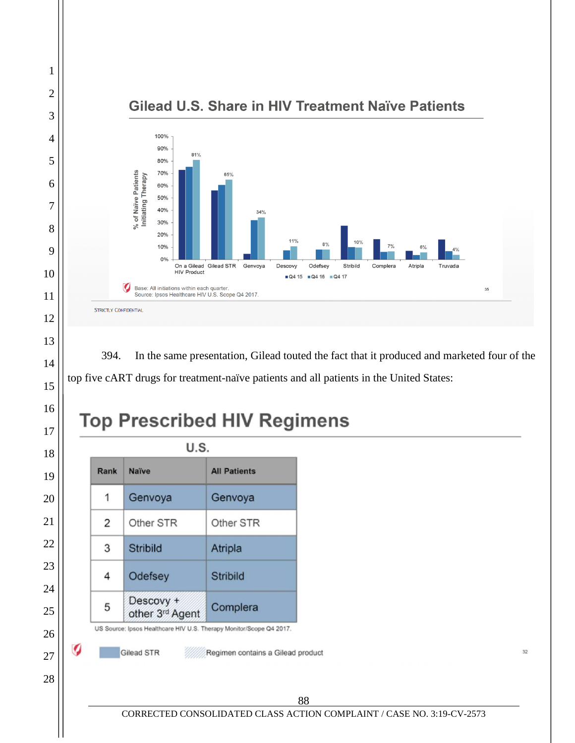

394. In the same presentation, Gilead touted the fact that it produced and marketed four of the top five cART drugs for treatment-naïve patients and all patients in the United States:

# **Top Prescribed HIV Regimens**

| Rank           | <b>Naïve</b>                 | <b>All Patients</b> |
|----------------|------------------------------|---------------------|
| 1              | Genvoya                      | Genvoya             |
| $\overline{2}$ | Other STR                    | Other STR           |
| 3              | <b>Stribild</b>              | Atripla             |
| 4              | Odefsey                      | <b>Stribild</b>     |
| 5              | Descovy +<br>other 3rd Agent | Complera            |

CORRECTED CONSOLIDATED CLASS ACTION COMPLAINT / CASE NO. 3:19-CV-2573

 $32\,$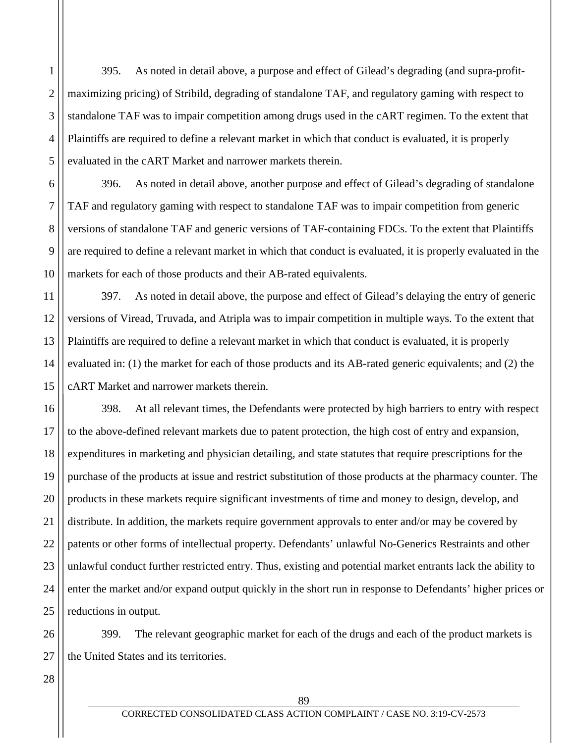395. As noted in detail above, a purpose and effect of Gilead's degrading (and supra-profitmaximizing pricing) of Stribild, degrading of standalone TAF, and regulatory gaming with respect to standalone TAF was to impair competition among drugs used in the cART regimen. To the extent that Plaintiffs are required to define a relevant market in which that conduct is evaluated, it is properly evaluated in the cART Market and narrower markets therein.

396. As noted in detail above, another purpose and effect of Gilead's degrading of standalone TAF and regulatory gaming with respect to standalone TAF was to impair competition from generic versions of standalone TAF and generic versions of TAF-containing FDCs. To the extent that Plaintiffs are required to define a relevant market in which that conduct is evaluated, it is properly evaluated in the markets for each of those products and their AB-rated equivalents.

397. As noted in detail above, the purpose and effect of Gilead's delaying the entry of generic versions of Viread, Truvada, and Atripla was to impair competition in multiple ways. To the extent that Plaintiffs are required to define a relevant market in which that conduct is evaluated, it is properly evaluated in: (1) the market for each of those products and its AB-rated generic equivalents; and (2) the cART Market and narrower markets therein.

16 17 18 19 20 21 22 23 24 25 398. At all relevant times, the Defendants were protected by high barriers to entry with respect to the above-defined relevant markets due to patent protection, the high cost of entry and expansion, expenditures in marketing and physician detailing, and state statutes that require prescriptions for the purchase of the products at issue and restrict substitution of those products at the pharmacy counter. The products in these markets require significant investments of time and money to design, develop, and distribute. In addition, the markets require government approvals to enter and/or may be covered by patents or other forms of intellectual property. Defendants' unlawful No-Generics Restraints and other unlawful conduct further restricted entry. Thus, existing and potential market entrants lack the ability to enter the market and/or expand output quickly in the short run in response to Defendants' higher prices or reductions in output.

26 27 399. The relevant geographic market for each of the drugs and each of the product markets is the United States and its territories.

28

1

2

3

4

5

6

7

8

9

10

11

12

13

14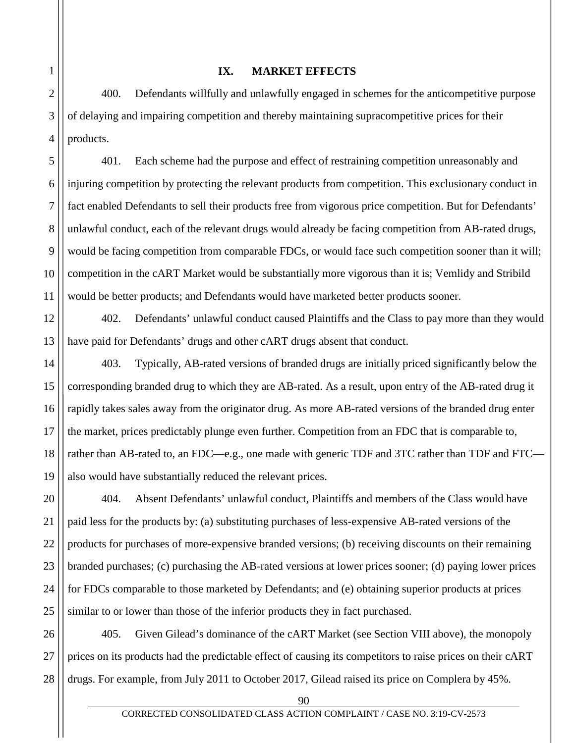## **IX. MARKET EFFECTS**

400. Defendants willfully and unlawfully engaged in schemes for the anticompetitive purpose of delaying and impairing competition and thereby maintaining supracompetitive prices for their products.

401. Each scheme had the purpose and effect of restraining competition unreasonably and injuring competition by protecting the relevant products from competition. This exclusionary conduct in fact enabled Defendants to sell their products free from vigorous price competition. But for Defendants' unlawful conduct, each of the relevant drugs would already be facing competition from AB-rated drugs, would be facing competition from comparable FDCs, or would face such competition sooner than it will; competition in the cART Market would be substantially more vigorous than it is; Vemlidy and Stribild would be better products; and Defendants would have marketed better products sooner.

402. Defendants' unlawful conduct caused Plaintiffs and the Class to pay more than they would have paid for Defendants' drugs and other cART drugs absent that conduct.

403. Typically, AB-rated versions of branded drugs are initially priced significantly below the corresponding branded drug to which they are AB-rated. As a result, upon entry of the AB-rated drug it rapidly takes sales away from the originator drug. As more AB-rated versions of the branded drug enter the market, prices predictably plunge even further. Competition from an FDC that is comparable to, rather than AB-rated to, an FDC—e.g., one made with generic TDF and 3TC rather than TDF and FTC also would have substantially reduced the relevant prices.

404. Absent Defendants' unlawful conduct, Plaintiffs and members of the Class would have paid less for the products by: (a) substituting purchases of less-expensive AB-rated versions of the products for purchases of more-expensive branded versions; (b) receiving discounts on their remaining branded purchases; (c) purchasing the AB-rated versions at lower prices sooner; (d) paying lower prices for FDCs comparable to those marketed by Defendants; and (e) obtaining superior products at prices similar to or lower than those of the inferior products they in fact purchased.

405. Given Gilead's dominance of the cART Market (see Section VIII above), the monopoly prices on its products had the predictable effect of causing its competitors to raise prices on their cART drugs. For example, from July 2011 to October 2017, Gilead raised its price on Complera by 45%.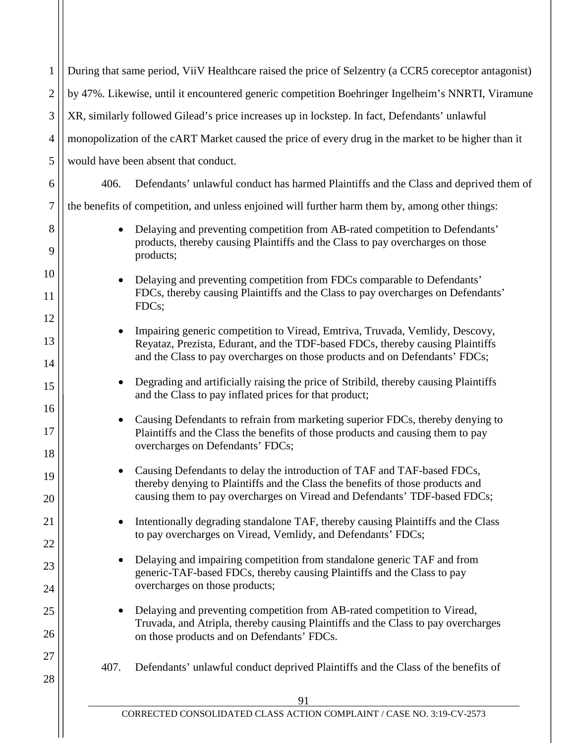| $\mathbf{1}$   | During that same period, ViiV Healthcare raised the price of Selzentry (a CCR5 coreceptor antagonist)                                                                                                                                         |  |  |  |
|----------------|-----------------------------------------------------------------------------------------------------------------------------------------------------------------------------------------------------------------------------------------------|--|--|--|
| 2              | by 47%. Likewise, until it encountered generic competition Boehringer Ingelheim's NNRTI, Viramune                                                                                                                                             |  |  |  |
| 3              | XR, similarly followed Gilead's price increases up in lockstep. In fact, Defendants' unlawful                                                                                                                                                 |  |  |  |
| 4              | monopolization of the cART Market caused the price of every drug in the market to be higher than it                                                                                                                                           |  |  |  |
| 5              | would have been absent that conduct.                                                                                                                                                                                                          |  |  |  |
| 6              | 406.<br>Defendants' unlawful conduct has harmed Plaintiffs and the Class and deprived them of                                                                                                                                                 |  |  |  |
| 7              | the benefits of competition, and unless enjoined will further harm them by, among other things:                                                                                                                                               |  |  |  |
| 8<br>9         | Delaying and preventing competition from AB-rated competition to Defendants'<br>products, thereby causing Plaintiffs and the Class to pay overcharges on those<br>products;                                                                   |  |  |  |
| 10<br>11       | Delaying and preventing competition from FDCs comparable to Defendants'<br>$\bullet$<br>FDCs, thereby causing Plaintiffs and the Class to pay overcharges on Defendants'<br>FDCs;                                                             |  |  |  |
| 12<br>13<br>14 | Impairing generic competition to Viread, Emtriva, Truvada, Vemlidy, Descovy,<br>Reyataz, Prezista, Edurant, and the TDF-based FDCs, thereby causing Plaintiffs<br>and the Class to pay overcharges on those products and on Defendants' FDCs; |  |  |  |
| 15             | Degrading and artificially raising the price of Stribild, thereby causing Plaintiffs<br>and the Class to pay inflated prices for that product;                                                                                                |  |  |  |
| 16<br>17<br>18 | Causing Defendants to refrain from marketing superior FDCs, thereby denying to<br>Plaintiffs and the Class the benefits of those products and causing them to pay<br>overcharges on Defendants' FDCs;                                         |  |  |  |
| 19<br>20       | • Causing Defendants to delay the introduction of TAF and TAF-based FDCs,<br>thereby denying to Plaintiffs and the Class the benefits of those products and<br>causing them to pay overcharges on Viread and Defendants' TDF-based FDCs;      |  |  |  |
| 21<br>22       | Intentionally degrading standalone TAF, thereby causing Plaintiffs and the Class<br>to pay overcharges on Viread, Vemlidy, and Defendants' FDCs;                                                                                              |  |  |  |
| 23<br>24       | Delaying and impairing competition from standalone generic TAF and from<br>generic-TAF-based FDCs, thereby causing Plaintiffs and the Class to pay<br>overcharges on those products;                                                          |  |  |  |
| 25<br>26       | Delaying and preventing competition from AB-rated competition to Viread,<br>Truvada, and Atripla, thereby causing Plaintiffs and the Class to pay overcharges<br>on those products and on Defendants' FDCs.                                   |  |  |  |
| 27<br>28       | Defendants' unlawful conduct deprived Plaintiffs and the Class of the benefits of<br>407.                                                                                                                                                     |  |  |  |
|                | 91                                                                                                                                                                                                                                            |  |  |  |

 $\mathbf{\mathcal{L}}$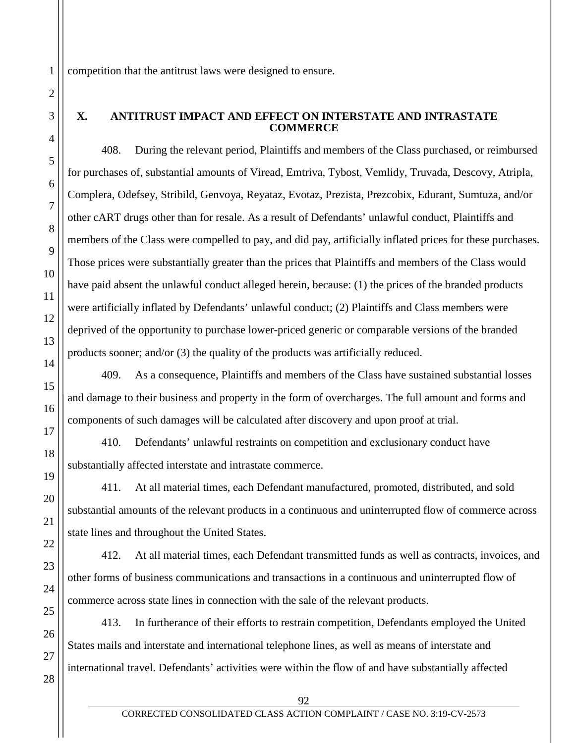competition that the antitrust laws were designed to ensure.

### **X. ANTITRUST IMPACT AND EFFECT ON INTERSTATE AND INTRASTATE COMMERCE**

408. During the relevant period, Plaintiffs and members of the Class purchased, or reimbursed for purchases of, substantial amounts of Viread, Emtriva, Tybost, Vemlidy, Truvada, Descovy, Atripla, Complera, Odefsey, Stribild, Genvoya, Reyataz, Evotaz, Prezista, Prezcobix, Edurant, Sumtuza, and/or other cART drugs other than for resale. As a result of Defendants' unlawful conduct, Plaintiffs and members of the Class were compelled to pay, and did pay, artificially inflated prices for these purchases. Those prices were substantially greater than the prices that Plaintiffs and members of the Class would have paid absent the unlawful conduct alleged herein, because: (1) the prices of the branded products were artificially inflated by Defendants' unlawful conduct; (2) Plaintiffs and Class members were deprived of the opportunity to purchase lower-priced generic or comparable versions of the branded products sooner; and/or (3) the quality of the products was artificially reduced.

409. As a consequence, Plaintiffs and members of the Class have sustained substantial losses and damage to their business and property in the form of overcharges. The full amount and forms and components of such damages will be calculated after discovery and upon proof at trial.

410. Defendants' unlawful restraints on competition and exclusionary conduct have substantially affected interstate and intrastate commerce.

411. At all material times, each Defendant manufactured, promoted, distributed, and sold substantial amounts of the relevant products in a continuous and uninterrupted flow of commerce across state lines and throughout the United States.

412. At all material times, each Defendant transmitted funds as well as contracts, invoices, and other forms of business communications and transactions in a continuous and uninterrupted flow of commerce across state lines in connection with the sale of the relevant products.

413. In furtherance of their efforts to restrain competition, Defendants employed the United States mails and interstate and international telephone lines, as well as means of interstate and international travel. Defendants' activities were within the flow of and have substantially affected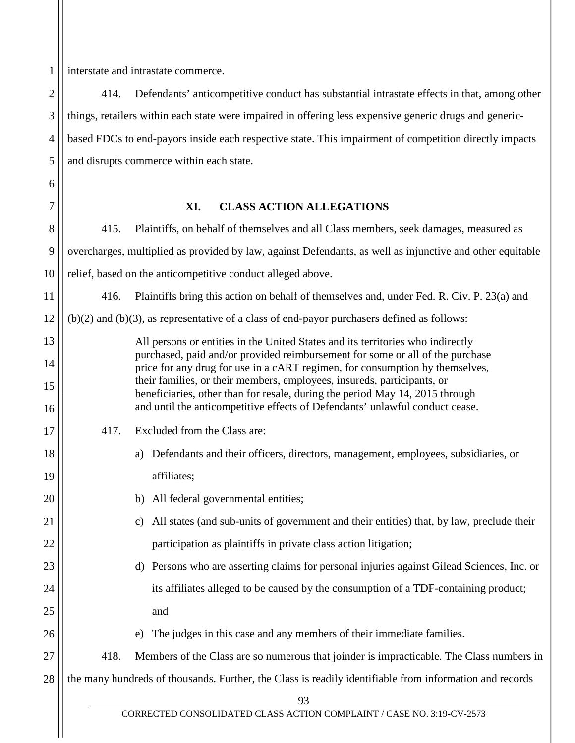1 interstate and intrastate commerce.

6

7

16

17

18

19

20

21

22

23

24

25

26

2 3 4 5 414. Defendants' anticompetitive conduct has substantial intrastate effects in that, among other things, retailers within each state were impaired in offering less expensive generic drugs and genericbased FDCs to end-payors inside each respective state. This impairment of competition directly impacts and disrupts commerce within each state.

# **XI. CLASS ACTION ALLEGATIONS**

8 9 10 11 12 13 14 15 415. Plaintiffs, on behalf of themselves and all Class members, seek damages, measured as overcharges, multiplied as provided by law, against Defendants, as well as injunctive and other equitable relief, based on the anticompetitive conduct alleged above. 416. Plaintiffs bring this action on behalf of themselves and, under Fed. R. Civ. P. 23(a) and (b)(2) and (b)(3), as representative of a class of end-payor purchasers defined as follows: All persons or entities in the United States and its territories who indirectly purchased, paid and/or provided reimbursement for some or all of the purchase price for any drug for use in a cART regimen, for consumption by themselves, their families, or their members, employees, insureds, participants, or

beneficiaries, other than for resale, during the period May 14, 2015 through and until the anticompetitive effects of Defendants' unlawful conduct cease.

- 417. Excluded from the Class are:
	- a) Defendants and their officers, directors, management, employees, subsidiaries, or affiliates;
	- b) All federal governmental entities;
- c) All states (and sub-units of government and their entities) that, by law, preclude their participation as plaintiffs in private class action litigation;
- d) Persons who are asserting claims for personal injuries against Gilead Sciences, Inc. or its affiliates alleged to be caused by the consumption of a TDF-containing product; and
	- e) The judges in this case and any members of their immediate families.

27 28 418. Members of the Class are so numerous that joinder is impracticable. The Class numbers in the many hundreds of thousands. Further, the Class is readily identifiable from information and records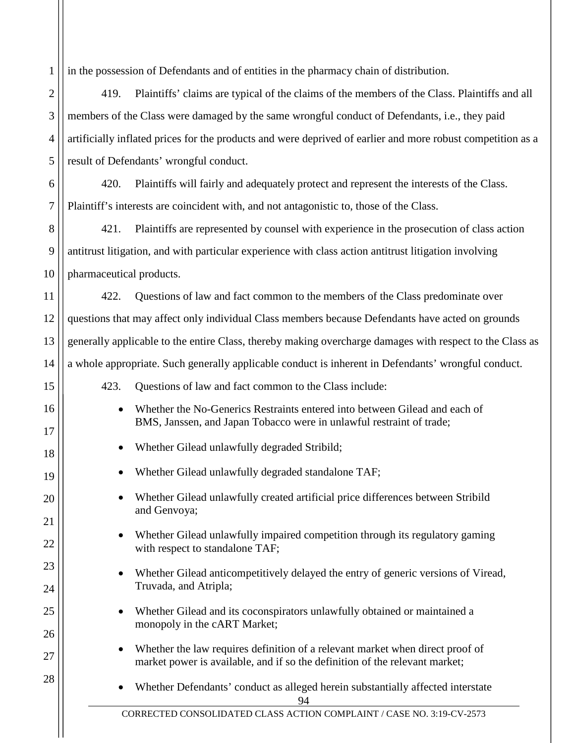1 in the possession of Defendants and of entities in the pharmacy chain of distribution.

2

3

4

5

15

16

17

18

19

20

21

22

23

24

25

26

27

28

419. Plaintiffs' claims are typical of the claims of the members of the Class. Plaintiffs and all members of the Class were damaged by the same wrongful conduct of Defendants, i.e., they paid artificially inflated prices for the products and were deprived of earlier and more robust competition as a result of Defendants' wrongful conduct.

6 7 420. Plaintiffs will fairly and adequately protect and represent the interests of the Class. Plaintiff's interests are coincident with, and not antagonistic to, those of the Class.

8 9 10 421. Plaintiffs are represented by counsel with experience in the prosecution of class action antitrust litigation, and with particular experience with class action antitrust litigation involving pharmaceutical products.

11 12 13 14 422. Questions of law and fact common to the members of the Class predominate over questions that may affect only individual Class members because Defendants have acted on grounds generally applicable to the entire Class, thereby making overcharge damages with respect to the Class as a whole appropriate. Such generally applicable conduct is inherent in Defendants' wrongful conduct.

- 423. Questions of law and fact common to the Class include:
	- Whether the No-Generics Restraints entered into between Gilead and each of BMS, Janssen, and Japan Tobacco were in unlawful restraint of trade;
	- Whether Gilead unlawfully degraded Stribild;
	- Whether Gilead unlawfully degraded standalone TAF;
	- Whether Gilead unlawfully created artificial price differences between Stribild and Genvoya;
	- Whether Gilead unlawfully impaired competition through its regulatory gaming with respect to standalone TAF;
	- Whether Gilead anticompetitively delayed the entry of generic versions of Viread, Truvada, and Atripla;
	- Whether Gilead and its coconspirators unlawfully obtained or maintained a monopoly in the cART Market;
	- Whether the law requires definition of a relevant market when direct proof of market power is available, and if so the definition of the relevant market;
	- 94 • Whether Defendants' conduct as alleged herein substantially affected interstate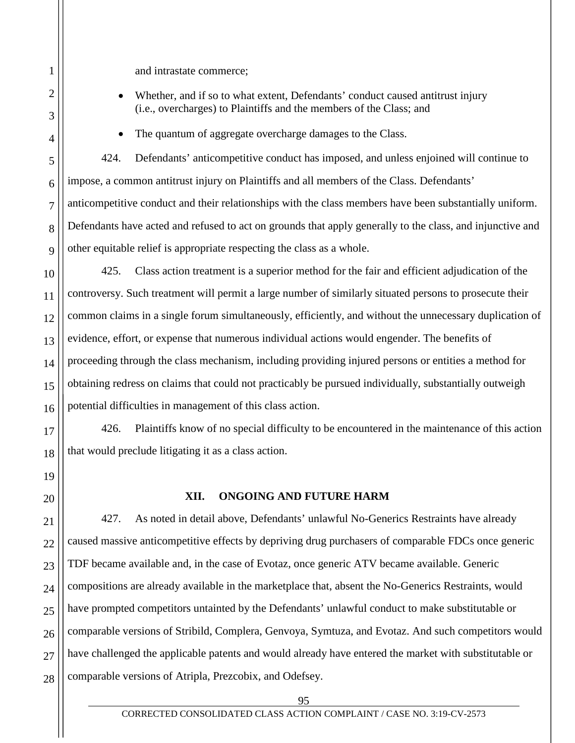and intrastate commerce;

- Whether, and if so to what extent, Defendants' conduct caused antitrust injury (i.e., overcharges) to Plaintiffs and the members of the Class; and
- The quantum of aggregate overcharge damages to the Class.

424. Defendants' anticompetitive conduct has imposed, and unless enjoined will continue to impose, a common antitrust injury on Plaintiffs and all members of the Class. Defendants' anticompetitive conduct and their relationships with the class members have been substantially uniform. Defendants have acted and refused to act on grounds that apply generally to the class, and injunctive and other equitable relief is appropriate respecting the class as a whole.

425. Class action treatment is a superior method for the fair and efficient adjudication of the controversy. Such treatment will permit a large number of similarly situated persons to prosecute their common claims in a single forum simultaneously, efficiently, and without the unnecessary duplication of evidence, effort, or expense that numerous individual actions would engender. The benefits of proceeding through the class mechanism, including providing injured persons or entities a method for obtaining redress on claims that could not practicably be pursued individually, substantially outweigh potential difficulties in management of this class action.

426. Plaintiffs know of no special difficulty to be encountered in the maintenance of this action that would preclude litigating it as a class action.

# **XII. ONGOING AND FUTURE HARM**

427. As noted in detail above, Defendants' unlawful No-Generics Restraints have already caused massive anticompetitive effects by depriving drug purchasers of comparable FDCs once generic TDF became available and, in the case of Evotaz, once generic ATV became available. Generic compositions are already available in the marketplace that, absent the No-Generics Restraints, would have prompted competitors untainted by the Defendants' unlawful conduct to make substitutable or comparable versions of Stribild, Complera, Genvoya, Symtuza, and Evotaz. And such competitors would have challenged the applicable patents and would already have entered the market with substitutable or comparable versions of Atripla, Prezcobix, and Odefsey.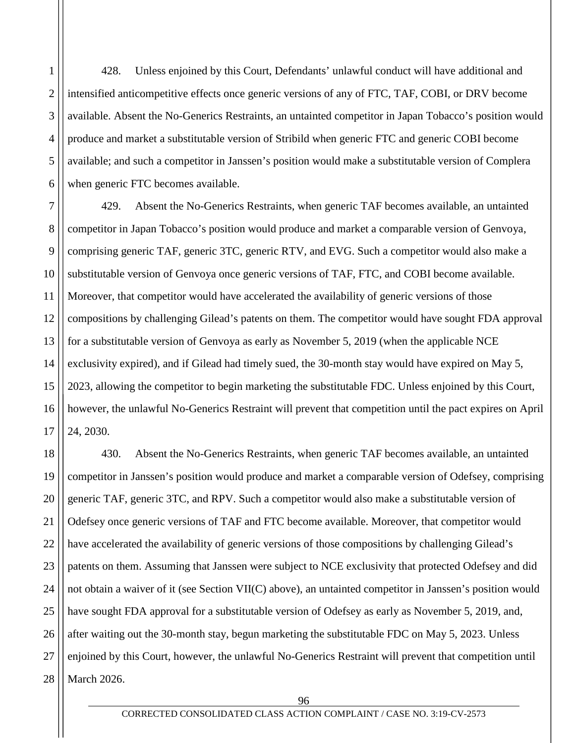1 2 3 4 5 6 428. Unless enjoined by this Court, Defendants' unlawful conduct will have additional and intensified anticompetitive effects once generic versions of any of FTC, TAF, COBI, or DRV become available. Absent the No-Generics Restraints, an untainted competitor in Japan Tobacco's position would produce and market a substitutable version of Stribild when generic FTC and generic COBI become available; and such a competitor in Janssen's position would make a substitutable version of Complera when generic FTC becomes available.

7 8 9 10 11 12 13 14 15 16 17 429. Absent the No-Generics Restraints, when generic TAF becomes available, an untainted competitor in Japan Tobacco's position would produce and market a comparable version of Genvoya, comprising generic TAF, generic 3TC, generic RTV, and EVG. Such a competitor would also make a substitutable version of Genvoya once generic versions of TAF, FTC, and COBI become available. Moreover, that competitor would have accelerated the availability of generic versions of those compositions by challenging Gilead's patents on them. The competitor would have sought FDA approval for a substitutable version of Genvoya as early as November 5, 2019 (when the applicable NCE exclusivity expired), and if Gilead had timely sued, the 30-month stay would have expired on May 5, 2023, allowing the competitor to begin marketing the substitutable FDC. Unless enjoined by this Court, however, the unlawful No-Generics Restraint will prevent that competition until the pact expires on April 24, 2030.

18 19 20 21 22 23 24 25 26 27 28 430. Absent the No-Generics Restraints, when generic TAF becomes available, an untainted competitor in Janssen's position would produce and market a comparable version of Odefsey, comprising generic TAF, generic 3TC, and RPV. Such a competitor would also make a substitutable version of Odefsey once generic versions of TAF and FTC become available. Moreover, that competitor would have accelerated the availability of generic versions of those compositions by challenging Gilead's patents on them. Assuming that Janssen were subject to NCE exclusivity that protected Odefsey and did not obtain a waiver of it (see Section VII(C) above), an untainted competitor in Janssen's position would have sought FDA approval for a substitutable version of Odefsey as early as November 5, 2019, and, after waiting out the 30-month stay, begun marketing the substitutable FDC on May 5, 2023. Unless enjoined by this Court, however, the unlawful No-Generics Restraint will prevent that competition until March 2026.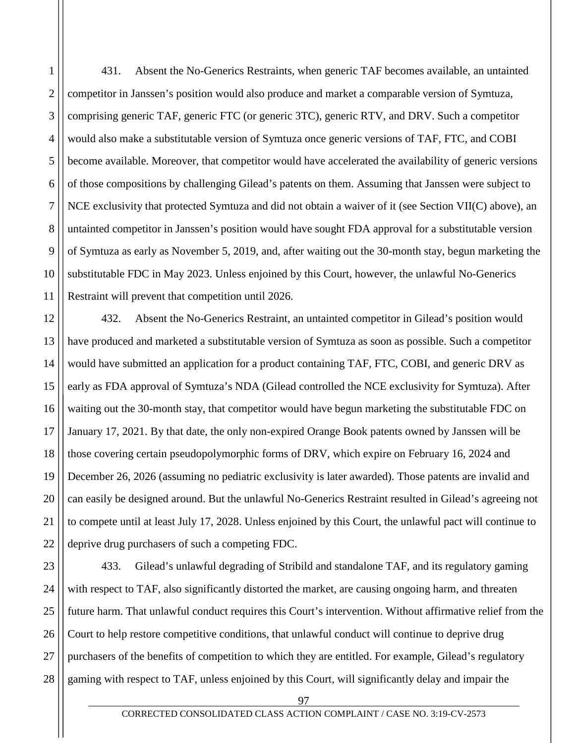1 2 3 4 5 6 7 8 9 10 11 431. Absent the No-Generics Restraints, when generic TAF becomes available, an untainted competitor in Janssen's position would also produce and market a comparable version of Symtuza, comprising generic TAF, generic FTC (or generic 3TC), generic RTV, and DRV. Such a competitor would also make a substitutable version of Symtuza once generic versions of TAF, FTC, and COBI become available. Moreover, that competitor would have accelerated the availability of generic versions of those compositions by challenging Gilead's patents on them. Assuming that Janssen were subject to NCE exclusivity that protected Symtuza and did not obtain a waiver of it (see Section VII(C) above), an untainted competitor in Janssen's position would have sought FDA approval for a substitutable version of Symtuza as early as November 5, 2019, and, after waiting out the 30-month stay, begun marketing the substitutable FDC in May 2023. Unless enjoined by this Court, however, the unlawful No-Generics Restraint will prevent that competition until 2026.

12 13 14 15 16 17 18 19 20 21 22 432. Absent the No-Generics Restraint, an untainted competitor in Gilead's position would have produced and marketed a substitutable version of Symtuza as soon as possible. Such a competitor would have submitted an application for a product containing TAF, FTC, COBI, and generic DRV as early as FDA approval of Symtuza's NDA (Gilead controlled the NCE exclusivity for Symtuza). After waiting out the 30-month stay, that competitor would have begun marketing the substitutable FDC on January 17, 2021. By that date, the only non-expired Orange Book patents owned by Janssen will be those covering certain pseudopolymorphic forms of DRV, which expire on February 16, 2024 and December 26, 2026 (assuming no pediatric exclusivity is later awarded). Those patents are invalid and can easily be designed around. But the unlawful No-Generics Restraint resulted in Gilead's agreeing not to compete until at least July 17, 2028. Unless enjoined by this Court, the unlawful pact will continue to deprive drug purchasers of such a competing FDC.

23 24 25 26 27 28 433. Gilead's unlawful degrading of Stribild and standalone TAF, and its regulatory gaming with respect to TAF, also significantly distorted the market, are causing ongoing harm, and threaten future harm. That unlawful conduct requires this Court's intervention. Without affirmative relief from the Court to help restore competitive conditions, that unlawful conduct will continue to deprive drug purchasers of the benefits of competition to which they are entitled. For example, Gilead's regulatory gaming with respect to TAF, unless enjoined by this Court, will significantly delay and impair the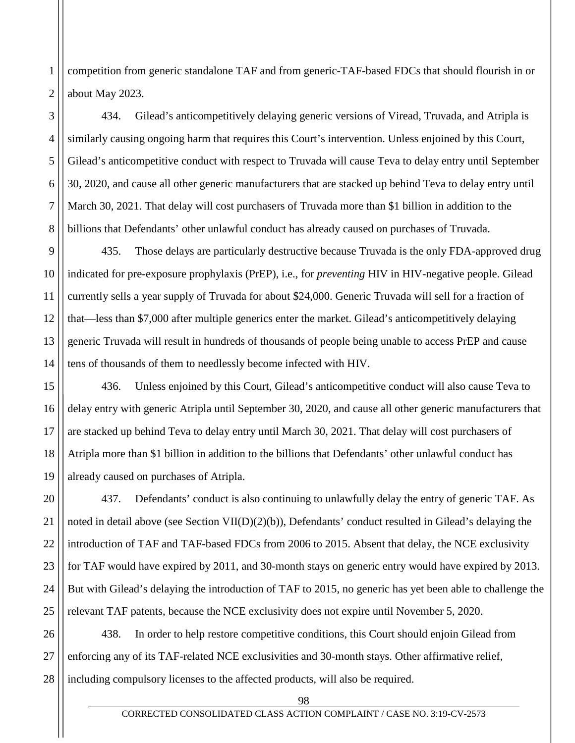2 competition from generic standalone TAF and from generic-TAF-based FDCs that should flourish in or about May 2023.

434. Gilead's anticompetitively delaying generic versions of Viread, Truvada, and Atripla is similarly causing ongoing harm that requires this Court's intervention. Unless enjoined by this Court, Gilead's anticompetitive conduct with respect to Truvada will cause Teva to delay entry until September 30, 2020, and cause all other generic manufacturers that are stacked up behind Teva to delay entry until March 30, 2021. That delay will cost purchasers of Truvada more than \$1 billion in addition to the billions that Defendants' other unlawful conduct has already caused on purchases of Truvada.

9 10 11 12 13 14 435. Those delays are particularly destructive because Truvada is the only FDA-approved drug indicated for pre-exposure prophylaxis (PrEP), i.e., for *preventing* HIV in HIV-negative people. Gilead currently sells a year supply of Truvada for about \$24,000. Generic Truvada will sell for a fraction of that—less than \$7,000 after multiple generics enter the market. Gilead's anticompetitively delaying generic Truvada will result in hundreds of thousands of people being unable to access PrEP and cause tens of thousands of them to needlessly become infected with HIV.

15 16 17 18 19 436. Unless enjoined by this Court, Gilead's anticompetitive conduct will also cause Teva to delay entry with generic Atripla until September 30, 2020, and cause all other generic manufacturers that are stacked up behind Teva to delay entry until March 30, 2021. That delay will cost purchasers of Atripla more than \$1 billion in addition to the billions that Defendants' other unlawful conduct has already caused on purchases of Atripla.

20 21 22 23 24 25 437. Defendants' conduct is also continuing to unlawfully delay the entry of generic TAF. As noted in detail above (see Section VII(D)(2)(b)), Defendants' conduct resulted in Gilead's delaying the introduction of TAF and TAF-based FDCs from 2006 to 2015. Absent that delay, the NCE exclusivity for TAF would have expired by 2011, and 30-month stays on generic entry would have expired by 2013. But with Gilead's delaying the introduction of TAF to 2015, no generic has yet been able to challenge the relevant TAF patents, because the NCE exclusivity does not expire until November 5, 2020.

26 27 28 438. In order to help restore competitive conditions, this Court should enjoin Gilead from enforcing any of its TAF-related NCE exclusivities and 30-month stays. Other affirmative relief, including compulsory licenses to the affected products, will also be required.

1

3

4

5

6

7

8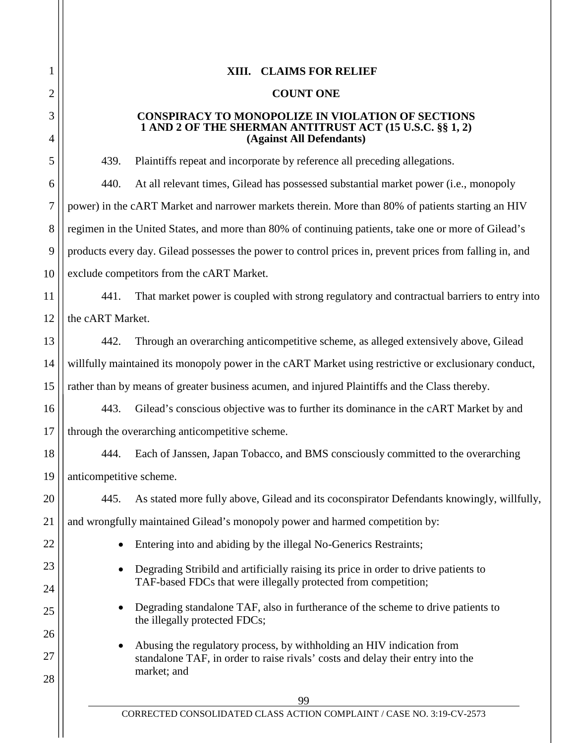# **XIII. CLAIMS FOR RELIEF**

#### **COUNT ONE**

#### **CONSPIRACY TO MONOPOLIZE IN VIOLATION OF SECTIONS 1 AND 2 OF THE SHERMAN ANTITRUST ACT (15 U.S.C. §§ 1, 2) (Against All Defendants)**

439. Plaintiffs repeat and incorporate by reference all preceding allegations.

440. At all relevant times, Gilead has possessed substantial market power (i.e., monopoly power) in the cART Market and narrower markets therein. More than 80% of patients starting an HIV regimen in the United States, and more than 80% of continuing patients, take one or more of Gilead's products every day. Gilead possesses the power to control prices in, prevent prices from falling in, and exclude competitors from the cART Market.

441. That market power is coupled with strong regulatory and contractual barriers to entry into the cART Market.

442. Through an overarching anticompetitive scheme, as alleged extensively above, Gilead willfully maintained its monopoly power in the cART Market using restrictive or exclusionary conduct, rather than by means of greater business acumen, and injured Plaintiffs and the Class thereby.

443. Gilead's conscious objective was to further its dominance in the cART Market by and through the overarching anticompetitive scheme.

444. Each of Janssen, Japan Tobacco, and BMS consciously committed to the overarching anticompetitive scheme.

445. As stated more fully above, Gilead and its coconspirator Defendants knowingly, willfully,

and wrongfully maintained Gilead's monopoly power and harmed competition by:

- Entering into and abiding by the illegal No-Generics Restraints;
- Degrading Stribild and artificially raising its price in order to drive patients to TAF-based FDCs that were illegally protected from competition;
- Degrading standalone TAF, also in furtherance of the scheme to drive patients to the illegally protected FDCs;
- Abusing the regulatory process, by withholding an HIV indication from standalone TAF, in order to raise rivals' costs and delay their entry into the market; and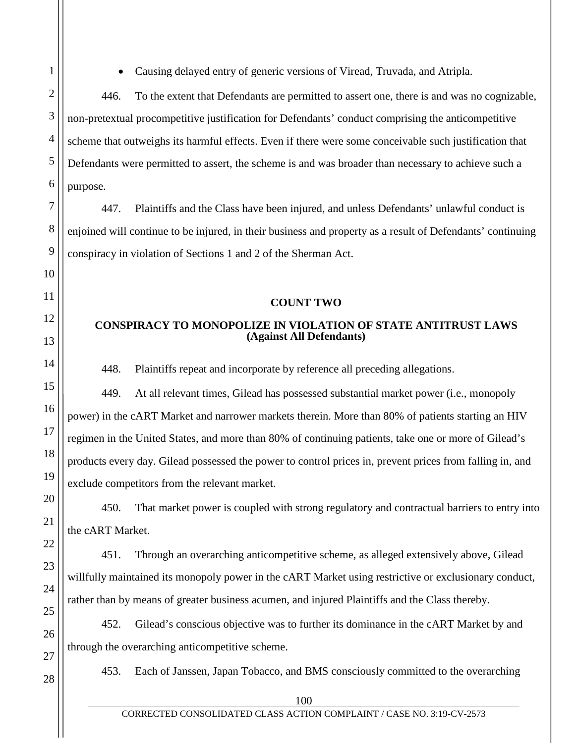• Causing delayed entry of generic versions of Viread, Truvada, and Atripla.

446. To the extent that Defendants are permitted to assert one, there is and was no cognizable, non-pretextual procompetitive justification for Defendants' conduct comprising the anticompetitive scheme that outweighs its harmful effects. Even if there were some conceivable such justification that Defendants were permitted to assert, the scheme is and was broader than necessary to achieve such a purpose.

447. Plaintiffs and the Class have been injured, and unless Defendants' unlawful conduct is enjoined will continue to be injured, in their business and property as a result of Defendants' continuing conspiracy in violation of Sections 1 and 2 of the Sherman Act.

#### **COUNT TWO**

### **CONSPIRACY TO MONOPOLIZE IN VIOLATION OF STATE ANTITRUST LAWS (Against All Defendants)**

448. Plaintiffs repeat and incorporate by reference all preceding allegations.

449. At all relevant times, Gilead has possessed substantial market power (i.e., monopoly power) in the cART Market and narrower markets therein. More than 80% of patients starting an HIV regimen in the United States, and more than 80% of continuing patients, take one or more of Gilead's products every day. Gilead possessed the power to control prices in, prevent prices from falling in, and exclude competitors from the relevant market.

450. That market power is coupled with strong regulatory and contractual barriers to entry into the cART Market.

451. Through an overarching anticompetitive scheme, as alleged extensively above, Gilead willfully maintained its monopoly power in the cART Market using restrictive or exclusionary conduct, rather than by means of greater business acumen, and injured Plaintiffs and the Class thereby.

452. Gilead's conscious objective was to further its dominance in the cART Market by and through the overarching anticompetitive scheme.

453. Each of Janssen, Japan Tobacco, and BMS consciously committed to the overarching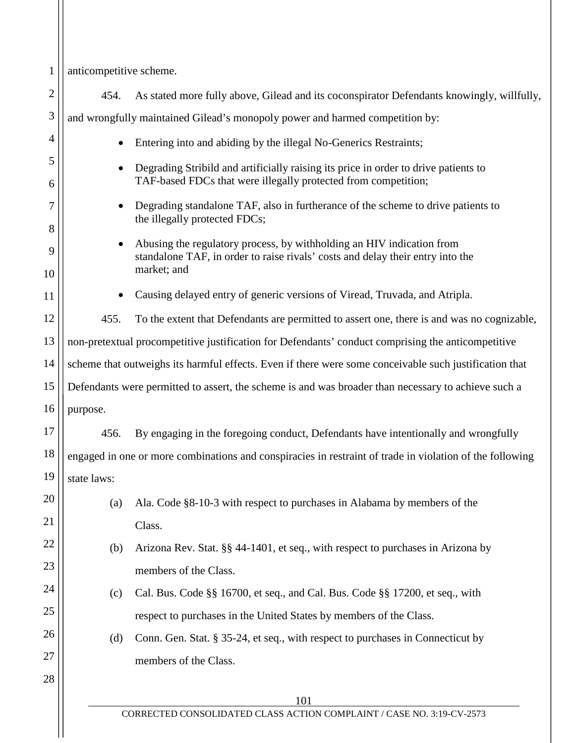1 2 3 4 5 6 7 8 9 10 11 12 13 14 15 16 17 18 19 20 21 22 23 24 25 26 27 28 101 CORRECTED CONSOLIDATED CLASS ACTION COMPLAINT / CASE NO. 3:19-CV-2573 anticompetitive scheme. 454. As stated more fully above, Gilead and its coconspirator Defendants knowingly, willfully, and wrongfully maintained Gilead's monopoly power and harmed competition by: • Entering into and abiding by the illegal No-Generics Restraints; • Degrading Stribild and artificially raising its price in order to drive patients to TAF-based FDCs that were illegally protected from competition; • Degrading standalone TAF, also in furtherance of the scheme to drive patients to the illegally protected FDCs; • Abusing the regulatory process, by withholding an HIV indication from standalone TAF, in order to raise rivals' costs and delay their entry into the market; and • Causing delayed entry of generic versions of Viread, Truvada, and Atripla. 455. To the extent that Defendants are permitted to assert one, there is and was no cognizable, non-pretextual procompetitive justification for Defendants' conduct comprising the anticompetitive scheme that outweighs its harmful effects. Even if there were some conceivable such justification that Defendants were permitted to assert, the scheme is and was broader than necessary to achieve such a purpose. 456. By engaging in the foregoing conduct, Defendants have intentionally and wrongfully engaged in one or more combinations and conspiracies in restraint of trade in violation of the following state laws: (a) Ala. Code §8-10-3 with respect to purchases in Alabama by members of the Class. (b) Arizona Rev. Stat. §§ 44-1401, et seq., with respect to purchases in Arizona by members of the Class. (c) Cal. Bus. Code §§ 16700, et seq., and Cal. Bus. Code §§ 17200, et seq., with respect to purchases in the United States by members of the Class. (d) Conn. Gen. Stat. § 35-24, et seq., with respect to purchases in Connecticut by members of the Class.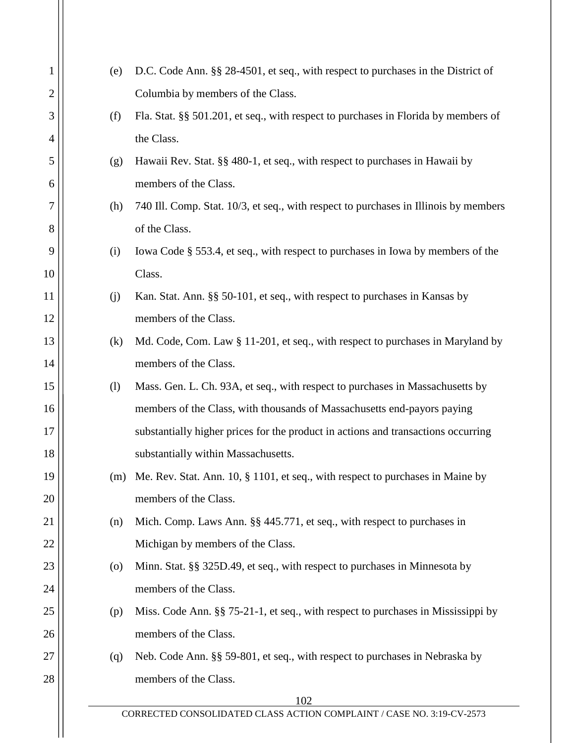| 1  | (e)                | D.C. Code Ann. §§ 28-4501, et seq., with respect to purchases in the District of     |
|----|--------------------|--------------------------------------------------------------------------------------|
| 2  |                    | Columbia by members of the Class.                                                    |
| 3  | (f)                | Fla. Stat. §§ 501.201, et seq., with respect to purchases in Florida by members of   |
| 4  |                    | the Class.                                                                           |
| 5  | (g)                | Hawaii Rev. Stat. §§ 480-1, et seq., with respect to purchases in Hawaii by          |
| 6  |                    | members of the Class.                                                                |
| 7  | (h)                | 740 Ill. Comp. Stat. 10/3, et seq., with respect to purchases in Illinois by members |
| 8  |                    | of the Class.                                                                        |
| 9  | (i)                | Iowa Code § 553.4, et seq., with respect to purchases in Iowa by members of the      |
| 10 |                    | Class.                                                                               |
| 11 | (j)                | Kan. Stat. Ann. §§ 50-101, et seq., with respect to purchases in Kansas by           |
| 12 |                    | members of the Class.                                                                |
| 13 | (k)                | Md. Code, Com. Law § 11-201, et seq., with respect to purchases in Maryland by       |
| 14 |                    | members of the Class.                                                                |
| 15 | (1)                | Mass. Gen. L. Ch. 93A, et seq., with respect to purchases in Massachusetts by        |
| 16 |                    | members of the Class, with thousands of Massachusetts end-payors paying              |
| 17 |                    | substantially higher prices for the product in actions and transactions occurring    |
| 18 |                    | substantially within Massachusetts.                                                  |
| 19 | (m)                | Me. Rev. Stat. Ann. 10, § 1101, et seq., with respect to purchases in Maine by       |
| 20 |                    | members of the Class.                                                                |
| 21 | (n)                | Mich. Comp. Laws Ann. §§ 445.771, et seq., with respect to purchases in              |
| 22 |                    | Michigan by members of the Class.                                                    |
| 23 | $\left( 0 \right)$ | Minn. Stat. §§ 325D.49, et seq., with respect to purchases in Minnesota by           |
| 24 |                    | members of the Class.                                                                |
| 25 | (p)                | Miss. Code Ann. §§ 75-21-1, et seq., with respect to purchases in Mississippi by     |
| 26 |                    | members of the Class.                                                                |
| 27 | (q)                | Neb. Code Ann. §§ 59-801, et seq., with respect to purchases in Nebraska by          |
| 28 |                    | members of the Class.                                                                |
|    |                    | 102                                                                                  |
|    |                    | CORRECTED CONSOLIDATED CLASS ACTION COMPLAINT / CASE NO. 3:19-CV-2573                |
|    |                    |                                                                                      |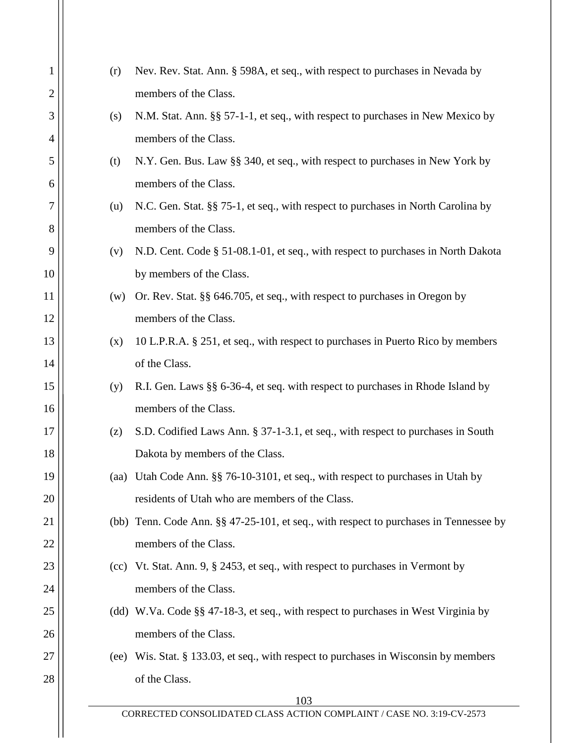| 1              | (r)  | Nev. Rev. Stat. Ann. § 598A, et seq., with respect to purchases in Nevada by          |
|----------------|------|---------------------------------------------------------------------------------------|
| $\overline{2}$ |      | members of the Class.                                                                 |
| 3              | (s)  | N.M. Stat. Ann. §§ 57-1-1, et seq., with respect to purchases in New Mexico by        |
| $\overline{4}$ |      | members of the Class.                                                                 |
| 5              | (t)  | N.Y. Gen. Bus. Law §§ 340, et seq., with respect to purchases in New York by          |
| 6              |      | members of the Class.                                                                 |
| 7              | (u)  | N.C. Gen. Stat. §§ 75-1, et seq., with respect to purchases in North Carolina by      |
| 8              |      | members of the Class.                                                                 |
| 9              | (v)  | N.D. Cent. Code § 51-08.1-01, et seq., with respect to purchases in North Dakota      |
| 10             |      | by members of the Class.                                                              |
| 11             | (w)  | Or. Rev. Stat. §§ 646.705, et seq., with respect to purchases in Oregon by            |
| 12             |      | members of the Class.                                                                 |
| 13             | (x)  | 10 L.P.R.A. § 251, et seq., with respect to purchases in Puerto Rico by members       |
| 14             |      | of the Class.                                                                         |
| 15             | (y)  | R.I. Gen. Laws §§ 6-36-4, et seq. with respect to purchases in Rhode Island by        |
| 16             |      | members of the Class.                                                                 |
| 17             | (z)  | S.D. Codified Laws Ann. § 37-1-3.1, et seq., with respect to purchases in South       |
| 18             |      | Dakota by members of the Class.                                                       |
| 19             | (aa) | Utah Code Ann. §§ 76-10-3101, et seq., with respect to purchases in Utah by           |
| 20             |      | residents of Utah who are members of the Class.                                       |
| 21             |      | (bb) Tenn. Code Ann. §§ 47-25-101, et seq., with respect to purchases in Tennessee by |
| 22             |      | members of the Class.                                                                 |
| 23             |      | (cc) Vt. Stat. Ann. 9, § 2453, et seq., with respect to purchases in Vermont by       |
| 24             |      | members of the Class.                                                                 |
| 25             |      | (dd) W.Va. Code §§ 47-18-3, et seq., with respect to purchases in West Virginia by    |
| 26             |      | members of the Class.                                                                 |
| 27             | (ee) | Wis. Stat. § 133.03, et seq., with respect to purchases in Wisconsin by members       |
| 28             |      | of the Class.                                                                         |
|                |      | 103                                                                                   |
|                |      | CORRECTED CONSOLIDATED CLASS ACTION COMPLAINT / CASE NO. 3:19-CV-2573                 |
|                |      |                                                                                       |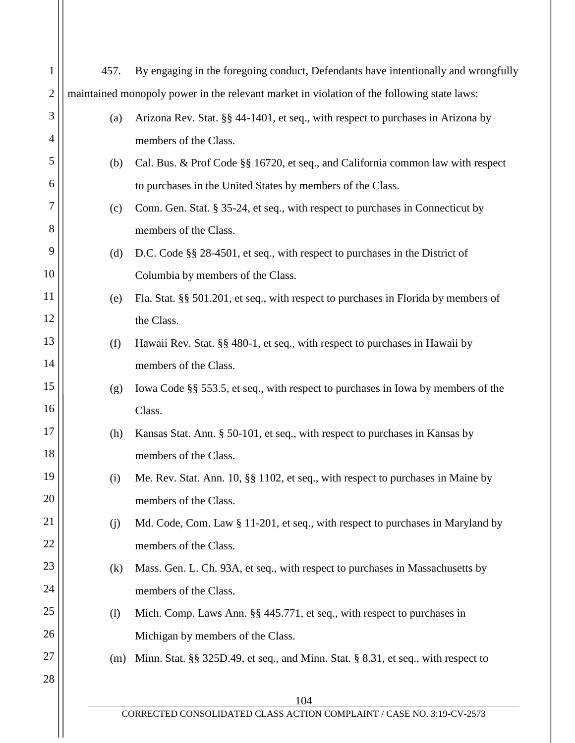| $\mathbf{1}$<br>$\overline{2}$<br>3 | 457.                                                                                       | By engaging in the foregoing conduct, Defendants have intentionally and wrongfully |  |
|-------------------------------------|--------------------------------------------------------------------------------------------|------------------------------------------------------------------------------------|--|
|                                     |                                                                                            |                                                                                    |  |
|                                     | maintained monopoly power in the relevant market in violation of the following state laws: |                                                                                    |  |
|                                     | (a)                                                                                        | Arizona Rev. Stat. §§ 44-1401, et seq., with respect to purchases in Arizona by    |  |
| $\overline{4}$                      |                                                                                            | members of the Class.                                                              |  |
| 5                                   | (b)                                                                                        | Cal. Bus. & Prof Code §§ 16720, et seq., and California common law with respect    |  |
| 6                                   |                                                                                            | to purchases in the United States by members of the Class.                         |  |
| 7                                   | (c)                                                                                        | Conn. Gen. Stat. § 35-24, et seq., with respect to purchases in Connecticut by     |  |
| 8                                   |                                                                                            | members of the Class.                                                              |  |
| 9                                   | (d)                                                                                        | D.C. Code §§ 28-4501, et seq., with respect to purchases in the District of        |  |
| 10                                  |                                                                                            | Columbia by members of the Class.                                                  |  |
| 11                                  | (e)                                                                                        | Fla. Stat. §§ 501.201, et seq., with respect to purchases in Florida by members of |  |
| 12                                  |                                                                                            | the Class.                                                                         |  |
| 13                                  | (f)                                                                                        | Hawaii Rev. Stat. §§ 480-1, et seq., with respect to purchases in Hawaii by        |  |
| 14                                  |                                                                                            | members of the Class.                                                              |  |
| 15                                  | (g)                                                                                        | Iowa Code §§ 553.5, et seq., with respect to purchases in Iowa by members of the   |  |
| 16                                  |                                                                                            | Class.                                                                             |  |
| 17                                  | (h)                                                                                        | Kansas Stat. Ann. § 50-101, et seq., with respect to purchases in Kansas by        |  |
| 18                                  |                                                                                            | members of the Class.                                                              |  |
| 19                                  | (i)                                                                                        | Me. Rev. Stat. Ann. 10, §§ 1102, et seq., with respect to purchases in Maine by    |  |
| 20                                  |                                                                                            | members of the Class.                                                              |  |
| 21                                  | (j)                                                                                        | Md. Code, Com. Law § 11-201, et seq., with respect to purchases in Maryland by     |  |
| 22                                  |                                                                                            | members of the Class.                                                              |  |
| 23                                  | (k)                                                                                        | Mass. Gen. L. Ch. 93A, et seq., with respect to purchases in Massachusetts by      |  |
| 24                                  |                                                                                            | members of the Class.                                                              |  |
| 25                                  | (1)                                                                                        | Mich. Comp. Laws Ann. §§ 445.771, et seq., with respect to purchases in            |  |
| 26                                  |                                                                                            | Michigan by members of the Class.                                                  |  |
| 27                                  | (m)                                                                                        | Minn. Stat. §§ 325D.49, et seq., and Minn. Stat. § 8.31, et seq., with respect to  |  |
| 28                                  |                                                                                            |                                                                                    |  |
|                                     |                                                                                            | 104<br>CORRECTED CONSOLIDATED CLASS ACTION COMPLAINT / CASE NO. 3:19-CV-2573       |  |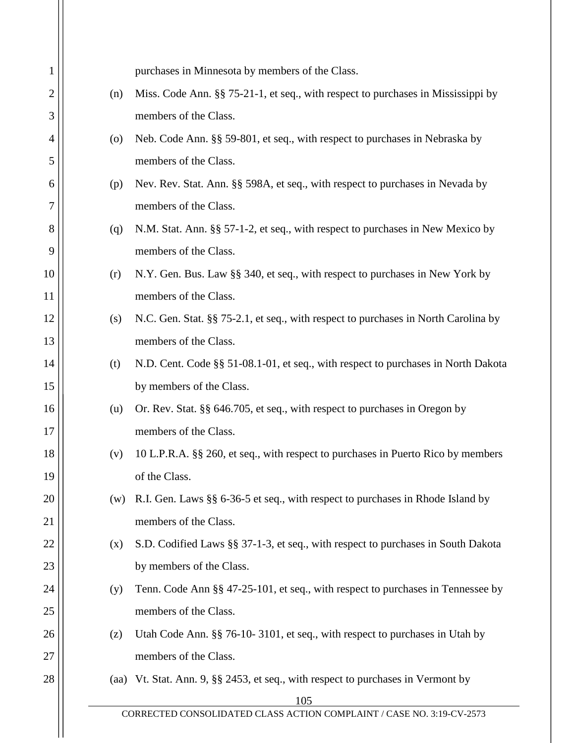| 1              |                    | purchases in Minnesota by members of the Class.                                    |
|----------------|--------------------|------------------------------------------------------------------------------------|
| $\overline{2}$ | (n)                | Miss. Code Ann. §§ 75-21-1, et seq., with respect to purchases in Mississippi by   |
| 3              |                    | members of the Class.                                                              |
| 4              | $\left( 0 \right)$ | Neb. Code Ann. §§ 59-801, et seq., with respect to purchases in Nebraska by        |
| 5              |                    | members of the Class.                                                              |
| 6              | (p)                | Nev. Rev. Stat. Ann. §§ 598A, et seq., with respect to purchases in Nevada by      |
| 7              |                    | members of the Class.                                                              |
| 8              | (q)                | N.M. Stat. Ann. §§ 57-1-2, et seq., with respect to purchases in New Mexico by     |
| 9              |                    | members of the Class.                                                              |
| 10             | (r)                | N.Y. Gen. Bus. Law §§ 340, et seq., with respect to purchases in New York by       |
| 11             |                    | members of the Class.                                                              |
| 12             | (s)                | N.C. Gen. Stat. §§ 75-2.1, et seq., with respect to purchases in North Carolina by |
| 13             |                    | members of the Class.                                                              |
| 14             | (t)                | N.D. Cent. Code §§ 51-08.1-01, et seq., with respect to purchases in North Dakota  |
| 15             |                    | by members of the Class.                                                           |
| 16             | (u)                | Or. Rev. Stat. §§ 646.705, et seq., with respect to purchases in Oregon by         |
| 17             |                    | members of the Class.                                                              |
| 18             | (v)                | 10 L.P.R.A. §§ 260, et seq., with respect to purchases in Puerto Rico by members   |
| 19             |                    | of the Class.                                                                      |
| 20             | (w)                | R.I. Gen. Laws §§ 6-36-5 et seq., with respect to purchases in Rhode Island by     |
| 21             |                    | members of the Class.                                                              |
| 22             | (x)                | S.D. Codified Laws §§ 37-1-3, et seq., with respect to purchases in South Dakota   |
| 23             |                    | by members of the Class.                                                           |
| 24             | (y)                | Tenn. Code Ann §§ 47-25-101, et seq., with respect to purchases in Tennessee by    |
| 25             |                    | members of the Class.                                                              |
| 26             | (z)                | Utah Code Ann. §§ 76-10-3101, et seq., with respect to purchases in Utah by        |
| 27             |                    | members of the Class.                                                              |
| 28             |                    | (aa) Vt. Stat. Ann. 9, §§ 2453, et seq., with respect to purchases in Vermont by   |
|                |                    | 105                                                                                |
|                |                    | CORRECTED CONSOLIDATED CLASS ACTION COMPLAINT / CASE NO. 3:19-CV-2573              |
|                |                    |                                                                                    |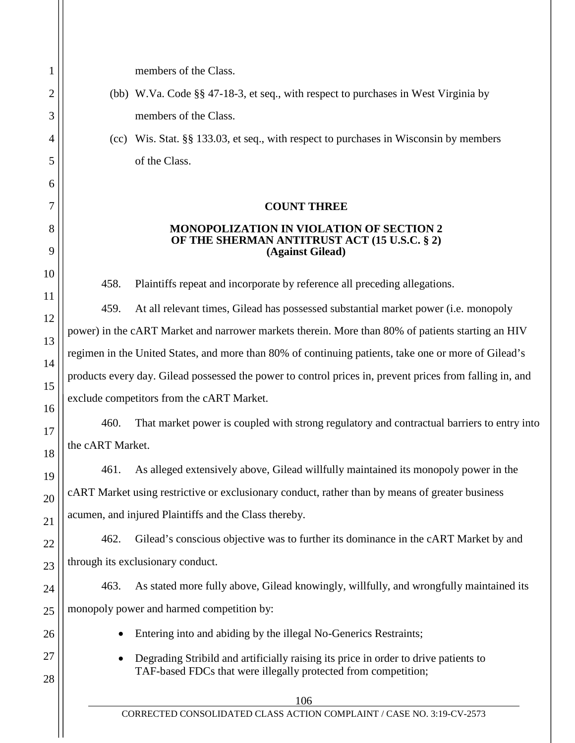1 2 3 4 5 6 7 8 9 10 11 12 13 14 15 16 17 18 19 20 21 22 23 24 25 26 27 28 106 CORRECTED CONSOLIDATED CLASS ACTION COMPLAINT / CASE NO. 3:19-CV-2573 members of the Class. (bb) W.Va. Code §§ 47-18-3, et seq., with respect to purchases in West Virginia by members of the Class. (cc) Wis. Stat. §§ 133.03, et seq., with respect to purchases in Wisconsin by members of the Class. **COUNT THREE MONOPOLIZATION IN VIOLATION OF SECTION 2 OF THE SHERMAN ANTITRUST ACT (15 U.S.C. § 2) (Against Gilead)** 458. Plaintiffs repeat and incorporate by reference all preceding allegations. 459. At all relevant times, Gilead has possessed substantial market power (i.e. monopoly power) in the cART Market and narrower markets therein. More than 80% of patients starting an HIV regimen in the United States, and more than 80% of continuing patients, take one or more of Gilead's products every day. Gilead possessed the power to control prices in, prevent prices from falling in, and exclude competitors from the cART Market. 460. That market power is coupled with strong regulatory and contractual barriers to entry into the cART Market. 461. As alleged extensively above, Gilead willfully maintained its monopoly power in the cART Market using restrictive or exclusionary conduct, rather than by means of greater business acumen, and injured Plaintiffs and the Class thereby. 462. Gilead's conscious objective was to further its dominance in the cART Market by and through its exclusionary conduct. 463. As stated more fully above, Gilead knowingly, willfully, and wrongfully maintained its monopoly power and harmed competition by: • Entering into and abiding by the illegal No-Generics Restraints; • Degrading Stribild and artificially raising its price in order to drive patients to TAF-based FDCs that were illegally protected from competition;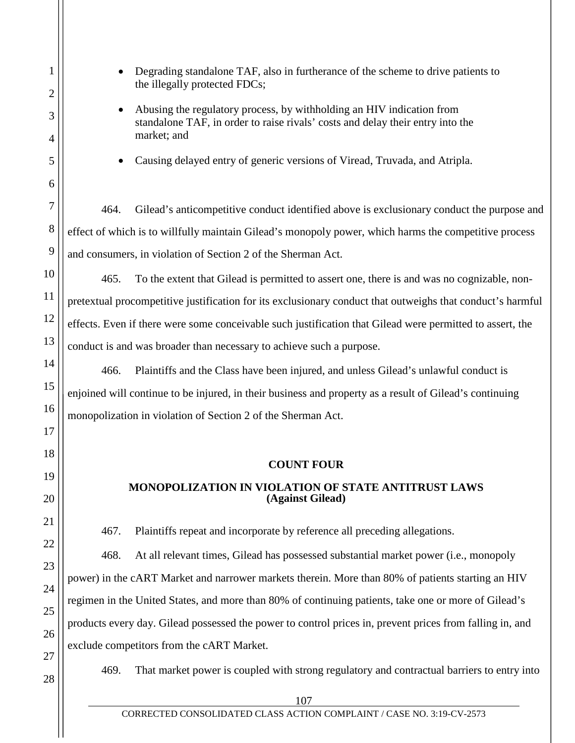• Degrading standalone TAF, also in furtherance of the scheme to drive patients to the illegally protected FDCs;

• Abusing the regulatory process, by withholding an HIV indication from standalone TAF, in order to raise rivals' costs and delay their entry into the market; and

• Causing delayed entry of generic versions of Viread, Truvada, and Atripla.

464. Gilead's anticompetitive conduct identified above is exclusionary conduct the purpose and effect of which is to willfully maintain Gilead's monopoly power, which harms the competitive process and consumers, in violation of Section 2 of the Sherman Act.

465. To the extent that Gilead is permitted to assert one, there is and was no cognizable, nonpretextual procompetitive justification for its exclusionary conduct that outweighs that conduct's harmful effects. Even if there were some conceivable such justification that Gilead were permitted to assert, the conduct is and was broader than necessary to achieve such a purpose.

466. Plaintiffs and the Class have been injured, and unless Gilead's unlawful conduct is enjoined will continue to be injured, in their business and property as a result of Gilead's continuing monopolization in violation of Section 2 of the Sherman Act.

# **COUNT FOUR**

# **MONOPOLIZATION IN VIOLATION OF STATE ANTITRUST LAWS (Against Gilead)**

467. Plaintiffs repeat and incorporate by reference all preceding allegations.

468. At all relevant times, Gilead has possessed substantial market power (i.e., monopoly power) in the cART Market and narrower markets therein. More than 80% of patients starting an HIV regimen in the United States, and more than 80% of continuing patients, take one or more of Gilead's products every day. Gilead possessed the power to control prices in, prevent prices from falling in, and exclude competitors from the cART Market.

469. That market power is coupled with strong regulatory and contractual barriers to entry into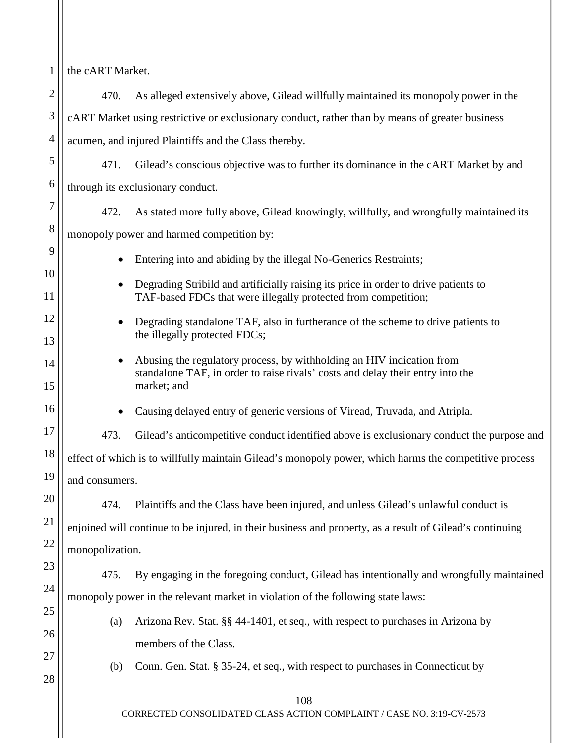| 1              | the cART Market.                                                                                                               |                                                                                                                                                                        |  |
|----------------|--------------------------------------------------------------------------------------------------------------------------------|------------------------------------------------------------------------------------------------------------------------------------------------------------------------|--|
| $\overline{2}$ | 470.                                                                                                                           | As alleged extensively above, Gilead willfully maintained its monopoly power in the                                                                                    |  |
| 3              | cART Market using restrictive or exclusionary conduct, rather than by means of greater business                                |                                                                                                                                                                        |  |
| 4              | acumen, and injured Plaintiffs and the Class thereby.                                                                          |                                                                                                                                                                        |  |
| 5              | 471.                                                                                                                           | Gilead's conscious objective was to further its dominance in the cART Market by and                                                                                    |  |
| 6              |                                                                                                                                | through its exclusionary conduct.                                                                                                                                      |  |
| 7              | 472.                                                                                                                           | As stated more fully above, Gilead knowingly, willfully, and wrongfully maintained its                                                                                 |  |
| 8              |                                                                                                                                | monopoly power and harmed competition by:                                                                                                                              |  |
| 9              | ٠                                                                                                                              | Entering into and abiding by the illegal No-Generics Restraints;                                                                                                       |  |
| 10<br>11       | $\bullet$                                                                                                                      | Degrading Stribild and artificially raising its price in order to drive patients to<br>TAF-based FDCs that were illegally protected from competition;                  |  |
| 12<br>13       | Degrading standalone TAF, also in furtherance of the scheme to drive patients to<br>$\bullet$<br>the illegally protected FDCs; |                                                                                                                                                                        |  |
| 14<br>15       | $\bullet$                                                                                                                      | Abusing the regulatory process, by withholding an HIV indication from<br>standalone TAF, in order to raise rivals' costs and delay their entry into the<br>market; and |  |
| 16             |                                                                                                                                | Causing delayed entry of generic versions of Viread, Truvada, and Atripla.                                                                                             |  |
| 17             | 473.                                                                                                                           | Gilead's anticompetitive conduct identified above is exclusionary conduct the purpose and                                                                              |  |
| 18             | effect of which is to willfully maintain Gilead's monopoly power, which harms the competitive process                          |                                                                                                                                                                        |  |
| 19             | and consumers.                                                                                                                 |                                                                                                                                                                        |  |
| 20             | 474.                                                                                                                           | Plaintiffs and the Class have been injured, and unless Gilead's unlawful conduct is                                                                                    |  |
| 21             | enjoined will continue to be injured, in their business and property, as a result of Gilead's continuing                       |                                                                                                                                                                        |  |
| 22             | monopolization.                                                                                                                |                                                                                                                                                                        |  |
| 23             | 475.                                                                                                                           | By engaging in the foregoing conduct, Gilead has intentionally and wrongfully maintained                                                                               |  |
| 24             | monopoly power in the relevant market in violation of the following state laws:                                                |                                                                                                                                                                        |  |
| 25             | (a)                                                                                                                            | Arizona Rev. Stat. §§ 44-1401, et seq., with respect to purchases in Arizona by                                                                                        |  |
| 26             |                                                                                                                                | members of the Class.                                                                                                                                                  |  |
| 27             | (b)                                                                                                                            | Conn. Gen. Stat. § 35-24, et seq., with respect to purchases in Connecticut by                                                                                         |  |
| 28             |                                                                                                                                | 108                                                                                                                                                                    |  |
|                |                                                                                                                                | CORRECTED CONSOLIDATED CLASS ACTION COMPLAINT / CASE NO. 3:19-CV-2573                                                                                                  |  |
|                |                                                                                                                                |                                                                                                                                                                        |  |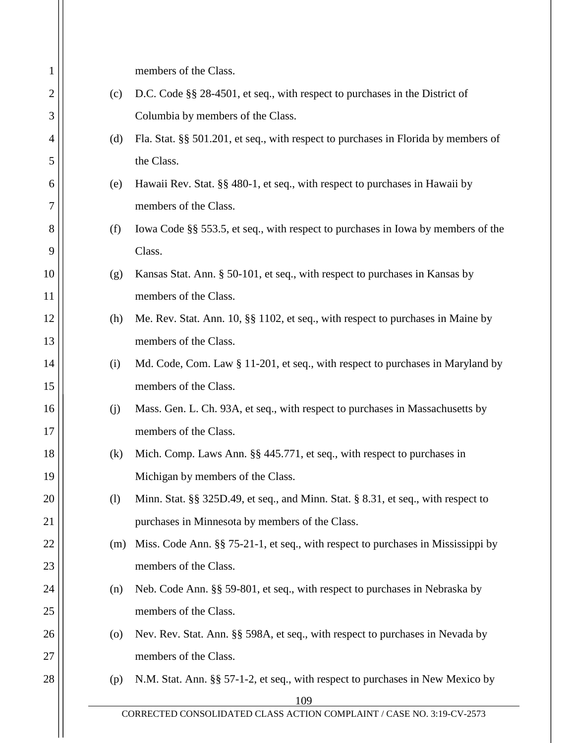|                                                                                    | members of the Class.                                                              |
|------------------------------------------------------------------------------------|------------------------------------------------------------------------------------|
| D.C. Code §§ 28-4501, et seq., with respect to purchases in the District of<br>(c) |                                                                                    |
| Columbia by members of the Class.                                                  |                                                                                    |
| (d)                                                                                | Fla. Stat. §§ 501.201, et seq., with respect to purchases in Florida by members of |
| the Class.                                                                         |                                                                                    |
| (e)                                                                                | Hawaii Rev. Stat. §§ 480-1, et seq., with respect to purchases in Hawaii by        |
|                                                                                    | members of the Class.                                                              |
| (f)                                                                                | Iowa Code §§ 553.5, et seq., with respect to purchases in Iowa by members of the   |
|                                                                                    | Class.                                                                             |
| (g)                                                                                | Kansas Stat. Ann. § 50-101, et seq., with respect to purchases in Kansas by        |
|                                                                                    | members of the Class.                                                              |
| (h)                                                                                | Me. Rev. Stat. Ann. 10, §§ 1102, et seq., with respect to purchases in Maine by    |
|                                                                                    | members of the Class.                                                              |
| (i)                                                                                | Md. Code, Com. Law § 11-201, et seq., with respect to purchases in Maryland by     |
|                                                                                    | members of the Class.                                                              |
| (j)                                                                                | Mass. Gen. L. Ch. 93A, et seq., with respect to purchases in Massachusetts by      |
|                                                                                    | members of the Class.                                                              |
| (k)                                                                                | Mich. Comp. Laws Ann. §§ 445.771, et seq., with respect to purchases in            |
|                                                                                    | Michigan by members of the Class.                                                  |
| (1)                                                                                | Minn. Stat. §§ 325D.49, et seq., and Minn. Stat. § 8.31, et seq., with respect to  |
|                                                                                    | purchases in Minnesota by members of the Class.                                    |
| (m)                                                                                | Miss. Code Ann. §§ 75-21-1, et seq., with respect to purchases in Mississippi by   |
| members of the Class.                                                              |                                                                                    |
| (n)                                                                                | Neb. Code Ann. §§ 59-801, et seq., with respect to purchases in Nebraska by        |
|                                                                                    | members of the Class.                                                              |
| $\left( 0 \right)$                                                                 | Nev. Rev. Stat. Ann. §§ 598A, et seq., with respect to purchases in Nevada by      |
|                                                                                    | members of the Class.                                                              |
| (p)                                                                                | N.M. Stat. Ann. §§ 57-1-2, et seq., with respect to purchases in New Mexico by     |
|                                                                                    | 109                                                                                |
|                                                                                    | CORRECTED CONSOLIDATED CLASS ACTION COMPLAINT / CASE NO. 3:19-CV-2573              |
|                                                                                    |                                                                                    |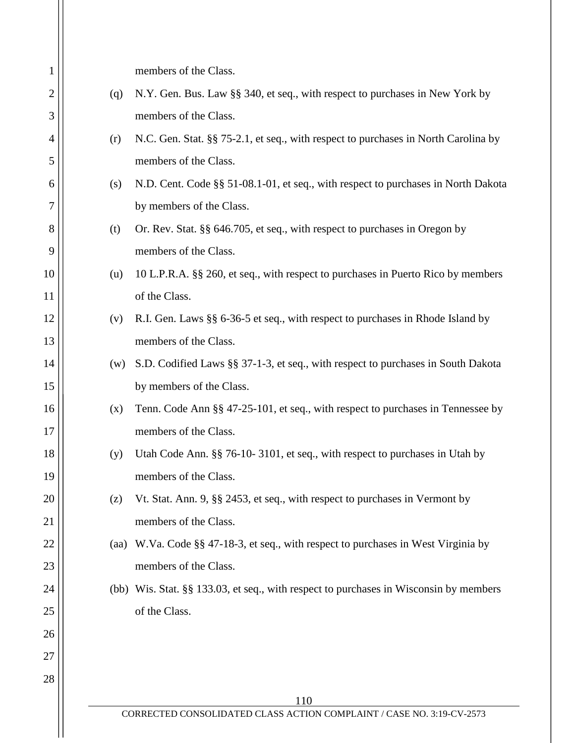| 1  |                                                                                           | members of the Class.                                                                 |
|----|-------------------------------------------------------------------------------------------|---------------------------------------------------------------------------------------|
| 2  | N.Y. Gen. Bus. Law §§ 340, et seq., with respect to purchases in New York by<br>(q)       |                                                                                       |
| 3  | members of the Class.                                                                     |                                                                                       |
| 4  | N.C. Gen. Stat. §§ 75-2.1, et seq., with respect to purchases in North Carolina by<br>(r) |                                                                                       |
| 5  | members of the Class.                                                                     |                                                                                       |
| 6  | (s)                                                                                       | N.D. Cent. Code §§ 51-08.1-01, et seq., with respect to purchases in North Dakota     |
| 7  |                                                                                           | by members of the Class.                                                              |
| 8  | (t)                                                                                       | Or. Rev. Stat. §§ 646.705, et seq., with respect to purchases in Oregon by            |
| 9  |                                                                                           | members of the Class.                                                                 |
| 10 | (u)                                                                                       | 10 L.P.R.A. §§ 260, et seq., with respect to purchases in Puerto Rico by members      |
| 11 |                                                                                           | of the Class.                                                                         |
| 12 | (v)                                                                                       | R.I. Gen. Laws §§ 6-36-5 et seq., with respect to purchases in Rhode Island by        |
| 13 |                                                                                           | members of the Class.                                                                 |
| 14 | (w)                                                                                       | S.D. Codified Laws §§ 37-1-3, et seq., with respect to purchases in South Dakota      |
| 15 |                                                                                           | by members of the Class.                                                              |
| 16 | (x)                                                                                       | Tenn. Code Ann §§ 47-25-101, et seq., with respect to purchases in Tennessee by       |
| 17 |                                                                                           | members of the Class.                                                                 |
| 18 | (y)                                                                                       | Utah Code Ann. §§ 76-10-3101, et seq., with respect to purchases in Utah by           |
| 19 |                                                                                           | members of the Class.                                                                 |
| 20 | (z)                                                                                       | Vt. Stat. Ann. 9, §§ 2453, et seq., with respect to purchases in Vermont by           |
| 21 |                                                                                           | members of the Class.                                                                 |
| 22 | (aa)                                                                                      | W.Va. Code §§ 47-18-3, et seq., with respect to purchases in West Virginia by         |
| 23 |                                                                                           | members of the Class.                                                                 |
| 24 |                                                                                           | (bb) Wis. Stat. §§ 133.03, et seq., with respect to purchases in Wisconsin by members |
| 25 |                                                                                           | of the Class.                                                                         |
| 26 |                                                                                           |                                                                                       |
| 27 |                                                                                           |                                                                                       |
| 28 |                                                                                           |                                                                                       |
|    |                                                                                           | 110<br>CORRECTED CONSOLIDATED CLASS ACTION COMPLAINT / CASE NO. 3:19-CV-2573          |
|    |                                                                                           |                                                                                       |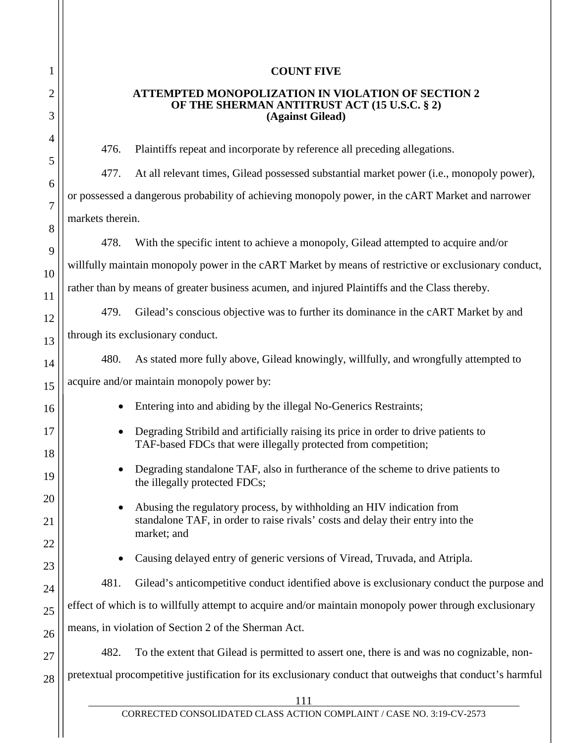| $\mathbf{1}$   |  |
|----------------|--|
| $\overline{c}$ |  |
| 3              |  |
| $\overline{4}$ |  |
| 5              |  |
| 6              |  |
| $\overline{7}$ |  |
| 8              |  |
| 9              |  |
| 10             |  |
| 11             |  |
| 12             |  |
| 13             |  |
| 14             |  |
| 15             |  |
| 16             |  |
| $\frac{17}{1}$ |  |
| 18             |  |
| 19             |  |
| 20             |  |
| 21             |  |
| 22             |  |
| 23             |  |
| 4              |  |
| 25             |  |
| 26             |  |
| $^{27}$        |  |
| 28             |  |
|                |  |

#### **COUNT FIVE**

#### **ATTEMPTED MONOPOLIZATION IN VIOLATION OF SECTION 2 OF THE SHERMAN ANTITRUST ACT (15 U.S.C. § 2) (Against Gilead)**

476. Plaintiffs repeat and incorporate by reference all preceding allegations.

477. At all relevant times, Gilead possessed substantial market power (i.e., monopoly power), or possessed a dangerous probability of achieving monopoly power, in the cART Market and narrower markets therein.

478. With the specific intent to achieve a monopoly, Gilead attempted to acquire and/or willfully maintain monopoly power in the cART Market by means of restrictive or exclusionary conduct, rather than by means of greater business acumen, and injured Plaintiffs and the Class thereby.

479. Gilead's conscious objective was to further its dominance in the cART Market by and through its exclusionary conduct.

- 480. As stated more fully above, Gilead knowingly, willfully, and wrongfully attempted to acquire and/or maintain monopoly power by:
	- Entering into and abiding by the illegal No-Generics Restraints;
	- Degrading Stribild and artificially raising its price in order to drive patients to TAF-based FDCs that were illegally protected from competition;
	- Degrading standalone TAF, also in furtherance of the scheme to drive patients to the illegally protected FDCs;
	- Abusing the regulatory process, by withholding an HIV indication from standalone TAF, in order to raise rivals' costs and delay their entry into the market; and
	- Causing delayed entry of generic versions of Viread, Truvada, and Atripla.
	- 481. Gilead's anticompetitive conduct identified above is exclusionary conduct the purpose and

effect of which is to willfully attempt to acquire and/or maintain monopoly power through exclusionary

means, in violation of Section 2 of the Sherman Act.

482. To the extent that Gilead is permitted to assert one, there is and was no cognizable, non-

pretextual procompetitive justification for its exclusionary conduct that outweighs that conduct's harmful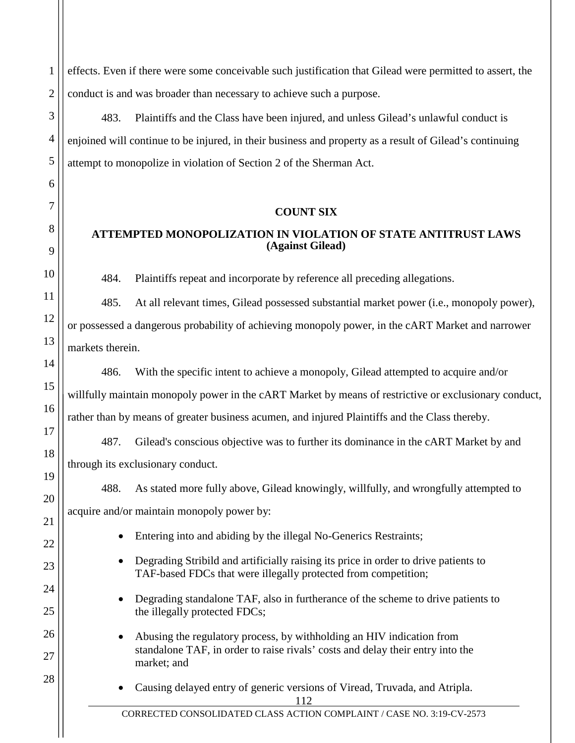effects. Even if there were some conceivable such justification that Gilead were permitted to assert, the conduct is and was broader than necessary to achieve such a purpose.

483. Plaintiffs and the Class have been injured, and unless Gilead's unlawful conduct is enjoined will continue to be injured, in their business and property as a result of Gilead's continuing attempt to monopolize in violation of Section 2 of the Sherman Act.

#### **COUNT SIX**

# **ATTEMPTED MONOPOLIZATION IN VIOLATION OF STATE ANTITRUST LAWS (Against Gilead)**

484. Plaintiffs repeat and incorporate by reference all preceding allegations.

485. At all relevant times, Gilead possessed substantial market power (i.e., monopoly power), or possessed a dangerous probability of achieving monopoly power, in the cART Market and narrower markets therein.

486. With the specific intent to achieve a monopoly, Gilead attempted to acquire and/or willfully maintain monopoly power in the cART Market by means of restrictive or exclusionary conduct, rather than by means of greater business acumen, and injured Plaintiffs and the Class thereby.

487. Gilead's conscious objective was to further its dominance in the cART Market by and through its exclusionary conduct.

488. As stated more fully above, Gilead knowingly, willfully, and wrongfully attempted to

acquire and/or maintain monopoly power by:

- Entering into and abiding by the illegal No-Generics Restraints;
- Degrading Stribild and artificially raising its price in order to drive patients to TAF-based FDCs that were illegally protected from competition;
- Degrading standalone TAF, also in furtherance of the scheme to drive patients to the illegally protected FDCs;
- Abusing the regulatory process, by withholding an HIV indication from standalone TAF, in order to raise rivals' costs and delay their entry into the market; and

112 • Causing delayed entry of generic versions of Viread, Truvada, and Atripla.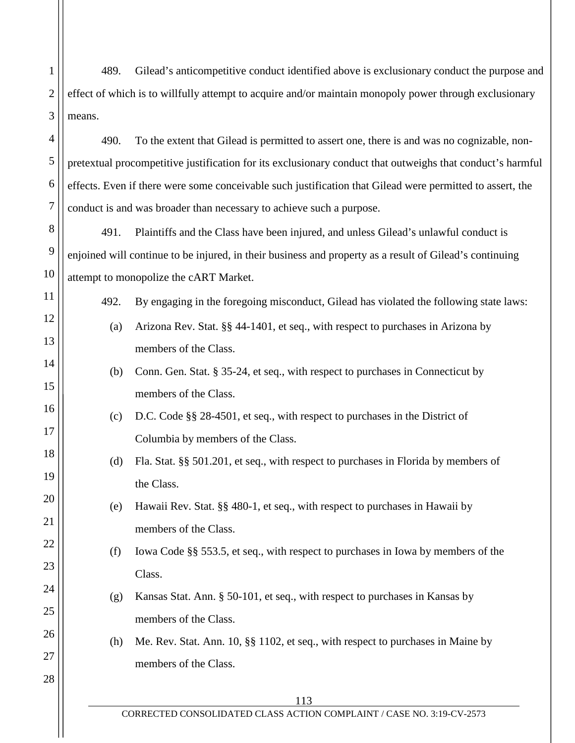489. Gilead's anticompetitive conduct identified above is exclusionary conduct the purpose and effect of which is to willfully attempt to acquire and/or maintain monopoly power through exclusionary means.

1

2

3

4

5

6

7

8

9

10

11

12

13

14

15

16

17

18

19

20

21

22

23

24

25

26

27

28

490. To the extent that Gilead is permitted to assert one, there is and was no cognizable, nonpretextual procompetitive justification for its exclusionary conduct that outweighs that conduct's harmful effects. Even if there were some conceivable such justification that Gilead were permitted to assert, the conduct is and was broader than necessary to achieve such a purpose.

491. Plaintiffs and the Class have been injured, and unless Gilead's unlawful conduct is enjoined will continue to be injured, in their business and property as a result of Gilead's continuing attempt to monopolize the cART Market.

492. By engaging in the foregoing misconduct, Gilead has violated the following state laws:

- (a) Arizona Rev. Stat. §§ 44-1401, et seq., with respect to purchases in Arizona by members of the Class.
- (b) Conn. Gen. Stat. § 35-24, et seq., with respect to purchases in Connecticut by members of the Class.
- (c) D.C. Code §§ 28-4501, et seq., with respect to purchases in the District of Columbia by members of the Class.
- (d) Fla. Stat. §§ 501.201, et seq., with respect to purchases in Florida by members of the Class.
- (e) Hawaii Rev. Stat. §§ 480-1, et seq., with respect to purchases in Hawaii by members of the Class.
- (f) Iowa Code §§ 553.5, et seq., with respect to purchases in Iowa by members of the Class.
- (g) Kansas Stat. Ann. § 50-101, et seq., with respect to purchases in Kansas by members of the Class.
- (h) Me. Rev. Stat. Ann. 10, §§ 1102, et seq., with respect to purchases in Maine by members of the Class.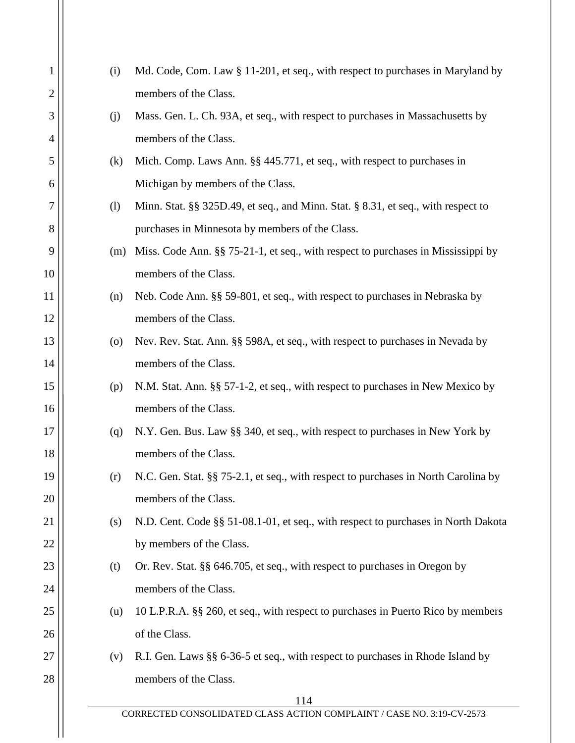| 1  | (i)                | Md. Code, Com. Law § 11-201, et seq., with respect to purchases in Maryland by     |
|----|--------------------|------------------------------------------------------------------------------------|
| 2  |                    | members of the Class.                                                              |
| 3  | (j)                | Mass. Gen. L. Ch. 93A, et seq., with respect to purchases in Massachusetts by      |
| 4  |                    | members of the Class.                                                              |
| 5  | (k)                | Mich. Comp. Laws Ann. §§ 445.771, et seq., with respect to purchases in            |
| 6  |                    | Michigan by members of the Class.                                                  |
| 7  | (1)                | Minn. Stat. §§ 325D.49, et seq., and Minn. Stat. § 8.31, et seq., with respect to  |
| 8  |                    | purchases in Minnesota by members of the Class.                                    |
| 9  | (m)                | Miss. Code Ann. §§ 75-21-1, et seq., with respect to purchases in Mississippi by   |
| 10 |                    | members of the Class.                                                              |
| 11 | (n)                | Neb. Code Ann. §§ 59-801, et seq., with respect to purchases in Nebraska by        |
| 12 |                    | members of the Class.                                                              |
| 13 | $\left( 0 \right)$ | Nev. Rev. Stat. Ann. §§ 598A, et seq., with respect to purchases in Nevada by      |
| 14 |                    | members of the Class.                                                              |
| 15 | (p)                | N.M. Stat. Ann. §§ 57-1-2, et seq., with respect to purchases in New Mexico by     |
| 16 |                    | members of the Class.                                                              |
| 17 | (q)                | N.Y. Gen. Bus. Law §§ 340, et seq., with respect to purchases in New York by       |
| 18 |                    | members of the Class.                                                              |
| 19 | (r)                | N.C. Gen. Stat. §§ 75-2.1, et seq., with respect to purchases in North Carolina by |
| 20 |                    | members of the Class.                                                              |
| 21 | (s)                | N.D. Cent. Code §§ 51-08.1-01, et seq., with respect to purchases in North Dakota  |
| 22 |                    | by members of the Class.                                                           |
| 23 | (t)                | Or. Rev. Stat. §§ 646.705, et seq., with respect to purchases in Oregon by         |
| 24 |                    | members of the Class.                                                              |
| 25 | (u)                | 10 L.P.R.A. §§ 260, et seq., with respect to purchases in Puerto Rico by members   |
| 26 |                    | of the Class.                                                                      |
| 27 | (v)                | R.I. Gen. Laws §§ 6-36-5 et seq., with respect to purchases in Rhode Island by     |
| 28 |                    | members of the Class.                                                              |
|    |                    | 114<br>CORRECTED CONSOLIDATED CLASS ACTION COMPLAINT / CASE NO. 3:19-CV-2573       |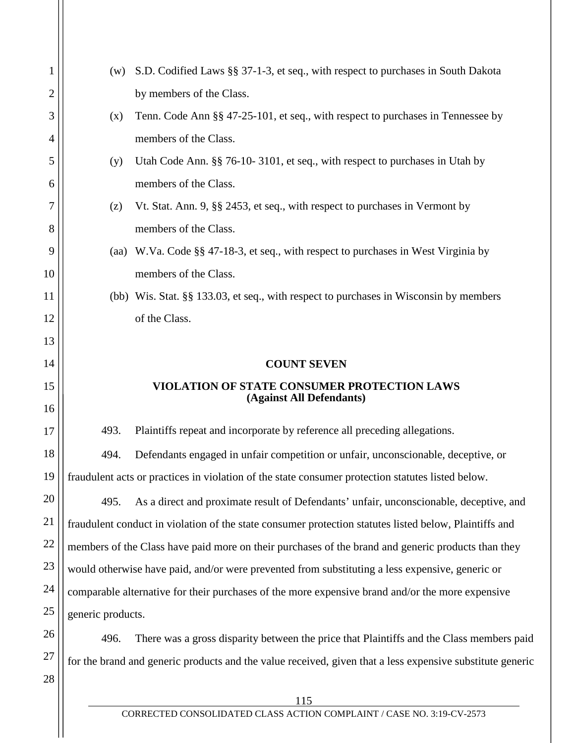| 1  | (w)                                                                                                       | S.D. Codified Laws §§ 37-1-3, et seq., with respect to purchases in South Dakota         |  |
|----|-----------------------------------------------------------------------------------------------------------|------------------------------------------------------------------------------------------|--|
| 2  |                                                                                                           | by members of the Class.                                                                 |  |
| 3  | (x)                                                                                                       | Tenn. Code Ann §§ 47-25-101, et seq., with respect to purchases in Tennessee by          |  |
| 4  |                                                                                                           | members of the Class.                                                                    |  |
| 5  | (y)                                                                                                       | Utah Code Ann. §§ 76-10-3101, et seq., with respect to purchases in Utah by              |  |
| 6  |                                                                                                           | members of the Class.                                                                    |  |
| 7  | (z)                                                                                                       | Vt. Stat. Ann. 9, §§ 2453, et seq., with respect to purchases in Vermont by              |  |
| 8  |                                                                                                           | members of the Class.                                                                    |  |
| 9  |                                                                                                           | (aa) W.Va. Code §§ 47-18-3, et seq., with respect to purchases in West Virginia by       |  |
| 10 |                                                                                                           | members of the Class.                                                                    |  |
| 11 |                                                                                                           | (bb) Wis. Stat. §§ 133.03, et seq., with respect to purchases in Wisconsin by members    |  |
| 12 |                                                                                                           | of the Class.                                                                            |  |
| 13 |                                                                                                           |                                                                                          |  |
| 14 |                                                                                                           | <b>COUNT SEVEN</b>                                                                       |  |
| 15 | VIOLATION OF STATE CONSUMER PROTECTION LAWS<br>(Against All Defendants)                                   |                                                                                          |  |
| 16 |                                                                                                           |                                                                                          |  |
| 17 | 493.                                                                                                      | Plaintiffs repeat and incorporate by reference all preceding allegations.                |  |
| 18 | 494.                                                                                                      | Defendants engaged in unfair competition or unfair, unconscionable, deceptive, or        |  |
| 19 | fraudulent acts or practices in violation of the state consumer protection statutes listed below.         |                                                                                          |  |
| 20 | 495.                                                                                                      | As a direct and proximate result of Defendants' unfair, unconscionable, deceptive, and   |  |
| 21 | fraudulent conduct in violation of the state consumer protection statutes listed below, Plaintiffs and    |                                                                                          |  |
| 22 | members of the Class have paid more on their purchases of the brand and generic products than they        |                                                                                          |  |
| 23 | would otherwise have paid, and/or were prevented from substituting a less expensive, generic or           |                                                                                          |  |
| 24 | comparable alternative for their purchases of the more expensive brand and/or the more expensive          |                                                                                          |  |
| 25 | generic products.                                                                                         |                                                                                          |  |
| 26 | 496.                                                                                                      | There was a gross disparity between the price that Plaintiffs and the Class members paid |  |
| 27 | for the brand and generic products and the value received, given that a less expensive substitute generic |                                                                                          |  |
| 28 |                                                                                                           |                                                                                          |  |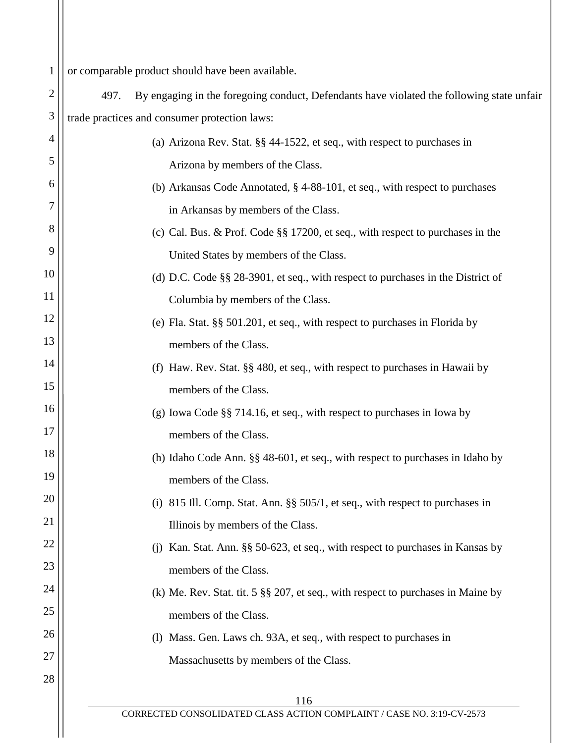| $\mathbf{1}$ | or comparable product should have been available.                                                 |  |  |
|--------------|---------------------------------------------------------------------------------------------------|--|--|
| 2            | By engaging in the foregoing conduct, Defendants have violated the following state unfair<br>497. |  |  |
| 3            | trade practices and consumer protection laws:                                                     |  |  |
| 4            | (a) Arizona Rev. Stat. $\S$ 44-1522, et seq., with respect to purchases in                        |  |  |
| 5            | Arizona by members of the Class.                                                                  |  |  |
| 6            | (b) Arkansas Code Annotated, $\S$ 4-88-101, et seq., with respect to purchases                    |  |  |
| 7            | in Arkansas by members of the Class.                                                              |  |  |
| 8            | (c) Cal. Bus. & Prof. Code $\S$ 17200, et seq., with respect to purchases in the                  |  |  |
| 9            | United States by members of the Class.                                                            |  |  |
| 10           | (d) D.C. Code $\S$ 28-3901, et seq., with respect to purchases in the District of                 |  |  |
| 11           | Columbia by members of the Class.                                                                 |  |  |
| 12           | (e) Fla. Stat. §§ 501.201, et seq., with respect to purchases in Florida by                       |  |  |
| 13           | members of the Class.                                                                             |  |  |
| 14           | (f) Haw. Rev. Stat. §§ 480, et seq., with respect to purchases in Hawaii by                       |  |  |
| 15           | members of the Class.                                                                             |  |  |
| 16           | (g) Iowa Code $\S$ 714.16, et seq., with respect to purchases in Iowa by                          |  |  |
| 17           | members of the Class.                                                                             |  |  |
| 18           | (h) Idaho Code Ann. §§ 48-601, et seq., with respect to purchases in Idaho by                     |  |  |
| 19           | members of the Class.                                                                             |  |  |
| 20           | (i) 815 Ill. Comp. Stat. Ann. $\S$ 505/1, et seq., with respect to purchases in                   |  |  |
| 21           | Illinois by members of the Class.                                                                 |  |  |
| 22           | Kan. Stat. Ann. §§ 50-623, et seq., with respect to purchases in Kansas by                        |  |  |
| 23           | members of the Class.                                                                             |  |  |
| 24           | (k) Me. Rev. Stat. tit. 5 $\S$ 207, et seq., with respect to purchases in Maine by                |  |  |
| 25           | members of the Class.                                                                             |  |  |
| 26           | (l) Mass. Gen. Laws ch. 93A, et seq., with respect to purchases in                                |  |  |
| 27           | Massachusetts by members of the Class.                                                            |  |  |
| 28           | 116                                                                                               |  |  |
|              | CORRECTED CONSOLIDATED CLASS ACTION COMPLAINT / CASE NO. 3:19-CV-2573                             |  |  |
|              |                                                                                                   |  |  |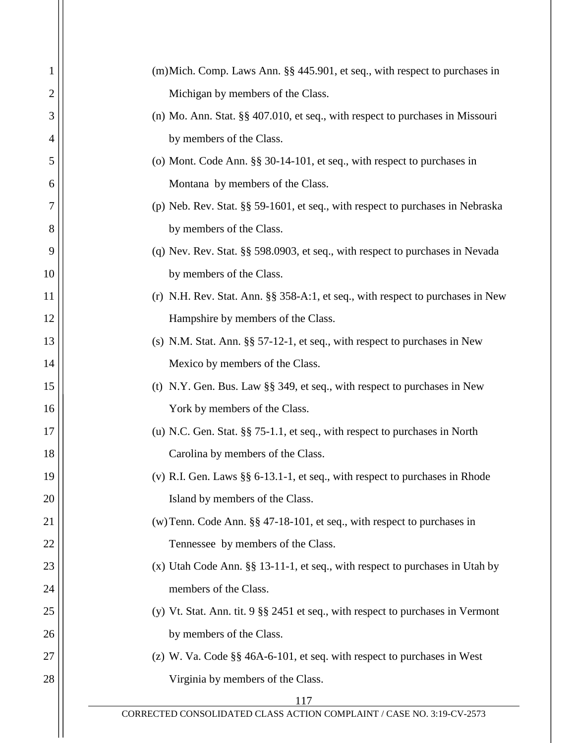| 1  | (m) Mich. Comp. Laws Ann. §§ 445.901, et seq., with respect to purchases in        |
|----|------------------------------------------------------------------------------------|
| 2  | Michigan by members of the Class.                                                  |
| 3  | (n) Mo. Ann. Stat. $\S$ 407.010, et seq., with respect to purchases in Missouri    |
| 4  | by members of the Class.                                                           |
| 5  | (o) Mont. Code Ann. $\S$ 30-14-101, et seq., with respect to purchases in          |
| 6  | Montana by members of the Class.                                                   |
| 7  | (p) Neb. Rev. Stat. §§ 59-1601, et seq., with respect to purchases in Nebraska     |
| 8  | by members of the Class.                                                           |
| 9  | (q) Nev. Rev. Stat. §§ 598.0903, et seq., with respect to purchases in Nevada      |
| 10 | by members of the Class.                                                           |
| 11 | (r) N.H. Rev. Stat. Ann. §§ 358-A:1, et seq., with respect to purchases in New     |
| 12 | Hampshire by members of the Class.                                                 |
| 13 | (s) N.M. Stat. Ann. $\S\S$ 57-12-1, et seq., with respect to purchases in New      |
| 14 | Mexico by members of the Class.                                                    |
| 15 | (t) N.Y. Gen. Bus. Law $\S$ 349, et seq., with respect to purchases in New         |
| 16 | York by members of the Class.                                                      |
| 17 | (u) N.C. Gen. Stat. $\S$ $75$ -1.1, et seq., with respect to purchases in North    |
| 18 | Carolina by members of the Class.                                                  |
| 19 | (v) R.I. Gen. Laws $\S\S 6$ -13.1-1, et seq., with respect to purchases in Rhode   |
| 20 | Island by members of the Class.                                                    |
| 21 | (w) Tenn. Code Ann. $\S$ 47-18-101, et seq., with respect to purchases in          |
| 22 | Tennessee by members of the Class.                                                 |
| 23 | $(x)$ Utah Code Ann. §§ 13-11-1, et seq., with respect to purchases in Utah by     |
| 24 | members of the Class.                                                              |
| 25 | (y) Vt. Stat. Ann. tit. $9 \$ § 2451 et seq., with respect to purchases in Vermont |
| 26 | by members of the Class.                                                           |
| 27 | (z) W. Va. Code $\S$ 46A-6-101, et seq. with respect to purchases in West          |
| 28 | Virginia by members of the Class.                                                  |
|    | 117                                                                                |
|    | CORRECTED CONSOLIDATED CLASS ACTION COMPLAINT / CASE NO. 3:19-CV-2573              |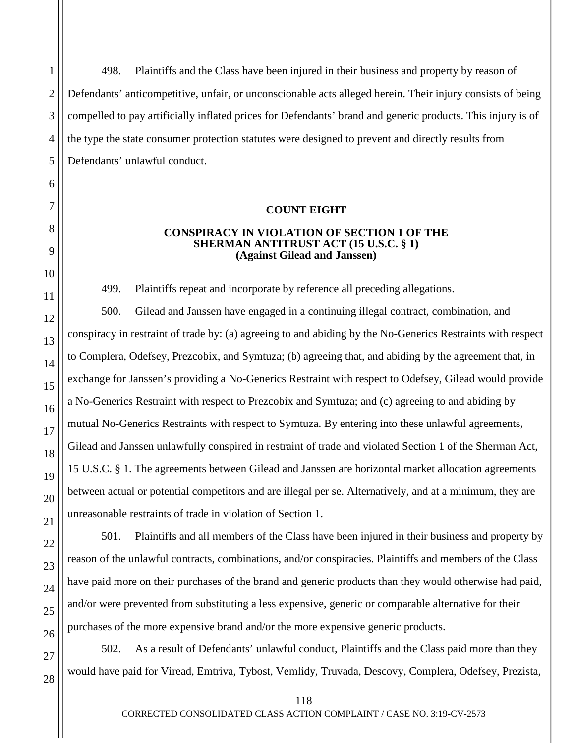498. Plaintiffs and the Class have been injured in their business and property by reason of Defendants' anticompetitive, unfair, or unconscionable acts alleged herein. Their injury consists of being compelled to pay artificially inflated prices for Defendants' brand and generic products. This injury is of the type the state consumer protection statutes were designed to prevent and directly results from Defendants' unlawful conduct.

#### **COUNT EIGHT**

#### **CONSPIRACY IN VIOLATION OF SECTION 1 OF THE SHERMAN ANTITRUST ACT (15 U.S.C. § 1) (Against Gilead and Janssen)**

499. Plaintiffs repeat and incorporate by reference all preceding allegations.

500. Gilead and Janssen have engaged in a continuing illegal contract, combination, and conspiracy in restraint of trade by: (a) agreeing to and abiding by the No-Generics Restraints with respect to Complera, Odefsey, Prezcobix, and Symtuza; (b) agreeing that, and abiding by the agreement that, in exchange for Janssen's providing a No-Generics Restraint with respect to Odefsey, Gilead would provide a No-Generics Restraint with respect to Prezcobix and Symtuza; and (c) agreeing to and abiding by mutual No-Generics Restraints with respect to Symtuza. By entering into these unlawful agreements, Gilead and Janssen unlawfully conspired in restraint of trade and violated Section 1 of the Sherman Act, 15 U.S.C. § 1. The agreements between Gilead and Janssen are horizontal market allocation agreements between actual or potential competitors and are illegal per se. Alternatively, and at a minimum, they are unreasonable restraints of trade in violation of Section 1.

501. Plaintiffs and all members of the Class have been injured in their business and property by reason of the unlawful contracts, combinations, and/or conspiracies. Plaintiffs and members of the Class have paid more on their purchases of the brand and generic products than they would otherwise had paid, and/or were prevented from substituting a less expensive, generic or comparable alternative for their purchases of the more expensive brand and/or the more expensive generic products.

502. As a result of Defendants' unlawful conduct, Plaintiffs and the Class paid more than they would have paid for Viread, Emtriva, Tybost, Vemlidy, Truvada, Descovy, Complera, Odefsey, Prezista,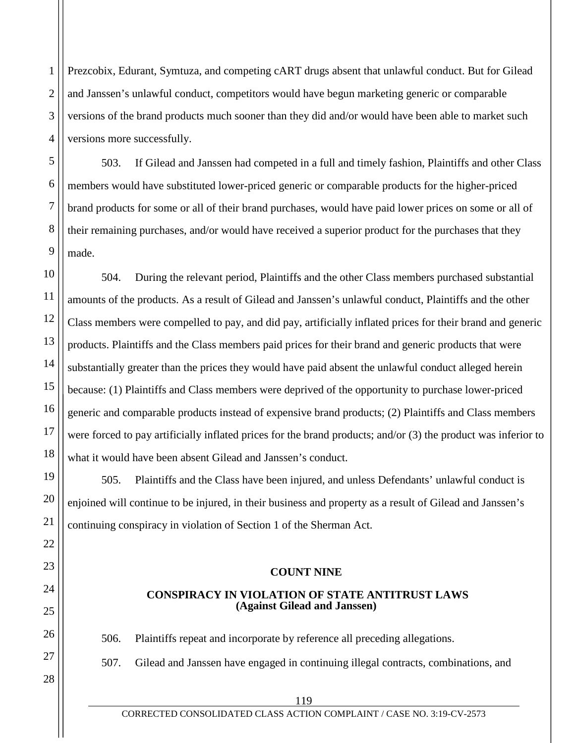Prezcobix, Edurant, Symtuza, and competing cART drugs absent that unlawful conduct. But for Gilead and Janssen's unlawful conduct, competitors would have begun marketing generic or comparable versions of the brand products much sooner than they did and/or would have been able to market such versions more successfully.

503. If Gilead and Janssen had competed in a full and timely fashion, Plaintiffs and other Class members would have substituted lower-priced generic or comparable products for the higher-priced brand products for some or all of their brand purchases, would have paid lower prices on some or all of their remaining purchases, and/or would have received a superior product for the purchases that they made.

504. During the relevant period, Plaintiffs and the other Class members purchased substantial amounts of the products. As a result of Gilead and Janssen's unlawful conduct, Plaintiffs and the other Class members were compelled to pay, and did pay, artificially inflated prices for their brand and generic products. Plaintiffs and the Class members paid prices for their brand and generic products that were substantially greater than the prices they would have paid absent the unlawful conduct alleged herein because: (1) Plaintiffs and Class members were deprived of the opportunity to purchase lower-priced generic and comparable products instead of expensive brand products; (2) Plaintiffs and Class members were forced to pay artificially inflated prices for the brand products; and/or (3) the product was inferior to what it would have been absent Gilead and Janssen's conduct.

505. Plaintiffs and the Class have been injured, and unless Defendants' unlawful conduct is enjoined will continue to be injured, in their business and property as a result of Gilead and Janssen's continuing conspiracy in violation of Section 1 of the Sherman Act.

## **COUNT NINE**

# **CONSPIRACY IN VIOLATION OF STATE ANTITRUST LAWS (Against Gilead and Janssen)**

506. Plaintiffs repeat and incorporate by reference all preceding allegations.

507. Gilead and Janssen have engaged in continuing illegal contracts, combinations, and

1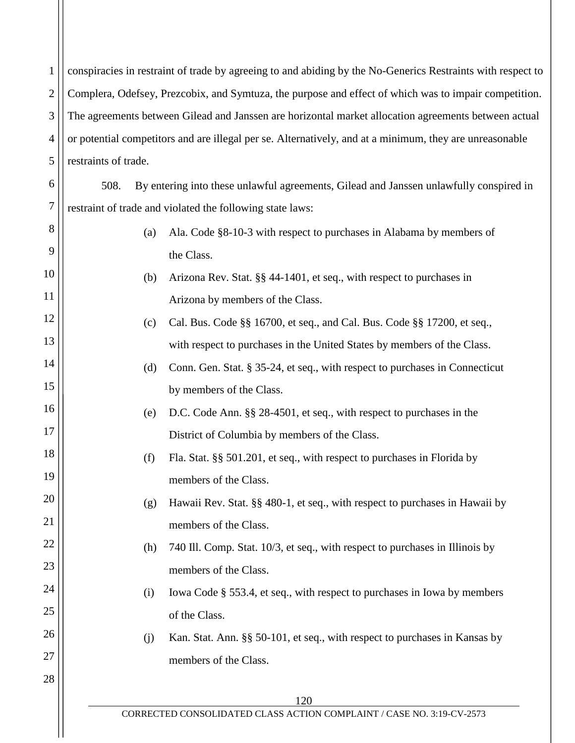1 2 3 4 5 6 7 8 9 10 11 12 13 14 15 16 17 18 19 20 21 22 23 24 25 26 27 28 120 CORRECTED CONSOLIDATED CLASS ACTION COMPLAINT / CASE NO. 3:19-CV-2573 conspiracies in restraint of trade by agreeing to and abiding by the No-Generics Restraints with respect to Complera, Odefsey, Prezcobix, and Symtuza, the purpose and effect of which was to impair competition. The agreements between Gilead and Janssen are horizontal market allocation agreements between actual or potential competitors and are illegal per se. Alternatively, and at a minimum, they are unreasonable restraints of trade. 508. By entering into these unlawful agreements, Gilead and Janssen unlawfully conspired in restraint of trade and violated the following state laws: (a) Ala. Code §8-10-3 with respect to purchases in Alabama by members of the Class. (b) Arizona Rev. Stat. §§ 44-1401, et seq., with respect to purchases in Arizona by members of the Class. (c) Cal. Bus. Code §§ 16700, et seq., and Cal. Bus. Code §§ 17200, et seq., with respect to purchases in the United States by members of the Class. (d) Conn. Gen. Stat. § 35-24, et seq., with respect to purchases in Connecticut by members of the Class. (e) D.C. Code Ann. §§ 28-4501, et seq., with respect to purchases in the District of Columbia by members of the Class. (f) Fla. Stat. §§ 501.201, et seq., with respect to purchases in Florida by members of the Class. (g) Hawaii Rev. Stat. §§ 480-1, et seq., with respect to purchases in Hawaii by members of the Class. (h) 740 Ill. Comp. Stat. 10/3, et seq., with respect to purchases in Illinois by members of the Class. (i) Iowa Code § 553.4, et seq., with respect to purchases in Iowa by members of the Class. (j) Kan. Stat. Ann. §§ 50-101, et seq., with respect to purchases in Kansas by members of the Class.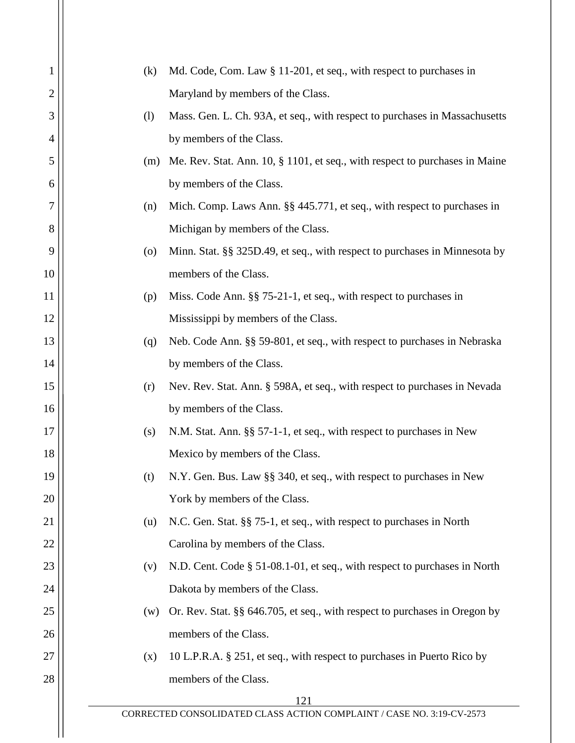| 1  | (k)                | Md. Code, Com. Law § 11-201, et seq., with respect to purchases in          |
|----|--------------------|-----------------------------------------------------------------------------|
| 2  |                    | Maryland by members of the Class.                                           |
| 3  | (1)                | Mass. Gen. L. Ch. 93A, et seq., with respect to purchases in Massachusetts  |
| 4  |                    | by members of the Class.                                                    |
| 5  | (m)                | Me. Rev. Stat. Ann. 10, § 1101, et seq., with respect to purchases in Maine |
| 6  |                    | by members of the Class.                                                    |
| 7  | (n)                | Mich. Comp. Laws Ann. §§ 445.771, et seq., with respect to purchases in     |
| 8  |                    | Michigan by members of the Class.                                           |
| 9  | $\left( 0 \right)$ | Minn. Stat. §§ 325D.49, et seq., with respect to purchases in Minnesota by  |
| 10 |                    | members of the Class.                                                       |
| 11 | (p)                | Miss. Code Ann. §§ 75-21-1, et seq., with respect to purchases in           |
| 12 |                    | Mississippi by members of the Class.                                        |
| 13 | (q)                | Neb. Code Ann. §§ 59-801, et seq., with respect to purchases in Nebraska    |
| 14 |                    | by members of the Class.                                                    |
| 15 | (r)                | Nev. Rev. Stat. Ann. § 598A, et seq., with respect to purchases in Nevada   |
| 16 |                    | by members of the Class.                                                    |
| 17 | (s)                | N.M. Stat. Ann. §§ 57-1-1, et seq., with respect to purchases in New        |
| 18 |                    | Mexico by members of the Class.                                             |
| 19 | (t)                | N.Y. Gen. Bus. Law §§ 340, et seq., with respect to purchases in New        |
| 20 |                    | York by members of the Class.                                               |
| 21 | (u)                | N.C. Gen. Stat. §§ 75-1, et seq., with respect to purchases in North        |
| 22 |                    | Carolina by members of the Class.                                           |
| 23 | (v)                | N.D. Cent. Code § 51-08.1-01, et seq., with respect to purchases in North   |
| 24 |                    | Dakota by members of the Class.                                             |
| 25 | (w)                | Or. Rev. Stat. §§ 646.705, et seq., with respect to purchases in Oregon by  |
| 26 |                    | members of the Class.                                                       |
| 27 | (x)                | 10 L.P.R.A. § 251, et seq., with respect to purchases in Puerto Rico by     |
| 28 |                    | members of the Class.                                                       |
|    |                    | 121                                                                         |
|    |                    | CORRECTED CONSOLIDATED CLASS ACTION COMPLAINT / CASE NO. 3:19-CV-2573       |
|    |                    |                                                                             |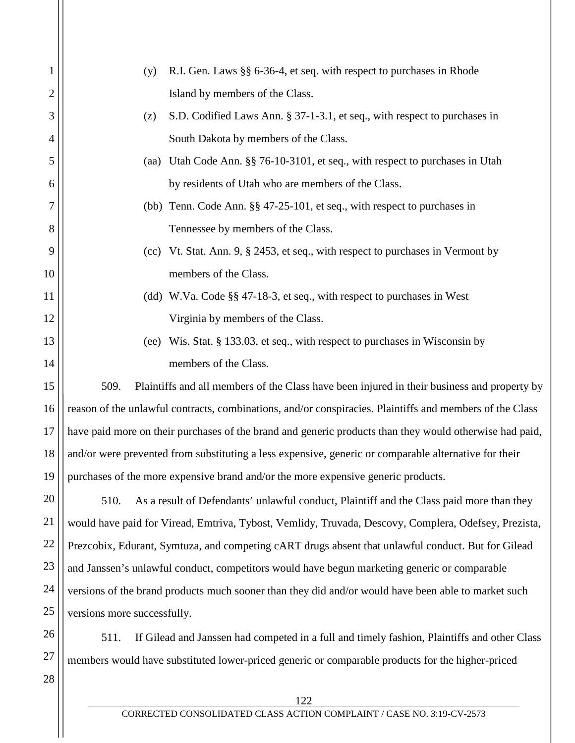| 1              | R.I. Gen. Laws §§ 6-36-4, et seq. with respect to purchases in Rhode<br>(y)                              |
|----------------|----------------------------------------------------------------------------------------------------------|
| $\overline{2}$ | Island by members of the Class.                                                                          |
| 3              | S.D. Codified Laws Ann. § 37-1-3.1, et seq., with respect to purchases in<br>(z)                         |
| 4              | South Dakota by members of the Class.                                                                    |
| 5              | Utah Code Ann. §§ 76-10-3101, et seq., with respect to purchases in Utah<br>(aa)                         |
| 6              | by residents of Utah who are members of the Class.                                                       |
| 7              | (bb) Tenn. Code Ann. §§ 47-25-101, et seq., with respect to purchases in                                 |
| 8              | Tennessee by members of the Class.                                                                       |
| 9              | (cc) Vt. Stat. Ann. 9, § 2453, et seq., with respect to purchases in Vermont by                          |
| 10             | members of the Class.                                                                                    |
| 11             | (dd) W.Va. Code §§ 47-18-3, et seq., with respect to purchases in West                                   |
| 12             | Virginia by members of the Class.                                                                        |
| 13             | Wis. Stat. § 133.03, et seq., with respect to purchases in Wisconsin by<br>(ee)                          |
| 14             | members of the Class.                                                                                    |
| 15             | 509.<br>Plaintiffs and all members of the Class have been injured in their business and property by      |
| 16             | reason of the unlawful contracts, combinations, and/or conspiracies. Plaintiffs and members of the Class |
| 17             | have paid more on their purchases of the brand and generic products than they would otherwise had paid,  |
| 18             | and/or were prevented from substituting a less expensive, generic or comparable alternative for their    |
| 19             | purchases of the more expensive brand and/or the more expensive generic products.                        |
| 20             | 510.<br>As a result of Defendants' unlawful conduct, Plaintiff and the Class paid more than they         |
| 21             | would have paid for Viread, Emtriva, Tybost, Vemlidy, Truvada, Descovy, Complera, Odefsey, Prezista,     |
| 22             | Prezcobix, Edurant, Symtuza, and competing cART drugs absent that unlawful conduct. But for Gilead       |
| 23             | and Janssen's unlawful conduct, competitors would have begun marketing generic or comparable             |
| 24             | versions of the brand products much sooner than they did and/or would have been able to market such      |
| 25             | versions more successfully.                                                                              |
| 26             | If Gilead and Janssen had competed in a full and timely fashion, Plaintiffs and other Class<br>511.      |

27 members would have substituted lower-priced generic or comparable products for the higher-priced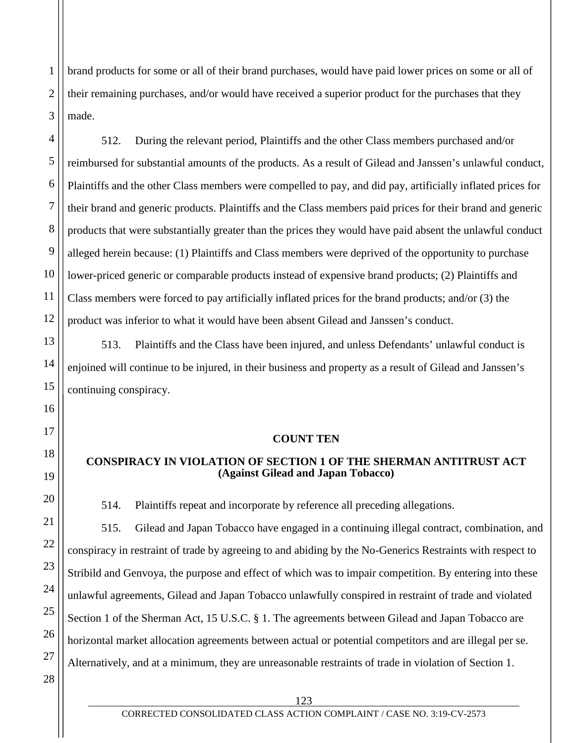brand products for some or all of their brand purchases, would have paid lower prices on some or all of their remaining purchases, and/or would have received a superior product for the purchases that they made.

512. During the relevant period, Plaintiffs and the other Class members purchased and/or reimbursed for substantial amounts of the products. As a result of Gilead and Janssen's unlawful conduct, Plaintiffs and the other Class members were compelled to pay, and did pay, artificially inflated prices for their brand and generic products. Plaintiffs and the Class members paid prices for their brand and generic products that were substantially greater than the prices they would have paid absent the unlawful conduct alleged herein because: (1) Plaintiffs and Class members were deprived of the opportunity to purchase lower-priced generic or comparable products instead of expensive brand products; (2) Plaintiffs and Class members were forced to pay artificially inflated prices for the brand products; and/or (3) the product was inferior to what it would have been absent Gilead and Janssen's conduct.

513. Plaintiffs and the Class have been injured, and unless Defendants' unlawful conduct is enjoined will continue to be injured, in their business and property as a result of Gilead and Janssen's continuing conspiracy.

## **COUNT TEN**

## **CONSPIRACY IN VIOLATION OF SECTION 1 OF THE SHERMAN ANTITRUST ACT (Against Gilead and Japan Tobacco)**

514. Plaintiffs repeat and incorporate by reference all preceding allegations.

515. Gilead and Japan Tobacco have engaged in a continuing illegal contract, combination, and conspiracy in restraint of trade by agreeing to and abiding by the No-Generics Restraints with respect to Stribild and Genvoya, the purpose and effect of which was to impair competition. By entering into these unlawful agreements, Gilead and Japan Tobacco unlawfully conspired in restraint of trade and violated Section 1 of the Sherman Act, 15 U.S.C. § 1. The agreements between Gilead and Japan Tobacco are horizontal market allocation agreements between actual or potential competitors and are illegal per se. Alternatively, and at a minimum, they are unreasonable restraints of trade in violation of Section 1.

1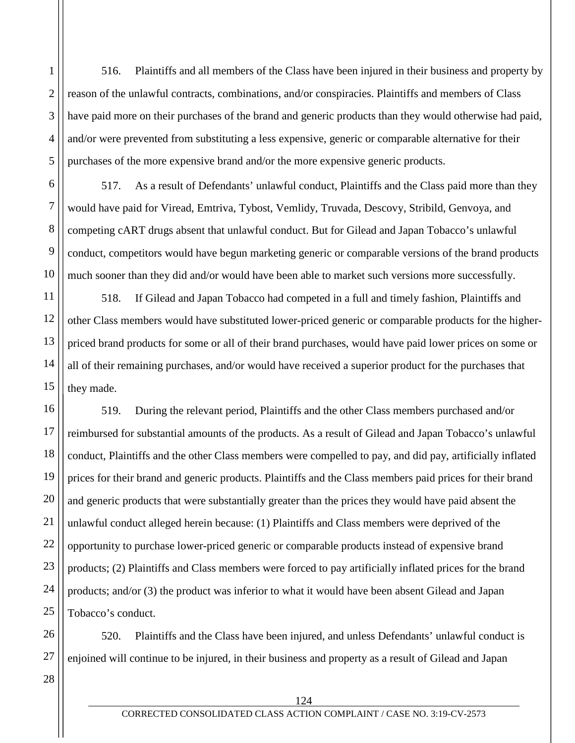516. Plaintiffs and all members of the Class have been injured in their business and property by reason of the unlawful contracts, combinations, and/or conspiracies. Plaintiffs and members of Class have paid more on their purchases of the brand and generic products than they would otherwise had paid, and/or were prevented from substituting a less expensive, generic or comparable alternative for their purchases of the more expensive brand and/or the more expensive generic products.

517. As a result of Defendants' unlawful conduct, Plaintiffs and the Class paid more than they would have paid for Viread, Emtriva, Tybost, Vemlidy, Truvada, Descovy, Stribild, Genvoya, and competing cART drugs absent that unlawful conduct. But for Gilead and Japan Tobacco's unlawful conduct, competitors would have begun marketing generic or comparable versions of the brand products much sooner than they did and/or would have been able to market such versions more successfully.

518. If Gilead and Japan Tobacco had competed in a full and timely fashion, Plaintiffs and other Class members would have substituted lower-priced generic or comparable products for the higherpriced brand products for some or all of their brand purchases, would have paid lower prices on some or all of their remaining purchases, and/or would have received a superior product for the purchases that they made.

16 18 19 20 22 23 24 519. During the relevant period, Plaintiffs and the other Class members purchased and/or reimbursed for substantial amounts of the products. As a result of Gilead and Japan Tobacco's unlawful conduct, Plaintiffs and the other Class members were compelled to pay, and did pay, artificially inflated prices for their brand and generic products. Plaintiffs and the Class members paid prices for their brand and generic products that were substantially greater than the prices they would have paid absent the unlawful conduct alleged herein because: (1) Plaintiffs and Class members were deprived of the opportunity to purchase lower-priced generic or comparable products instead of expensive brand products; (2) Plaintiffs and Class members were forced to pay artificially inflated prices for the brand products; and/or (3) the product was inferior to what it would have been absent Gilead and Japan Tobacco's conduct.

26 27 520. Plaintiffs and the Class have been injured, and unless Defendants' unlawful conduct is enjoined will continue to be injured, in their business and property as a result of Gilead and Japan

28

25

1

2

3

4

5

6

7

8

9

10

11

12

13

14

15

17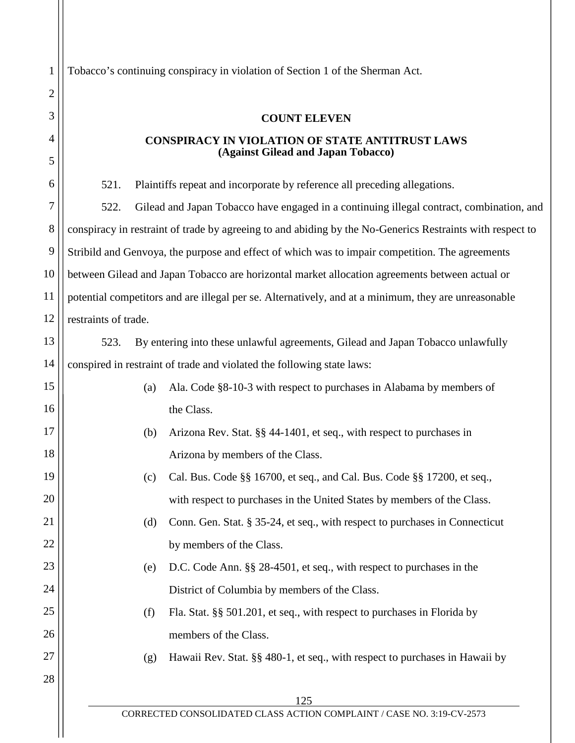Tobacco's continuing conspiracy in violation of Section 1 of the Sherman Act.

## **COUNT ELEVEN**

#### **CONSPIRACY IN VIOLATION OF STATE ANTITRUST LAWS (Against Gilead and Japan Tobacco)**

125 521. Plaintiffs repeat and incorporate by reference all preceding allegations. 522. Gilead and Japan Tobacco have engaged in a continuing illegal contract, combination, and conspiracy in restraint of trade by agreeing to and abiding by the No-Generics Restraints with respect to Stribild and Genvoya, the purpose and effect of which was to impair competition. The agreements between Gilead and Japan Tobacco are horizontal market allocation agreements between actual or potential competitors and are illegal per se. Alternatively, and at a minimum, they are unreasonable restraints of trade. 523. By entering into these unlawful agreements, Gilead and Japan Tobacco unlawfully conspired in restraint of trade and violated the following state laws: (a) Ala. Code §8-10-3 with respect to purchases in Alabama by members of the Class. (b) Arizona Rev. Stat. §§ 44-1401, et seq., with respect to purchases in Arizona by members of the Class. (c) Cal. Bus. Code §§ 16700, et seq., and Cal. Bus. Code §§ 17200, et seq., with respect to purchases in the United States by members of the Class. (d) Conn. Gen. Stat. § 35-24, et seq., with respect to purchases in Connecticut by members of the Class. (e) D.C. Code Ann. §§ 28-4501, et seq., with respect to purchases in the District of Columbia by members of the Class. (f) Fla. Stat. §§ 501.201, et seq., with respect to purchases in Florida by members of the Class. (g) Hawaii Rev. Stat. §§ 480-1, et seq., with respect to purchases in Hawaii by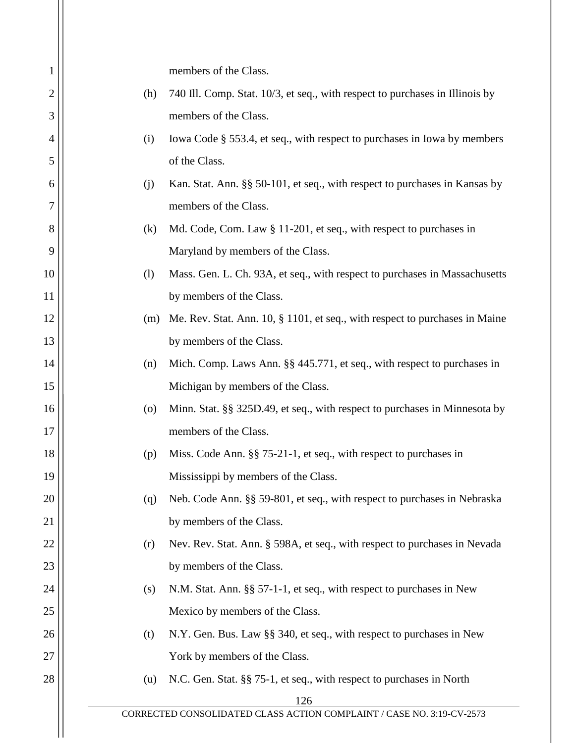| 1              |     | members of the Class.                                                        |
|----------------|-----|------------------------------------------------------------------------------|
| $\overline{2}$ | (h) | 740 Ill. Comp. Stat. 10/3, et seq., with respect to purchases in Illinois by |
| 3              |     | members of the Class.                                                        |
| 4              | (i) | Iowa Code § 553.4, et seq., with respect to purchases in Iowa by members     |
| 5              |     | of the Class.                                                                |
| 6              | (i) | Kan. Stat. Ann. §§ 50-101, et seq., with respect to purchases in Kansas by   |
| 7              |     | members of the Class.                                                        |
| 8              | (k) | Md. Code, Com. Law § 11-201, et seq., with respect to purchases in           |
| 9              |     | Maryland by members of the Class.                                            |
| 10             | (1) | Mass. Gen. L. Ch. 93A, et seq., with respect to purchases in Massachusetts   |
| 11             |     | by members of the Class.                                                     |
| 12             | (m) | Me. Rev. Stat. Ann. 10, § 1101, et seq., with respect to purchases in Maine  |
| 13             |     | by members of the Class.                                                     |
| 14             | (n) | Mich. Comp. Laws Ann. §§ 445.771, et seq., with respect to purchases in      |
| 15             |     | Michigan by members of the Class.                                            |
| 16             | (0) | Minn. Stat. §§ 325D.49, et seq., with respect to purchases in Minnesota by   |
| 17             |     | members of the Class.                                                        |
| 18             | (p) | Miss. Code Ann. §§ 75-21-1, et seq., with respect to purchases in            |
| 19             |     | Mississippi by members of the Class.                                         |
| 20             | (q) | Neb. Code Ann. §§ 59-801, et seq., with respect to purchases in Nebraska     |
| 21             |     | by members of the Class.                                                     |
| 22             | (r) | Nev. Rev. Stat. Ann. § 598A, et seq., with respect to purchases in Nevada    |
| 23             |     | by members of the Class.                                                     |
| 24             | (s) | N.M. Stat. Ann. §§ 57-1-1, et seq., with respect to purchases in New         |
| 25             |     | Mexico by members of the Class.                                              |
| 26             | (t) | N.Y. Gen. Bus. Law §§ 340, et seq., with respect to purchases in New         |
| 27             |     | York by members of the Class.                                                |
| 28             | (u) | N.C. Gen. Stat. §§ 75-1, et seq., with respect to purchases in North         |
|                |     | 126                                                                          |
|                |     | CORRECTED CONSOLIDATED CLASS ACTION COMPLAINT / CASE NO. 3:19-CV-2573        |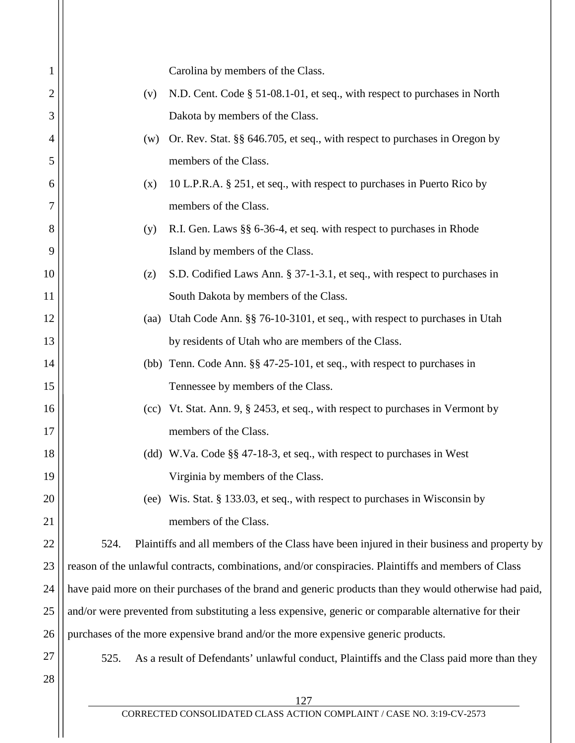| 1              |                                                                                                         | Carolina by members of the Class.                                                                    |  |
|----------------|---------------------------------------------------------------------------------------------------------|------------------------------------------------------------------------------------------------------|--|
| $\overline{2}$ | (v)                                                                                                     | N.D. Cent. Code § 51-08.1-01, et seq., with respect to purchases in North                            |  |
| 3              |                                                                                                         | Dakota by members of the Class.                                                                      |  |
| 4              | (w)                                                                                                     | Or. Rev. Stat. §§ 646.705, et seq., with respect to purchases in Oregon by                           |  |
| 5              |                                                                                                         | members of the Class.                                                                                |  |
| 6              | (x)                                                                                                     | 10 L.P.R.A. § 251, et seq., with respect to purchases in Puerto Rico by                              |  |
| 7              |                                                                                                         | members of the Class.                                                                                |  |
| 8              | (y)                                                                                                     | R.I. Gen. Laws §§ 6-36-4, et seq. with respect to purchases in Rhode                                 |  |
| 9              |                                                                                                         | Island by members of the Class.                                                                      |  |
| 10             | (z)                                                                                                     | S.D. Codified Laws Ann. § 37-1-3.1, et seq., with respect to purchases in                            |  |
| 11             |                                                                                                         | South Dakota by members of the Class.                                                                |  |
| 12             |                                                                                                         | (aa) Utah Code Ann. §§ 76-10-3101, et seq., with respect to purchases in Utah                        |  |
| 13             |                                                                                                         | by residents of Utah who are members of the Class.                                                   |  |
| 14             |                                                                                                         | (bb) Tenn. Code Ann. §§ 47-25-101, et seq., with respect to purchases in                             |  |
| 15             |                                                                                                         | Tennessee by members of the Class.                                                                   |  |
| 16             |                                                                                                         | (cc) Vt. Stat. Ann. 9, § 2453, et seq., with respect to purchases in Vermont by                      |  |
| 17             |                                                                                                         | members of the Class.                                                                                |  |
| 18             |                                                                                                         | (dd) W.Va. Code §§ 47-18-3, et seq., with respect to purchases in West                               |  |
| 19             |                                                                                                         | Virginia by members of the Class.                                                                    |  |
| 20             | (ee)                                                                                                    | Wis. Stat. § 133.03, et seq., with respect to purchases in Wisconsin by                              |  |
| 21             |                                                                                                         | members of the Class.                                                                                |  |
| 22             | 524.                                                                                                    | Plaintiffs and all members of the Class have been injured in their business and property by          |  |
| 23             |                                                                                                         | reason of the unlawful contracts, combinations, and/or conspiracies. Plaintiffs and members of Class |  |
| 24             | have paid more on their purchases of the brand and generic products than they would otherwise had paid, |                                                                                                      |  |
| 25             | and/or were prevented from substituting a less expensive, generic or comparable alternative for their   |                                                                                                      |  |
| 26             |                                                                                                         | purchases of the more expensive brand and/or the more expensive generic products.                    |  |
| 27             | 525.                                                                                                    | As a result of Defendants' unlawful conduct, Plaintiffs and the Class paid more than they            |  |
| 28             |                                                                                                         |                                                                                                      |  |
|                |                                                                                                         | 127                                                                                                  |  |

 $\mathbf{\mathbf{\mathsf{I}}}\mathbf{\mathsf{I}}$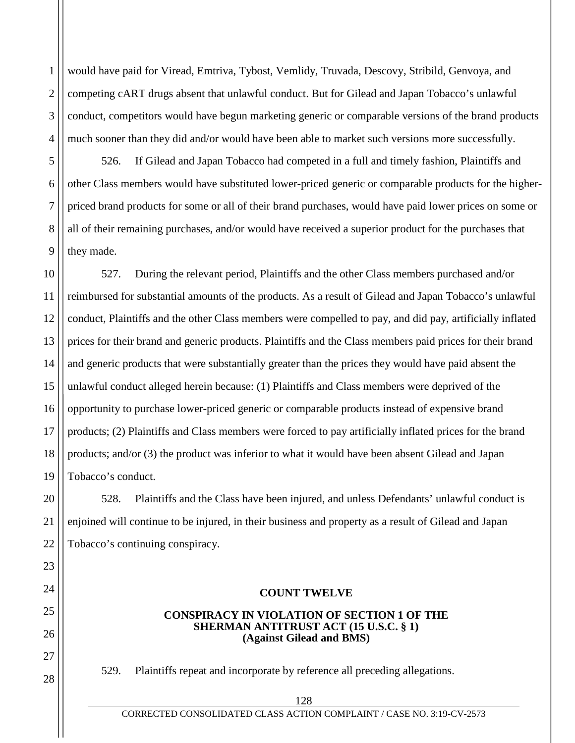1 2 3 4 would have paid for Viread, Emtriva, Tybost, Vemlidy, Truvada, Descovy, Stribild, Genvoya, and competing cART drugs absent that unlawful conduct. But for Gilead and Japan Tobacco's unlawful conduct, competitors would have begun marketing generic or comparable versions of the brand products much sooner than they did and/or would have been able to market such versions more successfully.

526. If Gilead and Japan Tobacco had competed in a full and timely fashion, Plaintiffs and other Class members would have substituted lower-priced generic or comparable products for the higherpriced brand products for some or all of their brand purchases, would have paid lower prices on some or all of their remaining purchases, and/or would have received a superior product for the purchases that they made.

5

6

7

8

9

20

21

22

23

24

25

26

27

28

10 11 12 13 14 15 16 17 18 19 527. During the relevant period, Plaintiffs and the other Class members purchased and/or reimbursed for substantial amounts of the products. As a result of Gilead and Japan Tobacco's unlawful conduct, Plaintiffs and the other Class members were compelled to pay, and did pay, artificially inflated prices for their brand and generic products. Plaintiffs and the Class members paid prices for their brand and generic products that were substantially greater than the prices they would have paid absent the unlawful conduct alleged herein because: (1) Plaintiffs and Class members were deprived of the opportunity to purchase lower-priced generic or comparable products instead of expensive brand products; (2) Plaintiffs and Class members were forced to pay artificially inflated prices for the brand products; and/or (3) the product was inferior to what it would have been absent Gilead and Japan Tobacco's conduct.

528. Plaintiffs and the Class have been injured, and unless Defendants' unlawful conduct is enjoined will continue to be injured, in their business and property as a result of Gilead and Japan Tobacco's continuing conspiracy.

# **COUNT TWELVE**

#### **CONSPIRACY IN VIOLATION OF SECTION 1 OF THE SHERMAN ANTITRUST ACT (15 U.S.C. § 1) (Against Gilead and BMS)**

529. Plaintiffs repeat and incorporate by reference all preceding allegations.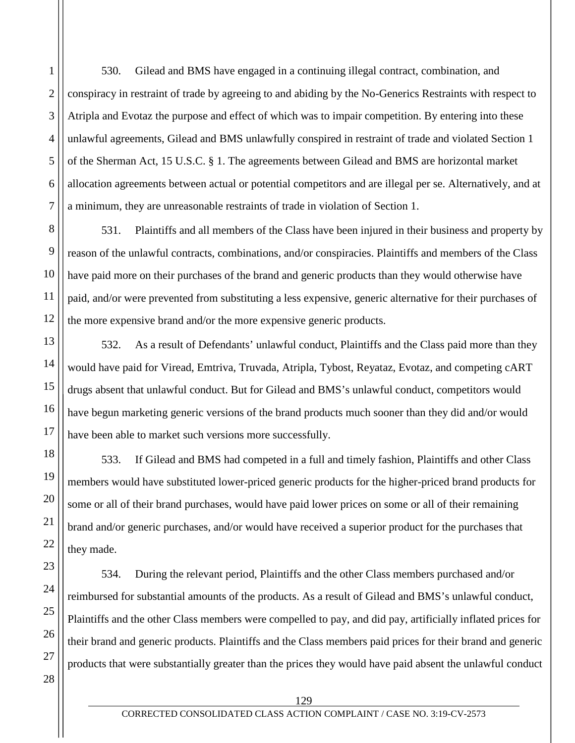530. Gilead and BMS have engaged in a continuing illegal contract, combination, and conspiracy in restraint of trade by agreeing to and abiding by the No-Generics Restraints with respect to Atripla and Evotaz the purpose and effect of which was to impair competition. By entering into these unlawful agreements, Gilead and BMS unlawfully conspired in restraint of trade and violated Section 1 of the Sherman Act, 15 U.S.C. § 1. The agreements between Gilead and BMS are horizontal market allocation agreements between actual or potential competitors and are illegal per se. Alternatively, and at a minimum, they are unreasonable restraints of trade in violation of Section 1.

531. Plaintiffs and all members of the Class have been injured in their business and property by reason of the unlawful contracts, combinations, and/or conspiracies. Plaintiffs and members of the Class have paid more on their purchases of the brand and generic products than they would otherwise have paid, and/or were prevented from substituting a less expensive, generic alternative for their purchases of the more expensive brand and/or the more expensive generic products.

532. As a result of Defendants' unlawful conduct, Plaintiffs and the Class paid more than they would have paid for Viread, Emtriva, Truvada, Atripla, Tybost, Reyataz, Evotaz, and competing cART drugs absent that unlawful conduct. But for Gilead and BMS's unlawful conduct, competitors would have begun marketing generic versions of the brand products much sooner than they did and/or would have been able to market such versions more successfully.

533. If Gilead and BMS had competed in a full and timely fashion, Plaintiffs and other Class members would have substituted lower-priced generic products for the higher-priced brand products for some or all of their brand purchases, would have paid lower prices on some or all of their remaining brand and/or generic purchases, and/or would have received a superior product for the purchases that they made.

534. During the relevant period, Plaintiffs and the other Class members purchased and/or reimbursed for substantial amounts of the products. As a result of Gilead and BMS's unlawful conduct, Plaintiffs and the other Class members were compelled to pay, and did pay, artificially inflated prices for their brand and generic products. Plaintiffs and the Class members paid prices for their brand and generic products that were substantially greater than the prices they would have paid absent the unlawful conduct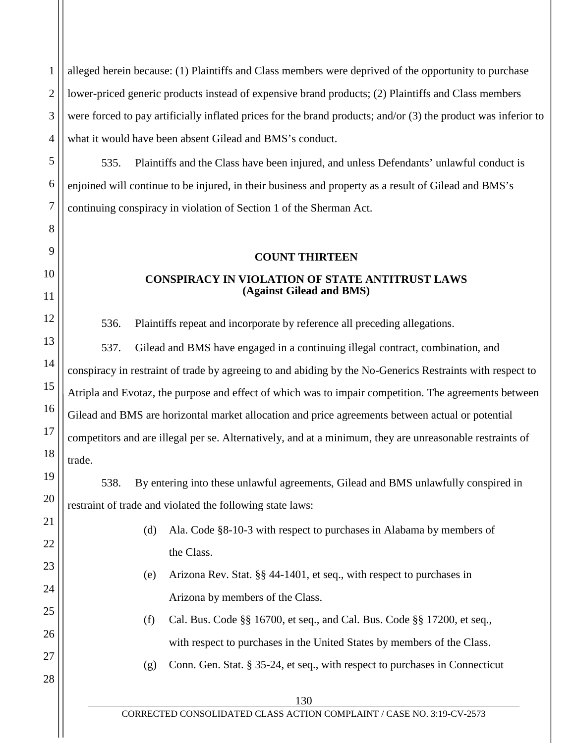alleged herein because: (1) Plaintiffs and Class members were deprived of the opportunity to purchase lower-priced generic products instead of expensive brand products; (2) Plaintiffs and Class members were forced to pay artificially inflated prices for the brand products; and/or (3) the product was inferior to what it would have been absent Gilead and BMS's conduct.

535. Plaintiffs and the Class have been injured, and unless Defendants' unlawful conduct is enjoined will continue to be injured, in their business and property as a result of Gilead and BMS's continuing conspiracy in violation of Section 1 of the Sherman Act.

## **COUNT THIRTEEN**

# **CONSPIRACY IN VIOLATION OF STATE ANTITRUST LAWS (Against Gilead and BMS)**

536. Plaintiffs repeat and incorporate by reference all preceding allegations.

537. Gilead and BMS have engaged in a continuing illegal contract, combination, and conspiracy in restraint of trade by agreeing to and abiding by the No-Generics Restraints with respect to Atripla and Evotaz, the purpose and effect of which was to impair competition. The agreements between Gilead and BMS are horizontal market allocation and price agreements between actual or potential competitors and are illegal per se. Alternatively, and at a minimum, they are unreasonable restraints of trade.

538. By entering into these unlawful agreements, Gilead and BMS unlawfully conspired in restraint of trade and violated the following state laws:

- (d) Ala. Code §8-10-3 with respect to purchases in Alabama by members of the Class.
- (e) Arizona Rev. Stat. §§ 44-1401, et seq., with respect to purchases in Arizona by members of the Class.
- (f) Cal. Bus. Code §§ 16700, et seq., and Cal. Bus. Code §§ 17200, et seq., with respect to purchases in the United States by members of the Class.
- (g) Conn. Gen. Stat. § 35-24, et seq., with respect to purchases in Connecticut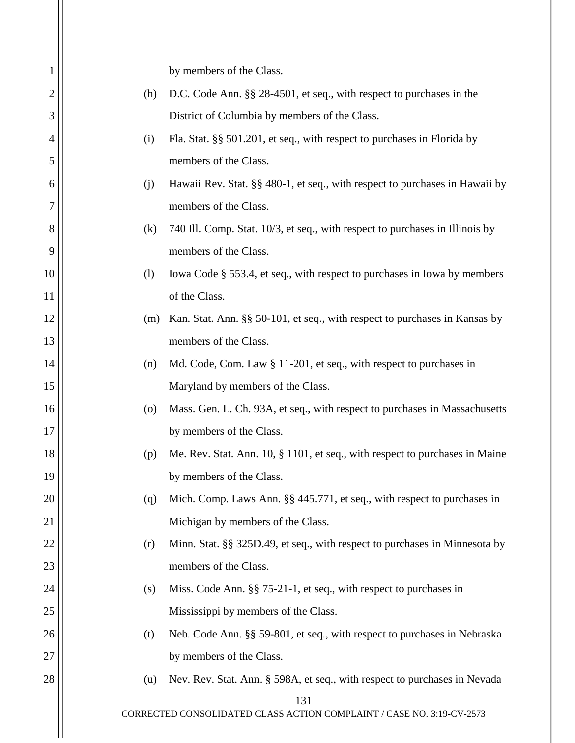| 1  |     | by members of the Class.                                                     |  |
|----|-----|------------------------------------------------------------------------------|--|
| 2  | (h) | D.C. Code Ann. §§ 28-4501, et seq., with respect to purchases in the         |  |
| 3  |     | District of Columbia by members of the Class.                                |  |
| 4  | (i) | Fla. Stat. §§ 501.201, et seq., with respect to purchases in Florida by      |  |
| 5  |     | members of the Class.                                                        |  |
| 6  | (j) | Hawaii Rev. Stat. §§ 480-1, et seq., with respect to purchases in Hawaii by  |  |
| 7  |     | members of the Class.                                                        |  |
| 8  | (k) | 740 Ill. Comp. Stat. 10/3, et seq., with respect to purchases in Illinois by |  |
| 9  |     | members of the Class.                                                        |  |
| 10 | (1) | Iowa Code § 553.4, et seq., with respect to purchases in Iowa by members     |  |
| 11 |     | of the Class.                                                                |  |
| 12 | (m) | Kan. Stat. Ann. §§ 50-101, et seq., with respect to purchases in Kansas by   |  |
| 13 |     | members of the Class.                                                        |  |
| 14 | (n) | Md. Code, Com. Law § 11-201, et seq., with respect to purchases in           |  |
| 15 |     | Maryland by members of the Class.                                            |  |
| 16 | (0) | Mass. Gen. L. Ch. 93A, et seq., with respect to purchases in Massachusetts   |  |
| 17 |     | by members of the Class.                                                     |  |
| 18 | (p) | Me. Rev. Stat. Ann. 10, § 1101, et seq., with respect to purchases in Maine  |  |
| 19 |     | by members of the Class.                                                     |  |
| 20 | (q) | Mich. Comp. Laws Ann. §§ 445.771, et seq., with respect to purchases in      |  |
| 21 |     | Michigan by members of the Class.                                            |  |
| 22 | (r) | Minn. Stat. §§ 325D.49, et seq., with respect to purchases in Minnesota by   |  |
| 23 |     | members of the Class.                                                        |  |
| 24 | (s) | Miss. Code Ann. §§ 75-21-1, et seq., with respect to purchases in            |  |
| 25 |     | Mississippi by members of the Class.                                         |  |
| 26 | (t) | Neb. Code Ann. §§ 59-801, et seq., with respect to purchases in Nebraska     |  |
| 27 |     | by members of the Class.                                                     |  |
| 28 | (u) | Nev. Rev. Stat. Ann. § 598A, et seq., with respect to purchases in Nevada    |  |
|    |     | 131                                                                          |  |
|    |     | CORRECTED CONSOLIDATED CLASS ACTION COMPLAINT / CASE NO. 3:19-CV-2573        |  |
|    |     |                                                                              |  |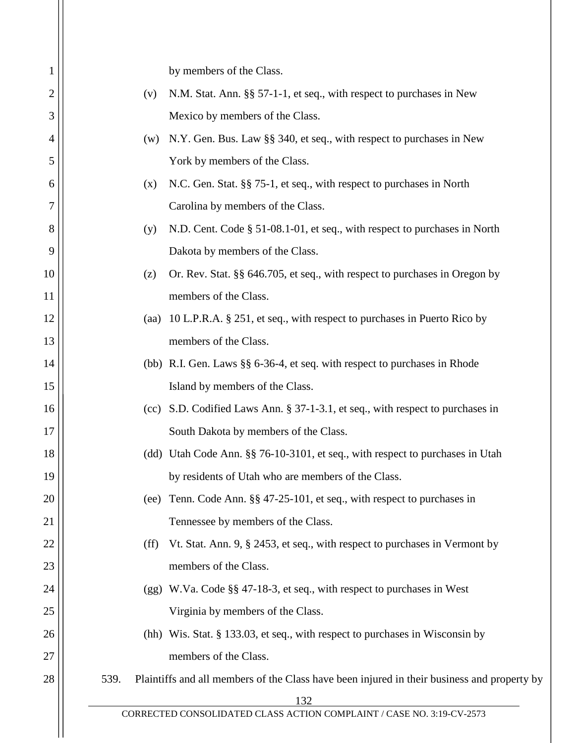|                                             | by members of the Class.                                                                    |  |
|---------------------------------------------|---------------------------------------------------------------------------------------------|--|
| (v)                                         | N.M. Stat. Ann. §§ 57-1-1, et seq., with respect to purchases in New                        |  |
|                                             | Mexico by members of the Class.                                                             |  |
| (w)                                         | N.Y. Gen. Bus. Law §§ 340, et seq., with respect to purchases in New                        |  |
|                                             | York by members of the Class.                                                               |  |
| (x)                                         | N.C. Gen. Stat. §§ 75-1, et seq., with respect to purchases in North                        |  |
| 6<br>7<br>Carolina by members of the Class. |                                                                                             |  |
| (y)                                         | N.D. Cent. Code § 51-08.1-01, et seq., with respect to purchases in North                   |  |
|                                             | Dakota by members of the Class.                                                             |  |
| (z)                                         | Or. Rev. Stat. §§ 646.705, et seq., with respect to purchases in Oregon by                  |  |
|                                             | members of the Class.                                                                       |  |
|                                             | 10 L.P.R.A. § 251, et seq., with respect to purchases in Puerto Rico by                     |  |
|                                             | members of the Class.                                                                       |  |
|                                             | (bb) R.I. Gen. Laws §§ 6-36-4, et seq. with respect to purchases in Rhode                   |  |
|                                             | Island by members of the Class.                                                             |  |
|                                             | S.D. Codified Laws Ann. § 37-1-3.1, et seq., with respect to purchases in                   |  |
|                                             | South Dakota by members of the Class.                                                       |  |
|                                             | (dd) Utah Code Ann. §§ 76-10-3101, et seq., with respect to purchases in Utah               |  |
|                                             | by residents of Utah who are members of the Class.                                          |  |
|                                             | Tenn. Code Ann. §§ 47-25-101, et seq., with respect to purchases in                         |  |
|                                             | Tennessee by members of the Class.                                                          |  |
| (ff)                                        | Vt. Stat. Ann. 9, § 2453, et seq., with respect to purchases in Vermont by                  |  |
|                                             | members of the Class.                                                                       |  |
|                                             | W.Va. Code §§ 47-18-3, et seq., with respect to purchases in West                           |  |
|                                             | Virginia by members of the Class.                                                           |  |
|                                             | (hh) Wis. Stat. $\S$ 133.03, et seq., with respect to purchases in Wisconsin by             |  |
|                                             | members of the Class.                                                                       |  |
| 539.                                        | Plaintiffs and all members of the Class have been injured in their business and property by |  |
|                                             | 132<br>CORRECTED CONSOLIDATED CLASS ACTION COMPLAINT / CASE NO. 3:19-CV-2573                |  |
|                                             | (aa)<br>(cc)<br>(ee)<br>(gg)                                                                |  |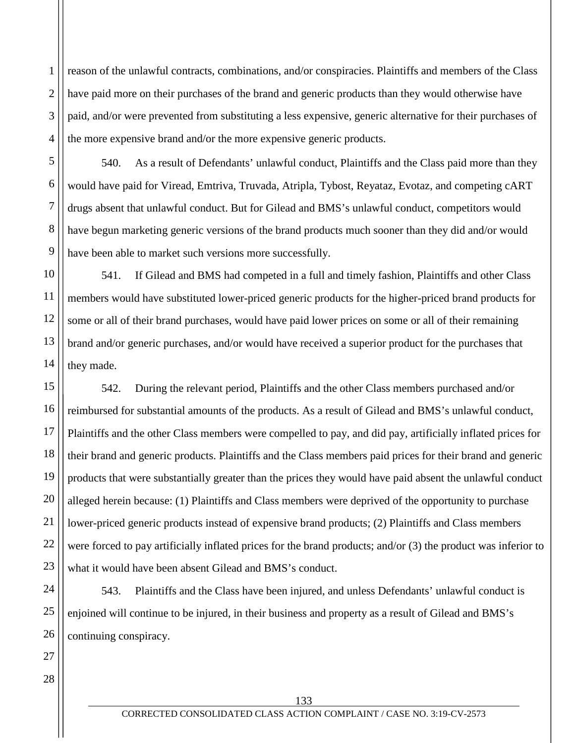4 reason of the unlawful contracts, combinations, and/or conspiracies. Plaintiffs and members of the Class have paid more on their purchases of the brand and generic products than they would otherwise have paid, and/or were prevented from substituting a less expensive, generic alternative for their purchases of the more expensive brand and/or the more expensive generic products.

540. As a result of Defendants' unlawful conduct, Plaintiffs and the Class paid more than they would have paid for Viread, Emtriva, Truvada, Atripla, Tybost, Reyataz, Evotaz, and competing cART drugs absent that unlawful conduct. But for Gilead and BMS's unlawful conduct, competitors would have begun marketing generic versions of the brand products much sooner than they did and/or would have been able to market such versions more successfully.

10 11 12 13 541. If Gilead and BMS had competed in a full and timely fashion, Plaintiffs and other Class members would have substituted lower-priced generic products for the higher-priced brand products for some or all of their brand purchases, would have paid lower prices on some or all of their remaining brand and/or generic purchases, and/or would have received a superior product for the purchases that they made.

542. During the relevant period, Plaintiffs and the other Class members purchased and/or reimbursed for substantial amounts of the products. As a result of Gilead and BMS's unlawful conduct, Plaintiffs and the other Class members were compelled to pay, and did pay, artificially inflated prices for their brand and generic products. Plaintiffs and the Class members paid prices for their brand and generic products that were substantially greater than the prices they would have paid absent the unlawful conduct alleged herein because: (1) Plaintiffs and Class members were deprived of the opportunity to purchase lower-priced generic products instead of expensive brand products; (2) Plaintiffs and Class members were forced to pay artificially inflated prices for the brand products; and/or (3) the product was inferior to what it would have been absent Gilead and BMS's conduct.

543. Plaintiffs and the Class have been injured, and unless Defendants' unlawful conduct is enjoined will continue to be injured, in their business and property as a result of Gilead and BMS's continuing conspiracy.

1

2

3

5

6

7

8

9

14

15

16

17

18

19

20

21

22

23

24

25

26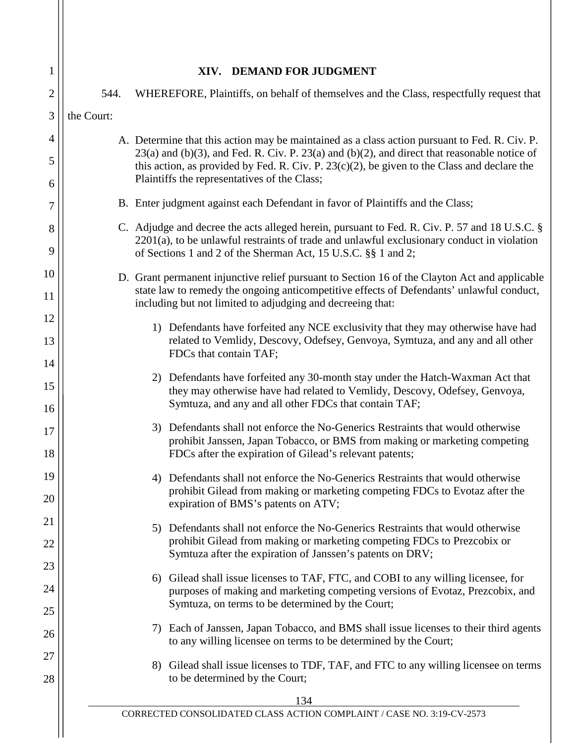| 1              |            | XIV. DEMAND FOR JUDGMENT                                                                                                                                                                                                                                        |
|----------------|------------|-----------------------------------------------------------------------------------------------------------------------------------------------------------------------------------------------------------------------------------------------------------------|
| $\overline{2}$ | 544.       | WHEREFORE, Plaintiffs, on behalf of themselves and the Class, respectfully request that                                                                                                                                                                         |
| 3              | the Court: |                                                                                                                                                                                                                                                                 |
| 4              |            | A. Determine that this action may be maintained as a class action pursuant to Fed. R. Civ. P.<br>$23(a)$ and (b)(3), and Fed. R. Civ. P. $23(a)$ and (b)(2), and direct that reasonable notice of                                                               |
| 5<br>6         |            | this action, as provided by Fed. R. Civ. P. $23(c)(2)$ , be given to the Class and declare the<br>Plaintiffs the representatives of the Class;                                                                                                                  |
| 7              |            | B. Enter judgment against each Defendant in favor of Plaintiffs and the Class;                                                                                                                                                                                  |
| 8<br>9         |            | C. Adjudge and decree the acts alleged herein, pursuant to Fed. R. Civ. P. 57 and 18 U.S.C. §<br>$2201(a)$ , to be unlawful restraints of trade and unlawful exclusionary conduct in violation<br>of Sections 1 and 2 of the Sherman Act, 15 U.S.C. §§ 1 and 2; |
| 10<br>11       |            | D. Grant permanent injunctive relief pursuant to Section 16 of the Clayton Act and applicable<br>state law to remedy the ongoing anticompetitive effects of Defendants' unlawful conduct,<br>including but not limited to adjudging and decreeing that:         |
| 12<br>13       |            | 1) Defendants have forfeited any NCE exclusivity that they may otherwise have had<br>related to Vemlidy, Descovy, Odefsey, Genvoya, Symtuza, and any and all other<br>FDCs that contain TAF;                                                                    |
| 14<br>15<br>16 |            | 2) Defendants have forfeited any 30-month stay under the Hatch-Waxman Act that<br>they may otherwise have had related to Vemlidy, Descovy, Odefsey, Genvoya,<br>Symtuza, and any and all other FDCs that contain TAF;                                           |
| 17<br>18       |            | 3) Defendants shall not enforce the No-Generics Restraints that would otherwise<br>prohibit Janssen, Japan Tobacco, or BMS from making or marketing competing<br>FDCs after the expiration of Gilead's relevant patents;                                        |
| 19<br>20       |            | Defendants shall not enforce the No-Generics Restraints that would otherwise<br>4)<br>prohibit Gilead from making or marketing competing FDCs to Evotaz after the<br>expiration of BMS's patents on ATV;                                                        |
| 21<br>22       |            | Defendants shall not enforce the No-Generics Restraints that would otherwise<br>5)<br>prohibit Gilead from making or marketing competing FDCs to Prezcobix or<br>Symtuza after the expiration of Janssen's patents on DRV;                                      |
| 23<br>24<br>25 |            | 6) Gilead shall issue licenses to TAF, FTC, and COBI to any willing licensee, for<br>purposes of making and marketing competing versions of Evotaz, Prezcobix, and<br>Symtuza, on terms to be determined by the Court;                                          |
| 26             |            | Each of Janssen, Japan Tobacco, and BMS shall issue licenses to their third agents<br>7)<br>to any willing licensee on terms to be determined by the Court;                                                                                                     |
| 27<br>28       |            | 8) Gilead shall issue licenses to TDF, TAF, and FTC to any willing licensee on terms<br>to be determined by the Court;                                                                                                                                          |
|                |            | 134                                                                                                                                                                                                                                                             |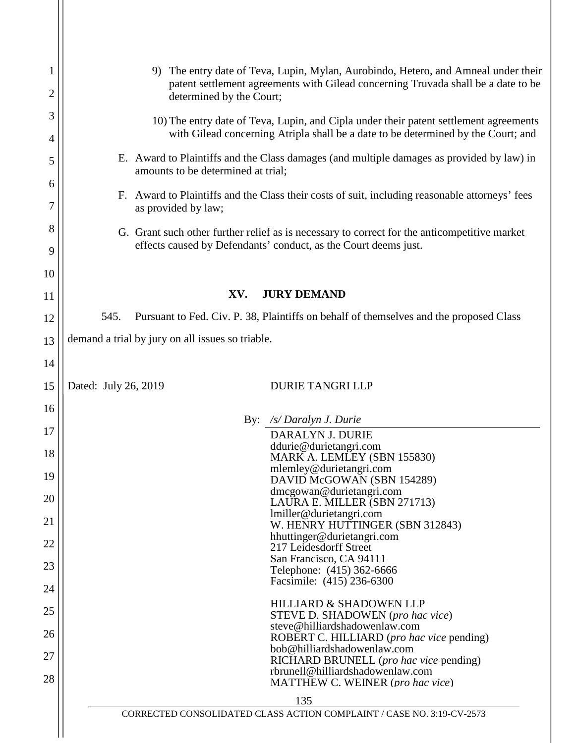| 1<br>$\overline{c}$ | The entry date of Teva, Lupin, Mylan, Aurobindo, Hetero, and Amneal under their<br>9)<br>patent settlement agreements with Gilead concerning Truvada shall be a date to be<br>determined by the Court; |  |  |
|---------------------|--------------------------------------------------------------------------------------------------------------------------------------------------------------------------------------------------------|--|--|
| 3                   | 10) The entry date of Teva, Lupin, and Cipla under their patent settlement agreements<br>with Gilead concerning Atripla shall be a date to be determined by the Court; and                             |  |  |
| 4                   |                                                                                                                                                                                                        |  |  |
| 5<br>6              | E. Award to Plaintiffs and the Class damages (and multiple damages as provided by law) in<br>amounts to be determined at trial;                                                                        |  |  |
| 7                   | F. Award to Plaintiffs and the Class their costs of suit, including reasonable attorneys' fees<br>as provided by law;                                                                                  |  |  |
| 8                   | G. Grant such other further relief as is necessary to correct for the anticompetitive market                                                                                                           |  |  |
| 9                   | effects caused by Defendants' conduct, as the Court deems just.                                                                                                                                        |  |  |
| 10                  |                                                                                                                                                                                                        |  |  |
| 11                  | <b>JURY DEMAND</b><br>XV.                                                                                                                                                                              |  |  |
| 12                  | Pursuant to Fed. Civ. P. 38, Plaintiffs on behalf of themselves and the proposed Class<br>545.                                                                                                         |  |  |
| 13                  | demand a trial by jury on all issues so triable.                                                                                                                                                       |  |  |
| 14                  |                                                                                                                                                                                                        |  |  |
| 15                  | Dated: July 26, 2019<br><b>DURIE TANGRI LLP</b>                                                                                                                                                        |  |  |
| 16                  |                                                                                                                                                                                                        |  |  |
| 17                  | By: /s/ Daralyn J. Durie                                                                                                                                                                               |  |  |
|                     | DARALYN J. DURIE<br>ddurie@durietangri.com                                                                                                                                                             |  |  |
| 18                  | MARK A. LEMLEY (SBN 155830)<br>mlemley@durietangri.com                                                                                                                                                 |  |  |
| 19                  | DAVID McGOWAN (SBN 154289)                                                                                                                                                                             |  |  |
| 20                  | dmcgowan@durietangri.com<br>LAURA E. MILLER (SBN 271713)                                                                                                                                               |  |  |
| 21                  | lmiller@durietangri.com                                                                                                                                                                                |  |  |
|                     | W. HENRY HUTTINGER (SBN 312843)<br>hhuttinger@durietangri.com                                                                                                                                          |  |  |
| 22                  | 217 Leidesdorff Street<br>San Francisco, CA 94111                                                                                                                                                      |  |  |
| 23                  | Telephone: (415) 362-6666                                                                                                                                                                              |  |  |
| 24                  | Facsimile: (415) 236-6300                                                                                                                                                                              |  |  |
| 25                  | <b>HILLIARD &amp; SHADOWEN LLP</b><br>STEVE D. SHADOWEN (pro hac vice)                                                                                                                                 |  |  |
| 26                  | steve@hilliardshadowenlaw.com                                                                                                                                                                          |  |  |
|                     | ROBERT C. HILLIARD (pro hac vice pending)<br>bob@hilliardshadowenlaw.com                                                                                                                               |  |  |
| 27                  | RICHARD BRUNELL (pro hac vice pending)<br>rbrunell@hilliardshadowenlaw.com                                                                                                                             |  |  |
| 28                  | MATTHEW C. WEINER (pro hac vice)                                                                                                                                                                       |  |  |
|                     | 135                                                                                                                                                                                                    |  |  |
|                     | CORRECTED CONSOLIDATED CLASS ACTION COMPLAINT / CASE NO. 3:19-CV-2573                                                                                                                                  |  |  |
|                     |                                                                                                                                                                                                        |  |  |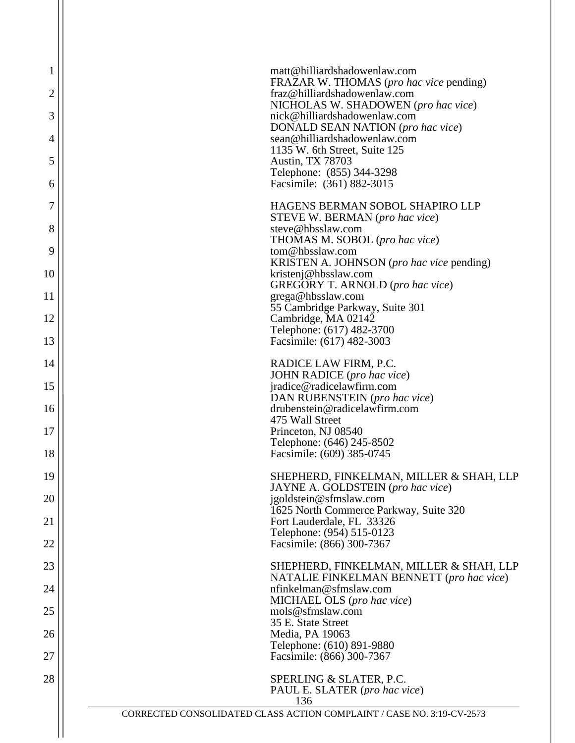| 1      | matt@hilliardshadowenlaw.com<br>FRAZAR W. THOMAS (pro hac vice pending)                                      |
|--------|--------------------------------------------------------------------------------------------------------------|
| 2      | fraz@hilliardshadowenlaw.com<br>NICHOLAS W. SHADOWEN (pro hac vice)                                          |
| 3      | nick@hilliardshadowenlaw.com<br>DONALD SEAN NATION (pro hac vice)                                            |
| 4<br>5 | sean@hilliardshadowenlaw.com<br>1135 W. 6th Street, Suite 125<br><b>Austin, TX 78703</b>                     |
| 6      | Telephone: (855) 344-3298<br>Facsimile: (361) 882-3015                                                       |
| 7      | HAGENS BERMAN SOBOL SHAPIRO LLP                                                                              |
| 8      | STEVE W. BERMAN (pro hac vice)<br>steve@hbsslaw.com                                                          |
| 9      | THOMAS M. SOBOL (pro hac vice)<br>tom@hbsslaw.com                                                            |
| 10     | KRISTEN A. JOHNSON (pro hac vice pending)<br>kristenj@hbsslaw.com<br><b>GREGORY T. ARNOLD</b> (pro hac vice) |
| 11     | grega@hbsslaw.com<br>55 Cambridge Parkway, Suite 301                                                         |
| 12     | Cambridge, MA 02142<br>Telephone: (617) 482-3700                                                             |
| 13     | Facsimile: (617) 482-3003                                                                                    |
| 14     | RADICE LAW FIRM, P.C.<br>JOHN RADICE (pro hac vice)                                                          |
| 15     | jradice@radicelawfirm.com<br>DAN RUBENSTEIN (pro hac vice)                                                   |
| 16     | drubenstein@radicelawfirm.com<br>475 Wall Street                                                             |
| 17     | Princeton, NJ 08540<br>Telephone: (646) 245-8502                                                             |
| 18     | Facsimile: (609) 385-0745                                                                                    |
| 19     | SHEPHERD, FINKELMAN, MILLER & SHAH, LLP<br>JAYNE A. GOLDSTEIN (pro hac vice)                                 |
| 20     | igoldstein@sfmslaw.com<br>1625 North Commerce Parkway, Suite 320                                             |
| 21     | Fort Lauderdale, FL 33326<br>Telephone: (954) 515-0123                                                       |
| 22     | Facsimile: (866) 300-7367                                                                                    |
| 23     | SHEPHERD, FINKELMAN, MILLER & SHAH, LLP<br>NATALIE FINKELMAN BENNETT (pro hac vice)                          |
| 24     | nfinkelman@sfmslaw.com<br>MICHAEL OLS (pro hac vice)                                                         |
| 25     | mols@sfmslaw.com<br>35 E. State Street                                                                       |
| 26     | Media, PA 19063<br>Telephone: (610) 891-9880                                                                 |
| 27     | Facsimile: (866) 300-7367                                                                                    |
| 28     | SPERLING & SLATER, P.C.<br>PAUL E. SLATER (pro hac vice)<br>136                                              |
|        | CORRECTED CONSOLIDATED CLASS ACTION COMPLAINT / CASE NO. 3:19-CV-2573                                        |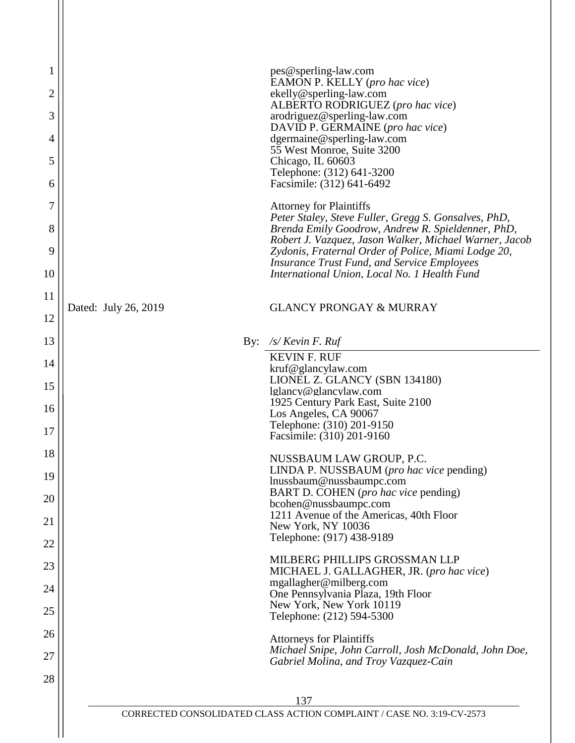|                      | pes@sperling-law.com                                                                                          |
|----------------------|---------------------------------------------------------------------------------------------------------------|
|                      | EAMON P. KELLY (pro hac vice)<br>ekelly@sperling-law.com<br>ALBERTO RODRIGUEZ (pro hac vice)                  |
|                      | arodriguez@sperling-law.com                                                                                   |
|                      | DAVID P. GERMAINE (pro hac vice)<br>dgermaine@sperling-law.com                                                |
|                      | 55 West Monroe, Suite 3200<br>Chicago, IL 60603                                                               |
|                      | Telephone: (312) 641-3200<br>Facsimile: (312) 641-6492                                                        |
|                      | <b>Attorney for Plaintiffs</b>                                                                                |
|                      | Peter Staley, Steve Fuller, Gregg S. Gonsalves, PhD,<br>Brenda Emily Goodrow, Andrew R. Spieldenner, PhD,     |
|                      | Robert J. Vazquez, Jason Walker, Michael Warner, Jacob<br>Zydonis, Fraternal Order of Police, Miami Lodge 20, |
|                      | <b>Insurance Trust Fund, and Service Employees</b><br>International Union, Local No. 1 Health Fund            |
|                      |                                                                                                               |
| Dated: July 26, 2019 | <b>GLANCY PRONGAY &amp; MURRAY</b>                                                                            |
|                      | By: $\sqrt{s}$ Kevin F. Ruf                                                                                   |
|                      | <b>KEVIN F. RUF</b>                                                                                           |
|                      | kruf@glancylaw.com<br>LIONEL Z. GLANCY (SBN 134180)                                                           |
|                      | lglancy@glancylaw.com<br>1925 Century Park East, Suite 2100                                                   |
|                      | Los Angeles, CA 90067<br>Telephone: (310) 201-9150                                                            |
|                      | Facsimile: (310) 201-9160                                                                                     |
|                      | NUSSBAUM LAW GROUP, P.C.<br>LINDA P. NUSSBAUM (pro hac vice pending)                                          |
|                      | lnussbaum@nussbaumpc.com<br>BART D. COHEN (pro hac vice pending)                                              |
|                      | bcohen@nussbaumpc.com<br>1211 Avenue of the Americas, 40th Floor                                              |
|                      | New York, NY 10036<br>Telephone: (917) 438-9189                                                               |
|                      | MILBERG PHILLIPS GROSSMAN LLP                                                                                 |
|                      | MICHAEL J. GALLAGHER, JR. (pro hac vice)<br>mgallagher@milberg.com                                            |
|                      | One Pennsylvania Plaza, 19th Floor<br>New York, New York 10119                                                |
|                      | Telephone: (212) 594-5300                                                                                     |
|                      | <b>Attorneys for Plaintiffs</b><br>Michael Snipe, John Carroll, Josh McDonald, John Doe,                      |
|                      | Gabriel Molina, and Troy Vazquez-Cain                                                                         |
|                      |                                                                                                               |
|                      | 137                                                                                                           |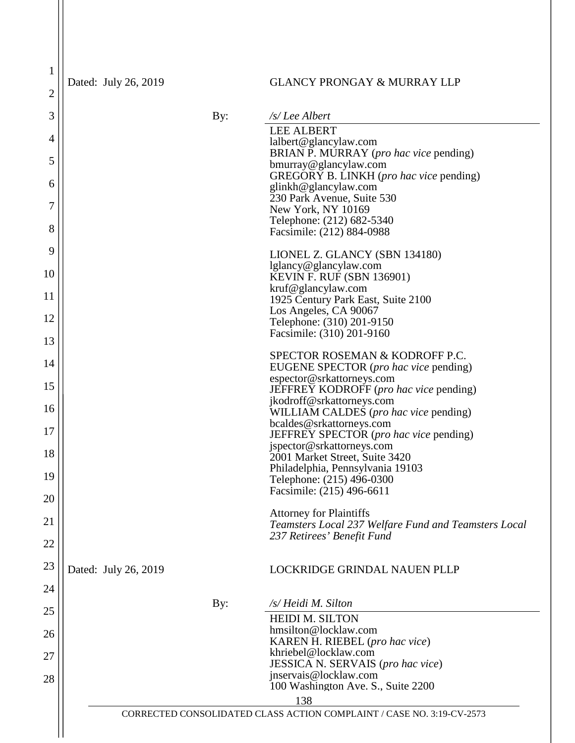$\left| \frac{2}{2} \right|$ Dated: July 26, 2019

1

# GLANCY PRONGAY & MURRAY LLP

| 3  |                      | By: | /s/Lee Albert                                                                      |
|----|----------------------|-----|------------------------------------------------------------------------------------|
| 4  |                      |     | <b>LEE ALBERT</b>                                                                  |
|    |                      |     | lalbert@glancylaw.com<br>BRIAN P. MURRAY ( <i>pro hac vice</i> pending)            |
| 5  |                      |     | bmurray@glancylaw.com                                                              |
| 6  |                      |     | GREGORY B. LINKH (pro hac vice pending)<br>glinkh@glancylaw.com                    |
| 7  |                      |     | 230 Park Avenue, Suite 530                                                         |
|    |                      |     | New York, NY 10169<br>Telephone: (212) 682-5340                                    |
| 8  |                      |     | Facsimile: (212) 884-0988                                                          |
| 9  |                      |     | LIONEL Z. GLANCY (SBN 134180)                                                      |
| 10 |                      |     | lglancy@glancylaw.com                                                              |
|    |                      |     | <b>KEVIN F. RUF (SBN 136901)</b><br>kruf@glancylaw.com                             |
| 11 |                      |     | 1925 Century Park East, Suite 2100                                                 |
| 12 |                      |     | Los Angeles, CA 90067<br>Telephone: (310) 201-9150                                 |
|    |                      |     | Facsimile: (310) 201-9160                                                          |
| 13 |                      |     | SPECTOR ROSEMAN & KODROFF P.C.                                                     |
| 14 |                      |     | EUGENE SPECTOR (pro hac vice pending)                                              |
| 15 |                      |     | espector@srkattorneys.com<br><b>JEFFREY KODROFF</b> ( <i>pro hac vice</i> pending) |
|    |                      |     | jkodroff@srkattorneys.com                                                          |
| 16 |                      |     | WILLIAM CALDES (pro hac vice pending)                                              |
| 17 |                      |     | bcaldes@srkattorneys.com<br>JEFFREY SPECTOR (pro hac vice pending)                 |
|    |                      |     | jspector@srkattorneys.com                                                          |
| 18 |                      |     | 2001 Market Street, Suite 3420<br>Philadelphia, Pennsylvania 19103                 |
| 19 |                      |     | Telephone: (215) 496-0300                                                          |
| 20 |                      |     | Facsimile: (215) 496-6611                                                          |
|    |                      |     | <b>Attorney for Plaintiffs</b>                                                     |
| 21 |                      |     | Teamsters Local 237 Welfare Fund and Teamsters Local                               |
| 22 |                      |     | 237 Retirees' Benefit Fund                                                         |
| 23 | Dated: July 26, 2019 |     | LOCKRIDGE GRINDAL NAUEN PLLP                                                       |
|    |                      |     |                                                                                    |
| 24 |                      | By: | /s/ Heidi M. Silton                                                                |
| 25 |                      |     | <b>HEIDI M. SILTON</b>                                                             |
| 26 |                      |     | hmsilton@locklaw.com                                                               |
|    |                      |     | KAREN H. RIEBEL (pro hac vice)<br>khriebel@locklaw.com                             |
| 27 |                      |     | JESSICA N. SERVAIS (pro hac vice)                                                  |
| 28 |                      |     | jnservais@locklaw.com                                                              |
|    |                      |     | 100 Washington Ave. S., Suite 2200<br>138                                          |
|    |                      |     | CORRECTED CONSOLIDATED CLASS ACTION COMPLAINT / CASE NO. 3:19-CV-2573              |
|    |                      |     |                                                                                    |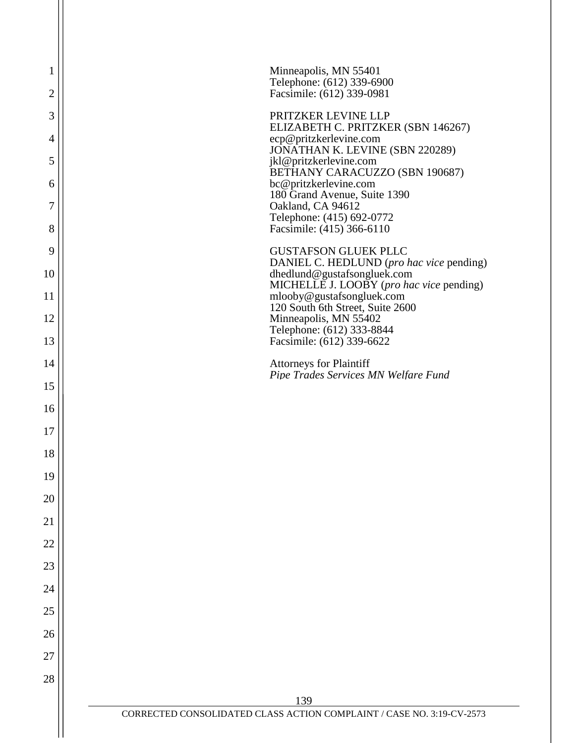| 1              | Minneapolis, MN 55401                                                                   |
|----------------|-----------------------------------------------------------------------------------------|
| $\overline{2}$ | Telephone: (612) 339-6900<br>Facsimile: (612) 339-0981                                  |
| 3              | PRITZKER LEVINE LLP                                                                     |
| $\overline{4}$ | ELIZABETH C. PRITZKER (SBN 146267)<br>ecp@pritzkerlevine.com                            |
| 5              | JONATHAN K. LEVINE (SBN 220289)<br>jkl@pritzkerlevine.com                               |
| 6              | BETHANY CARACUZZO (SBN 190687)<br>bc@pritzkerlevine.com<br>180 Grand Avenue, Suite 1390 |
| 7              | Oakland, CA 94612<br>Telephone: (415) 692-0772                                          |
| 8              | Facsimile: (415) 366-6110                                                               |
| 9              | <b>GUSTAFSON GLUEK PLLC</b><br>DANIEL C. HEDLUND (pro hac vice pending)                 |
| 10             | dhedlund@gustafsongluek.com<br>MICHELLE J. LOOBY (pro hac vice pending)                 |
| 11             | mlooby@gustafsongluek.com<br>120 South 6th Street, Suite 2600                           |
| 12             | Minneapolis, MN 55402<br>Telephone: (612) 333-8844                                      |
| 13             | Facsimile: (612) 339-6622                                                               |
| 14             | <b>Attorneys for Plaintiff</b><br>Pipe Trades Services MN Welfare Fund                  |
| 15             |                                                                                         |
| 16             |                                                                                         |
| 17             |                                                                                         |
| 18             |                                                                                         |
| 19             |                                                                                         |
| 20             |                                                                                         |
| 21             |                                                                                         |
| 22             |                                                                                         |
| 23             |                                                                                         |
| 24             |                                                                                         |
| 25             |                                                                                         |
| 26             |                                                                                         |
| 27             |                                                                                         |
| 28             |                                                                                         |
|                | 139<br>CORRECTED CONSOLIDATED CLASS ACTION COMPLAINT / CASE NO. 3:19-CV-2573            |
|                |                                                                                         |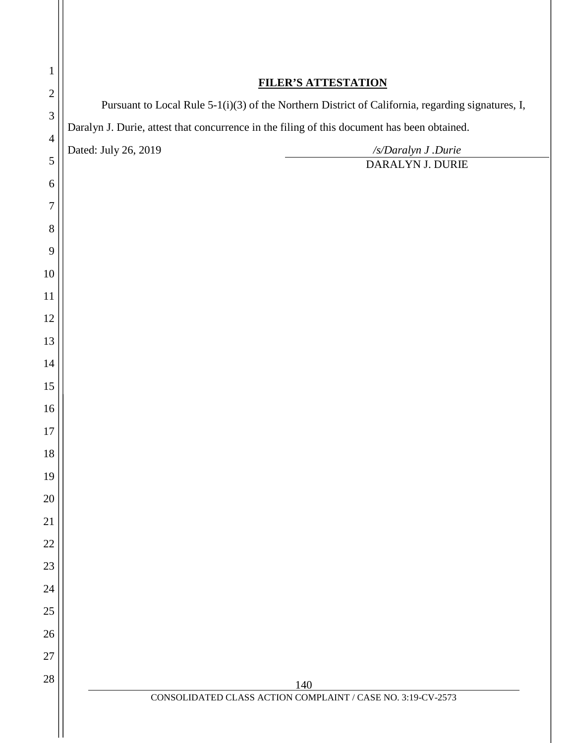| <b>FILER'S ATTESTATION</b><br>$\mathbf{2}$ |                                                                                                   |                                                                                             |  |
|--------------------------------------------|---------------------------------------------------------------------------------------------------|---------------------------------------------------------------------------------------------|--|
| $\mathfrak{Z}$                             | Pursuant to Local Rule 5-1(i)(3) of the Northern District of California, regarding signatures, I, |                                                                                             |  |
| $\overline{4}$                             |                                                                                                   | Daralyn J. Durie, attest that concurrence in the filing of this document has been obtained. |  |
| $\mathfrak{S}$                             | Dated: July 26, 2019                                                                              | /s/Daralyn J .Durie                                                                         |  |
|                                            |                                                                                                   | DARALYN J. DURIE                                                                            |  |
|                                            |                                                                                                   |                                                                                             |  |
| 7<br>$8\,$                                 |                                                                                                   |                                                                                             |  |
| 9                                          |                                                                                                   |                                                                                             |  |
| 10                                         |                                                                                                   |                                                                                             |  |
| 11                                         |                                                                                                   |                                                                                             |  |
| 12                                         |                                                                                                   |                                                                                             |  |
| 13                                         |                                                                                                   |                                                                                             |  |
| 14                                         |                                                                                                   |                                                                                             |  |
| 15                                         |                                                                                                   |                                                                                             |  |
| 16                                         |                                                                                                   |                                                                                             |  |
| 17                                         |                                                                                                   |                                                                                             |  |
| $18\,$                                     |                                                                                                   |                                                                                             |  |
| 19                                         |                                                                                                   |                                                                                             |  |
| 20                                         |                                                                                                   |                                                                                             |  |
| 21                                         |                                                                                                   |                                                                                             |  |
| 22                                         |                                                                                                   |                                                                                             |  |
| 23                                         |                                                                                                   |                                                                                             |  |
| 24                                         |                                                                                                   |                                                                                             |  |
| 25                                         |                                                                                                   |                                                                                             |  |
| 26                                         |                                                                                                   |                                                                                             |  |
| 27                                         |                                                                                                   |                                                                                             |  |
| 28                                         |                                                                                                   |                                                                                             |  |
|                                            |                                                                                                   | 140<br>CONSOLIDATED CLASS ACTION COMPLAINT / CASE NO. 3:19-CV-2573                          |  |